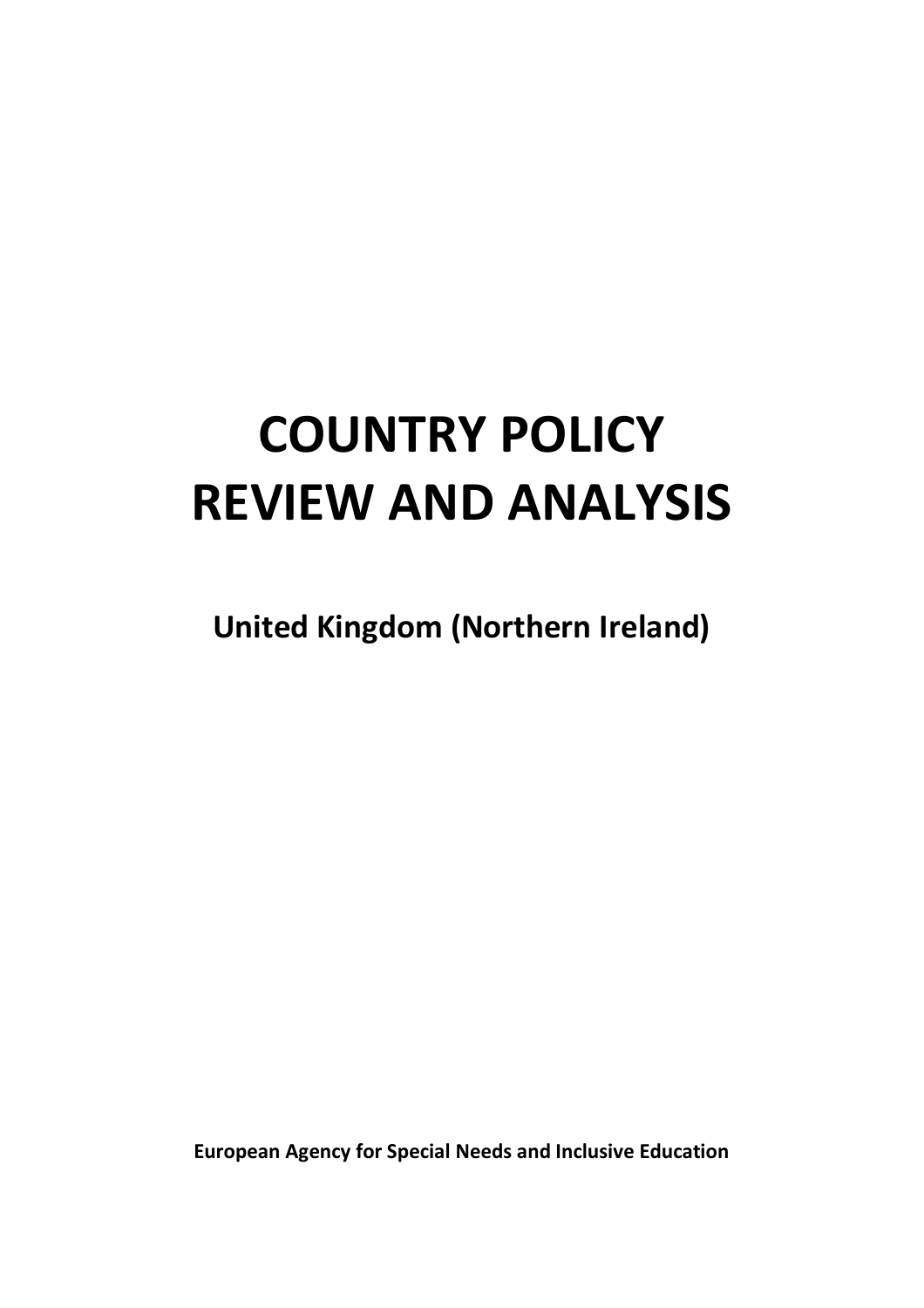# **COUNTRY POLICY REVIEW AND ANALYSIS**

**United Kingdom (Northern Ireland)**

**European Agency for Special Needs and Inclusive Education**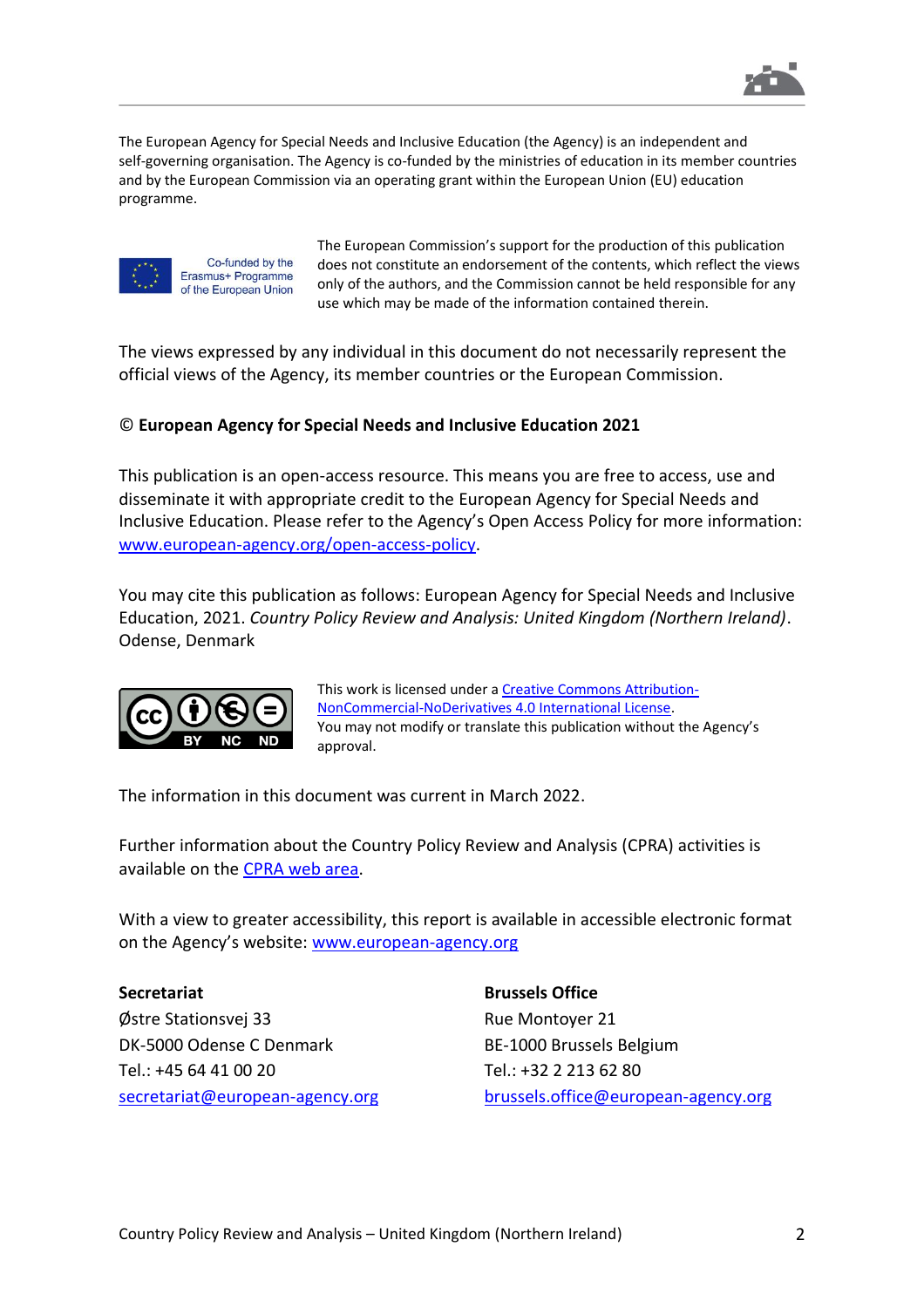

The European Agency for Special Needs and Inclusive Education (the Agency) is an independent and self-governing organisation. The Agency is co-funded by the ministries of education in its member countries and by the European Commission via an operating grant within the European Union (EU) education programme.



Co-funded by the Erasmus+ Programme of the European Union The European Commission's support for the production of this publication does not constitute an endorsement of the contents, which reflect the views only of the authors, and the Commission cannot be held responsible for any use which may be made of the information contained therein.

The views expressed by any individual in this document do not necessarily represent the official views of the Agency, its member countries or the European Commission.

#### © **European Agency for Special Needs and Inclusive Education 2021**

This publication is an open-access resource. This means you are free to access, use and disseminate it with appropriate credit to the European Agency for Special Needs and Inclusive Education. Please refer to the Agency's Open Access Policy for more information: [www.european-agency.org/open-access-policy.](http://www.european-agency.org/open-access-policy)

You may cite this publication as follows: European Agency for Special Needs and Inclusive Education, 2021. *Country Policy Review and Analysis: United Kingdom (Northern Ireland)*. Odense, Denmark



This work is licensed under [a Creative Commons Attribution-](https://creativecommons.org/licenses/by-nc-nd/4.0/)[NonCommercial-NoDerivatives 4.0 International License.](https://creativecommons.org/licenses/by-nc-nd/4.0/) You may not modify or translate this publication without the Agency's approval.

The information in this document was current in March 2022.

Further information about the Country Policy Review and Analysis (CPRA) activities is available on the [CPRA web area.](https://www.european-agency.org/projects/country-policy-review-and-analysis)

With a view to greater accessibility, this report is available in accessible electronic format on the Agency's website: [www.european-agency.org](http://www.european-agency.org/)

**Secretariat** Østre Stationsvej 33 DK-5000 Odense C Denmark Tel.: +45 64 41 00 20 [secretariat@european-agency.org](mailto:secretariat@european-agency.org) **Brussels Office** Rue Montoyer 21 BE-1000 Brussels Belgium Tel.: +32 2 213 62 80 [brussels.office@european-agency.org](mailto:brussels.office@european-agency.org)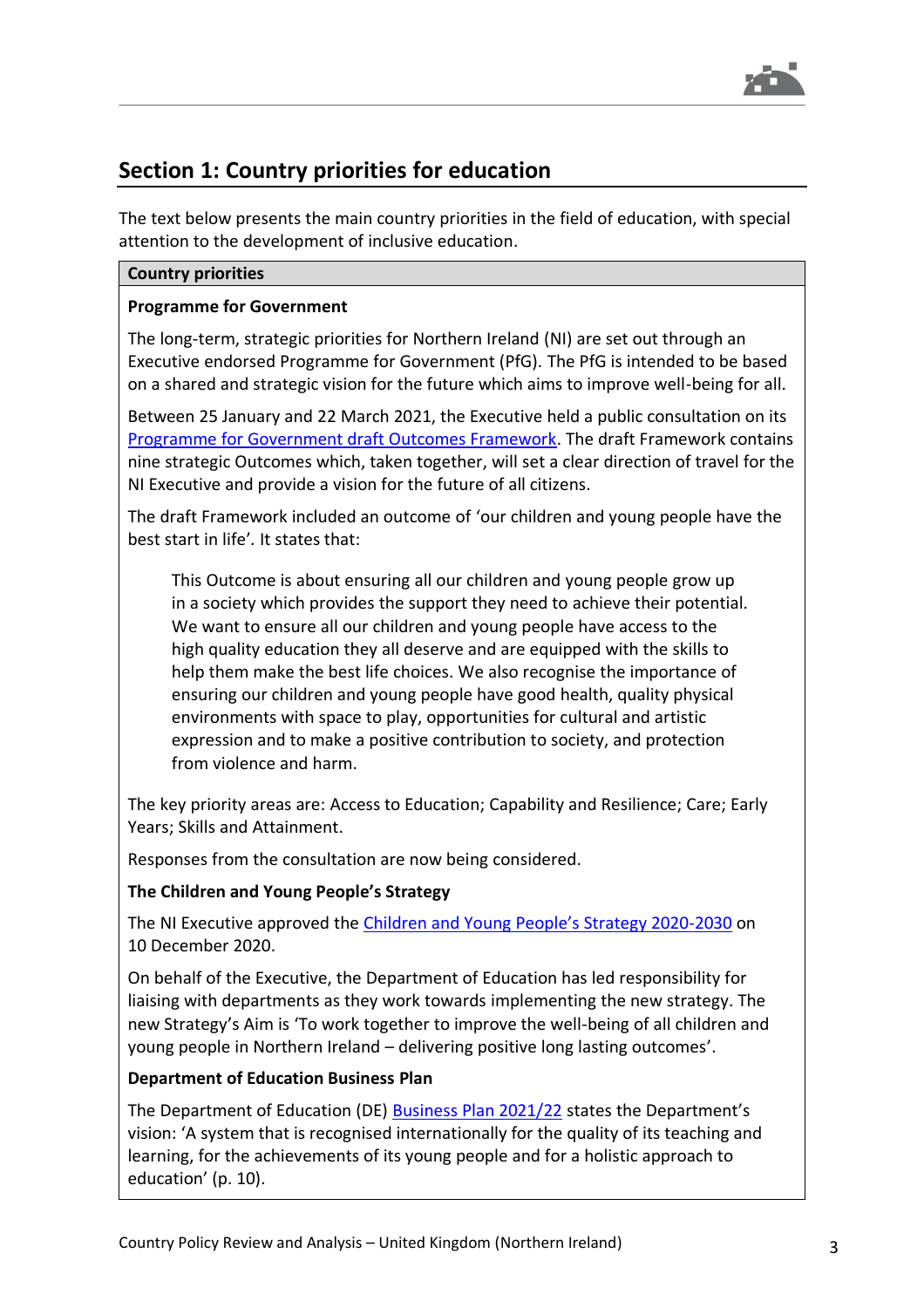

## **Section 1: Country priorities for education**

The text below presents the main country priorities in the field of education, with special attention to the development of inclusive education.

#### **Country priorities**

#### **Programme for Government**

The long-term, strategic priorities for Northern Ireland (NI) are set out through an Executive endorsed Programme for Government (PfG). The PfG is intended to be based on a shared and strategic vision for the future which aims to improve well-being for all.

Between 25 January and 22 March 2021, the Executive held a public consultation on its [Programme for Government draft Outcomes Framework.](https://www.northernireland.gov.uk/sites/default/files/consultations/newnigov/pfg-draft-outcomes-framework-consultation.pdf) The draft Framework contains nine strategic Outcomes which, taken together, will set a clear direction of travel for the NI Executive and provide a vision for the future of all citizens.

The draft Framework included an outcome of 'our children and young people have the best start in life'*.* It states that:

This Outcome is about ensuring all our children and young people grow up in a society which provides the support they need to achieve their potential. We want to ensure all our children and young people have access to the high quality education they all deserve and are equipped with the skills to help them make the best life choices. We also recognise the importance of ensuring our children and young people have good health, quality physical environments with space to play, opportunities for cultural and artistic expression and to make a positive contribution to society, and protection from violence and harm.

The key priority areas are: Access to Education; Capability and Resilience; Care; Early Years; Skills and Attainment.

Responses from the consultation are now being considered.

#### **The Children and Young People's Strategy**

The NI Executive approved the [Children and Young People's Strategy 2020](https://www.education-ni.gov.uk/articles/children-and-young-people)-2030 on 10 December 2020.

On behalf of the Executive, the Department of Education has led responsibility for liaising with departments as they work towards implementing the new strategy. The new Strategy's Aim is 'To work together to improve the well-being of all children and young people in Northern Ireland – delivering positive long lasting outcomes'.

#### **Department of Education Business Plan**

The Department of Education (DE) [Business Plan 2021/22](https://www.education-ni.gov.uk/sites/default/files/publications/education/DE%202021-22%20Business%20Plan.pdf) states the Department's vision: 'A system that is recognised internationally for the quality of its teaching and learning, for the achievements of its young people and for a holistic approach to education' (p. 10).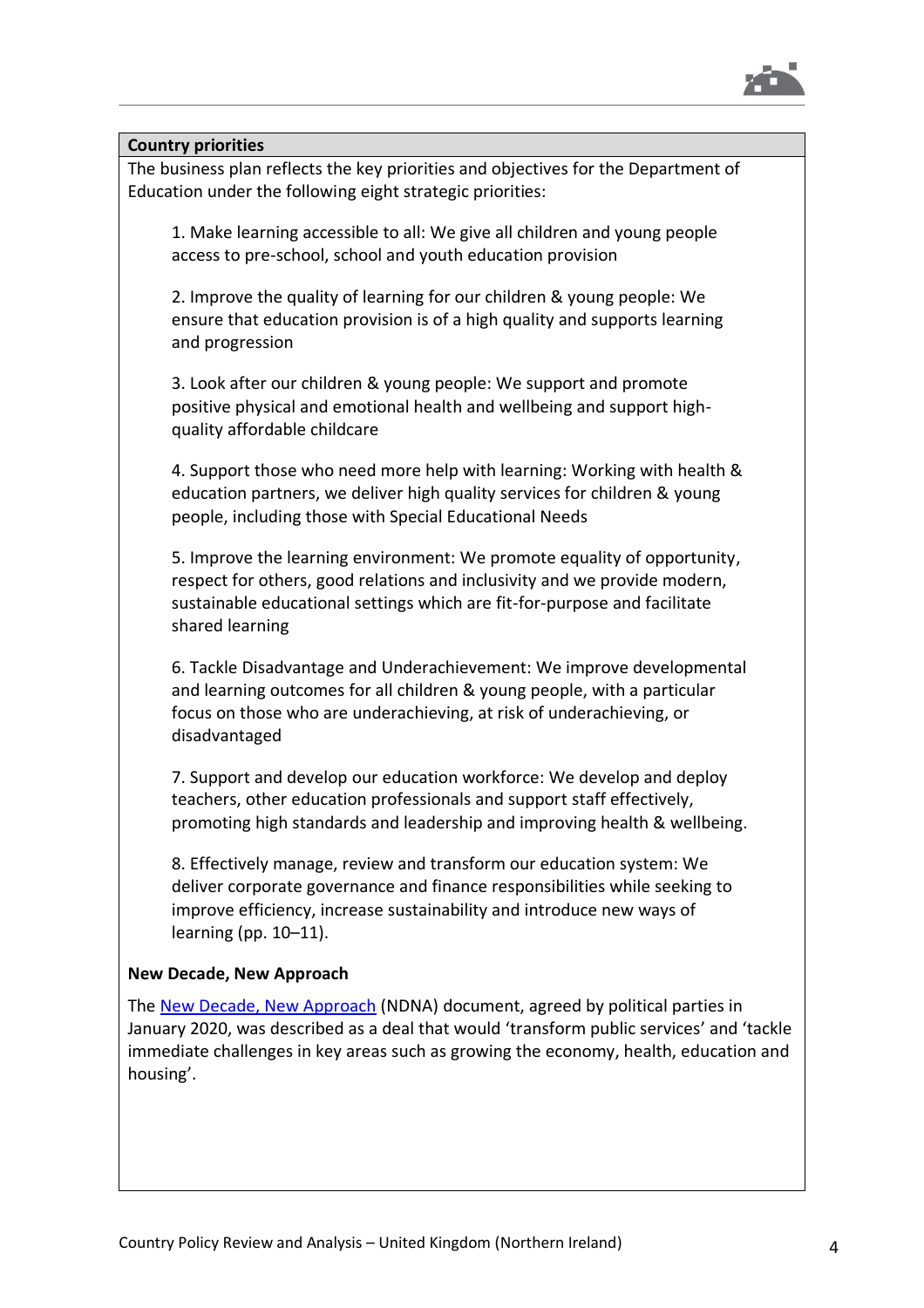

The business plan reflects the key priorities and objectives for the Department of Education under the following eight strategic priorities:

1. Make learning accessible to all: We give all children and young people access to pre-school, school and youth education provision

2. Improve the quality of learning for our children & young people: We ensure that education provision is of a high quality and supports learning and progression

3. Look after our children & young people: We support and promote positive physical and emotional health and wellbeing and support highquality affordable childcare

4. Support those who need more help with learning: Working with health & education partners, we deliver high quality services for children & young people, including those with Special Educational Needs

5. Improve the learning environment: We promote equality of opportunity, respect for others, good relations and inclusivity and we provide modern, sustainable educational settings which are fit-for-purpose and facilitate shared learning

6. Tackle Disadvantage and Underachievement: We improve developmental and learning outcomes for all children & young people, with a particular focus on those who are underachieving, at risk of underachieving, or disadvantaged

7. Support and develop our education workforce: We develop and deploy teachers, other education professionals and support staff effectively, promoting high standards and leadership and improving health & wellbeing.

8. Effectively manage, review and transform our education system: We deliver corporate governance and finance responsibilities while seeking to improve efficiency, increase sustainability and introduce new ways of learning (pp. 10–11).

#### **New Decade, New Approach**

The [New Decade, New Approach](https://assets.publishing.service.gov.uk/government/uploads/system/uploads/attachment_data/file/856998/2020-01-08_a_new_decade__a_new_approach.pdf) (NDNA) document, agreed by political parties in January 2020, was described as a deal that would 'transform public services' and 'tackle immediate challenges in key areas such as growing the economy, health, education and housing'.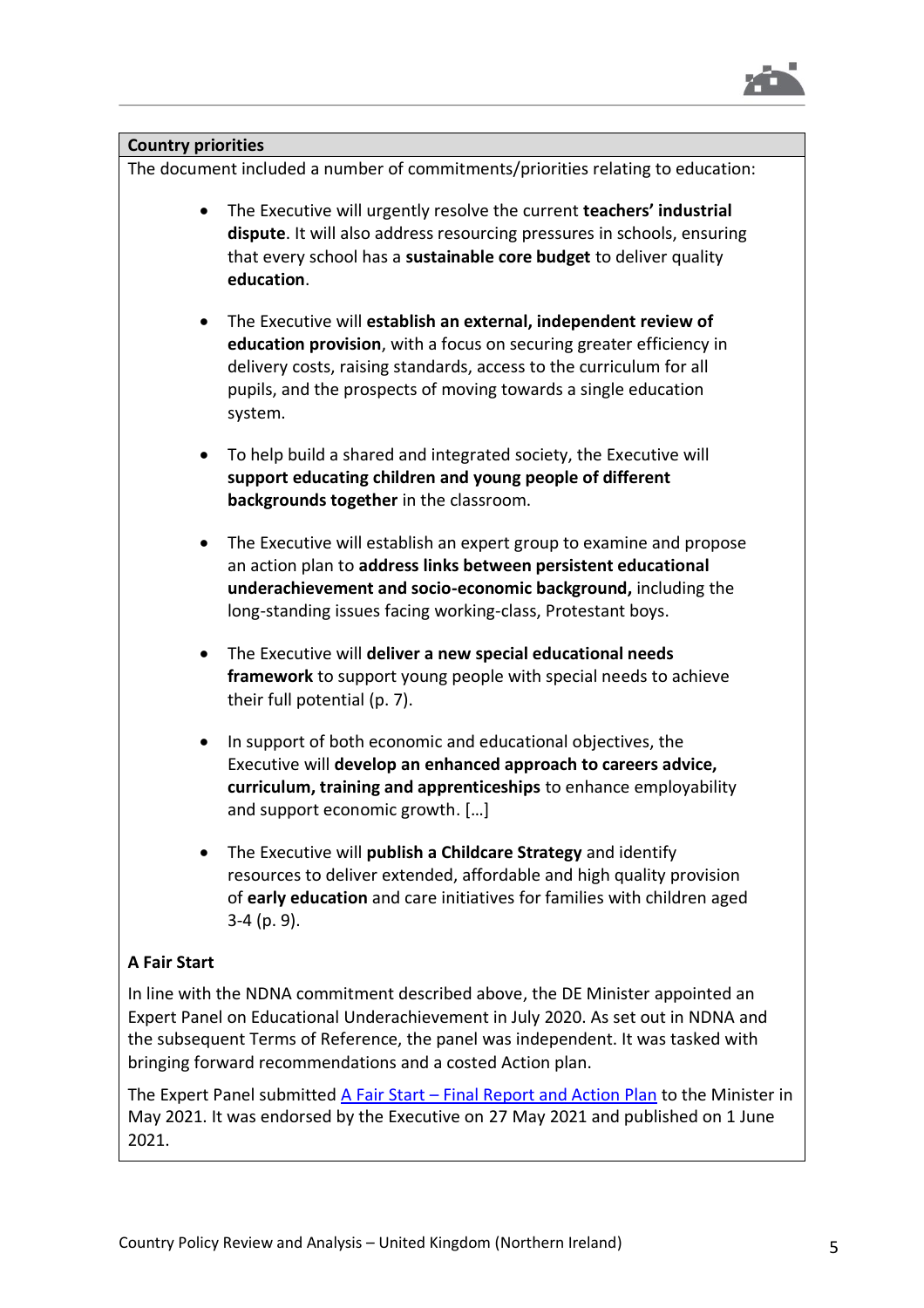

The document included a number of commitments/priorities relating to education:

- The Executive will urgently resolve the current **teachers' industrial dispute**. It will also address resourcing pressures in schools, ensuring that every school has a **sustainable core budget** to deliver quality **education**.
- The Executive will **establish an external, independent review of education provision**, with a focus on securing greater efficiency in delivery costs, raising standards, access to the curriculum for all pupils, and the prospects of moving towards a single education system.
- To help build a shared and integrated society, the Executive will **support educating children and young people of different backgrounds together** in the classroom.
- The Executive will establish an expert group to examine and propose an action plan to **address links between persistent educational underachievement and socio-economic background,** including the long-standing issues facing working-class, Protestant boys.
- The Executive will **deliver a new special educational needs framework** to support young people with special needs to achieve their full potential (p. 7).
- In support of both economic and educational objectives, the Executive will **develop an enhanced approach to careers advice, curriculum, training and apprenticeships** to enhance employability and support economic growth. […]
- The Executive will **publish a Childcare Strategy** and identify resources to deliver extended, affordable and high quality provision of **early education** and care initiatives for families with children aged 3-4 (p. 9).

#### **A Fair Start**

In line with the NDNA commitment described above, the DE Minister appointed an Expert Panel on Educational Underachievement in July 2020. As set out in NDNA and the subsequent Terms of Reference, the panel was independent. It was tasked with bringing forward recommendations and a costed Action plan.

The Expert Panel submitted A Fair Start – [Final Report and Action Plan](https://www.education-ni.gov.uk/publications/fair-start-final-report-action-plan) to the Minister in May 2021. It was endorsed by the Executive on 27 May 2021 and published on 1 June 2021.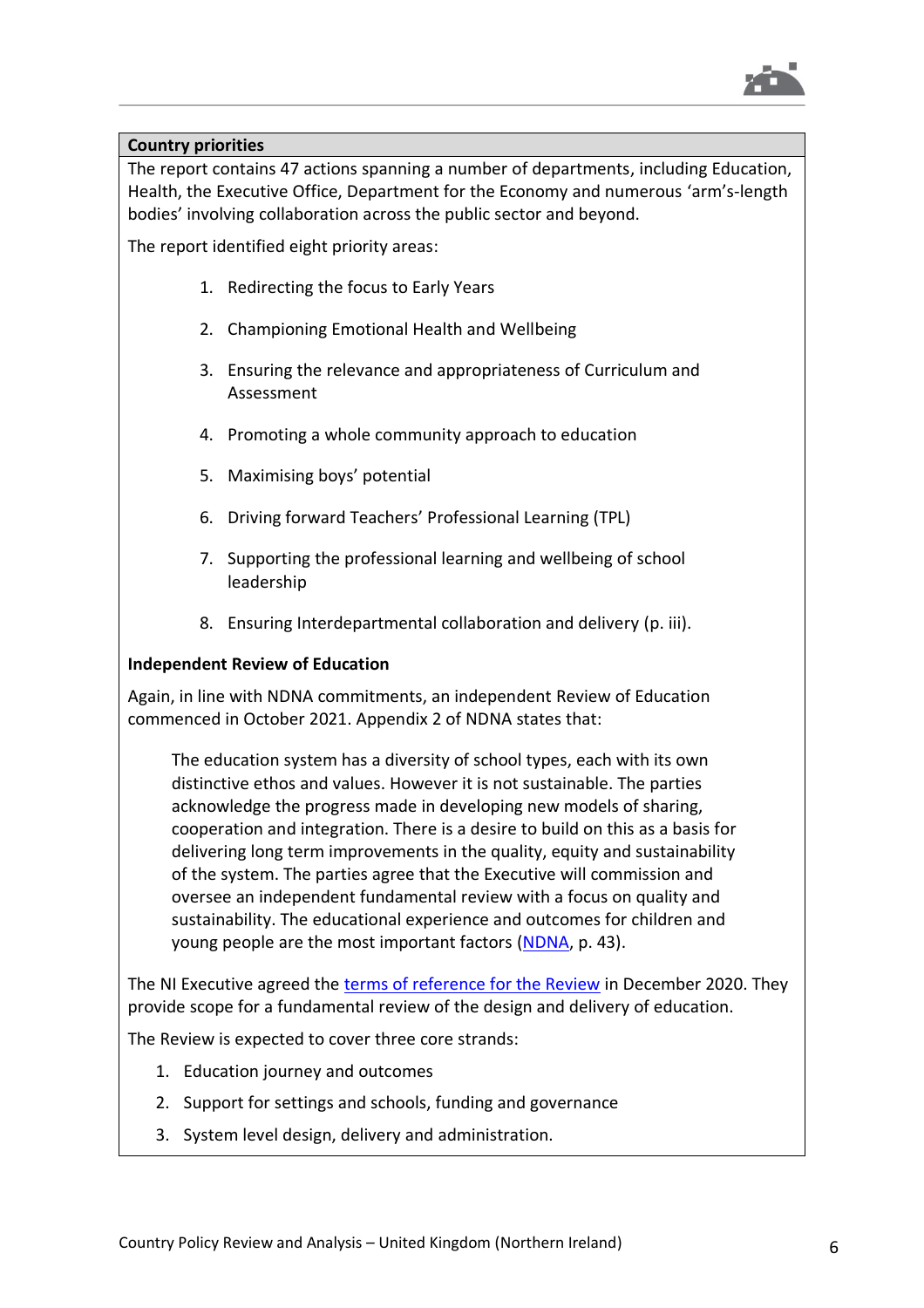

The report contains 47 actions spanning a number of departments, including Education, Health, the Executive Office, Department for the Economy and numerous 'arm's-length bodies' involving collaboration across the public sector and beyond.

The report identified eight priority areas:

- 1. Redirecting the focus to Early Years
- 2. Championing Emotional Health and Wellbeing
- 3. Ensuring the relevance and appropriateness of Curriculum and Assessment
- 4. Promoting a whole community approach to education
- 5. Maximising boys' potential
- 6. Driving forward Teachers' Professional Learning (TPL)
- 7. Supporting the professional learning and wellbeing of school leadership
- 8. Ensuring Interdepartmental collaboration and delivery (p. iii).

#### **Independent Review of Education**

Again, in line with NDNA commitments, an independent Review of Education commenced in October 2021. Appendix 2 of NDNA states that:

The education system has a diversity of school types, each with its own distinctive ethos and values. However it is not sustainable. The parties acknowledge the progress made in developing new models of sharing, cooperation and integration. There is a desire to build on this as a basis for delivering long term improvements in the quality, equity and sustainability of the system. The parties agree that the Executive will commission and oversee an independent fundamental review with a focus on quality and sustainability. The educational experience and outcomes for children and young people are the most important factors [\(NDNA,](https://assets.publishing.service.gov.uk/government/uploads/system/uploads/attachment_data/file/856998/2020-01-08_a_new_decade__a_new_approach.pdf) p. 43).

The NI Executive agreed the [terms of reference for the Review](https://www.education-ni.gov.uk/sites/default/files/publications/education/INDEPENDENT%20REVIEW%20OF%20EDUCATION%20-%20REVISED%20DRAFT%20TERMS%20OF%20REFERENCE%20-%20FEBRUARY%202021.pdf) in December 2020. They provide scope for a fundamental review of the design and delivery of education.

The Review is expected to cover three core strands:

- 1. Education journey and outcomes
- 2. Support for settings and schools, funding and governance
- 3. System level design, delivery and administration.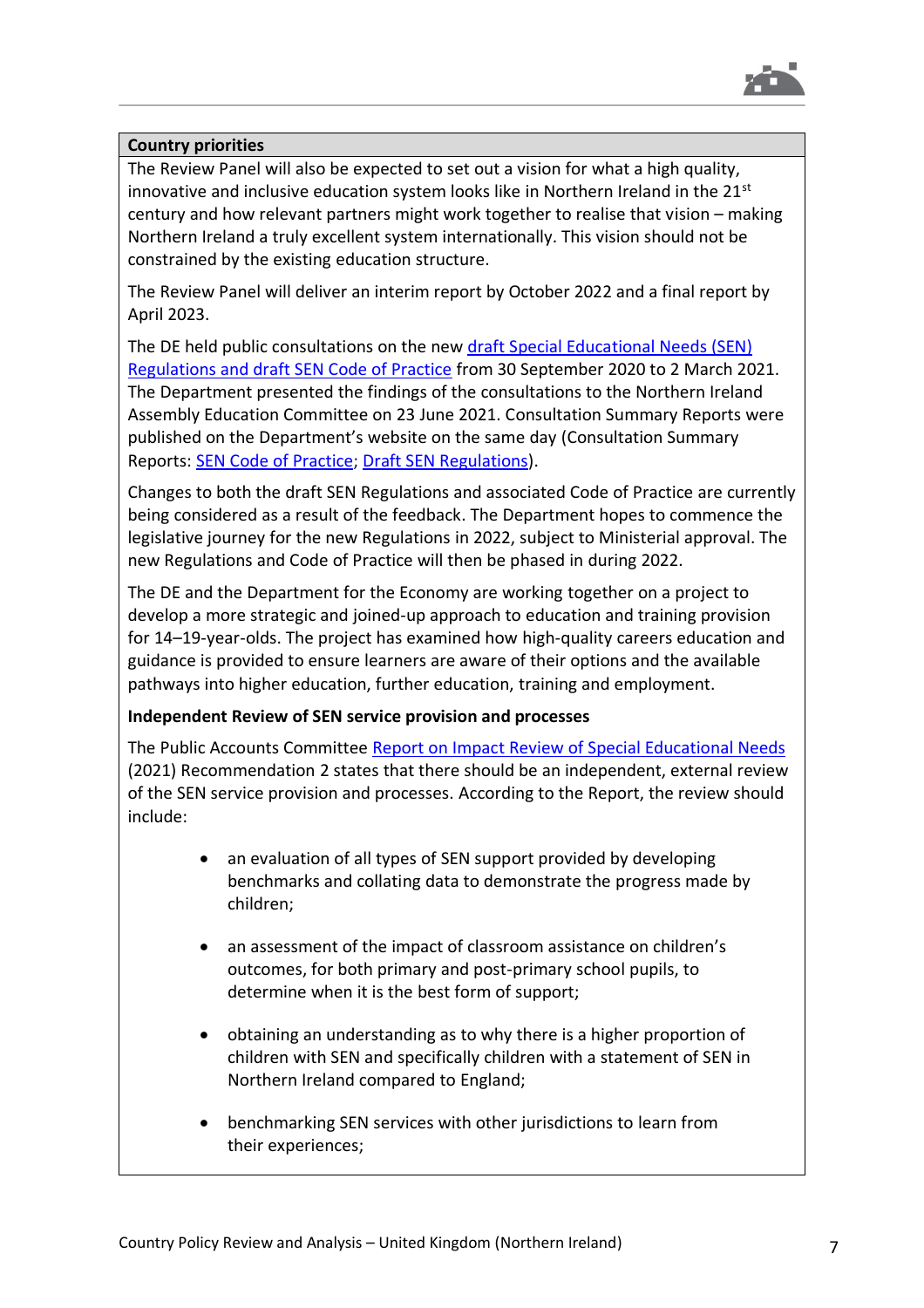

The Review Panel will also be expected to set out a vision for what a high quality, innovative and inclusive education system looks like in Northern Ireland in the  $21<sup>st</sup>$ century and how relevant partners might work together to realise that vision – making Northern Ireland a truly excellent system internationally. This vision should not be constrained by the existing education structure.

The Review Panel will deliver an interim report by October 2022 and a final report by April 2023.

The DE held public consultations on the new draft Special Educational Needs (SEN) [Regulations and draft SEN Code of Practice](https://www.education-ni.gov.uk/articles/review-special-educational-needs-and-inclusion) from 30 September 2020 to 2 March 2021. The Department presented the findings of the consultations to the Northern Ireland Assembly Education Committee on 23 June 2021. Consultation Summary Reports were published on the Department's website on the same day (Consultation Summary Reports: [SEN Code of Practice;](https://www.education-ni.gov.uk/sites/default/files/consultations/education/Summary%20%20Report%20of%20Responses%20to%20Consultation%20Draft%20Code%20of%20Practice%20%28June%202021%29.pdf) [Draft SEN Regulations\)](https://www.education-ni.gov.uk/sites/default/files/consultations/education/Summary%20Report%20of%20Consultation%20Responses%20-%20new%20draft%20SEN%20Regulations%20%28June%202021%29.pdf).

Changes to both the draft SEN Regulations and associated Code of Practice are currently being considered as a result of the feedback. The Department hopes to commence the legislative journey for the new Regulations in 2022, subject to Ministerial approval. The new Regulations and Code of Practice will then be phased in during 2022.

The DE and the Department for the Economy are working together on a project to develop a more strategic and joined-up approach to education and training provision for 14–19-year-olds. The project has examined how high-quality careers education and guidance is provided to ensure learners are aware of their options and the available pathways into higher education, further education, training and employment.

#### **Independent Review of SEN service provision and processes**

The Public Accounts Committee [Report on Impact Review of Special Educational Needs](http://www.niassembly.gov.uk/globalassets/documents/committees/2017-2022/pac/reports/special-educational-needs/report-on-impact-review-on-special-educational-needs.pdf) (2021) Recommendation 2 states that there should be an independent, external review of the SEN service provision and processes. According to the Report, the review should include:

- an evaluation of all types of SEN support provided by developing benchmarks and collating data to demonstrate the progress made by children;
- an assessment of the impact of classroom assistance on children's outcomes, for both primary and post-primary school pupils, to determine when it is the best form of support;
- obtaining an understanding as to why there is a higher proportion of children with SEN and specifically children with a statement of SEN in Northern Ireland compared to England;
- benchmarking SEN services with other jurisdictions to learn from their experiences;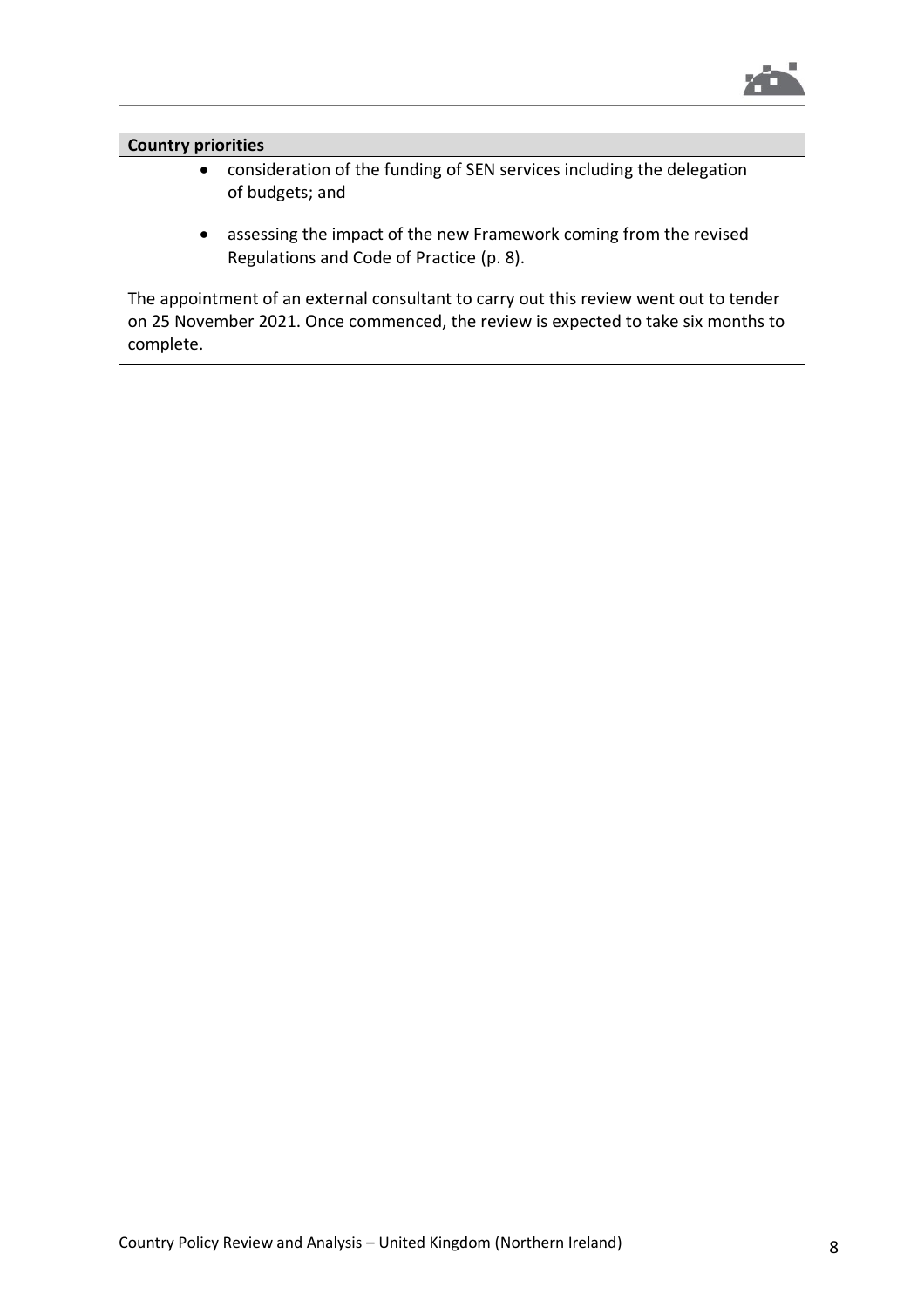

- consideration of the funding of SEN services including the delegation of budgets; and
- assessing the impact of the new Framework coming from the revised Regulations and Code of Practice (p. 8).

The appointment of an external consultant to carry out this review went out to tender on 25 November 2021. Once commenced, the review is expected to take six months to complete.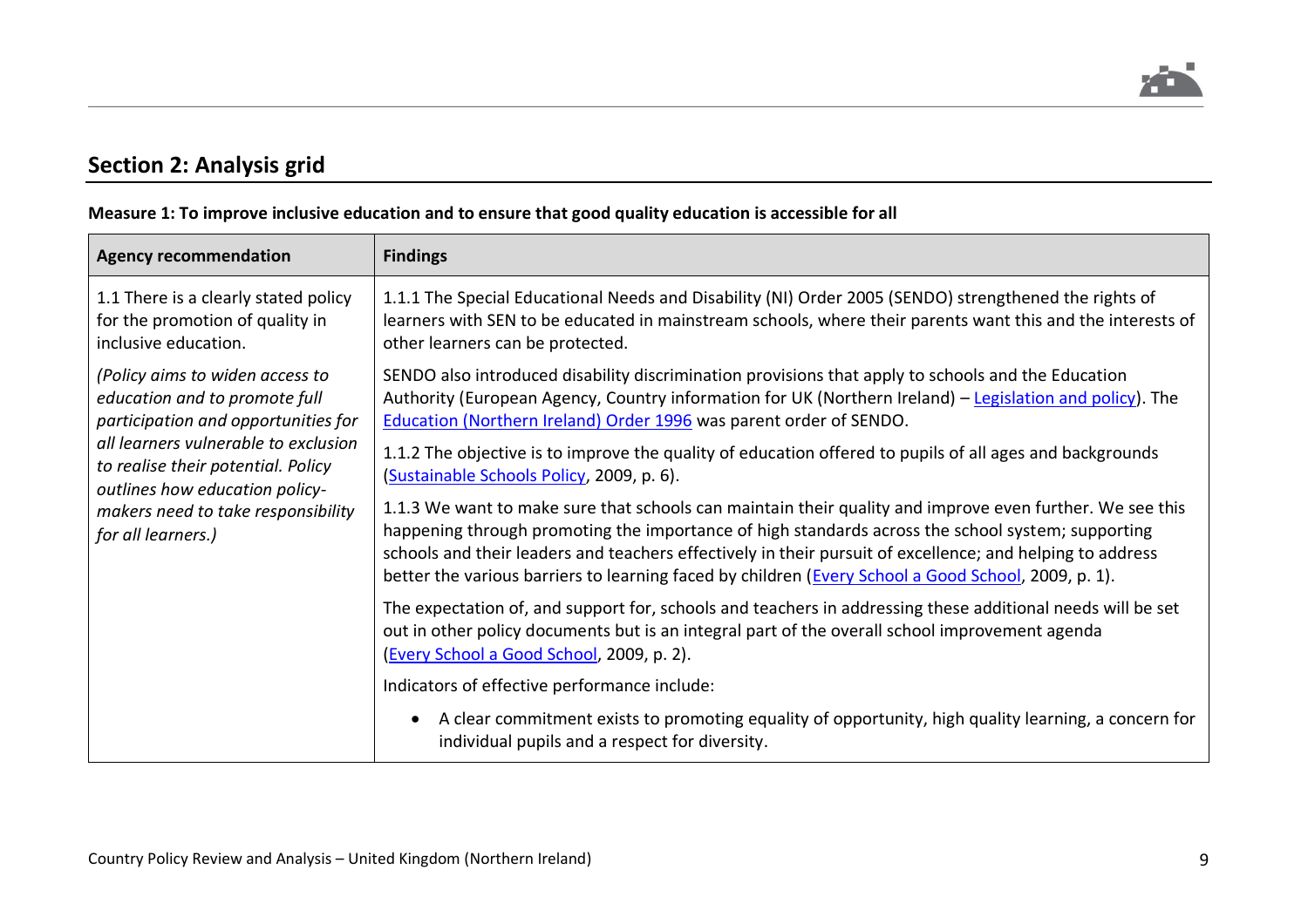

# **Section 2: Analysis grid**

|  |  | Measure 1: To improve inclusive education and to ensure that good quality education is accessible for all |
|--|--|-----------------------------------------------------------------------------------------------------------|
|--|--|-----------------------------------------------------------------------------------------------------------|

| <b>Agency recommendation</b>                                                                                 | <b>Findings</b>                                                                                                                                                                                                                                                                                                                                                                                                                   |
|--------------------------------------------------------------------------------------------------------------|-----------------------------------------------------------------------------------------------------------------------------------------------------------------------------------------------------------------------------------------------------------------------------------------------------------------------------------------------------------------------------------------------------------------------------------|
| 1.1 There is a clearly stated policy<br>for the promotion of quality in<br>inclusive education.              | 1.1.1 The Special Educational Needs and Disability (NI) Order 2005 (SENDO) strengthened the rights of<br>learners with SEN to be educated in mainstream schools, where their parents want this and the interests of<br>other learners can be protected.                                                                                                                                                                           |
| (Policy aims to widen access to<br>education and to promote full<br>participation and opportunities for      | SENDO also introduced disability discrimination provisions that apply to schools and the Education<br>Authority (European Agency, Country information for UK (Northern Ireland) – Legislation and policy). The<br>Education (Northern Ireland) Order 1996 was parent order of SENDO.                                                                                                                                              |
| all learners vulnerable to exclusion<br>to realise their potential. Policy<br>outlines how education policy- | 1.1.2 The objective is to improve the quality of education offered to pupils of all ages and backgrounds<br>(Sustainable Schools Policy, 2009, p. 6).                                                                                                                                                                                                                                                                             |
| makers need to take responsibility<br>for all learners.)                                                     | 1.1.3 We want to make sure that schools can maintain their quality and improve even further. We see this<br>happening through promoting the importance of high standards across the school system; supporting<br>schools and their leaders and teachers effectively in their pursuit of excellence; and helping to address<br>better the various barriers to learning faced by children (Every School a Good School, 2009, p. 1). |
|                                                                                                              | The expectation of, and support for, schools and teachers in addressing these additional needs will be set<br>out in other policy documents but is an integral part of the overall school improvement agenda<br>(Every School a Good School, 2009, p. 2).                                                                                                                                                                         |
|                                                                                                              | Indicators of effective performance include:                                                                                                                                                                                                                                                                                                                                                                                      |
|                                                                                                              | A clear commitment exists to promoting equality of opportunity, high quality learning, a concern for<br>individual pupils and a respect for diversity.                                                                                                                                                                                                                                                                            |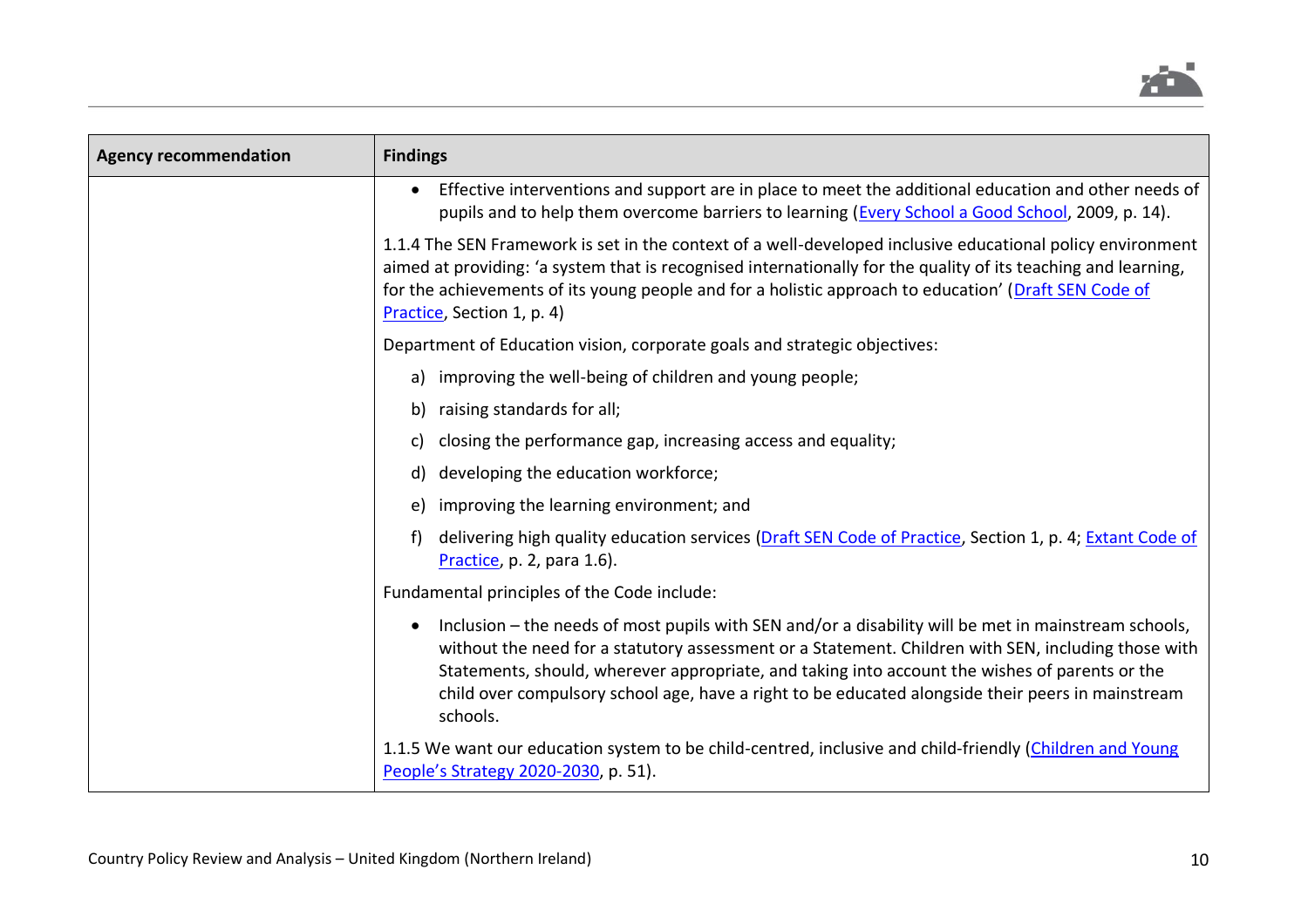

| <b>Agency recommendation</b> | <b>Findings</b>                                                                                                                                                                                                                                                                                                                                                                                                                             |
|------------------------------|---------------------------------------------------------------------------------------------------------------------------------------------------------------------------------------------------------------------------------------------------------------------------------------------------------------------------------------------------------------------------------------------------------------------------------------------|
|                              | Effective interventions and support are in place to meet the additional education and other needs of<br>$\bullet$<br>pupils and to help them overcome barriers to learning (Every School a Good School, 2009, p. 14).                                                                                                                                                                                                                       |
|                              | 1.1.4 The SEN Framework is set in the context of a well-developed inclusive educational policy environment<br>aimed at providing: 'a system that is recognised internationally for the quality of its teaching and learning,<br>for the achievements of its young people and for a holistic approach to education' (Draft SEN Code of<br>Practice, Section 1, p. 4)                                                                         |
|                              | Department of Education vision, corporate goals and strategic objectives:                                                                                                                                                                                                                                                                                                                                                                   |
|                              | a) improving the well-being of children and young people;                                                                                                                                                                                                                                                                                                                                                                                   |
|                              | raising standards for all;<br>b)                                                                                                                                                                                                                                                                                                                                                                                                            |
|                              | closing the performance gap, increasing access and equality;<br>C)                                                                                                                                                                                                                                                                                                                                                                          |
|                              | developing the education workforce;<br>d)                                                                                                                                                                                                                                                                                                                                                                                                   |
|                              | improving the learning environment; and<br>e)                                                                                                                                                                                                                                                                                                                                                                                               |
|                              | delivering high quality education services (Draft SEN Code of Practice, Section 1, p. 4; Extant Code of<br>f)<br>Practice, p. 2, para 1.6).                                                                                                                                                                                                                                                                                                 |
|                              | Fundamental principles of the Code include:                                                                                                                                                                                                                                                                                                                                                                                                 |
|                              | Inclusion – the needs of most pupils with SEN and/or a disability will be met in mainstream schools,<br>$\bullet$<br>without the need for a statutory assessment or a Statement. Children with SEN, including those with<br>Statements, should, wherever appropriate, and taking into account the wishes of parents or the<br>child over compulsory school age, have a right to be educated alongside their peers in mainstream<br>schools. |
|                              | 1.1.5 We want our education system to be child-centred, inclusive and child-friendly (Children and Young<br>People's Strategy 2020-2030, p. 51).                                                                                                                                                                                                                                                                                            |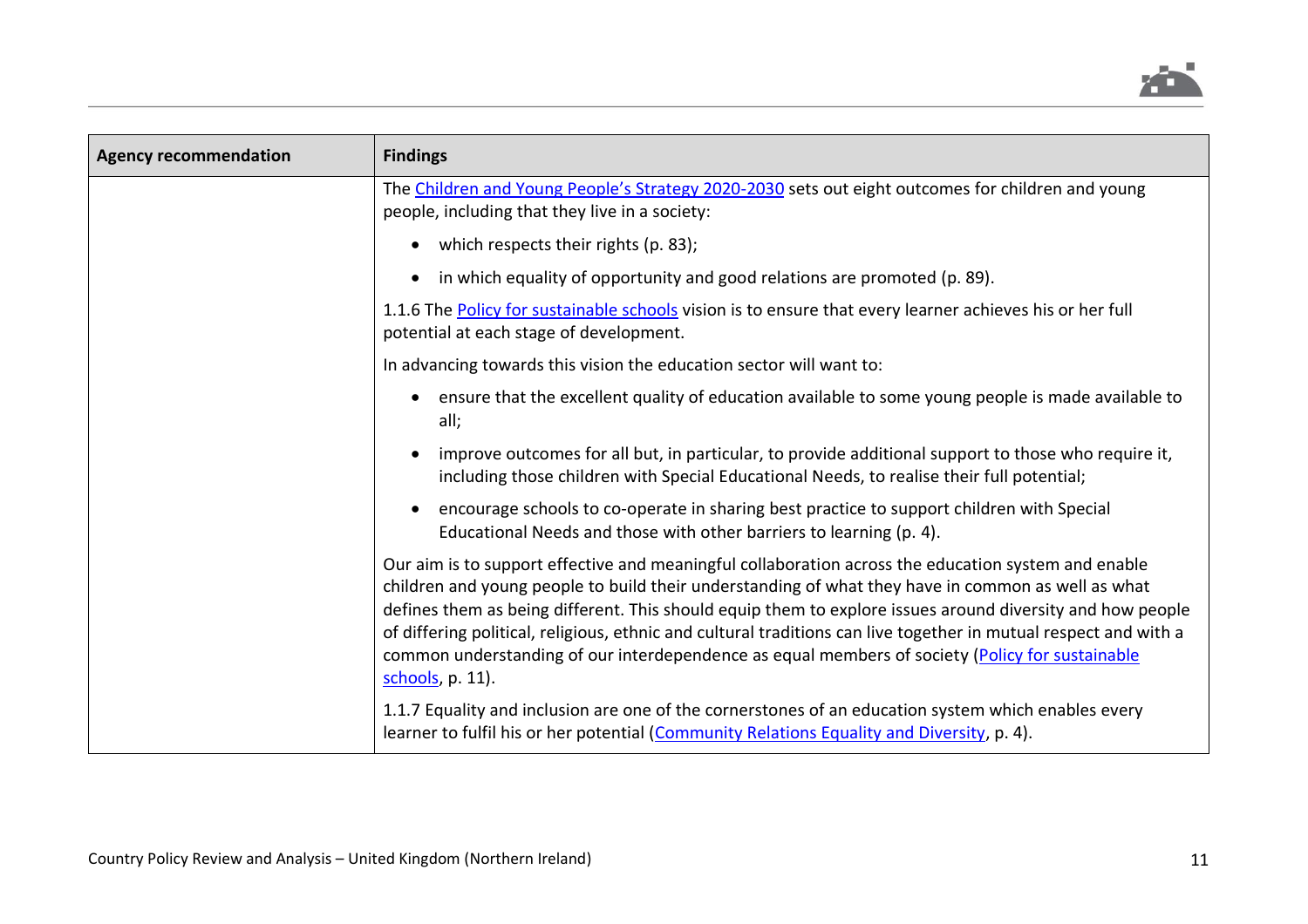

| <b>Agency recommendation</b> | <b>Findings</b>                                                                                                                                                                                                                                                                                                                                                                                                                                                                                                                                                   |
|------------------------------|-------------------------------------------------------------------------------------------------------------------------------------------------------------------------------------------------------------------------------------------------------------------------------------------------------------------------------------------------------------------------------------------------------------------------------------------------------------------------------------------------------------------------------------------------------------------|
|                              | The Children and Young People's Strategy 2020-2030 sets out eight outcomes for children and young<br>people, including that they live in a society:                                                                                                                                                                                                                                                                                                                                                                                                               |
|                              | which respects their rights (p. 83);                                                                                                                                                                                                                                                                                                                                                                                                                                                                                                                              |
|                              | in which equality of opportunity and good relations are promoted (p. 89).                                                                                                                                                                                                                                                                                                                                                                                                                                                                                         |
|                              | 1.1.6 The Policy for sustainable schools vision is to ensure that every learner achieves his or her full<br>potential at each stage of development.                                                                                                                                                                                                                                                                                                                                                                                                               |
|                              | In advancing towards this vision the education sector will want to:                                                                                                                                                                                                                                                                                                                                                                                                                                                                                               |
|                              | ensure that the excellent quality of education available to some young people is made available to<br>all;                                                                                                                                                                                                                                                                                                                                                                                                                                                        |
|                              | improve outcomes for all but, in particular, to provide additional support to those who require it,<br>including those children with Special Educational Needs, to realise their full potential;                                                                                                                                                                                                                                                                                                                                                                  |
|                              | encourage schools to co-operate in sharing best practice to support children with Special<br>Educational Needs and those with other barriers to learning (p. 4).                                                                                                                                                                                                                                                                                                                                                                                                  |
|                              | Our aim is to support effective and meaningful collaboration across the education system and enable<br>children and young people to build their understanding of what they have in common as well as what<br>defines them as being different. This should equip them to explore issues around diversity and how people<br>of differing political, religious, ethnic and cultural traditions can live together in mutual respect and with a<br>common understanding of our interdependence as equal members of society (Policy for sustainable<br>schools, p. 11). |
|                              | 1.1.7 Equality and inclusion are one of the cornerstones of an education system which enables every<br>learner to fulfil his or her potential (Community Relations Equality and Diversity, p. 4).                                                                                                                                                                                                                                                                                                                                                                 |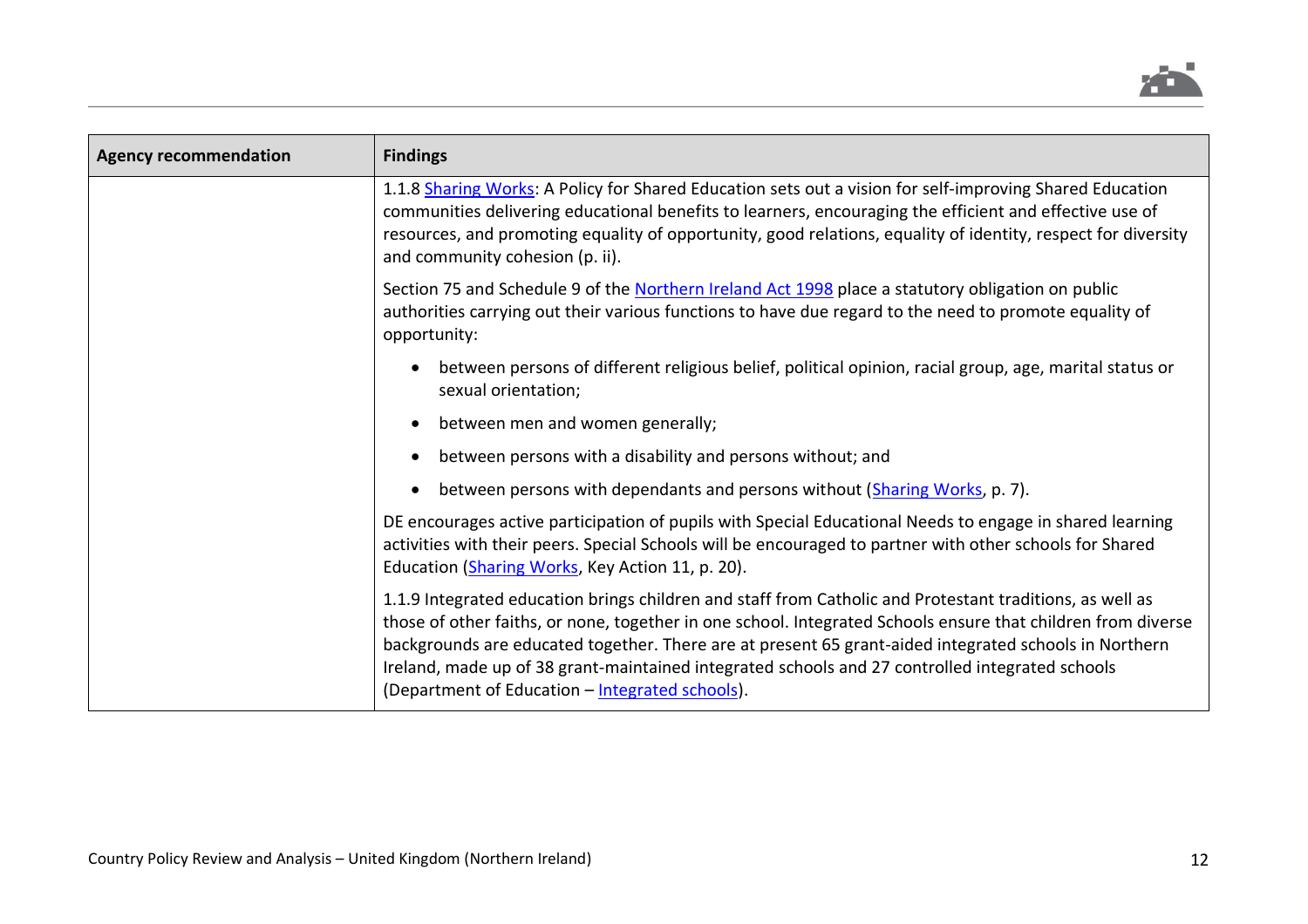

| <b>Agency recommendation</b> | <b>Findings</b>                                                                                                                                                                                                                                                                                                                                                                                                                                                                         |
|------------------------------|-----------------------------------------------------------------------------------------------------------------------------------------------------------------------------------------------------------------------------------------------------------------------------------------------------------------------------------------------------------------------------------------------------------------------------------------------------------------------------------------|
|                              | 1.1.8 Sharing Works: A Policy for Shared Education sets out a vision for self-improving Shared Education<br>communities delivering educational benefits to learners, encouraging the efficient and effective use of<br>resources, and promoting equality of opportunity, good relations, equality of identity, respect for diversity<br>and community cohesion (p. ii).                                                                                                                 |
|                              | Section 75 and Schedule 9 of the Northern Ireland Act 1998 place a statutory obligation on public<br>authorities carrying out their various functions to have due regard to the need to promote equality of<br>opportunity:                                                                                                                                                                                                                                                             |
|                              | between persons of different religious belief, political opinion, racial group, age, marital status or<br>sexual orientation;                                                                                                                                                                                                                                                                                                                                                           |
|                              | between men and women generally;                                                                                                                                                                                                                                                                                                                                                                                                                                                        |
|                              | between persons with a disability and persons without; and                                                                                                                                                                                                                                                                                                                                                                                                                              |
|                              | between persons with dependants and persons without (Sharing Works, p. 7).                                                                                                                                                                                                                                                                                                                                                                                                              |
|                              | DE encourages active participation of pupils with Special Educational Needs to engage in shared learning<br>activities with their peers. Special Schools will be encouraged to partner with other schools for Shared<br>Education (Sharing Works, Key Action 11, p. 20).                                                                                                                                                                                                                |
|                              | 1.1.9 Integrated education brings children and staff from Catholic and Protestant traditions, as well as<br>those of other faiths, or none, together in one school. Integrated Schools ensure that children from diverse<br>backgrounds are educated together. There are at present 65 grant-aided integrated schools in Northern<br>Ireland, made up of 38 grant-maintained integrated schools and 27 controlled integrated schools<br>(Department of Education - Integrated schools). |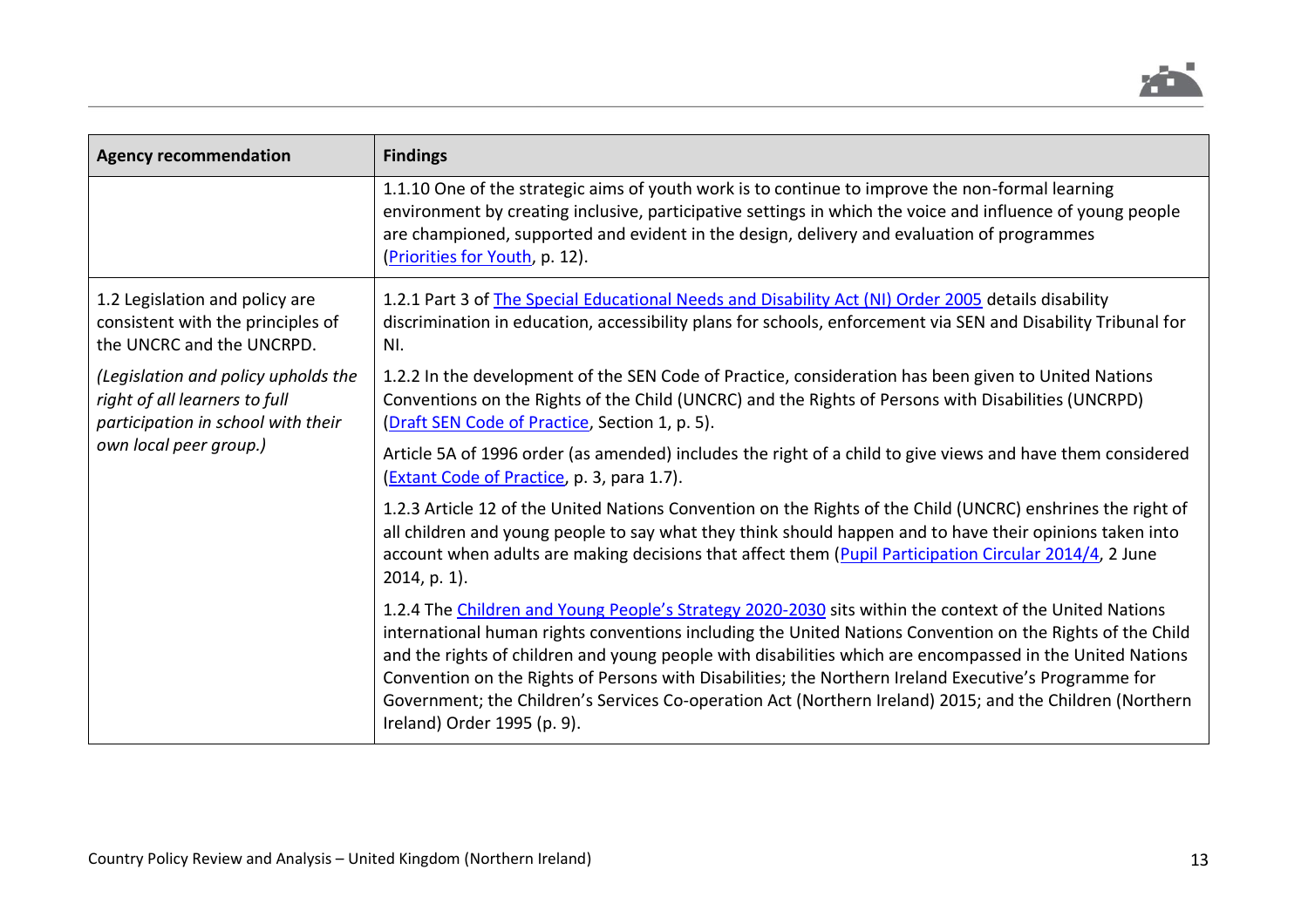

| <b>Agency recommendation</b>                                                                                                         | <b>Findings</b>                                                                                                                                                                                                                                                                                                                                                                                                                                                                                                                                                                      |
|--------------------------------------------------------------------------------------------------------------------------------------|--------------------------------------------------------------------------------------------------------------------------------------------------------------------------------------------------------------------------------------------------------------------------------------------------------------------------------------------------------------------------------------------------------------------------------------------------------------------------------------------------------------------------------------------------------------------------------------|
|                                                                                                                                      | 1.1.10 One of the strategic aims of youth work is to continue to improve the non-formal learning<br>environment by creating inclusive, participative settings in which the voice and influence of young people<br>are championed, supported and evident in the design, delivery and evaluation of programmes<br>(Priorities for Youth, p. 12).                                                                                                                                                                                                                                       |
| 1.2 Legislation and policy are<br>consistent with the principles of<br>the UNCRC and the UNCRPD.                                     | 1.2.1 Part 3 of The Special Educational Needs and Disability Act (NI) Order 2005 details disability<br>discrimination in education, accessibility plans for schools, enforcement via SEN and Disability Tribunal for<br>NI.                                                                                                                                                                                                                                                                                                                                                          |
| (Legislation and policy upholds the<br>right of all learners to full<br>participation in school with their<br>own local peer group.) | 1.2.2 In the development of the SEN Code of Practice, consideration has been given to United Nations<br>Conventions on the Rights of the Child (UNCRC) and the Rights of Persons with Disabilities (UNCRPD)<br>(Draft SEN Code of Practice, Section 1, p. 5).                                                                                                                                                                                                                                                                                                                        |
|                                                                                                                                      | Article 5A of 1996 order (as amended) includes the right of a child to give views and have them considered<br>(Extant Code of Practice, p. 3, para 1.7).                                                                                                                                                                                                                                                                                                                                                                                                                             |
|                                                                                                                                      | 1.2.3 Article 12 of the United Nations Convention on the Rights of the Child (UNCRC) enshrines the right of<br>all children and young people to say what they think should happen and to have their opinions taken into<br>account when adults are making decisions that affect them (Pupil Participation Circular 2014/4, 2 June<br>2014, p. 1).                                                                                                                                                                                                                                    |
|                                                                                                                                      | 1.2.4 The Children and Young People's Strategy 2020-2030 sits within the context of the United Nations<br>international human rights conventions including the United Nations Convention on the Rights of the Child<br>and the rights of children and young people with disabilities which are encompassed in the United Nations<br>Convention on the Rights of Persons with Disabilities; the Northern Ireland Executive's Programme for<br>Government; the Children's Services Co-operation Act (Northern Ireland) 2015; and the Children (Northern<br>Ireland) Order 1995 (p. 9). |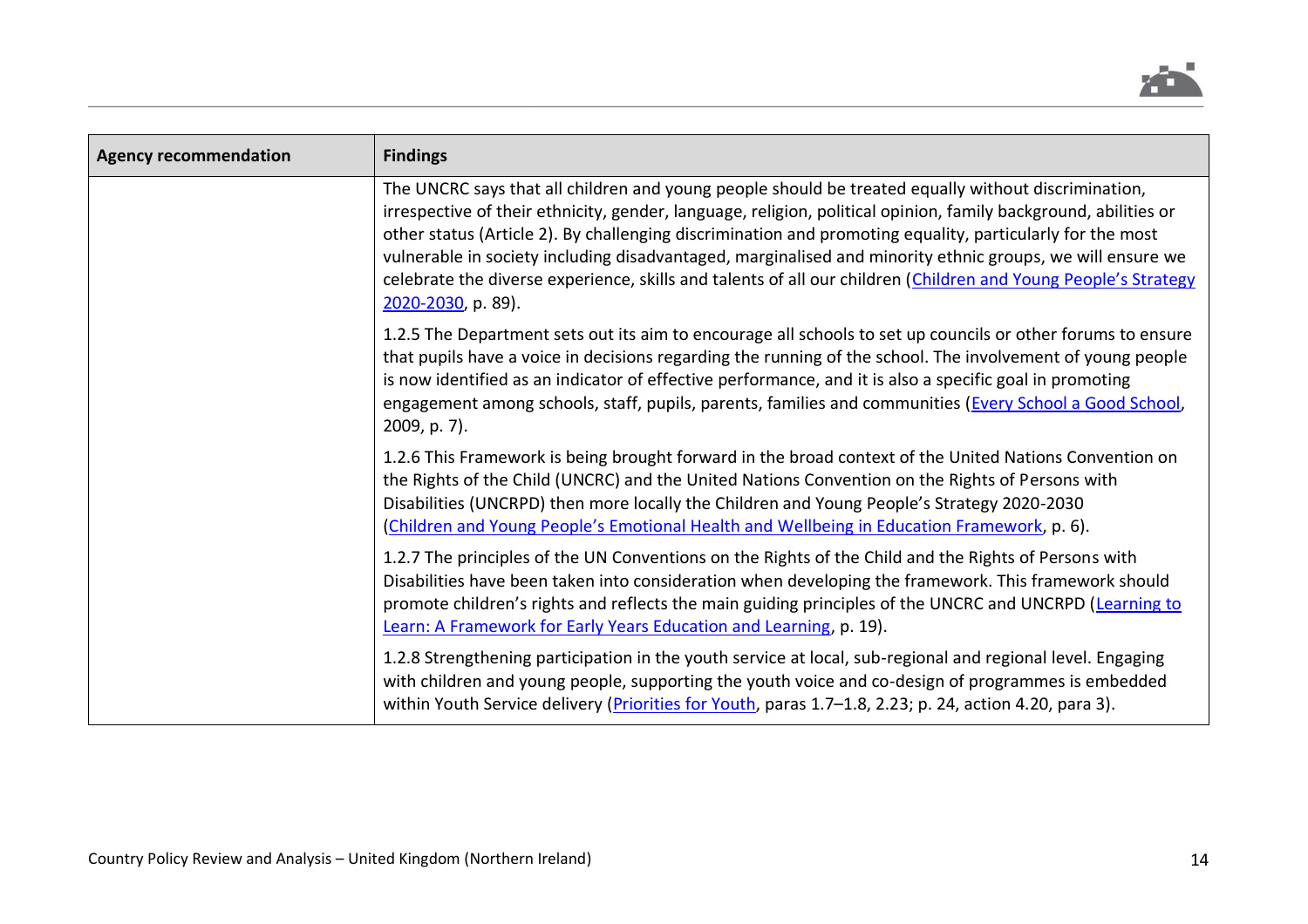

| <b>Agency recommendation</b> | <b>Findings</b>                                                                                                                                                                                                                                                                                                                                                                                                                                                                                                                                                                          |
|------------------------------|------------------------------------------------------------------------------------------------------------------------------------------------------------------------------------------------------------------------------------------------------------------------------------------------------------------------------------------------------------------------------------------------------------------------------------------------------------------------------------------------------------------------------------------------------------------------------------------|
|                              | The UNCRC says that all children and young people should be treated equally without discrimination,<br>irrespective of their ethnicity, gender, language, religion, political opinion, family background, abilities or<br>other status (Article 2). By challenging discrimination and promoting equality, particularly for the most<br>vulnerable in society including disadvantaged, marginalised and minority ethnic groups, we will ensure we<br>celebrate the diverse experience, skills and talents of all our children (Children and Young People's Strategy<br>2020-2030, p. 89). |
|                              | 1.2.5 The Department sets out its aim to encourage all schools to set up councils or other forums to ensure<br>that pupils have a voice in decisions regarding the running of the school. The involvement of young people<br>is now identified as an indicator of effective performance, and it is also a specific goal in promoting<br>engagement among schools, staff, pupils, parents, families and communities (Every School a Good School,<br>2009, p. 7).                                                                                                                          |
|                              | 1.2.6 This Framework is being brought forward in the broad context of the United Nations Convention on<br>the Rights of the Child (UNCRC) and the United Nations Convention on the Rights of Persons with<br>Disabilities (UNCRPD) then more locally the Children and Young People's Strategy 2020-2030<br>(Children and Young People's Emotional Health and Wellbeing in Education Framework, p. 6).                                                                                                                                                                                    |
|                              | 1.2.7 The principles of the UN Conventions on the Rights of the Child and the Rights of Persons with<br>Disabilities have been taken into consideration when developing the framework. This framework should<br>promote children's rights and reflects the main guiding principles of the UNCRC and UNCRPD (Learning to<br>Learn: A Framework for Early Years Education and Learning, p. 19).                                                                                                                                                                                            |
|                              | 1.2.8 Strengthening participation in the youth service at local, sub-regional and regional level. Engaging<br>with children and young people, supporting the youth voice and co-design of programmes is embedded<br>within Youth Service delivery ( <i>Priorities for Youth</i> , paras 1.7-1.8, 2.23; p. 24, action 4.20, para 3).                                                                                                                                                                                                                                                      |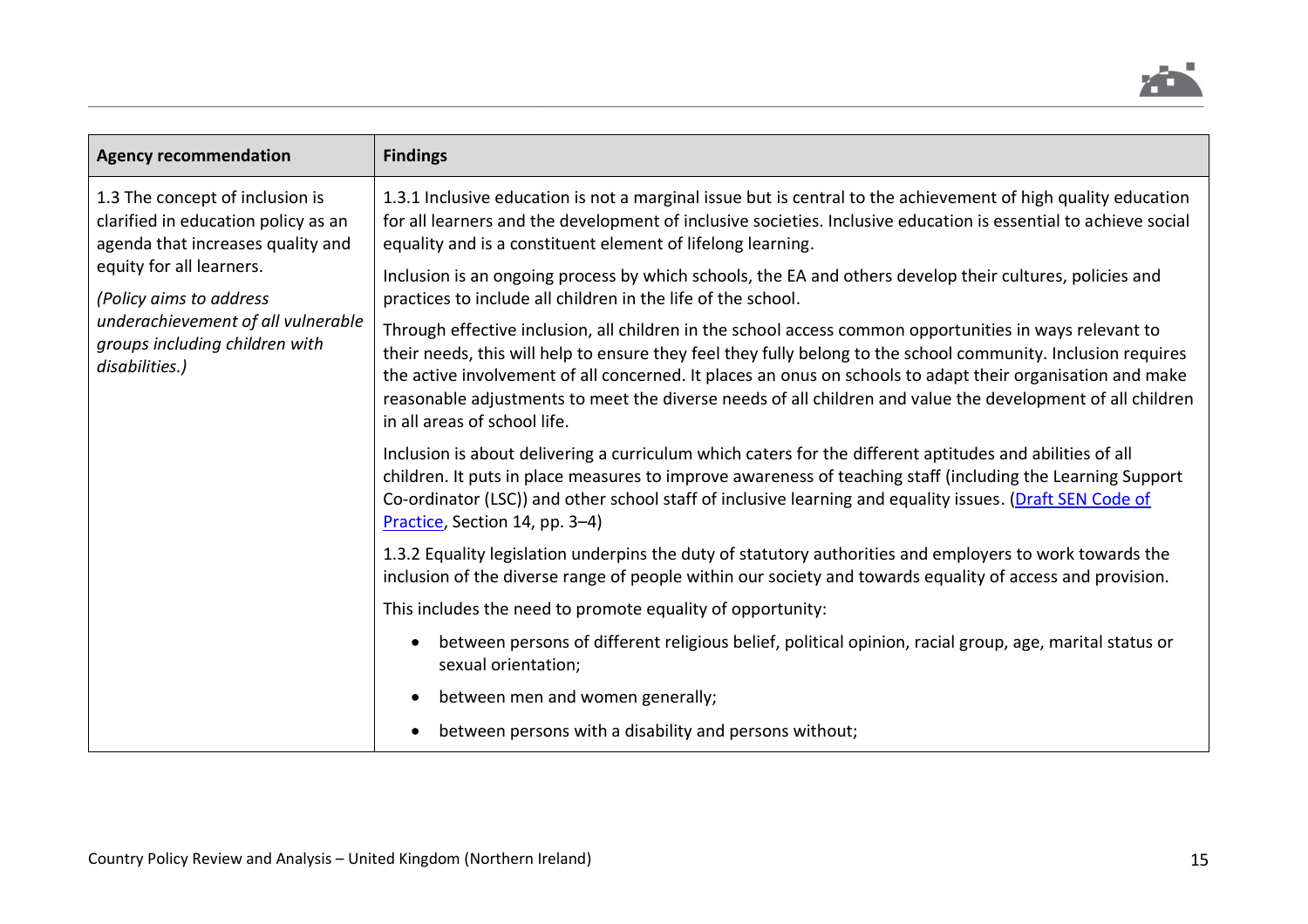

| <b>Agency recommendation</b>                                                                                                            | <b>Findings</b>                                                                                                                                                                                                                                                                                                                                                                                                                                                                      |
|-----------------------------------------------------------------------------------------------------------------------------------------|--------------------------------------------------------------------------------------------------------------------------------------------------------------------------------------------------------------------------------------------------------------------------------------------------------------------------------------------------------------------------------------------------------------------------------------------------------------------------------------|
| 1.3 The concept of inclusion is<br>clarified in education policy as an<br>agenda that increases quality and<br>equity for all learners. | 1.3.1 Inclusive education is not a marginal issue but is central to the achievement of high quality education<br>for all learners and the development of inclusive societies. Inclusive education is essential to achieve social<br>equality and is a constituent element of lifelong learning.                                                                                                                                                                                      |
| (Policy aims to address                                                                                                                 | Inclusion is an ongoing process by which schools, the EA and others develop their cultures, policies and<br>practices to include all children in the life of the school.                                                                                                                                                                                                                                                                                                             |
| underachievement of all vulnerable<br>groups including children with<br>disabilities.)                                                  | Through effective inclusion, all children in the school access common opportunities in ways relevant to<br>their needs, this will help to ensure they feel they fully belong to the school community. Inclusion requires<br>the active involvement of all concerned. It places an onus on schools to adapt their organisation and make<br>reasonable adjustments to meet the diverse needs of all children and value the development of all children<br>in all areas of school life. |
|                                                                                                                                         | Inclusion is about delivering a curriculum which caters for the different aptitudes and abilities of all<br>children. It puts in place measures to improve awareness of teaching staff (including the Learning Support<br>Co-ordinator (LSC)) and other school staff of inclusive learning and equality issues. (Draft SEN Code of<br>Practice, Section 14, pp. 3-4)                                                                                                                 |
|                                                                                                                                         | 1.3.2 Equality legislation underpins the duty of statutory authorities and employers to work towards the<br>inclusion of the diverse range of people within our society and towards equality of access and provision.                                                                                                                                                                                                                                                                |
|                                                                                                                                         | This includes the need to promote equality of opportunity:                                                                                                                                                                                                                                                                                                                                                                                                                           |
|                                                                                                                                         | between persons of different religious belief, political opinion, racial group, age, marital status or<br>sexual orientation;                                                                                                                                                                                                                                                                                                                                                        |
|                                                                                                                                         | between men and women generally;                                                                                                                                                                                                                                                                                                                                                                                                                                                     |
|                                                                                                                                         | between persons with a disability and persons without;                                                                                                                                                                                                                                                                                                                                                                                                                               |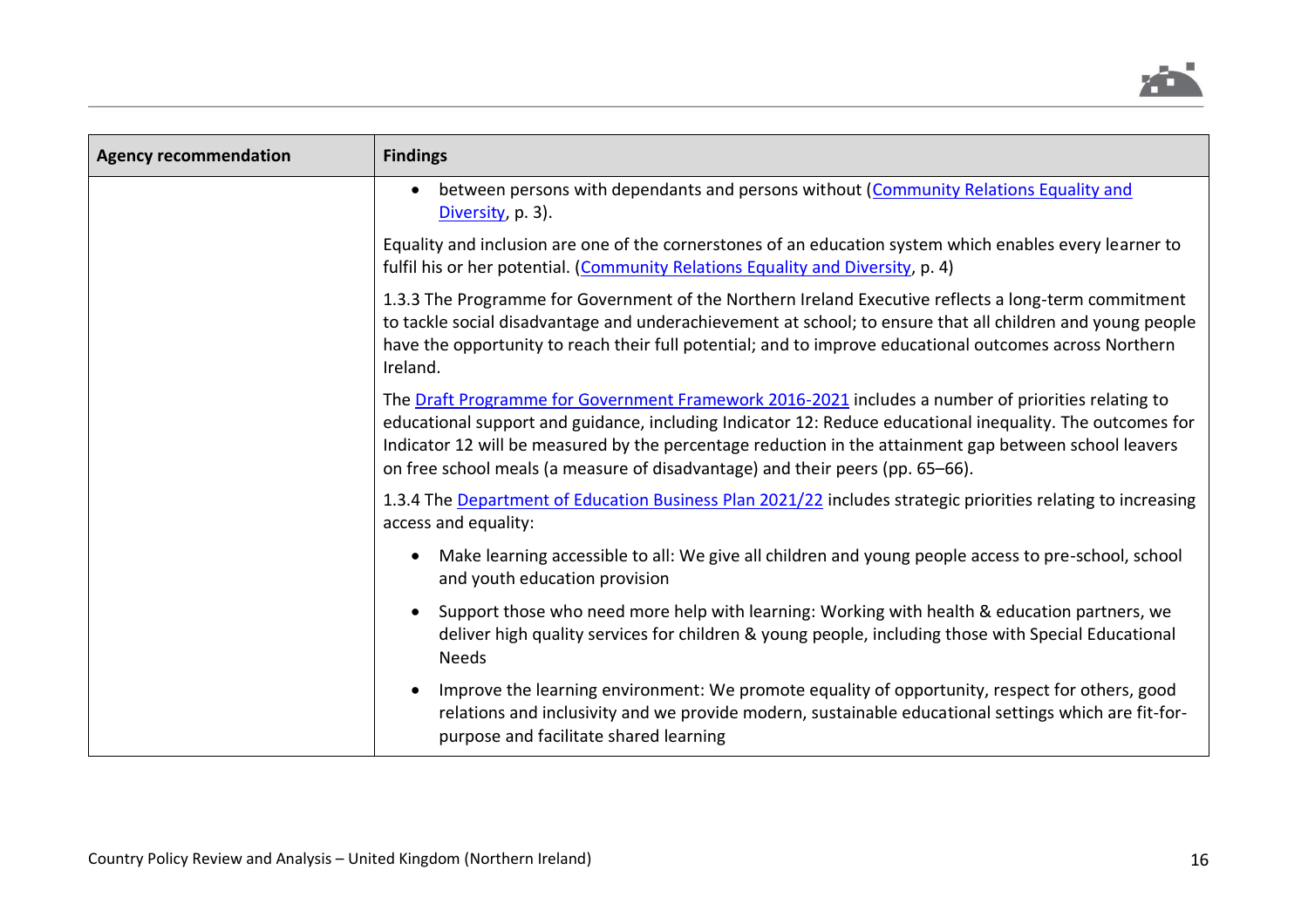

| <b>Agency recommendation</b> | <b>Findings</b>                                                                                                                                                                                                                                                                                                                                                                                            |
|------------------------------|------------------------------------------------------------------------------------------------------------------------------------------------------------------------------------------------------------------------------------------------------------------------------------------------------------------------------------------------------------------------------------------------------------|
|                              | between persons with dependants and persons without (Community Relations Equality and<br>Diversity, p. 3).                                                                                                                                                                                                                                                                                                 |
|                              | Equality and inclusion are one of the cornerstones of an education system which enables every learner to<br>fulfil his or her potential. (Community Relations Equality and Diversity, p. 4)                                                                                                                                                                                                                |
|                              | 1.3.3 The Programme for Government of the Northern Ireland Executive reflects a long-term commitment<br>to tackle social disadvantage and underachievement at school; to ensure that all children and young people<br>have the opportunity to reach their full potential; and to improve educational outcomes across Northern<br>Ireland.                                                                  |
|                              | The Draft Programme for Government Framework 2016-2021 includes a number of priorities relating to<br>educational support and guidance, including Indicator 12: Reduce educational inequality. The outcomes for<br>Indicator 12 will be measured by the percentage reduction in the attainment gap between school leavers<br>on free school meals (a measure of disadvantage) and their peers (pp. 65–66). |
|                              | 1.3.4 The Department of Education Business Plan 2021/22 includes strategic priorities relating to increasing<br>access and equality:                                                                                                                                                                                                                                                                       |
|                              | Make learning accessible to all: We give all children and young people access to pre-school, school<br>$\bullet$<br>and youth education provision                                                                                                                                                                                                                                                          |
|                              | Support those who need more help with learning: Working with health & education partners, we<br>deliver high quality services for children & young people, including those with Special Educational<br><b>Needs</b>                                                                                                                                                                                        |
|                              | Improve the learning environment: We promote equality of opportunity, respect for others, good<br>relations and inclusivity and we provide modern, sustainable educational settings which are fit-for-<br>purpose and facilitate shared learning                                                                                                                                                           |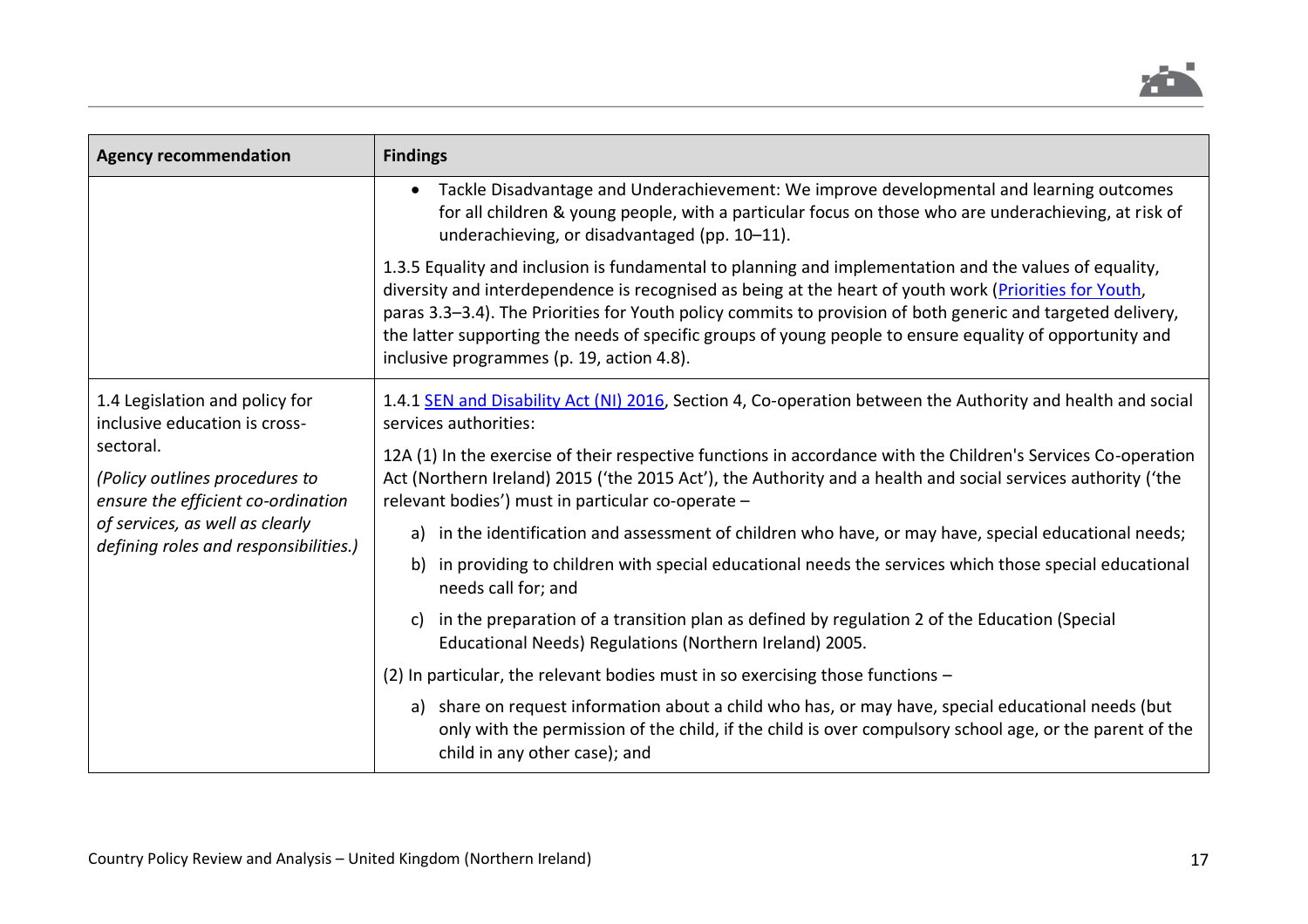

| <b>Agency recommendation</b>                                                      | <b>Findings</b>                                                                                                                                                                                                                                                                                                                                                                                                                                                                          |
|-----------------------------------------------------------------------------------|------------------------------------------------------------------------------------------------------------------------------------------------------------------------------------------------------------------------------------------------------------------------------------------------------------------------------------------------------------------------------------------------------------------------------------------------------------------------------------------|
|                                                                                   | Tackle Disadvantage and Underachievement: We improve developmental and learning outcomes<br>for all children & young people, with a particular focus on those who are underachieving, at risk of<br>underachieving, or disadvantaged (pp. 10-11).                                                                                                                                                                                                                                        |
|                                                                                   | 1.3.5 Equality and inclusion is fundamental to planning and implementation and the values of equality,<br>diversity and interdependence is recognised as being at the heart of youth work (Priorities for Youth,<br>paras 3.3–3.4). The Priorities for Youth policy commits to provision of both generic and targeted delivery,<br>the latter supporting the needs of specific groups of young people to ensure equality of opportunity and<br>inclusive programmes (p. 19, action 4.8). |
| 1.4 Legislation and policy for<br>inclusive education is cross-                   | 1.4.1 SEN and Disability Act (NI) 2016, Section 4, Co-operation between the Authority and health and social<br>services authorities:                                                                                                                                                                                                                                                                                                                                                     |
| sectoral.<br>(Policy outlines procedures to<br>ensure the efficient co-ordination | 12A (1) In the exercise of their respective functions in accordance with the Children's Services Co-operation<br>Act (Northern Ireland) 2015 ('the 2015 Act'), the Authority and a health and social services authority ('the<br>relevant bodies') must in particular co-operate -                                                                                                                                                                                                       |
| of services, as well as clearly<br>defining roles and responsibilities.)          | a) in the identification and assessment of children who have, or may have, special educational needs;                                                                                                                                                                                                                                                                                                                                                                                    |
|                                                                                   | b) in providing to children with special educational needs the services which those special educational<br>needs call for; and                                                                                                                                                                                                                                                                                                                                                           |
|                                                                                   | in the preparation of a transition plan as defined by regulation 2 of the Education (Special<br>C)<br>Educational Needs) Regulations (Northern Ireland) 2005.                                                                                                                                                                                                                                                                                                                            |
|                                                                                   | (2) In particular, the relevant bodies must in so exercising those functions -                                                                                                                                                                                                                                                                                                                                                                                                           |
|                                                                                   | a) share on request information about a child who has, or may have, special educational needs (but<br>only with the permission of the child, if the child is over compulsory school age, or the parent of the<br>child in any other case); and                                                                                                                                                                                                                                           |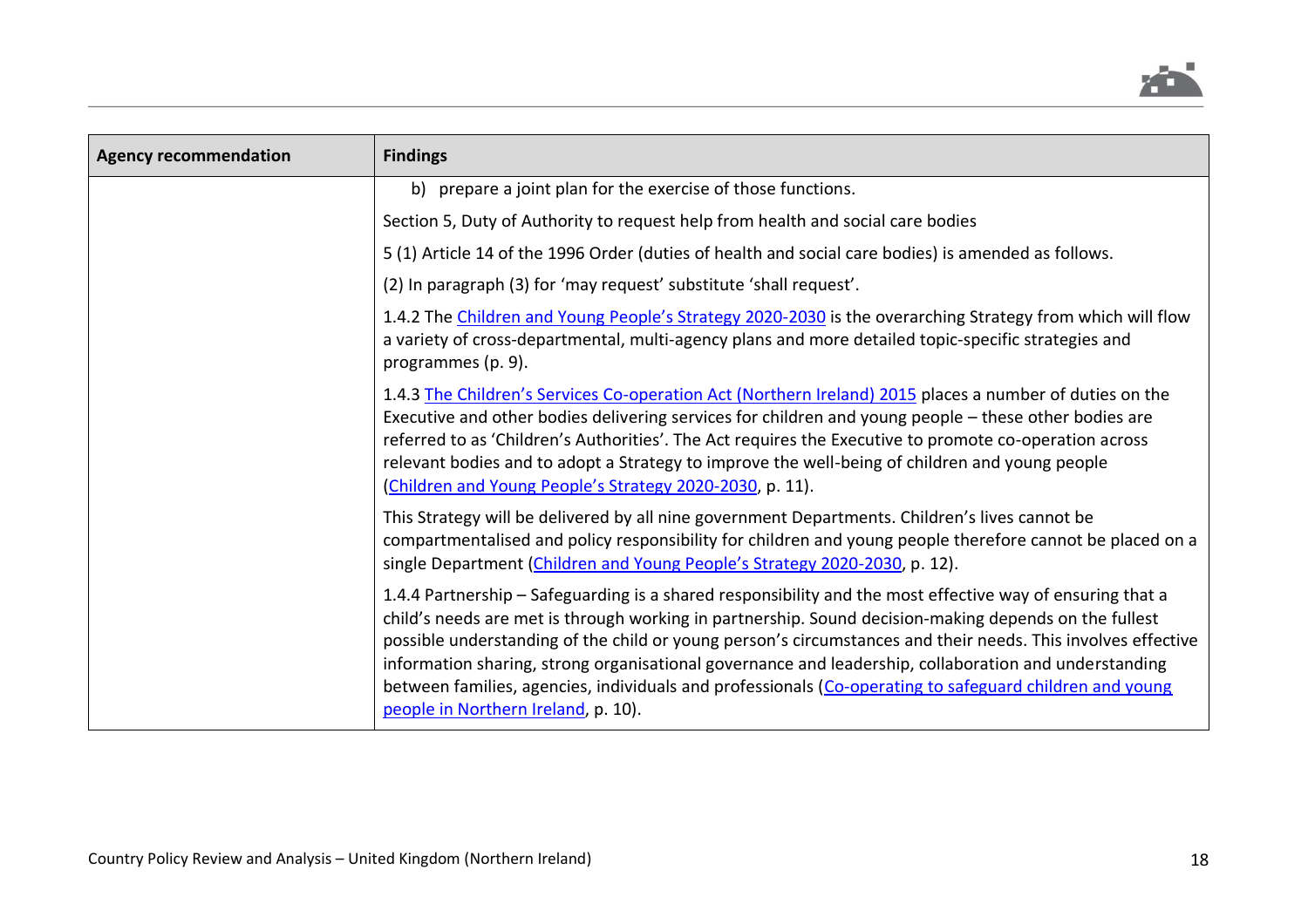

| <b>Agency recommendation</b> | <b>Findings</b>                                                                                                                                                                                                                                                                                                                                                                                                                                                                                                                                                                               |
|------------------------------|-----------------------------------------------------------------------------------------------------------------------------------------------------------------------------------------------------------------------------------------------------------------------------------------------------------------------------------------------------------------------------------------------------------------------------------------------------------------------------------------------------------------------------------------------------------------------------------------------|
|                              | b) prepare a joint plan for the exercise of those functions.                                                                                                                                                                                                                                                                                                                                                                                                                                                                                                                                  |
|                              | Section 5, Duty of Authority to request help from health and social care bodies                                                                                                                                                                                                                                                                                                                                                                                                                                                                                                               |
|                              | 5 (1) Article 14 of the 1996 Order (duties of health and social care bodies) is amended as follows.                                                                                                                                                                                                                                                                                                                                                                                                                                                                                           |
|                              | (2) In paragraph (3) for 'may request' substitute 'shall request'.                                                                                                                                                                                                                                                                                                                                                                                                                                                                                                                            |
|                              | 1.4.2 The Children and Young People's Strategy 2020-2030 is the overarching Strategy from which will flow<br>a variety of cross-departmental, multi-agency plans and more detailed topic-specific strategies and<br>programmes (p. 9).                                                                                                                                                                                                                                                                                                                                                        |
|                              | 1.4.3 The Children's Services Co-operation Act (Northern Ireland) 2015 places a number of duties on the<br>Executive and other bodies delivering services for children and young people - these other bodies are<br>referred to as 'Children's Authorities'. The Act requires the Executive to promote co-operation across<br>relevant bodies and to adopt a Strategy to improve the well-being of children and young people<br>(Children and Young People's Strategy 2020-2030, p. 11).                                                                                                      |
|                              | This Strategy will be delivered by all nine government Departments. Children's lives cannot be<br>compartmentalised and policy responsibility for children and young people therefore cannot be placed on a<br>single Department (Children and Young People's Strategy 2020-2030, p. 12).                                                                                                                                                                                                                                                                                                     |
|                              | 1.4.4 Partnership - Safeguarding is a shared responsibility and the most effective way of ensuring that a<br>child's needs are met is through working in partnership. Sound decision-making depends on the fullest<br>possible understanding of the child or young person's circumstances and their needs. This involves effective<br>information sharing, strong organisational governance and leadership, collaboration and understanding<br>between families, agencies, individuals and professionals (Co-operating to safeguard children and young<br>people in Northern Ireland, p. 10). |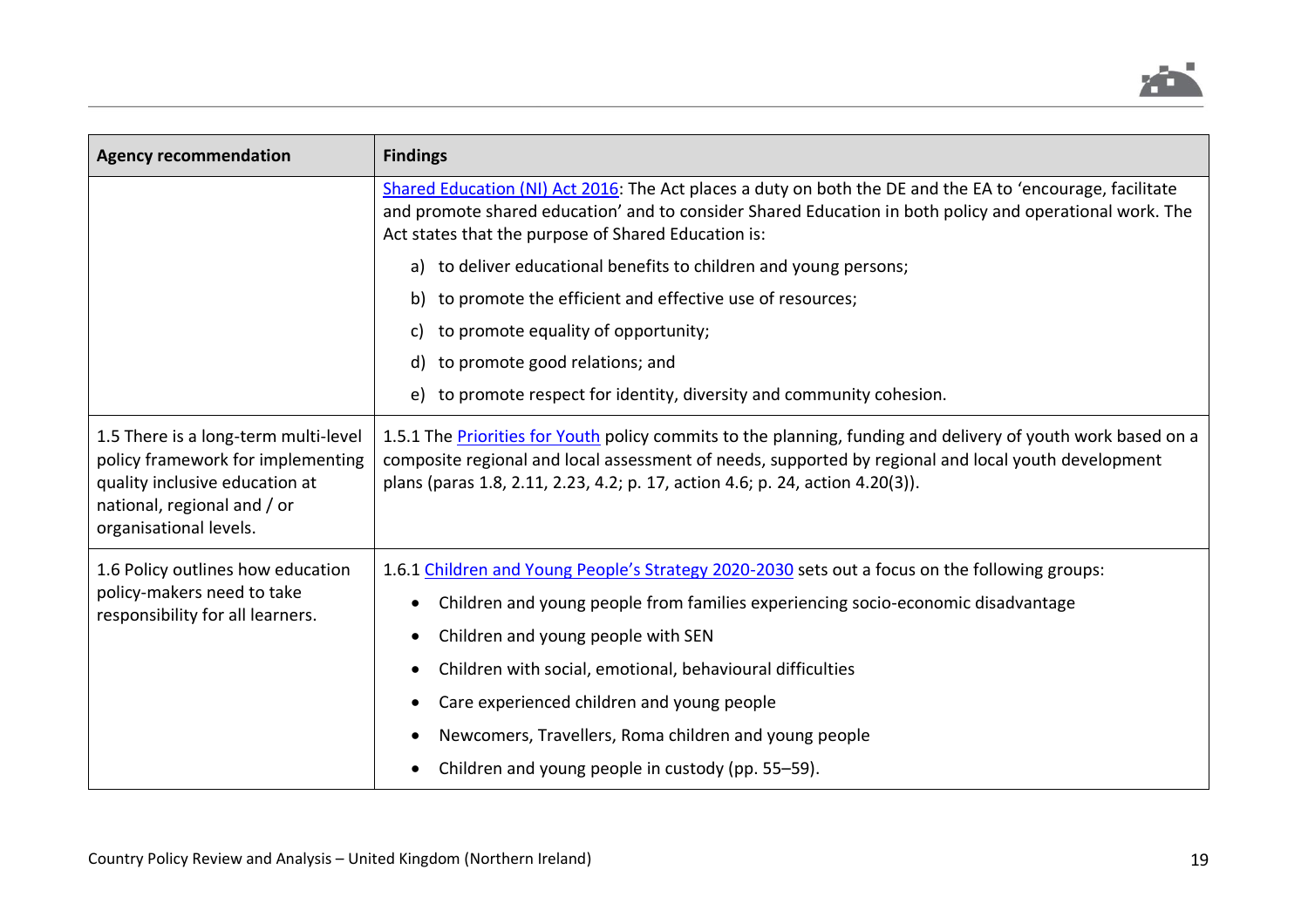

| <b>Agency recommendation</b>                                                                                                                                         | <b>Findings</b>                                                                                                                                                                                                                                                                                      |
|----------------------------------------------------------------------------------------------------------------------------------------------------------------------|------------------------------------------------------------------------------------------------------------------------------------------------------------------------------------------------------------------------------------------------------------------------------------------------------|
|                                                                                                                                                                      | Shared Education (NI) Act 2016: The Act places a duty on both the DE and the EA to 'encourage, facilitate<br>and promote shared education' and to consider Shared Education in both policy and operational work. The<br>Act states that the purpose of Shared Education is:                          |
|                                                                                                                                                                      | a) to deliver educational benefits to children and young persons;                                                                                                                                                                                                                                    |
|                                                                                                                                                                      | to promote the efficient and effective use of resources;<br>b)                                                                                                                                                                                                                                       |
|                                                                                                                                                                      | to promote equality of opportunity;<br>C)                                                                                                                                                                                                                                                            |
|                                                                                                                                                                      | to promote good relations; and<br>d)                                                                                                                                                                                                                                                                 |
|                                                                                                                                                                      | to promote respect for identity, diversity and community cohesion.<br>e)                                                                                                                                                                                                                             |
| 1.5 There is a long-term multi-level<br>policy framework for implementing<br>quality inclusive education at<br>national, regional and / or<br>organisational levels. | 1.5.1 The Priorities for Youth policy commits to the planning, funding and delivery of youth work based on a<br>composite regional and local assessment of needs, supported by regional and local youth development<br>plans (paras 1.8, 2.11, 2.23, 4.2; p. 17, action 4.6; p. 24, action 4.20(3)). |
| 1.6 Policy outlines how education<br>policy-makers need to take<br>responsibility for all learners.                                                                  | 1.6.1 Children and Young People's Strategy 2020-2030 sets out a focus on the following groups:                                                                                                                                                                                                       |
|                                                                                                                                                                      | Children and young people from families experiencing socio-economic disadvantage                                                                                                                                                                                                                     |
|                                                                                                                                                                      | Children and young people with SEN                                                                                                                                                                                                                                                                   |
|                                                                                                                                                                      | Children with social, emotional, behavioural difficulties                                                                                                                                                                                                                                            |
|                                                                                                                                                                      | Care experienced children and young people                                                                                                                                                                                                                                                           |
|                                                                                                                                                                      | Newcomers, Travellers, Roma children and young people                                                                                                                                                                                                                                                |
|                                                                                                                                                                      | Children and young people in custody (pp. 55-59).                                                                                                                                                                                                                                                    |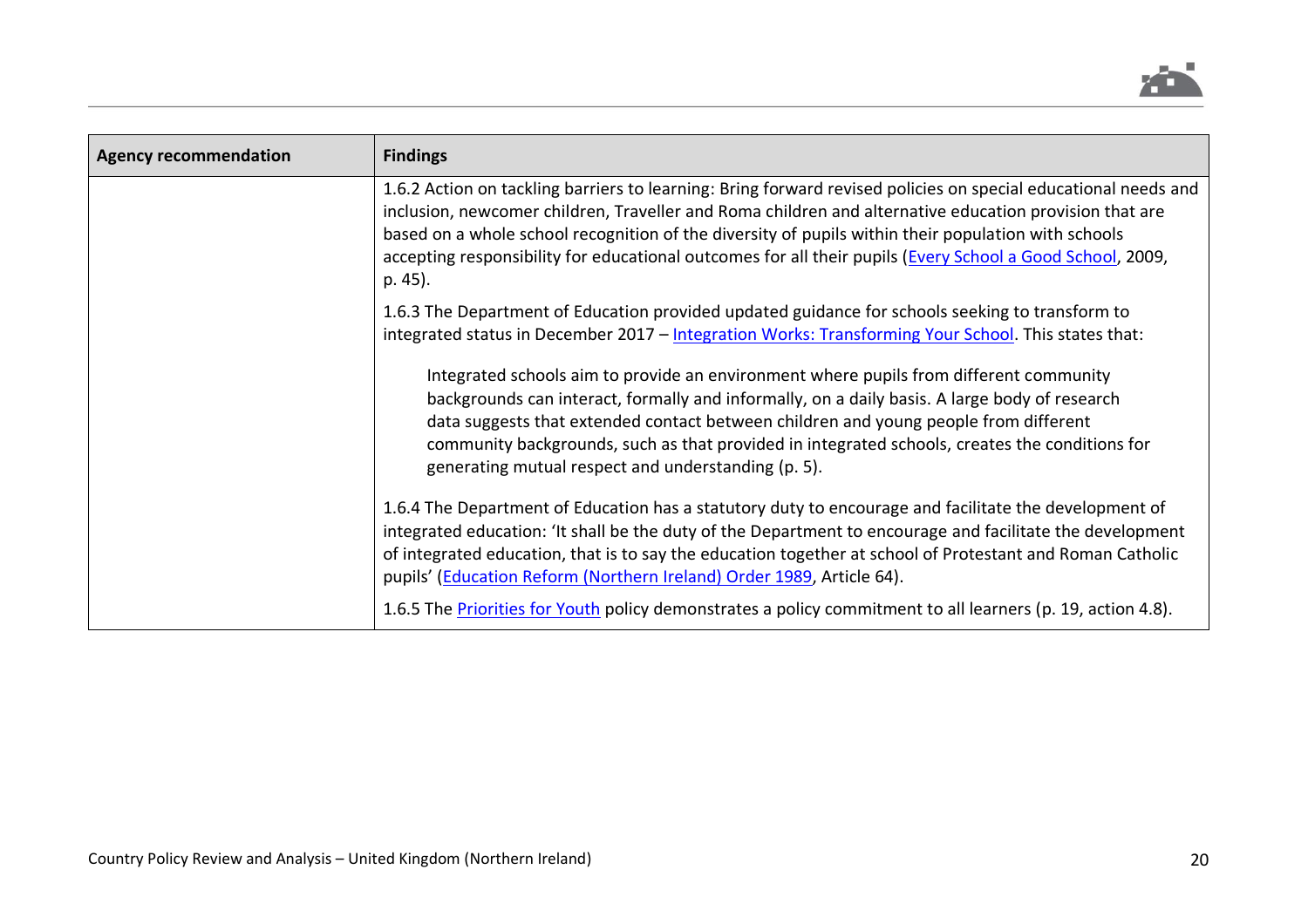

| <b>Agency recommendation</b> | <b>Findings</b>                                                                                                                                                                                                                                                                                                                                                                                                                                         |
|------------------------------|---------------------------------------------------------------------------------------------------------------------------------------------------------------------------------------------------------------------------------------------------------------------------------------------------------------------------------------------------------------------------------------------------------------------------------------------------------|
|                              | 1.6.2 Action on tackling barriers to learning: Bring forward revised policies on special educational needs and<br>inclusion, newcomer children, Traveller and Roma children and alternative education provision that are<br>based on a whole school recognition of the diversity of pupils within their population with schools<br>accepting responsibility for educational outcomes for all their pupils (Every School a Good School, 2009,<br>p. 45). |
|                              | 1.6.3 The Department of Education provided updated guidance for schools seeking to transform to<br>integrated status in December 2017 - Integration Works: Transforming Your School. This states that:                                                                                                                                                                                                                                                  |
|                              | Integrated schools aim to provide an environment where pupils from different community<br>backgrounds can interact, formally and informally, on a daily basis. A large body of research<br>data suggests that extended contact between children and young people from different<br>community backgrounds, such as that provided in integrated schools, creates the conditions for<br>generating mutual respect and understanding (p. 5).                |
|                              | 1.6.4 The Department of Education has a statutory duty to encourage and facilitate the development of<br>integrated education: 'It shall be the duty of the Department to encourage and facilitate the development<br>of integrated education, that is to say the education together at school of Protestant and Roman Catholic<br>pupils' (Education Reform (Northern Ireland) Order 1989, Article 64).                                                |
|                              | 1.6.5 The Priorities for Youth policy demonstrates a policy commitment to all learners (p. 19, action 4.8).                                                                                                                                                                                                                                                                                                                                             |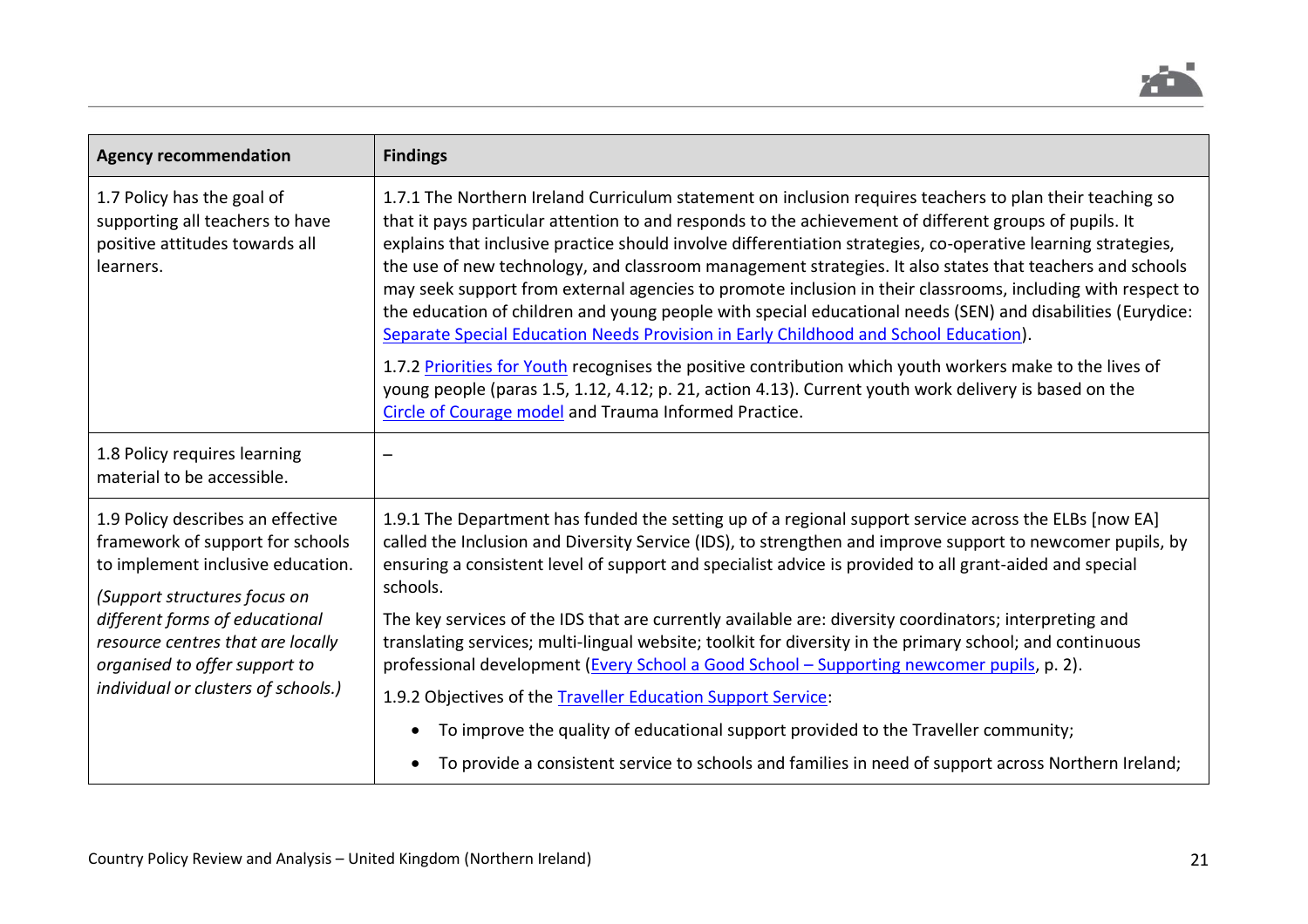

| <b>Agency recommendation</b>                                                                                                                                                                                                                                                              | <b>Findings</b>                                                                                                                                                                                                                                                                                                                                                                                                                                                                                                                                                                                                                                                                                                                                                                                                                                                                                                                                                                                                                                     |
|-------------------------------------------------------------------------------------------------------------------------------------------------------------------------------------------------------------------------------------------------------------------------------------------|-----------------------------------------------------------------------------------------------------------------------------------------------------------------------------------------------------------------------------------------------------------------------------------------------------------------------------------------------------------------------------------------------------------------------------------------------------------------------------------------------------------------------------------------------------------------------------------------------------------------------------------------------------------------------------------------------------------------------------------------------------------------------------------------------------------------------------------------------------------------------------------------------------------------------------------------------------------------------------------------------------------------------------------------------------|
| 1.7 Policy has the goal of<br>supporting all teachers to have<br>positive attitudes towards all<br>learners.                                                                                                                                                                              | 1.7.1 The Northern Ireland Curriculum statement on inclusion requires teachers to plan their teaching so<br>that it pays particular attention to and responds to the achievement of different groups of pupils. It<br>explains that inclusive practice should involve differentiation strategies, co-operative learning strategies,<br>the use of new technology, and classroom management strategies. It also states that teachers and schools<br>may seek support from external agencies to promote inclusion in their classrooms, including with respect to<br>the education of children and young people with special educational needs (SEN) and disabilities (Eurydice:<br>Separate Special Education Needs Provision in Early Childhood and School Education).<br>1.7.2 Priorities for Youth recognises the positive contribution which youth workers make to the lives of<br>young people (paras 1.5, 1.12, 4.12; p. 21, action 4.13). Current youth work delivery is based on the<br>Circle of Courage model and Trauma Informed Practice. |
| 1.8 Policy requires learning<br>material to be accessible.                                                                                                                                                                                                                                |                                                                                                                                                                                                                                                                                                                                                                                                                                                                                                                                                                                                                                                                                                                                                                                                                                                                                                                                                                                                                                                     |
| 1.9 Policy describes an effective<br>framework of support for schools<br>to implement inclusive education.<br>(Support structures focus on<br>different forms of educational<br>resource centres that are locally<br>organised to offer support to<br>individual or clusters of schools.) | 1.9.1 The Department has funded the setting up of a regional support service across the ELBs [now EA]<br>called the Inclusion and Diversity Service (IDS), to strengthen and improve support to newcomer pupils, by<br>ensuring a consistent level of support and specialist advice is provided to all grant-aided and special<br>schools.                                                                                                                                                                                                                                                                                                                                                                                                                                                                                                                                                                                                                                                                                                          |
|                                                                                                                                                                                                                                                                                           | The key services of the IDS that are currently available are: diversity coordinators; interpreting and<br>translating services; multi-lingual website; toolkit for diversity in the primary school; and continuous<br>professional development (Every School a Good School - Supporting newcomer pupils, p. 2).<br>1.9.2 Objectives of the Traveller Education Support Service:                                                                                                                                                                                                                                                                                                                                                                                                                                                                                                                                                                                                                                                                     |
|                                                                                                                                                                                                                                                                                           | To improve the quality of educational support provided to the Traveller community;<br>To provide a consistent service to schools and families in need of support across Northern Ireland;                                                                                                                                                                                                                                                                                                                                                                                                                                                                                                                                                                                                                                                                                                                                                                                                                                                           |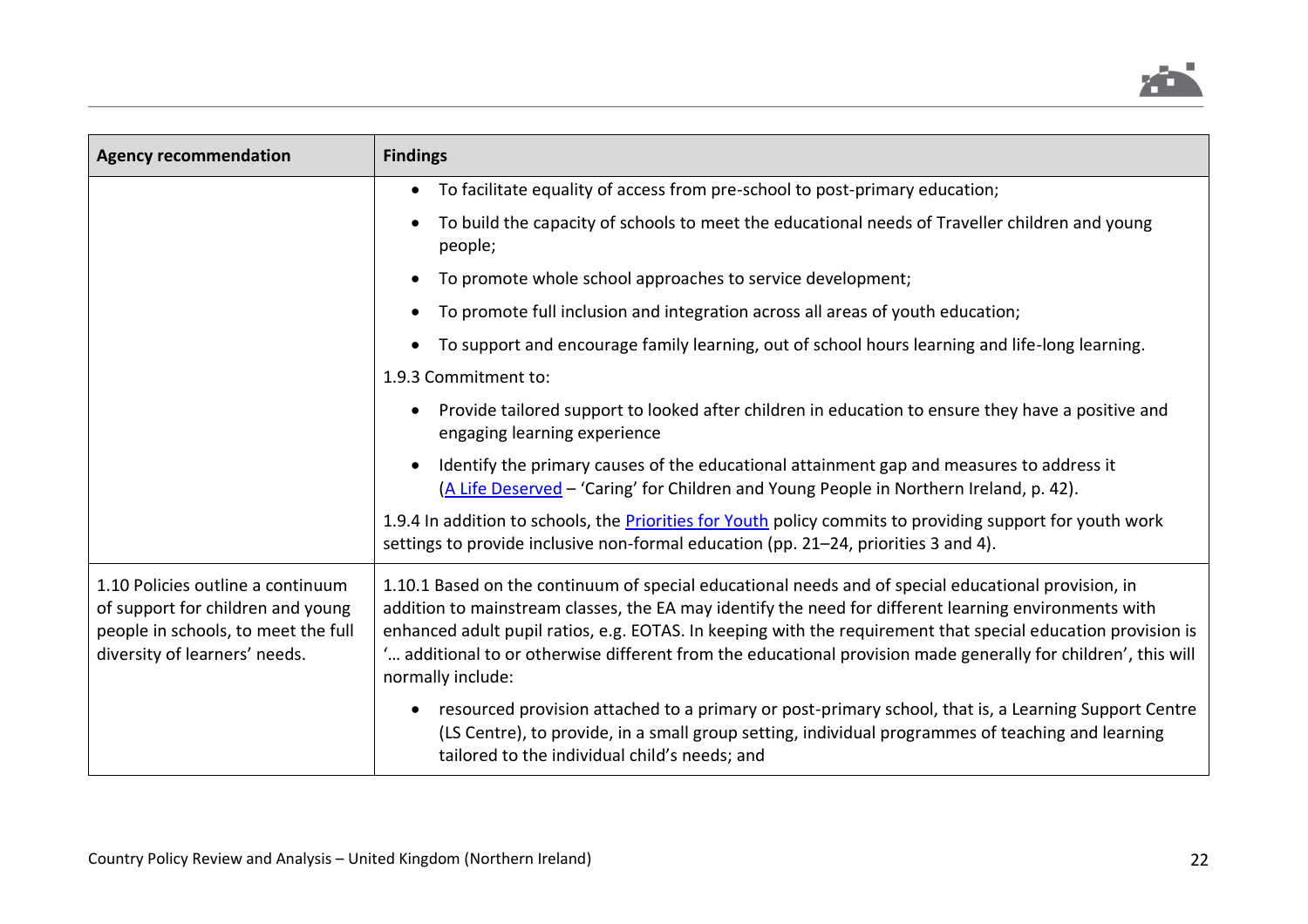

| <b>Agency recommendation</b>                                                                                                                   | <b>Findings</b>                                                                                                                                                                                                                                                                                                                                                                                                                                                    |
|------------------------------------------------------------------------------------------------------------------------------------------------|--------------------------------------------------------------------------------------------------------------------------------------------------------------------------------------------------------------------------------------------------------------------------------------------------------------------------------------------------------------------------------------------------------------------------------------------------------------------|
|                                                                                                                                                | To facilitate equality of access from pre-school to post-primary education;                                                                                                                                                                                                                                                                                                                                                                                        |
|                                                                                                                                                | To build the capacity of schools to meet the educational needs of Traveller children and young<br>people;                                                                                                                                                                                                                                                                                                                                                          |
|                                                                                                                                                | To promote whole school approaches to service development;                                                                                                                                                                                                                                                                                                                                                                                                         |
|                                                                                                                                                | To promote full inclusion and integration across all areas of youth education;                                                                                                                                                                                                                                                                                                                                                                                     |
|                                                                                                                                                | To support and encourage family learning, out of school hours learning and life-long learning.                                                                                                                                                                                                                                                                                                                                                                     |
|                                                                                                                                                | 1.9.3 Commitment to:                                                                                                                                                                                                                                                                                                                                                                                                                                               |
|                                                                                                                                                | Provide tailored support to looked after children in education to ensure they have a positive and<br>$\bullet$<br>engaging learning experience                                                                                                                                                                                                                                                                                                                     |
|                                                                                                                                                | Identify the primary causes of the educational attainment gap and measures to address it<br>(A Life Deserved - 'Caring' for Children and Young People in Northern Ireland, p. 42).                                                                                                                                                                                                                                                                                 |
|                                                                                                                                                | 1.9.4 In addition to schools, the <b>Priorities for Youth</b> policy commits to providing support for youth work<br>settings to provide inclusive non-formal education (pp. 21-24, priorities 3 and 4).                                                                                                                                                                                                                                                            |
| 1.10 Policies outline a continuum<br>of support for children and young<br>people in schools, to meet the full<br>diversity of learners' needs. | 1.10.1 Based on the continuum of special educational needs and of special educational provision, in<br>addition to mainstream classes, the EA may identify the need for different learning environments with<br>enhanced adult pupil ratios, e.g. EOTAS. In keeping with the requirement that special education provision is<br>" additional to or otherwise different from the educational provision made generally for children', this will<br>normally include: |
|                                                                                                                                                | resourced provision attached to a primary or post-primary school, that is, a Learning Support Centre<br>$\bullet$<br>(LS Centre), to provide, in a small group setting, individual programmes of teaching and learning<br>tailored to the individual child's needs; and                                                                                                                                                                                            |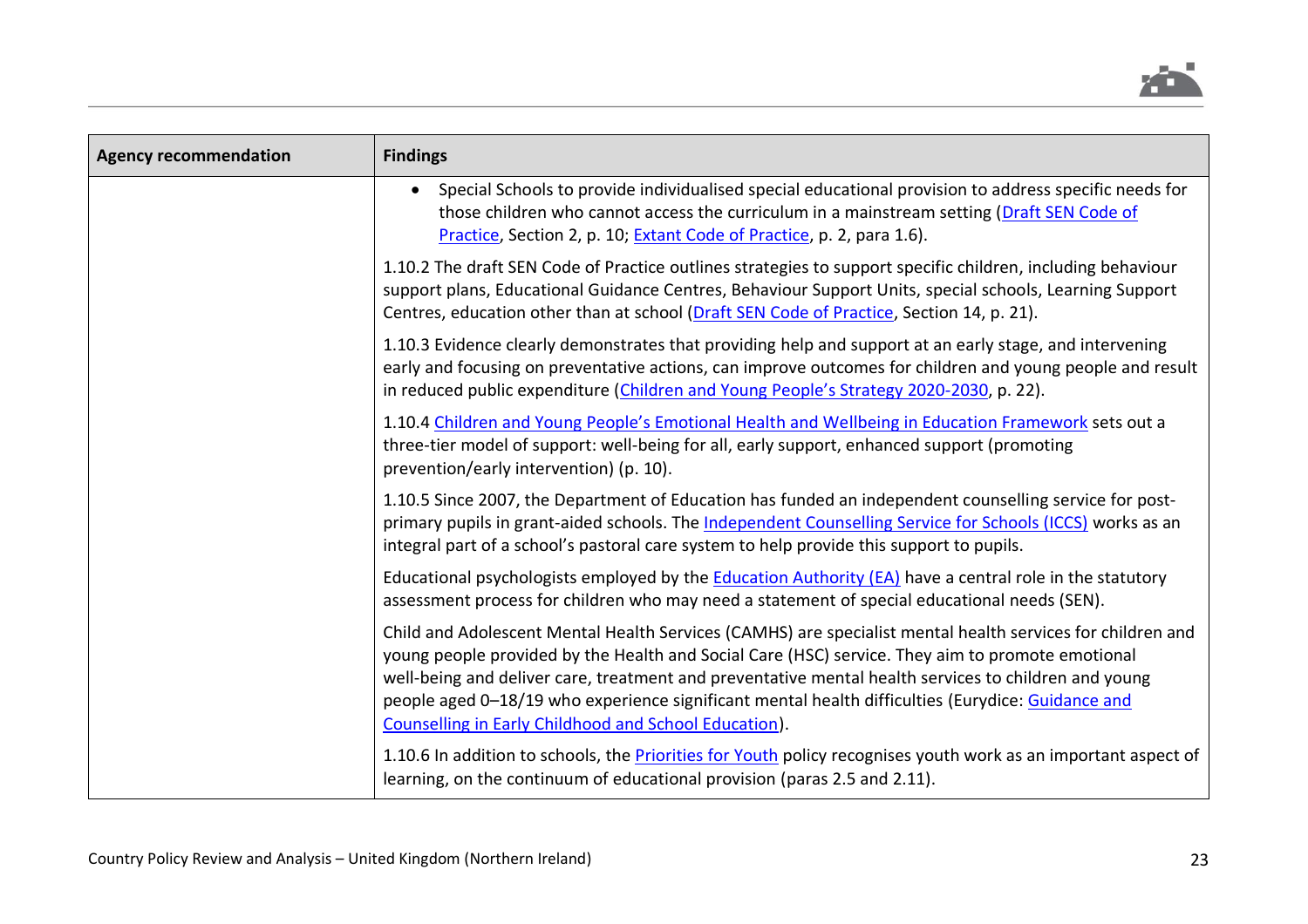

| <b>Agency recommendation</b> | <b>Findings</b>                                                                                                                                                                                                                                                                                                                                                                                                                                                                      |
|------------------------------|--------------------------------------------------------------------------------------------------------------------------------------------------------------------------------------------------------------------------------------------------------------------------------------------------------------------------------------------------------------------------------------------------------------------------------------------------------------------------------------|
|                              | Special Schools to provide individualised special educational provision to address specific needs for<br>those children who cannot access the curriculum in a mainstream setting (Draft SEN Code of<br>Practice, Section 2, p. 10; Extant Code of Practice, p. 2, para 1.6).                                                                                                                                                                                                         |
|                              | 1.10.2 The draft SEN Code of Practice outlines strategies to support specific children, including behaviour<br>support plans, Educational Guidance Centres, Behaviour Support Units, special schools, Learning Support<br>Centres, education other than at school (Draft SEN Code of Practice, Section 14, p. 21).                                                                                                                                                                   |
|                              | 1.10.3 Evidence clearly demonstrates that providing help and support at an early stage, and intervening<br>early and focusing on preventative actions, can improve outcomes for children and young people and result<br>in reduced public expenditure (Children and Young People's Strategy 2020-2030, p. 22).                                                                                                                                                                       |
|                              | 1.10.4 Children and Young People's Emotional Health and Wellbeing in Education Framework sets out a<br>three-tier model of support: well-being for all, early support, enhanced support (promoting<br>prevention/early intervention) (p. 10).                                                                                                                                                                                                                                        |
|                              | 1.10.5 Since 2007, the Department of Education has funded an independent counselling service for post-<br>primary pupils in grant-aided schools. The Independent Counselling Service for Schools (ICCS) works as an<br>integral part of a school's pastoral care system to help provide this support to pupils.                                                                                                                                                                      |
|                              | Educational psychologists employed by the <b>Education Authority (EA)</b> have a central role in the statutory<br>assessment process for children who may need a statement of special educational needs (SEN).                                                                                                                                                                                                                                                                       |
|                              | Child and Adolescent Mental Health Services (CAMHS) are specialist mental health services for children and<br>young people provided by the Health and Social Care (HSC) service. They aim to promote emotional<br>well-being and deliver care, treatment and preventative mental health services to children and young<br>people aged 0-18/19 who experience significant mental health difficulties (Eurydice: Guidance and<br>Counselling in Early Childhood and School Education). |
|                              | 1.10.6 In addition to schools, the Priorities for Youth policy recognises youth work as an important aspect of<br>learning, on the continuum of educational provision (paras 2.5 and 2.11).                                                                                                                                                                                                                                                                                          |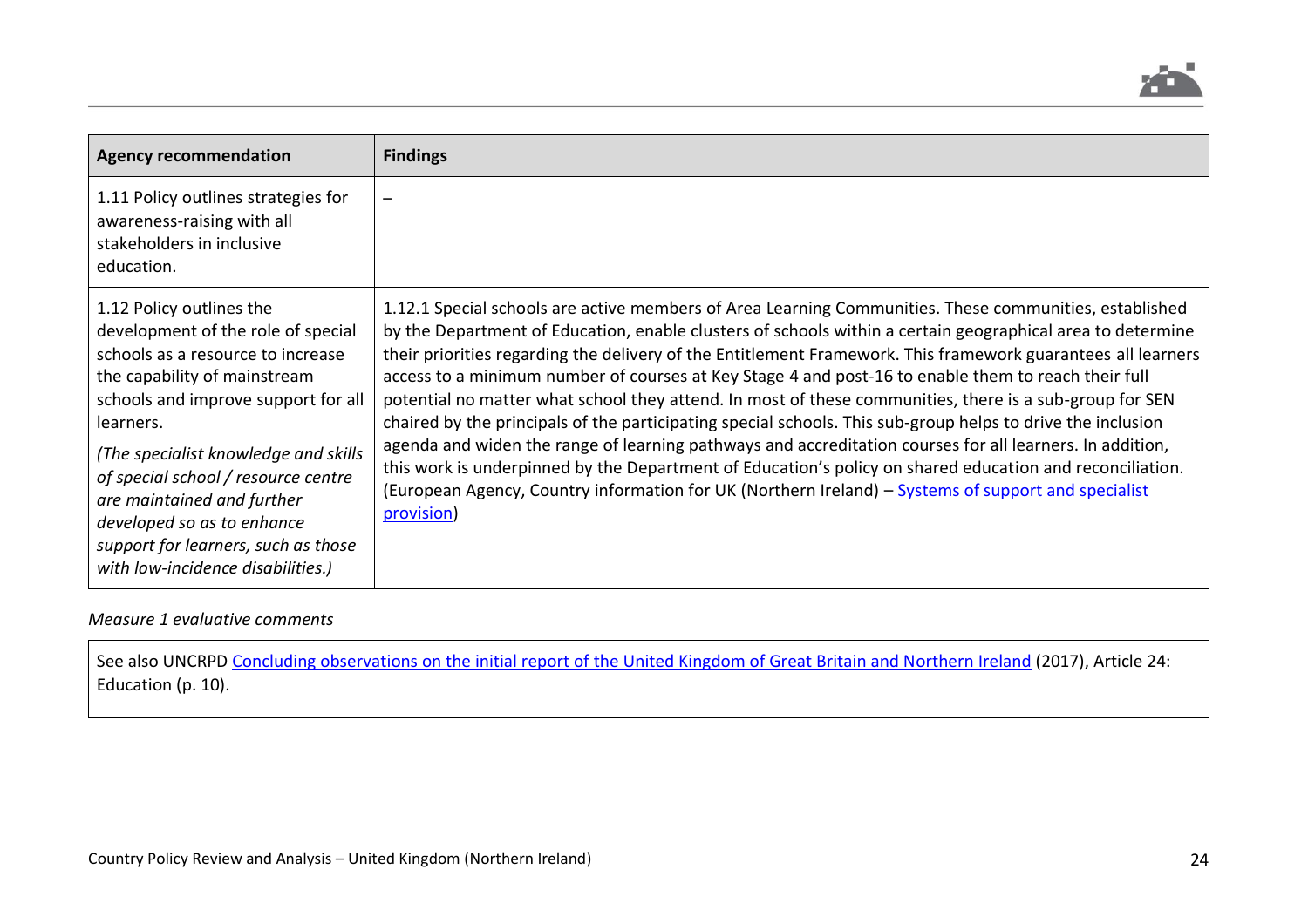

| <b>Agency recommendation</b>                                                                                                                                                                                                                                                                                                                                                                                    | <b>Findings</b>                                                                                                                                                                                                                                                                                                                                                                                                                                                                                                                                                                                                                                                                                                                                                                                                                                                                                                                                                                                                    |
|-----------------------------------------------------------------------------------------------------------------------------------------------------------------------------------------------------------------------------------------------------------------------------------------------------------------------------------------------------------------------------------------------------------------|--------------------------------------------------------------------------------------------------------------------------------------------------------------------------------------------------------------------------------------------------------------------------------------------------------------------------------------------------------------------------------------------------------------------------------------------------------------------------------------------------------------------------------------------------------------------------------------------------------------------------------------------------------------------------------------------------------------------------------------------------------------------------------------------------------------------------------------------------------------------------------------------------------------------------------------------------------------------------------------------------------------------|
| 1.11 Policy outlines strategies for<br>awareness-raising with all<br>stakeholders in inclusive<br>education.                                                                                                                                                                                                                                                                                                    |                                                                                                                                                                                                                                                                                                                                                                                                                                                                                                                                                                                                                                                                                                                                                                                                                                                                                                                                                                                                                    |
| 1.12 Policy outlines the<br>development of the role of special<br>schools as a resource to increase<br>the capability of mainstream<br>schools and improve support for all<br>learners.<br>(The specialist knowledge and skills)<br>of special school / resource centre<br>are maintained and further<br>developed so as to enhance<br>support for learners, such as those<br>with low-incidence disabilities.) | 1.12.1 Special schools are active members of Area Learning Communities. These communities, established<br>by the Department of Education, enable clusters of schools within a certain geographical area to determine<br>their priorities regarding the delivery of the Entitlement Framework. This framework guarantees all learners<br>access to a minimum number of courses at Key Stage 4 and post-16 to enable them to reach their full<br>potential no matter what school they attend. In most of these communities, there is a sub-group for SEN<br>chaired by the principals of the participating special schools. This sub-group helps to drive the inclusion<br>agenda and widen the range of learning pathways and accreditation courses for all learners. In addition,<br>this work is underpinned by the Department of Education's policy on shared education and reconciliation.<br>(European Agency, Country information for UK (Northern Ireland) – Systems of support and specialist<br>provision) |

#### *Measure 1 evaluative comments*

See also UNCRPD [Concluding observations on the initial report of the United Kingdom of Great Britain and Northern](https://docstore.ohchr.org/SelfServices/FilesHandler.ashx?enc=6QkG1d%2FPPRiCAqhKb7yhspCUnZhK1jU66fLQJyHIkqMIT3RDaLiqzhH8tVNxhro6S657eVNwuqlzu0xvsQUehREyYEQD%2BldQaLP31QDpRcmG35KYFtgGyAN%2BaB7cyky7) Ireland (2017), Article 24: Education (p. 10).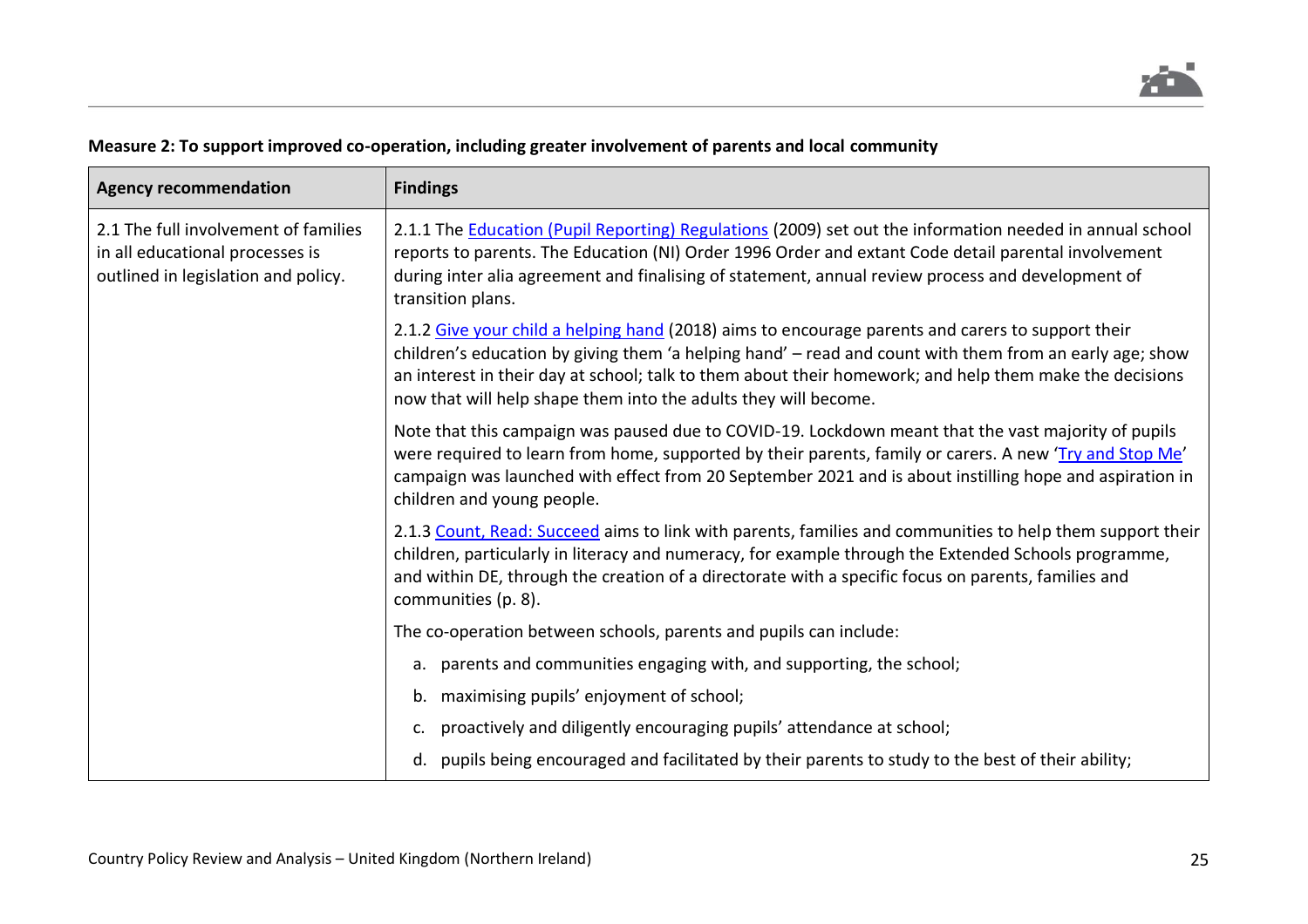

## **Agency recommendation Findings** 2.1 The full involvement of families in all educational processes is outlined in legislation and policy. 2.1.1 The [Education \(Pupil Reporting\) Regulations](https://www.education-ni.gov.uk/sites/default/files/publications/de/pupil-reporting-2009.pdf) (2009) set out the information needed in annual school reports to parents. The Education (NI) Order 1996 Order and extant Code detail parental involvement during inter alia agreement and finalising of statement, annual review process and development of transition plans. 2.1.2 [Give your child a helping hand](https://www.education-ni.gov.uk/articles/give-your-child-helping-hand) (2018) aims to encourage parents and carers to support their children's education by giving them 'a helping hand' – read and count with them from an early age; show an interest in their day at school; talk to them about their homework; and help them make the decisions now that will help shape them into the adults they will become. Note that this campaign was paused due to COVID-19. Lockdown meant that the vast majority of pupils were required to learn from home, supported by their parents, family or carers. A new '[Try and Stop Me](https://www.nidirect.gov.uk/campaigns/try-and-stop-me)' campaign was launched with effect from 20 September 2021 and is about instilling hope and aspiration in children and young people. 2.1.3 [Count, Read: Succeed](https://www.education-ni.gov.uk/sites/default/files/publications/de/count-read-succeed-a-strategy-to-improve-outcomes-in-literacy-and-numeracy.pdf) aims to link with parents, families and communities to help them support their children, particularly in literacy and numeracy, for example through the Extended Schools programme, and within DE, through the creation of a directorate with a specific focus on parents, families and communities (p. 8). The co-operation between schools, parents and pupils can include: a. parents and communities engaging with, and supporting, the school; b. maximising pupils' enjoyment of school; c. proactively and diligently encouraging pupils' attendance at school; d. pupils being encouraged and facilitated by their parents to study to the best of their ability;

#### **Measure 2: To support improved co-operation, including greater involvement of parents and local community**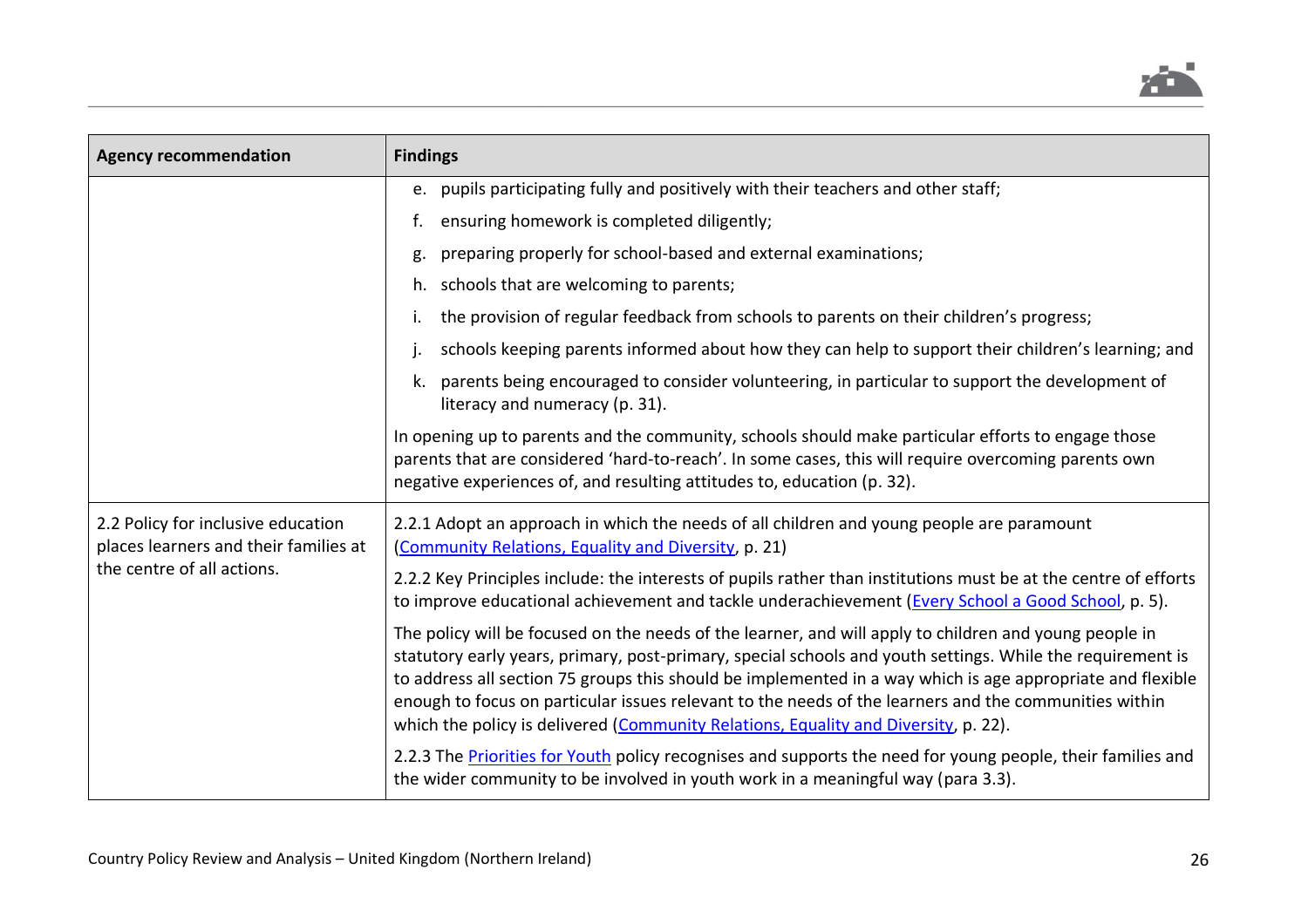

| <b>Agency recommendation</b>                                                                              | <b>Findings</b>                                                                                                                                                                                                                                                                                                                                                                                                                                                                                                                    |
|-----------------------------------------------------------------------------------------------------------|------------------------------------------------------------------------------------------------------------------------------------------------------------------------------------------------------------------------------------------------------------------------------------------------------------------------------------------------------------------------------------------------------------------------------------------------------------------------------------------------------------------------------------|
|                                                                                                           | e. pupils participating fully and positively with their teachers and other staff;                                                                                                                                                                                                                                                                                                                                                                                                                                                  |
|                                                                                                           | ensuring homework is completed diligently;<br>f.                                                                                                                                                                                                                                                                                                                                                                                                                                                                                   |
|                                                                                                           | preparing properly for school-based and external examinations;                                                                                                                                                                                                                                                                                                                                                                                                                                                                     |
|                                                                                                           | schools that are welcoming to parents;<br>h.                                                                                                                                                                                                                                                                                                                                                                                                                                                                                       |
|                                                                                                           | the provision of regular feedback from schools to parents on their children's progress;                                                                                                                                                                                                                                                                                                                                                                                                                                            |
|                                                                                                           | schools keeping parents informed about how they can help to support their children's learning; and                                                                                                                                                                                                                                                                                                                                                                                                                                 |
|                                                                                                           | parents being encouraged to consider volunteering, in particular to support the development of<br>k.<br>literacy and numeracy (p. 31).                                                                                                                                                                                                                                                                                                                                                                                             |
|                                                                                                           | In opening up to parents and the community, schools should make particular efforts to engage those<br>parents that are considered 'hard-to-reach'. In some cases, this will require overcoming parents own<br>negative experiences of, and resulting attitudes to, education (p. 32).                                                                                                                                                                                                                                              |
| 2.2 Policy for inclusive education<br>places learners and their families at<br>the centre of all actions. | 2.2.1 Adopt an approach in which the needs of all children and young people are paramount<br>(Community Relations, Equality and Diversity, p. 21)                                                                                                                                                                                                                                                                                                                                                                                  |
|                                                                                                           | 2.2.2 Key Principles include: the interests of pupils rather than institutions must be at the centre of efforts<br>to improve educational achievement and tackle underachievement (Every School a Good School, p. 5).                                                                                                                                                                                                                                                                                                              |
|                                                                                                           | The policy will be focused on the needs of the learner, and will apply to children and young people in<br>statutory early years, primary, post-primary, special schools and youth settings. While the requirement is<br>to address all section 75 groups this should be implemented in a way which is age appropriate and flexible<br>enough to focus on particular issues relevant to the needs of the learners and the communities within<br>which the policy is delivered (Community Relations, Equality and Diversity, p. 22). |
|                                                                                                           | 2.2.3 The Priorities for Youth policy recognises and supports the need for young people, their families and<br>the wider community to be involved in youth work in a meaningful way (para 3.3).                                                                                                                                                                                                                                                                                                                                    |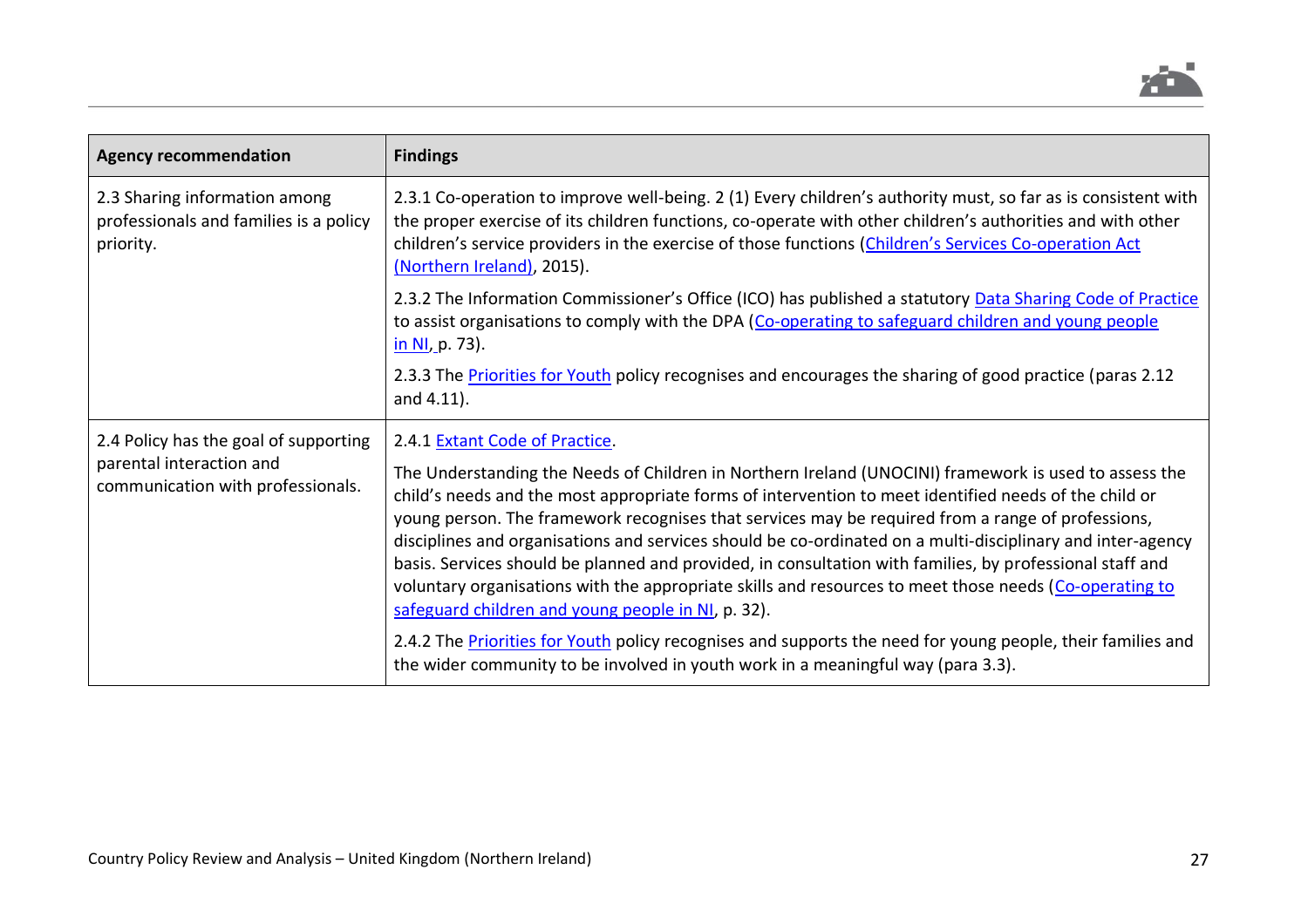

| <b>Agency recommendation</b>                                                                           | <b>Findings</b>                                                                                                                                                                                                                                                                                                                                                                                                                                                                                                                                                                                                                                                                                                                                 |
|--------------------------------------------------------------------------------------------------------|-------------------------------------------------------------------------------------------------------------------------------------------------------------------------------------------------------------------------------------------------------------------------------------------------------------------------------------------------------------------------------------------------------------------------------------------------------------------------------------------------------------------------------------------------------------------------------------------------------------------------------------------------------------------------------------------------------------------------------------------------|
| 2.3 Sharing information among<br>professionals and families is a policy<br>priority.                   | 2.3.1 Co-operation to improve well-being. 2 (1) Every children's authority must, so far as is consistent with<br>the proper exercise of its children functions, co-operate with other children's authorities and with other<br>children's service providers in the exercise of those functions (Children's Services Co-operation Act<br>(Northern Ireland), 2015).                                                                                                                                                                                                                                                                                                                                                                              |
|                                                                                                        | 2.3.2 The Information Commissioner's Office (ICO) has published a statutory Data Sharing Code of Practice<br>to assist organisations to comply with the DPA (Co-operating to safeguard children and young people<br><u>in NI, p</u> . 73).                                                                                                                                                                                                                                                                                                                                                                                                                                                                                                      |
|                                                                                                        | 2.3.3 The Priorities for Youth policy recognises and encourages the sharing of good practice (paras 2.12<br>and 4.11).                                                                                                                                                                                                                                                                                                                                                                                                                                                                                                                                                                                                                          |
| 2.4 Policy has the goal of supporting<br>parental interaction and<br>communication with professionals. | 2.4.1 Extant Code of Practice.<br>The Understanding the Needs of Children in Northern Ireland (UNOCINI) framework is used to assess the<br>child's needs and the most appropriate forms of intervention to meet identified needs of the child or<br>young person. The framework recognises that services may be required from a range of professions,<br>disciplines and organisations and services should be co-ordinated on a multi-disciplinary and inter-agency<br>basis. Services should be planned and provided, in consultation with families, by professional staff and<br>voluntary organisations with the appropriate skills and resources to meet those needs (Co-operating to<br>safeguard children and young people in NI, p. 32). |
|                                                                                                        | 2.4.2 The Priorities for Youth policy recognises and supports the need for young people, their families and<br>the wider community to be involved in youth work in a meaningful way (para 3.3).                                                                                                                                                                                                                                                                                                                                                                                                                                                                                                                                                 |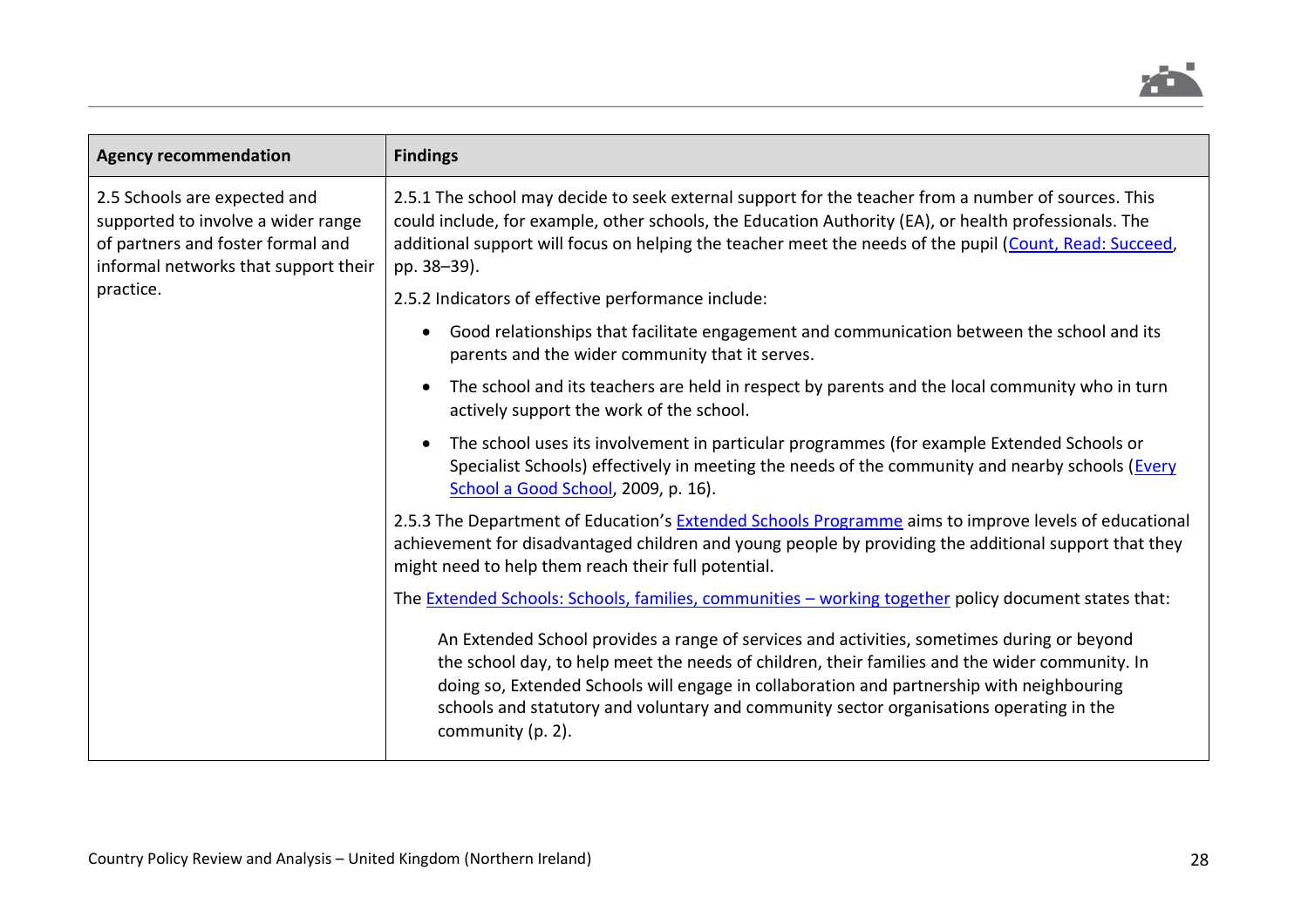

| <b>Agency recommendation</b>                                                                                                                    | <b>Findings</b>                                                                                                                                                                                                                                                                                                                                                                                           |
|-------------------------------------------------------------------------------------------------------------------------------------------------|-----------------------------------------------------------------------------------------------------------------------------------------------------------------------------------------------------------------------------------------------------------------------------------------------------------------------------------------------------------------------------------------------------------|
| 2.5 Schools are expected and<br>supported to involve a wider range<br>of partners and foster formal and<br>informal networks that support their | 2.5.1 The school may decide to seek external support for the teacher from a number of sources. This<br>could include, for example, other schools, the Education Authority (EA), or health professionals. The<br>additional support will focus on helping the teacher meet the needs of the pupil (Count, Read: Succeed,<br>pp. 38-39).                                                                    |
| practice.                                                                                                                                       | 2.5.2 Indicators of effective performance include:                                                                                                                                                                                                                                                                                                                                                        |
|                                                                                                                                                 | Good relationships that facilitate engagement and communication between the school and its<br>$\bullet$<br>parents and the wider community that it serves.                                                                                                                                                                                                                                                |
|                                                                                                                                                 | The school and its teachers are held in respect by parents and the local community who in turn<br>$\bullet$<br>actively support the work of the school.                                                                                                                                                                                                                                                   |
|                                                                                                                                                 | The school uses its involvement in particular programmes (for example Extended Schools or<br>$\bullet$<br>Specialist Schools) effectively in meeting the needs of the community and nearby schools (Every<br>School a Good School, 2009, p. 16).                                                                                                                                                          |
|                                                                                                                                                 | 2.5.3 The Department of Education's Extended Schools Programme aims to improve levels of educational<br>achievement for disadvantaged children and young people by providing the additional support that they<br>might need to help them reach their full potential.                                                                                                                                      |
|                                                                                                                                                 | The <b>Extended Schools: Schools, families, communities - working together</b> policy document states that:                                                                                                                                                                                                                                                                                               |
|                                                                                                                                                 | An Extended School provides a range of services and activities, sometimes during or beyond<br>the school day, to help meet the needs of children, their families and the wider community. In<br>doing so, Extended Schools will engage in collaboration and partnership with neighbouring<br>schools and statutory and voluntary and community sector organisations operating in the<br>community (p. 2). |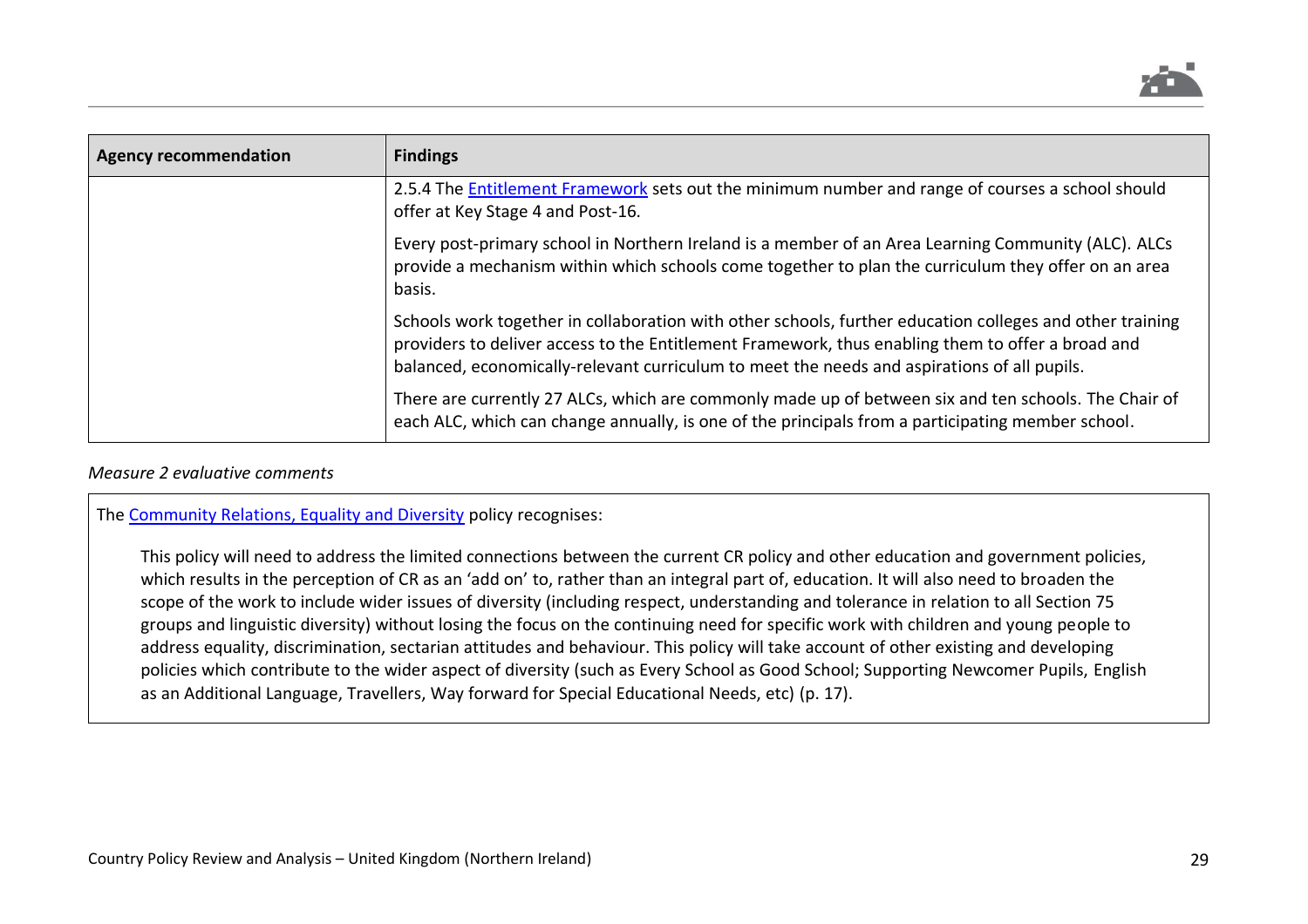

| <b>Agency recommendation</b> | <b>Findings</b>                                                                                                                                                                                                                                                                                              |
|------------------------------|--------------------------------------------------------------------------------------------------------------------------------------------------------------------------------------------------------------------------------------------------------------------------------------------------------------|
|                              | 2.5.4 The <b>Entitlement Framework</b> sets out the minimum number and range of courses a school should<br>offer at Key Stage 4 and Post-16.                                                                                                                                                                 |
|                              | Every post-primary school in Northern Ireland is a member of an Area Learning Community (ALC). ALCs<br>provide a mechanism within which schools come together to plan the curriculum they offer on an area<br>basis.                                                                                         |
|                              | Schools work together in collaboration with other schools, further education colleges and other training<br>providers to deliver access to the Entitlement Framework, thus enabling them to offer a broad and<br>balanced, economically-relevant curriculum to meet the needs and aspirations of all pupils. |
|                              | There are currently 27 ALCs, which are commonly made up of between six and ten schools. The Chair of<br>each ALC, which can change annually, is one of the principals from a participating member school.                                                                                                    |

#### *Measure 2 evaluative comments*

The [Community Relations, Equality and Diversity](https://www.education-ni.gov.uk/publications/community-relations-equality-and-diversity-policy) policy recognises:

This policy will need to address the limited connections between the current CR policy and other education and government policies, which results in the perception of CR as an 'add on' to, rather than an integral part of, education. It will also need to broaden the scope of the work to include wider issues of diversity (including respect, understanding and tolerance in relation to all Section 75 groups and linguistic diversity) without losing the focus on the continuing need for specific work with children and young people to address equality, discrimination, sectarian attitudes and behaviour. This policy will take account of other existing and developing policies which contribute to the wider aspect of diversity (such as Every School as Good School; Supporting Newcomer Pupils, English as an Additional Language, Travellers, Way forward for Special Educational Needs, etc) (p. 17).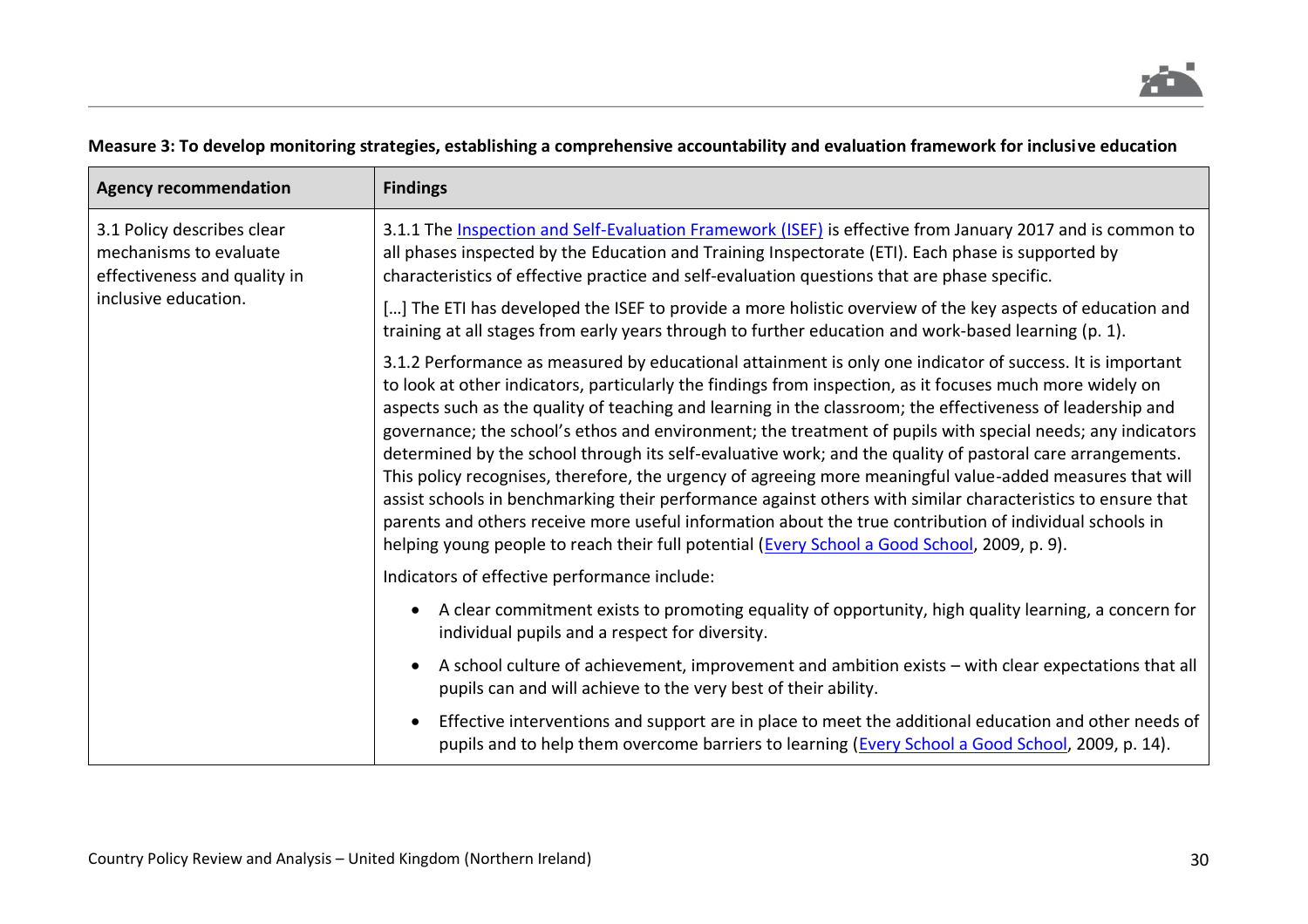

### **Agency recommendation Findings** 3.1 Policy describes clear mechanisms to evaluate effectiveness and quality in inclusive education. 3.1.1 The [Inspection and Self-Evaluation Framework \(ISEF\)](https://www.etini.gov.uk/sites/etini.gov.uk/files/publications/the-inspection-and-self-evaluation-framework-isef-effective-practice-and-self-evaluation-questions-for-special-education_1.pdf) is effective from January 2017 and is common to all phases inspected by the Education and Training Inspectorate (ETI). Each phase is supported by characteristics of effective practice and self-evaluation questions that are phase specific. [...] The ETI has developed the ISEF to provide a more holistic overview of the key aspects of education and training at all stages from early years through to further education and work-based learning (p. 1). 3.1.2 Performance as measured by educational attainment is only one indicator of success. It is important to look at other indicators, particularly the findings from inspection, as it focuses much more widely on aspects such as the quality of teaching and learning in the classroom; the effectiveness of leadership and governance; the school's ethos and environment; the treatment of pupils with special needs; any indicators determined by the school through its self-evaluative work; and the quality of pastoral care arrangements. This policy recognises, therefore, the urgency of agreeing more meaningful value-added measures that will assist schools in benchmarking their performance against others with similar characteristics to ensure that parents and others receive more useful information about the true contribution of individual schools in helping young people to reach their full potential [\(Every School a Good School,](https://www.education-ni.gov.uk/sites/default/files/publications/de/ESAGS%20Policy%20for%20School%20Improvement%20-%20Final%20Version%2005-05-2009.pdf) 2009, p. 9). Indicators of effective performance include: • A clear commitment exists to promoting equality of opportunity, high quality learning, a concern for individual pupils and a respect for diversity. • A school culture of achievement, improvement and ambition exists – with clear expectations that all pupils can and will achieve to the very best of their ability. • Effective interventions and support are in place to meet the additional education and other needs of pupils and to help them overcome barriers to learning [\(Every School a Good School,](https://www.education-ni.gov.uk/sites/default/files/publications/de/ESAGS%20Policy%20for%20School%20Improvement%20-%20Final%20Version%2005-05-2009.pdf) 2009, p. 14).

#### **Measure 3: To develop monitoring strategies, establishing a comprehensive accountability and evaluation framework for inclusive education**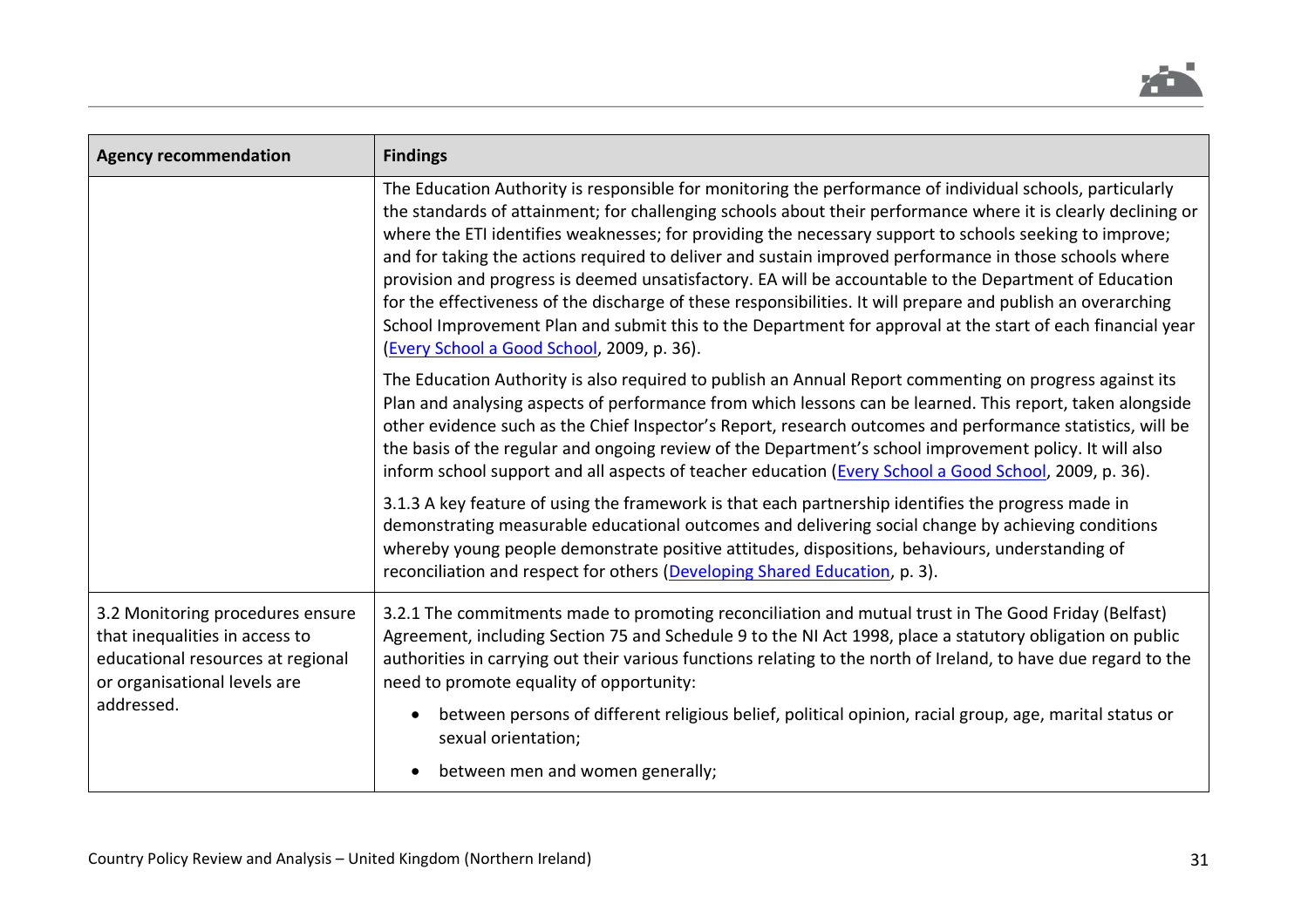

| <b>Agency recommendation</b>                                                                                                                          | <b>Findings</b>                                                                                                                                                                                                                                                                                                                                                                                                                                                                                                                                                                                                                                                                                                                                                                                                                       |
|-------------------------------------------------------------------------------------------------------------------------------------------------------|---------------------------------------------------------------------------------------------------------------------------------------------------------------------------------------------------------------------------------------------------------------------------------------------------------------------------------------------------------------------------------------------------------------------------------------------------------------------------------------------------------------------------------------------------------------------------------------------------------------------------------------------------------------------------------------------------------------------------------------------------------------------------------------------------------------------------------------|
|                                                                                                                                                       | The Education Authority is responsible for monitoring the performance of individual schools, particularly<br>the standards of attainment; for challenging schools about their performance where it is clearly declining or<br>where the ETI identifies weaknesses; for providing the necessary support to schools seeking to improve;<br>and for taking the actions required to deliver and sustain improved performance in those schools where<br>provision and progress is deemed unsatisfactory. EA will be accountable to the Department of Education<br>for the effectiveness of the discharge of these responsibilities. It will prepare and publish an overarching<br>School Improvement Plan and submit this to the Department for approval at the start of each financial year<br>(Every School a Good School, 2009, p. 36). |
|                                                                                                                                                       | The Education Authority is also required to publish an Annual Report commenting on progress against its<br>Plan and analysing aspects of performance from which lessons can be learned. This report, taken alongside<br>other evidence such as the Chief Inspector's Report, research outcomes and performance statistics, will be<br>the basis of the regular and ongoing review of the Department's school improvement policy. It will also<br>inform school support and all aspects of teacher education (Every School a Good School, 2009, p. 36).                                                                                                                                                                                                                                                                                |
|                                                                                                                                                       | 3.1.3 A key feature of using the framework is that each partnership identifies the progress made in<br>demonstrating measurable educational outcomes and delivering social change by achieving conditions<br>whereby young people demonstrate positive attitudes, dispositions, behaviours, understanding of<br>reconciliation and respect for others (Developing Shared Education, p. 3).                                                                                                                                                                                                                                                                                                                                                                                                                                            |
| 3.2 Monitoring procedures ensure<br>that inequalities in access to<br>educational resources at regional<br>or organisational levels are<br>addressed. | 3.2.1 The commitments made to promoting reconciliation and mutual trust in The Good Friday (Belfast)<br>Agreement, including Section 75 and Schedule 9 to the NI Act 1998, place a statutory obligation on public<br>authorities in carrying out their various functions relating to the north of Ireland, to have due regard to the<br>need to promote equality of opportunity:                                                                                                                                                                                                                                                                                                                                                                                                                                                      |
|                                                                                                                                                       | between persons of different religious belief, political opinion, racial group, age, marital status or<br>sexual orientation;                                                                                                                                                                                                                                                                                                                                                                                                                                                                                                                                                                                                                                                                                                         |
|                                                                                                                                                       | between men and women generally;                                                                                                                                                                                                                                                                                                                                                                                                                                                                                                                                                                                                                                                                                                                                                                                                      |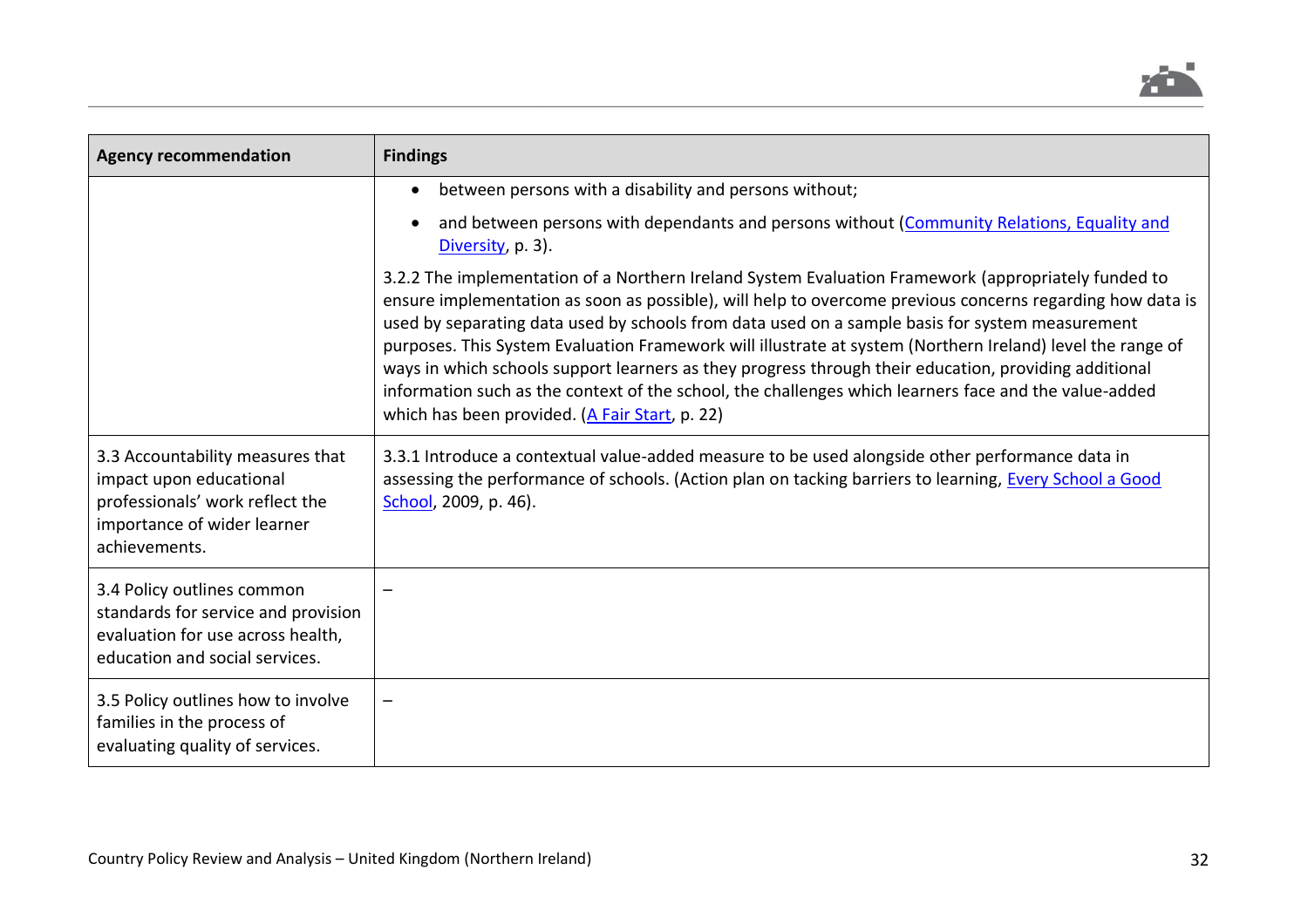

| <b>Agency recommendation</b>                                                                                                                   | <b>Findings</b>                                                                                                                                                                                                                                                                                                                                                                                                                                                                                                                                                                                                                                                                                       |
|------------------------------------------------------------------------------------------------------------------------------------------------|-------------------------------------------------------------------------------------------------------------------------------------------------------------------------------------------------------------------------------------------------------------------------------------------------------------------------------------------------------------------------------------------------------------------------------------------------------------------------------------------------------------------------------------------------------------------------------------------------------------------------------------------------------------------------------------------------------|
|                                                                                                                                                | between persons with a disability and persons without;                                                                                                                                                                                                                                                                                                                                                                                                                                                                                                                                                                                                                                                |
|                                                                                                                                                | and between persons with dependants and persons without (Community Relations, Equality and<br>Diversity, p. 3).                                                                                                                                                                                                                                                                                                                                                                                                                                                                                                                                                                                       |
|                                                                                                                                                | 3.2.2 The implementation of a Northern Ireland System Evaluation Framework (appropriately funded to<br>ensure implementation as soon as possible), will help to overcome previous concerns regarding how data is<br>used by separating data used by schools from data used on a sample basis for system measurement<br>purposes. This System Evaluation Framework will illustrate at system (Northern Ireland) level the range of<br>ways in which schools support learners as they progress through their education, providing additional<br>information such as the context of the school, the challenges which learners face and the value-added<br>which has been provided. (A Fair Start, p. 22) |
| 3.3 Accountability measures that<br>impact upon educational<br>professionals' work reflect the<br>importance of wider learner<br>achievements. | 3.3.1 Introduce a contextual value-added measure to be used alongside other performance data in<br>assessing the performance of schools. (Action plan on tacking barriers to learning, Every School a Good<br>School, 2009, p. 46).                                                                                                                                                                                                                                                                                                                                                                                                                                                                   |
| 3.4 Policy outlines common<br>standards for service and provision<br>evaluation for use across health,<br>education and social services.       |                                                                                                                                                                                                                                                                                                                                                                                                                                                                                                                                                                                                                                                                                                       |
| 3.5 Policy outlines how to involve<br>families in the process of<br>evaluating quality of services.                                            |                                                                                                                                                                                                                                                                                                                                                                                                                                                                                                                                                                                                                                                                                                       |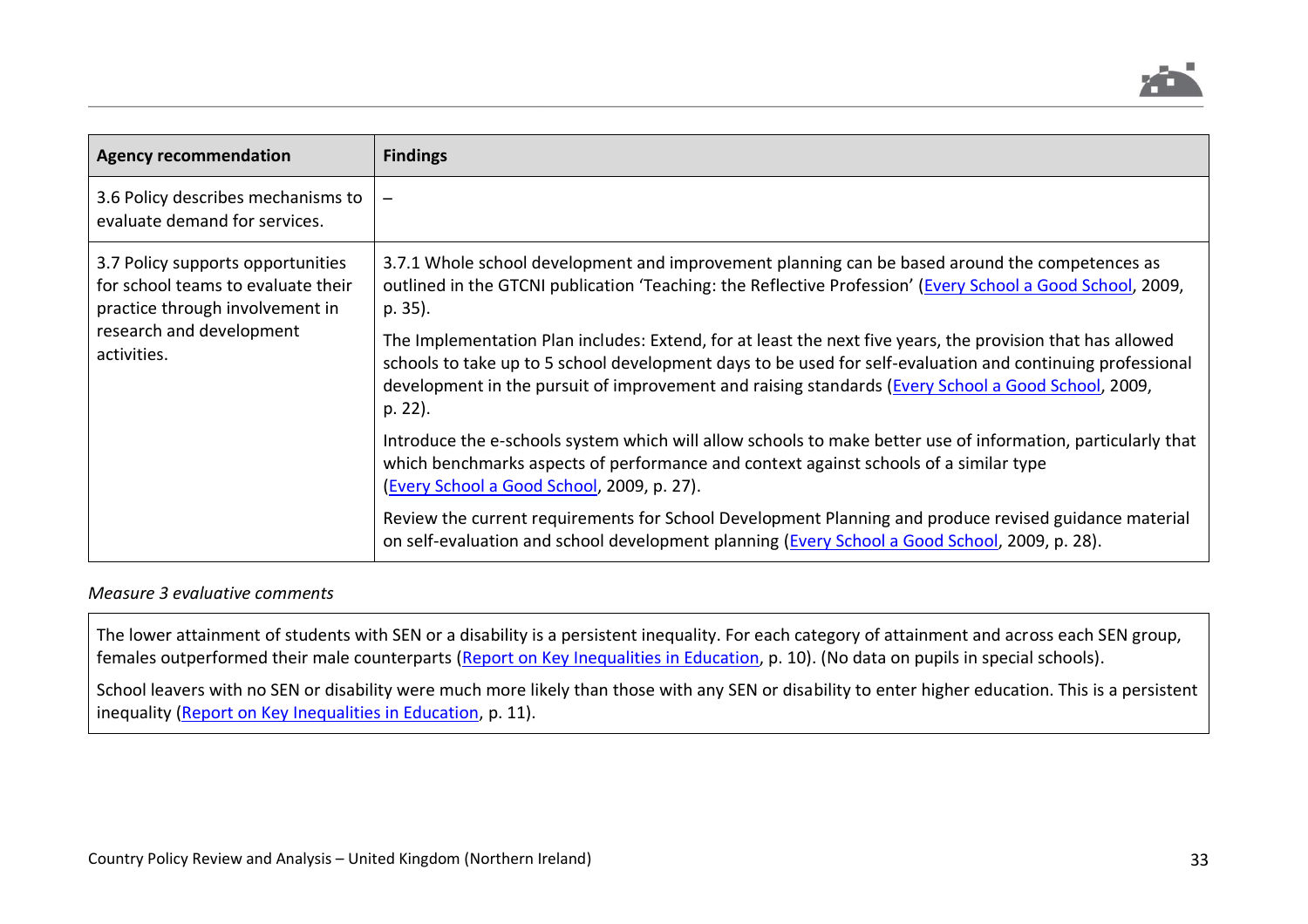

| <b>Agency recommendation</b>                                                                               | <b>Findings</b>                                                                                                                                                                                                                                                                                                                           |
|------------------------------------------------------------------------------------------------------------|-------------------------------------------------------------------------------------------------------------------------------------------------------------------------------------------------------------------------------------------------------------------------------------------------------------------------------------------|
| 3.6 Policy describes mechanisms to<br>evaluate demand for services.                                        |                                                                                                                                                                                                                                                                                                                                           |
| 3.7 Policy supports opportunities<br>for school teams to evaluate their<br>practice through involvement in | 3.7.1 Whole school development and improvement planning can be based around the competences as<br>outlined in the GTCNI publication 'Teaching: the Reflective Profession' (Every School a Good School, 2009,<br>p. 35).                                                                                                                   |
| research and development<br>activities.                                                                    | The Implementation Plan includes: Extend, for at least the next five years, the provision that has allowed<br>schools to take up to 5 school development days to be used for self-evaluation and continuing professional<br>development in the pursuit of improvement and raising standards (Every School a Good School, 2009,<br>p. 22). |
|                                                                                                            | Introduce the e-schools system which will allow schools to make better use of information, particularly that<br>which benchmarks aspects of performance and context against schools of a similar type<br>(Every School a Good School, 2009, p. 27).                                                                                       |
|                                                                                                            | Review the current requirements for School Development Planning and produce revised guidance material<br>on self-evaluation and school development planning (Every School a Good School, 2009, p. 28).                                                                                                                                    |

#### *Measure 3 evaluative comments*

The lower attainment of students with SEN or a disability is a persistent inequality. For each category of attainment and across each SEN group, females outperformed their male counterparts [\(Report on Key Inequalities in Education,](https://www.equalityni.org/ECNI/media/ECNI/Publications/Delivering%20Equality/EducationInequality-SummaryReport.pdf) p. 10). (No data on pupils in special schools).

School leavers with no SEN or disability were much more likely than those with any SEN or disability to enter higher education. This is a persistent inequality [\(Report on Key Inequalities in Education,](https://www.equalityni.org/ECNI/media/ECNI/Publications/Delivering%20Equality/EducationInequality-SummaryReport.pdf) p. 11).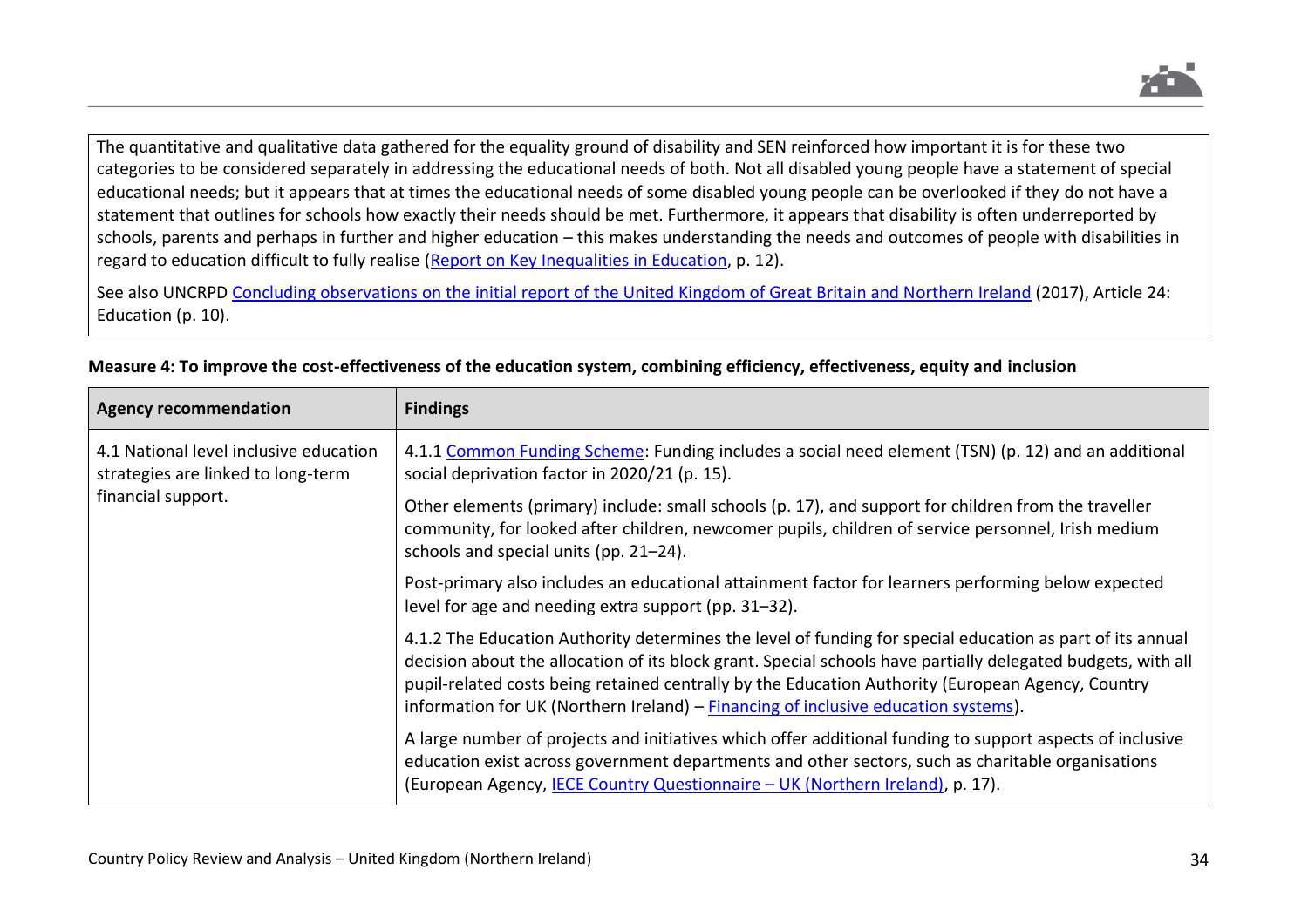

The quantitative and qualitative data gathered for the equality ground of disability and SEN reinforced how important it is for these two categories to be considered separately in addressing the educational needs of both. Not all disabled young people have a statement of special educational needs; but it appears that at times the educational needs of some disabled young people can be overlooked if they do not have a statement that outlines for schools how exactly their needs should be met. Furthermore, it appears that disability is often underreported by schools, parents and perhaps in further and higher education – this makes understanding the needs and outcomes of people with disabilities in regard to education difficult to fully realise [\(Report on Key Inequalities in Education,](https://www.equalityni.org/ECNI/media/ECNI/Publications/Delivering%20Equality/EducationInequality-SummaryReport.pdf) p. 12).

See also UNCRPD [Concluding observations on the initial report of the United Kingdom of Great Britain and Northern](https://docstore.ohchr.org/SelfServices/FilesHandler.ashx?enc=6QkG1d%2FPPRiCAqhKb7yhspCUnZhK1jU66fLQJyHIkqMIT3RDaLiqzhH8tVNxhro6S657eVNwuqlzu0xvsQUehREyYEQD%2BldQaLP31QDpRcmG35KYFtgGyAN%2BaB7cyky7) Ireland (2017), Article 24: Education (p. 10).

| <b>Agency recommendation</b>                                                                       | <b>Findings</b>                                                                                                                                                                                                                                                                                                                                                                                                      |
|----------------------------------------------------------------------------------------------------|----------------------------------------------------------------------------------------------------------------------------------------------------------------------------------------------------------------------------------------------------------------------------------------------------------------------------------------------------------------------------------------------------------------------|
| 4.1 National level inclusive education<br>strategies are linked to long-term<br>financial support. | 4.1.1 Common Funding Scheme: Funding includes a social need element (TSN) (p. 12) and an additional<br>social deprivation factor in 2020/21 (p. 15).                                                                                                                                                                                                                                                                 |
|                                                                                                    | Other elements (primary) include: small schools (p. 17), and support for children from the traveller<br>community, for looked after children, newcomer pupils, children of service personnel, Irish medium<br>schools and special units (pp. 21-24).                                                                                                                                                                 |
|                                                                                                    | Post-primary also includes an educational attainment factor for learners performing below expected<br>level for age and needing extra support (pp. 31-32).                                                                                                                                                                                                                                                           |
|                                                                                                    | 4.1.2 The Education Authority determines the level of funding for special education as part of its annual<br>decision about the allocation of its block grant. Special schools have partially delegated budgets, with all<br>pupil-related costs being retained centrally by the Education Authority (European Agency, Country<br>information for UK (Northern Ireland) - Financing of inclusive education systems). |
|                                                                                                    | A large number of projects and initiatives which offer additional funding to support aspects of inclusive<br>education exist across government departments and other sectors, such as charitable organisations<br>(European Agency, IECE Country Questionnaire - UK (Northern Ireland), p. 17).                                                                                                                      |

#### **Measure 4: To improve the cost-effectiveness of the education system, combining efficiency, effectiveness, equity and inclusion**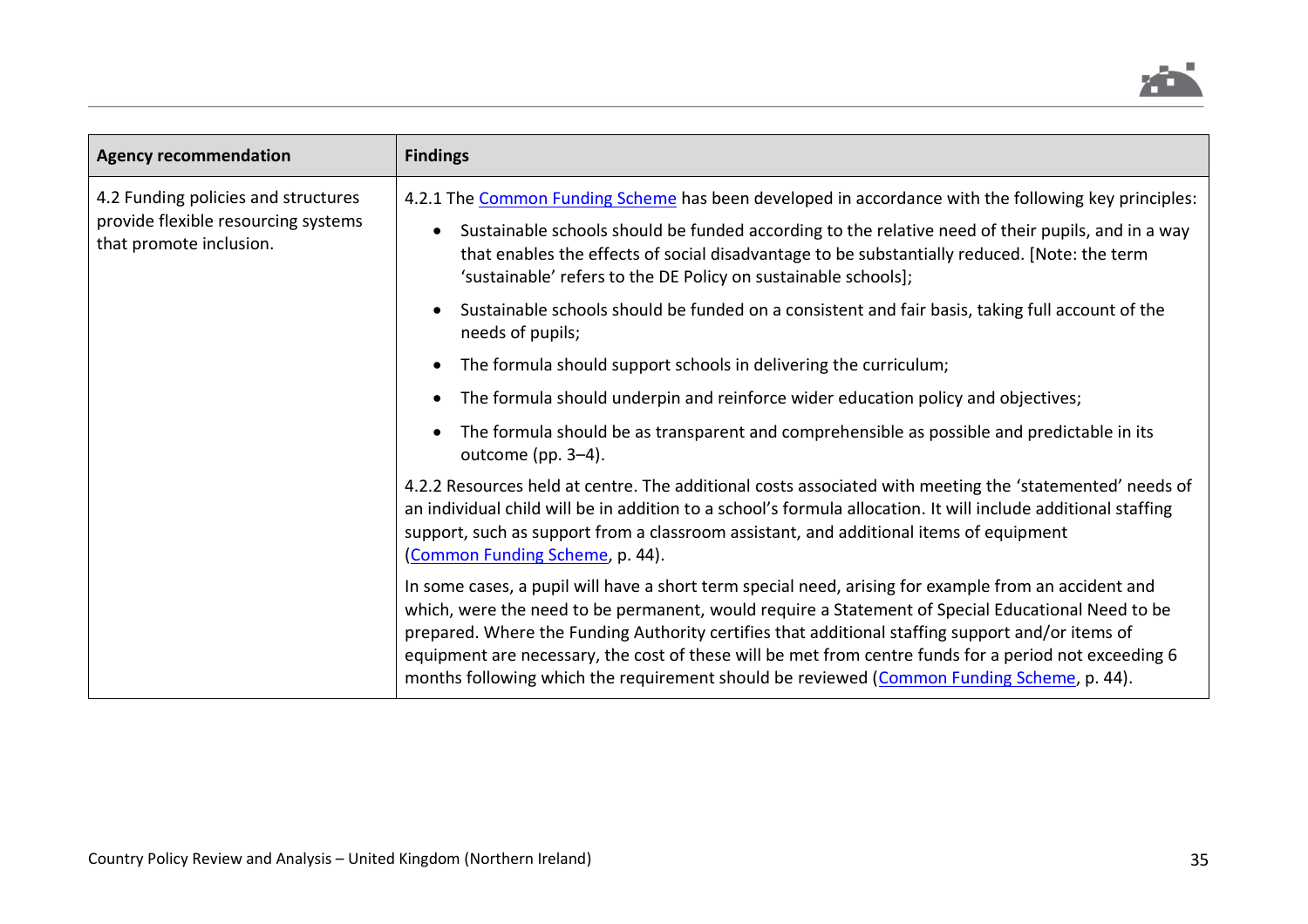

| <b>Agency recommendation</b>                                                                          | <b>Findings</b>                                                                                                                                                                                                                                                                                                                                                                                                                                                                                                     |
|-------------------------------------------------------------------------------------------------------|---------------------------------------------------------------------------------------------------------------------------------------------------------------------------------------------------------------------------------------------------------------------------------------------------------------------------------------------------------------------------------------------------------------------------------------------------------------------------------------------------------------------|
| 4.2 Funding policies and structures<br>provide flexible resourcing systems<br>that promote inclusion. | 4.2.1 The Common Funding Scheme has been developed in accordance with the following key principles:                                                                                                                                                                                                                                                                                                                                                                                                                 |
|                                                                                                       | Sustainable schools should be funded according to the relative need of their pupils, and in a way<br>that enables the effects of social disadvantage to be substantially reduced. [Note: the term<br>'sustainable' refers to the DE Policy on sustainable schools];                                                                                                                                                                                                                                                 |
|                                                                                                       | Sustainable schools should be funded on a consistent and fair basis, taking full account of the<br>needs of pupils;                                                                                                                                                                                                                                                                                                                                                                                                 |
|                                                                                                       | The formula should support schools in delivering the curriculum;                                                                                                                                                                                                                                                                                                                                                                                                                                                    |
|                                                                                                       | The formula should underpin and reinforce wider education policy and objectives;                                                                                                                                                                                                                                                                                                                                                                                                                                    |
|                                                                                                       | The formula should be as transparent and comprehensible as possible and predictable in its<br>outcome (pp. 3-4).                                                                                                                                                                                                                                                                                                                                                                                                    |
|                                                                                                       | 4.2.2 Resources held at centre. The additional costs associated with meeting the 'statemented' needs of<br>an individual child will be in addition to a school's formula allocation. It will include additional staffing<br>support, such as support from a classroom assistant, and additional items of equipment<br>(Common Funding Scheme, p. 44).                                                                                                                                                               |
|                                                                                                       | In some cases, a pupil will have a short term special need, arising for example from an accident and<br>which, were the need to be permanent, would require a Statement of Special Educational Need to be<br>prepared. Where the Funding Authority certifies that additional staffing support and/or items of<br>equipment are necessary, the cost of these will be met from centre funds for a period not exceeding 6<br>months following which the requirement should be reviewed (Common Funding Scheme, p. 44). |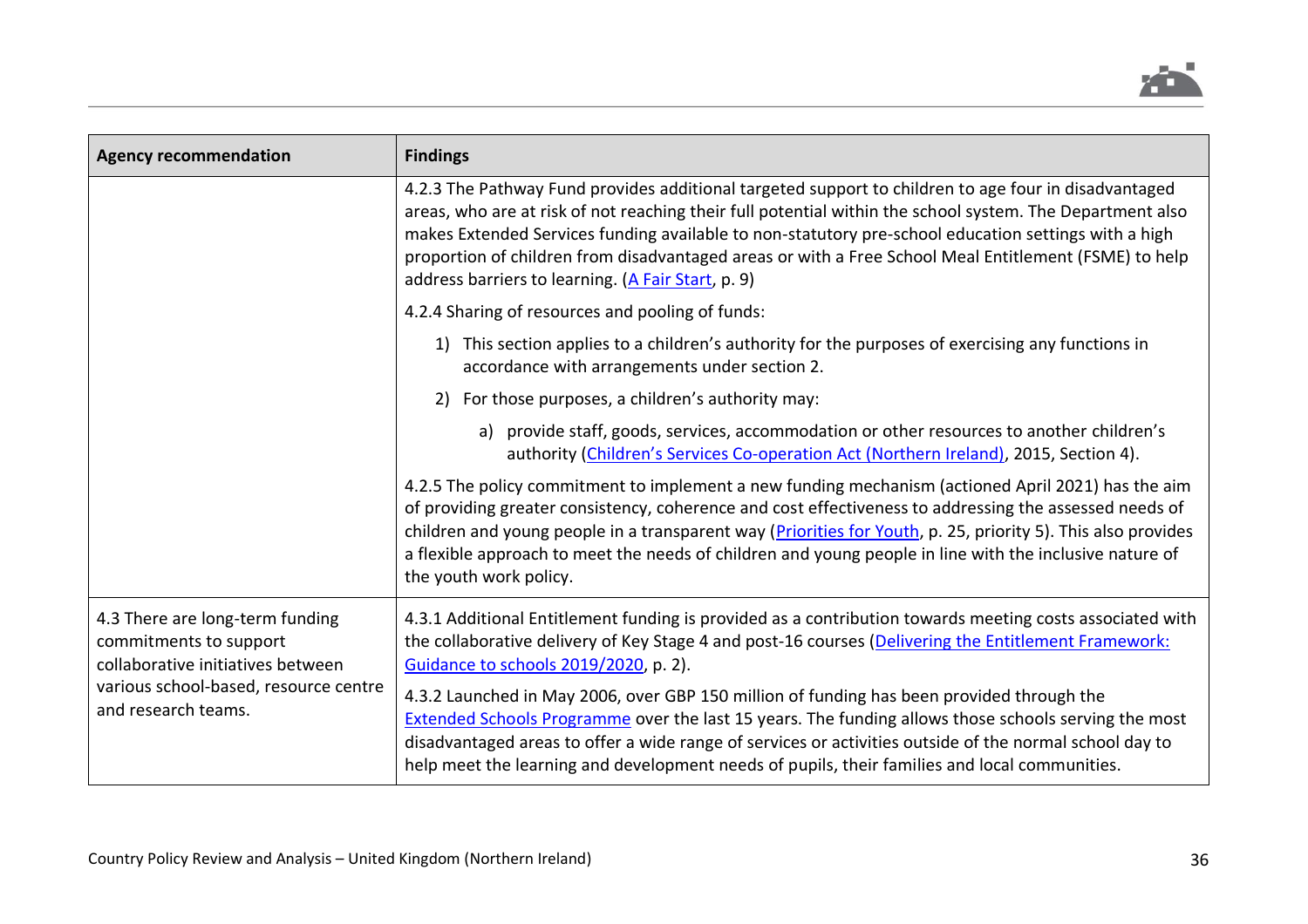

| <b>Agency recommendation</b>                                                                                                                                   | <b>Findings</b>                                                                                                                                                                                                                                                                                                                                                                                                                                                                          |
|----------------------------------------------------------------------------------------------------------------------------------------------------------------|------------------------------------------------------------------------------------------------------------------------------------------------------------------------------------------------------------------------------------------------------------------------------------------------------------------------------------------------------------------------------------------------------------------------------------------------------------------------------------------|
|                                                                                                                                                                | 4.2.3 The Pathway Fund provides additional targeted support to children to age four in disadvantaged<br>areas, who are at risk of not reaching their full potential within the school system. The Department also<br>makes Extended Services funding available to non-statutory pre-school education settings with a high<br>proportion of children from disadvantaged areas or with a Free School Meal Entitlement (FSME) to help<br>address barriers to learning. (A Fair Start, p. 9) |
|                                                                                                                                                                | 4.2.4 Sharing of resources and pooling of funds:                                                                                                                                                                                                                                                                                                                                                                                                                                         |
|                                                                                                                                                                | 1) This section applies to a children's authority for the purposes of exercising any functions in<br>accordance with arrangements under section 2.                                                                                                                                                                                                                                                                                                                                       |
|                                                                                                                                                                | 2) For those purposes, a children's authority may:                                                                                                                                                                                                                                                                                                                                                                                                                                       |
|                                                                                                                                                                | a) provide staff, goods, services, accommodation or other resources to another children's<br>authority (Children's Services Co-operation Act (Northern Ireland), 2015, Section 4).                                                                                                                                                                                                                                                                                                       |
|                                                                                                                                                                | 4.2.5 The policy commitment to implement a new funding mechanism (actioned April 2021) has the aim<br>of providing greater consistency, coherence and cost effectiveness to addressing the assessed needs of<br>children and young people in a transparent way ( <i>Priorities for Youth</i> , p. 25, priority 5). This also provides<br>a flexible approach to meet the needs of children and young people in line with the inclusive nature of<br>the youth work policy.               |
| 4.3 There are long-term funding<br>commitments to support<br>collaborative initiatives between<br>various school-based, resource centre<br>and research teams. | 4.3.1 Additional Entitlement funding is provided as a contribution towards meeting costs associated with<br>the collaborative delivery of Key Stage 4 and post-16 courses (Delivering the Entitlement Framework:<br>Guidance to schools 2019/2020, p. 2).                                                                                                                                                                                                                                |
|                                                                                                                                                                | 4.3.2 Launched in May 2006, over GBP 150 million of funding has been provided through the<br><b>Extended Schools Programme</b> over the last 15 years. The funding allows those schools serving the most<br>disadvantaged areas to offer a wide range of services or activities outside of the normal school day to<br>help meet the learning and development needs of pupils, their families and local communities.                                                                     |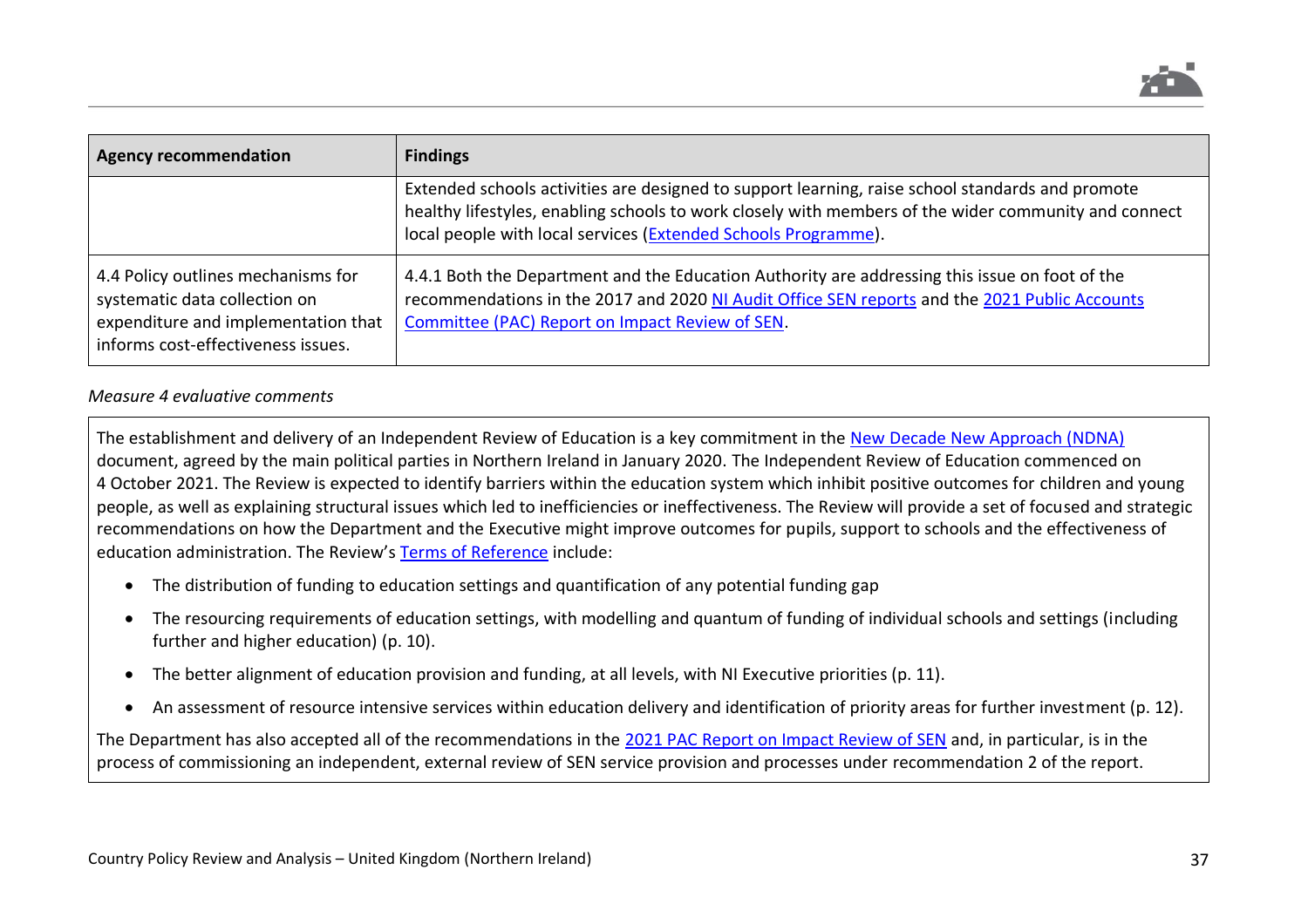

| <b>Agency recommendation</b>                                                                                                                     | <b>Findings</b>                                                                                                                                                                                                                                                            |
|--------------------------------------------------------------------------------------------------------------------------------------------------|----------------------------------------------------------------------------------------------------------------------------------------------------------------------------------------------------------------------------------------------------------------------------|
|                                                                                                                                                  | Extended schools activities are designed to support learning, raise school standards and promote<br>healthy lifestyles, enabling schools to work closely with members of the wider community and connect<br>local people with local services (Extended Schools Programme). |
| 4.4 Policy outlines mechanisms for<br>systematic data collection on<br>expenditure and implementation that<br>informs cost-effectiveness issues. | 4.4.1 Both the Department and the Education Authority are addressing this issue on foot of the<br>recommendations in the 2017 and 2020 NI Audit Office SEN reports and the 2021 Public Accounts<br>Committee (PAC) Report on Impact Review of SEN.                         |

### *Measure 4 evaluative comments*

The establishment and delivery of an Independent Review of Education is a key commitment in the [New Decade New Approach \(NDNA\)](https://assets.publishing.service.gov.uk/government/uploads/system/uploads/attachment_data/file/856998/2020-01-08_a_new_decade__a_new_approach.pdf) document, agreed by the main political parties in Northern Ireland in January 2020. The Independent Review of Education commenced on 4 October 2021. The Review is expected to identify barriers within the education system which inhibit positive outcomes for children and young people, as well as explaining structural issues which led to inefficiencies or ineffectiveness. The Review will provide a set of focused and strategic recommendations on how the Department and the Executive might improve outcomes for pupils, support to schools and the effectiveness of education administration. The Review's [Terms of Reference](https://www.education-ni.gov.uk/sites/default/files/publications/education/INDEPENDENT%20REVIEW%20OF%20EDUCATION%20-%20REVISED%20DRAFT%20TERMS%20OF%20REFERENCE%20-%20FEBRUARY%202021.pdf) include:

- The distribution of funding to education settings and quantification of any potential funding gap
- The resourcing requirements of education settings, with modelling and quantum of funding of individual schools and settings (including further and higher education) (p. 10).
- The better alignment of education provision and funding, at all levels, with NI Executive priorities (p. 11).
- An assessment of resource intensive services within education delivery and identification of priority areas for further investment (p. 12).

The Department has also accepted all of the recommendations in the [2021 PAC Report on Impact Review of SEN](http://www.niassembly.gov.uk/assembly-business/committees/2017-2022/public-accounts-committee/reports/report-on-impact-review-of-special-educational-needs/) and, in particular, is in the process of commissioning an independent, external review of SEN service provision and processes under recommendation 2 of the report.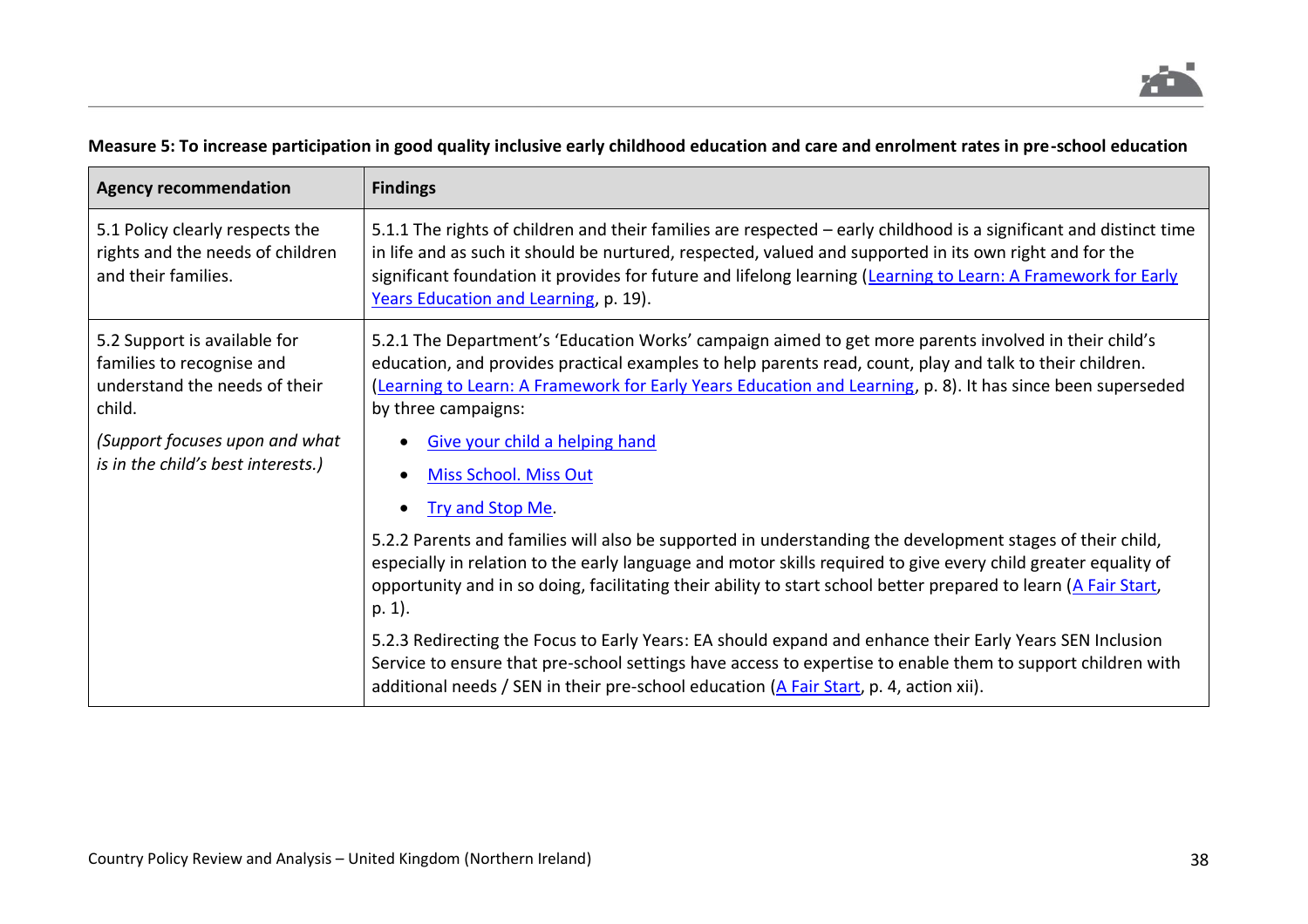

## **Measure 5: To increase participation in good quality inclusive early childhood education and care and enrolment rates in pre-school education**

| <b>Agency recommendation</b>                                                                         | <b>Findings</b>                                                                                                                                                                                                                                                                                                                                                                         |
|------------------------------------------------------------------------------------------------------|-----------------------------------------------------------------------------------------------------------------------------------------------------------------------------------------------------------------------------------------------------------------------------------------------------------------------------------------------------------------------------------------|
| 5.1 Policy clearly respects the<br>rights and the needs of children<br>and their families.           | 5.1.1 The rights of children and their families are respected – early childhood is a significant and distinct time<br>in life and as such it should be nurtured, respected, valued and supported in its own right and for the<br>significant foundation it provides for future and lifelong learning (Learning to Learn: A Framework for Early<br>Years Education and Learning, p. 19). |
| 5.2 Support is available for<br>families to recognise and<br>understand the needs of their<br>child. | 5.2.1 The Department's 'Education Works' campaign aimed to get more parents involved in their child's<br>education, and provides practical examples to help parents read, count, play and talk to their children.<br>(Learning to Learn: A Framework for Early Years Education and Learning, p. 8). It has since been superseded<br>by three campaigns:                                 |
| (Support focuses upon and what<br>is in the child's best interests.)                                 | Give your child a helping hand<br><b>Miss School. Miss Out</b><br>Try and Stop Me.                                                                                                                                                                                                                                                                                                      |
|                                                                                                      | 5.2.2 Parents and families will also be supported in understanding the development stages of their child,<br>especially in relation to the early language and motor skills required to give every child greater equality of<br>opportunity and in so doing, facilitating their ability to start school better prepared to learn (A Fair Start,<br>p. 1).                                |
|                                                                                                      | 5.2.3 Redirecting the Focus to Early Years: EA should expand and enhance their Early Years SEN Inclusion<br>Service to ensure that pre-school settings have access to expertise to enable them to support children with<br>additional needs / SEN in their pre-school education (A Fair Start, p. 4, action xii).                                                                       |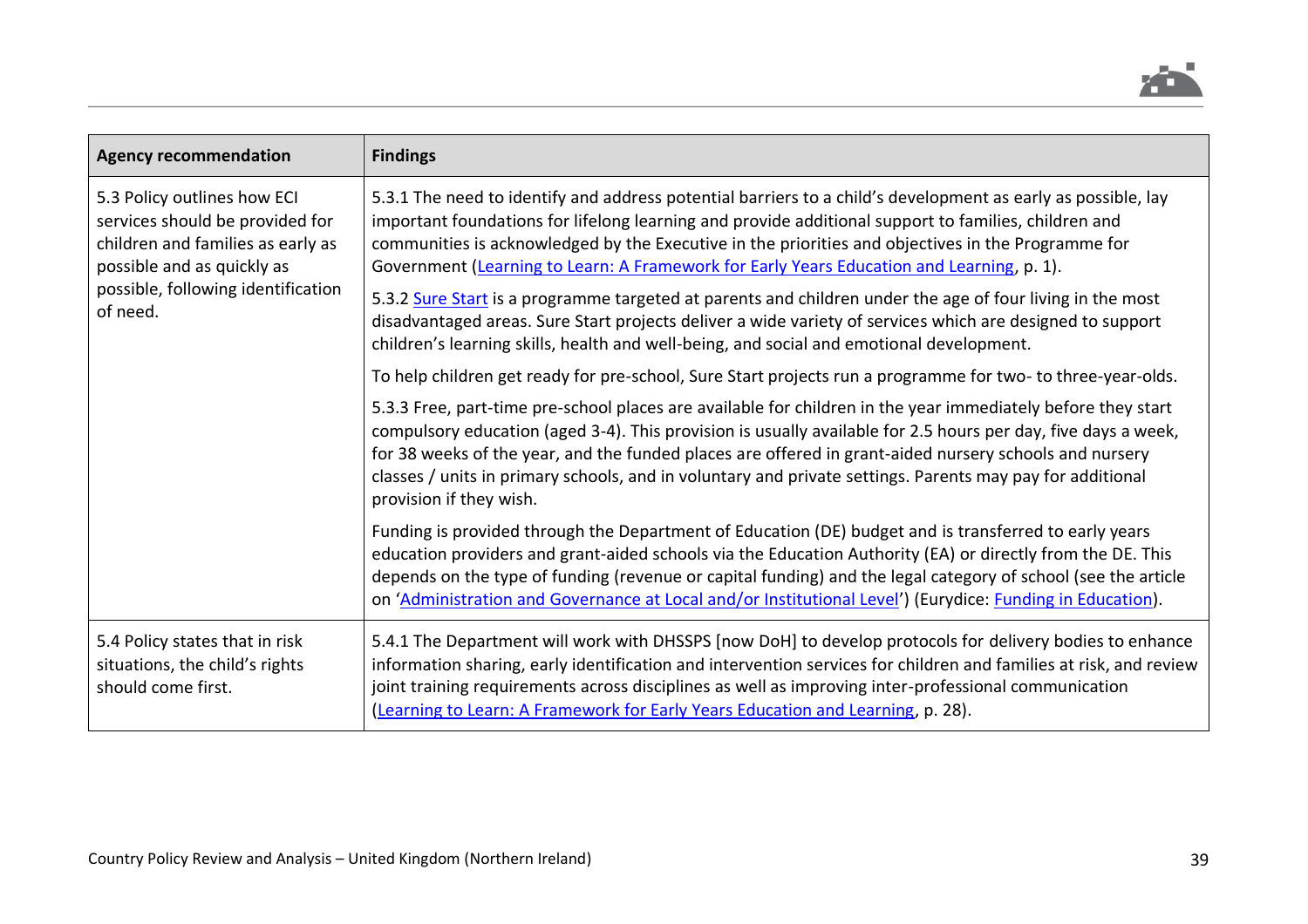

| <b>Agency recommendation</b>                                                                                                                                                        | <b>Findings</b>                                                                                                                                                                                                                                                                                                                                                                                                                                                                 |
|-------------------------------------------------------------------------------------------------------------------------------------------------------------------------------------|---------------------------------------------------------------------------------------------------------------------------------------------------------------------------------------------------------------------------------------------------------------------------------------------------------------------------------------------------------------------------------------------------------------------------------------------------------------------------------|
| 5.3 Policy outlines how ECI<br>services should be provided for<br>children and families as early as<br>possible and as quickly as<br>possible, following identification<br>of need. | 5.3.1 The need to identify and address potential barriers to a child's development as early as possible, lay<br>important foundations for lifelong learning and provide additional support to families, children and<br>communities is acknowledged by the Executive in the priorities and objectives in the Programme for<br>Government (Learning to Learn: A Framework for Early Years Education and Learning, p. 1).                                                         |
|                                                                                                                                                                                     | 5.3.2 Sure Start is a programme targeted at parents and children under the age of four living in the most<br>disadvantaged areas. Sure Start projects deliver a wide variety of services which are designed to support<br>children's learning skills, health and well-being, and social and emotional development.                                                                                                                                                              |
|                                                                                                                                                                                     | To help children get ready for pre-school, Sure Start projects run a programme for two- to three-year-olds.                                                                                                                                                                                                                                                                                                                                                                     |
|                                                                                                                                                                                     | 5.3.3 Free, part-time pre-school places are available for children in the year immediately before they start<br>compulsory education (aged 3-4). This provision is usually available for 2.5 hours per day, five days a week,<br>for 38 weeks of the year, and the funded places are offered in grant-aided nursery schools and nursery<br>classes / units in primary schools, and in voluntary and private settings. Parents may pay for additional<br>provision if they wish. |
|                                                                                                                                                                                     | Funding is provided through the Department of Education (DE) budget and is transferred to early years<br>education providers and grant-aided schools via the Education Authority (EA) or directly from the DE. This<br>depends on the type of funding (revenue or capital funding) and the legal category of school (see the article<br>on 'Administration and Governance at Local and/or Institutional Level') (Eurydice: Funding in Education).                               |
| 5.4 Policy states that in risk<br>situations, the child's rights<br>should come first.                                                                                              | 5.4.1 The Department will work with DHSSPS [now DoH] to develop protocols for delivery bodies to enhance<br>information sharing, early identification and intervention services for children and families at risk, and review<br>joint training requirements across disciplines as well as improving inter-professional communication<br>(Learning to Learn: A Framework for Early Years Education and Learning, p. 28).                                                        |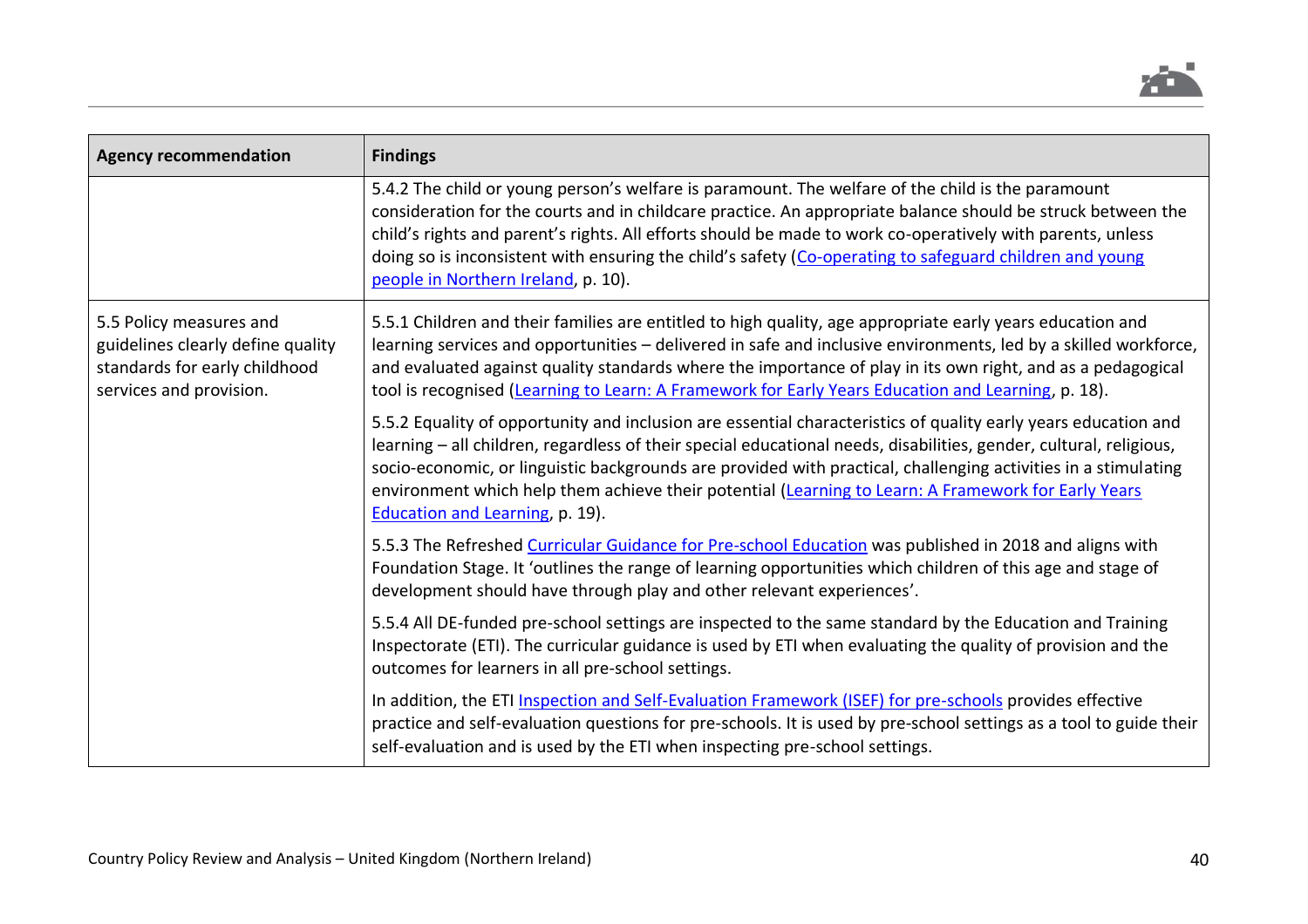

| <b>Agency recommendation</b>                                                                                             | <b>Findings</b>                                                                                                                                                                                                                                                                                                                                                                                                                                                                                  |
|--------------------------------------------------------------------------------------------------------------------------|--------------------------------------------------------------------------------------------------------------------------------------------------------------------------------------------------------------------------------------------------------------------------------------------------------------------------------------------------------------------------------------------------------------------------------------------------------------------------------------------------|
|                                                                                                                          | 5.4.2 The child or young person's welfare is paramount. The welfare of the child is the paramount<br>consideration for the courts and in childcare practice. An appropriate balance should be struck between the<br>child's rights and parent's rights. All efforts should be made to work co-operatively with parents, unless<br>doing so is inconsistent with ensuring the child's safety (Co-operating to safeguard children and young<br>people in Northern Ireland, p. 10).                 |
| 5.5 Policy measures and<br>guidelines clearly define quality<br>standards for early childhood<br>services and provision. | 5.5.1 Children and their families are entitled to high quality, age appropriate early years education and<br>learning services and opportunities – delivered in safe and inclusive environments, led by a skilled workforce,<br>and evaluated against quality standards where the importance of play in its own right, and as a pedagogical<br>tool is recognised (Learning to Learn: A Framework for Early Years Education and Learning, p. 18).                                                |
|                                                                                                                          | 5.5.2 Equality of opportunity and inclusion are essential characteristics of quality early years education and<br>learning - all children, regardless of their special educational needs, disabilities, gender, cultural, religious,<br>socio-economic, or linguistic backgrounds are provided with practical, challenging activities in a stimulating<br>environment which help them achieve their potential (Learning to Learn: A Framework for Early Years<br>Education and Learning, p. 19). |
|                                                                                                                          | 5.5.3 The Refreshed Curricular Guidance for Pre-school Education was published in 2018 and aligns with<br>Foundation Stage. It 'outlines the range of learning opportunities which children of this age and stage of<br>development should have through play and other relevant experiences'.                                                                                                                                                                                                    |
|                                                                                                                          | 5.5.4 All DE-funded pre-school settings are inspected to the same standard by the Education and Training<br>Inspectorate (ETI). The curricular guidance is used by ETI when evaluating the quality of provision and the<br>outcomes for learners in all pre-school settings.                                                                                                                                                                                                                     |
|                                                                                                                          | In addition, the ETI Inspection and Self-Evaluation Framework (ISEF) for pre-schools provides effective<br>practice and self-evaluation questions for pre-schools. It is used by pre-school settings as a tool to guide their<br>self-evaluation and is used by the ETI when inspecting pre-school settings.                                                                                                                                                                                     |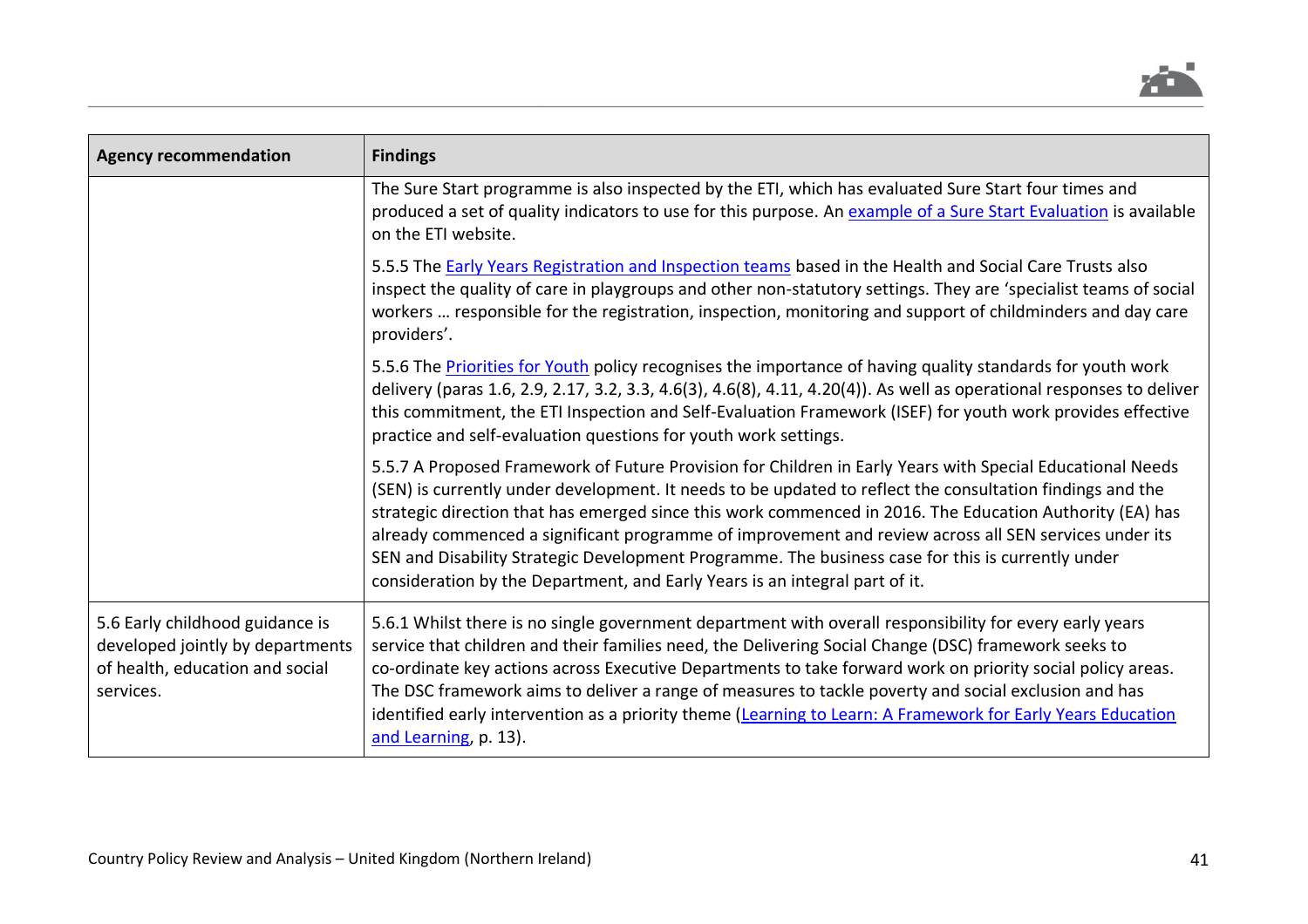

| <b>Agency recommendation</b>                                                                                        | <b>Findings</b>                                                                                                                                                                                                                                                                                                                                                                                                                                                                                                                                                                                                                 |
|---------------------------------------------------------------------------------------------------------------------|---------------------------------------------------------------------------------------------------------------------------------------------------------------------------------------------------------------------------------------------------------------------------------------------------------------------------------------------------------------------------------------------------------------------------------------------------------------------------------------------------------------------------------------------------------------------------------------------------------------------------------|
|                                                                                                                     | The Sure Start programme is also inspected by the ETI, which has evaluated Sure Start four times and<br>produced a set of quality indicators to use for this purpose. An example of a Sure Start Evaluation is available<br>on the ETI website.                                                                                                                                                                                                                                                                                                                                                                                 |
|                                                                                                                     | 5.5.5 The Early Years Registration and Inspection teams based in the Health and Social Care Trusts also<br>inspect the quality of care in playgroups and other non-statutory settings. They are 'specialist teams of social<br>workers  responsible for the registration, inspection, monitoring and support of childminders and day care<br>providers'.                                                                                                                                                                                                                                                                        |
|                                                                                                                     | 5.5.6 The Priorities for Youth policy recognises the importance of having quality standards for youth work<br>delivery (paras 1.6, 2.9, 2.17, 3.2, 3.3, 4.6(3), 4.6(8), 4.11, 4.20(4)). As well as operational responses to deliver<br>this commitment, the ETI Inspection and Self-Evaluation Framework (ISEF) for youth work provides effective<br>practice and self-evaluation questions for youth work settings.                                                                                                                                                                                                            |
|                                                                                                                     | 5.5.7 A Proposed Framework of Future Provision for Children in Early Years with Special Educational Needs<br>(SEN) is currently under development. It needs to be updated to reflect the consultation findings and the<br>strategic direction that has emerged since this work commenced in 2016. The Education Authority (EA) has<br>already commenced a significant programme of improvement and review across all SEN services under its<br>SEN and Disability Strategic Development Programme. The business case for this is currently under<br>consideration by the Department, and Early Years is an integral part of it. |
| 5.6 Early childhood guidance is<br>developed jointly by departments<br>of health, education and social<br>services. | 5.6.1 Whilst there is no single government department with overall responsibility for every early years<br>service that children and their families need, the Delivering Social Change (DSC) framework seeks to<br>co-ordinate key actions across Executive Departments to take forward work on priority social policy areas.<br>The DSC framework aims to deliver a range of measures to tackle poverty and social exclusion and has<br>identified early intervention as a priority theme (Learning to Learn: A Framework for Early Years Education<br>and Learning, p. 13).                                                   |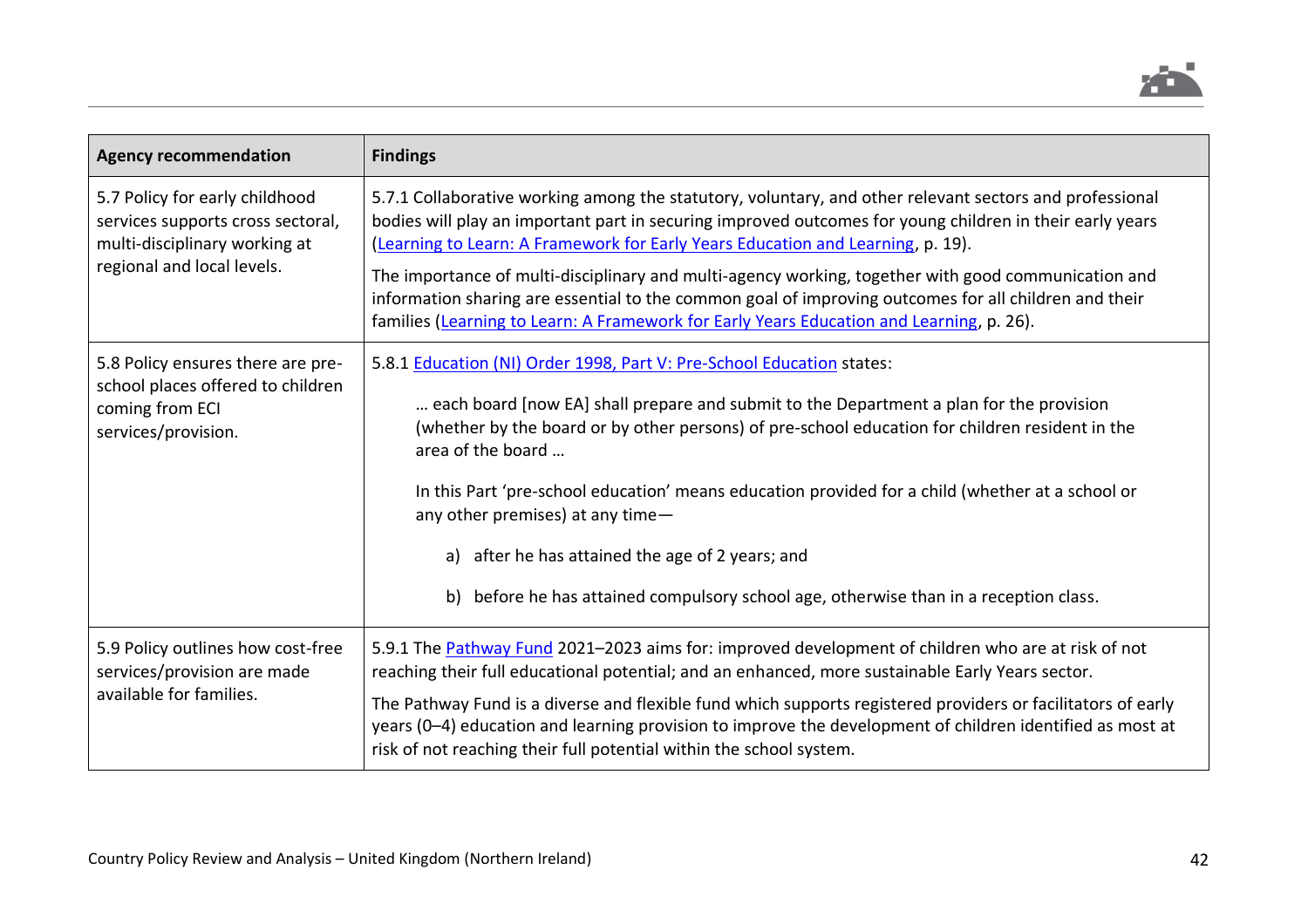

| <b>Agency recommendation</b>                                                                                                       | <b>Findings</b>                                                                                                                                                                                                                                                                                          |
|------------------------------------------------------------------------------------------------------------------------------------|----------------------------------------------------------------------------------------------------------------------------------------------------------------------------------------------------------------------------------------------------------------------------------------------------------|
| 5.7 Policy for early childhood<br>services supports cross sectoral,<br>multi-disciplinary working at<br>regional and local levels. | 5.7.1 Collaborative working among the statutory, voluntary, and other relevant sectors and professional<br>bodies will play an important part in securing improved outcomes for young children in their early years<br>(Learning to Learn: A Framework for Early Years Education and Learning, p. 19).   |
|                                                                                                                                    | The importance of multi-disciplinary and multi-agency working, together with good communication and<br>information sharing are essential to the common goal of improving outcomes for all children and their<br>families (Learning to Learn: A Framework for Early Years Education and Learning, p. 26). |
| 5.8 Policy ensures there are pre-<br>school places offered to children<br>coming from ECI<br>services/provision.                   | 5.8.1 Education (NI) Order 1998, Part V: Pre-School Education states:                                                                                                                                                                                                                                    |
|                                                                                                                                    | each board [now EA] shall prepare and submit to the Department a plan for the provision<br>(whether by the board or by other persons) of pre-school education for children resident in the<br>area of the board                                                                                          |
|                                                                                                                                    | In this Part 'pre-school education' means education provided for a child (whether at a school or<br>any other premises) at any time-                                                                                                                                                                     |
|                                                                                                                                    | after he has attained the age of 2 years; and<br>a)                                                                                                                                                                                                                                                      |
|                                                                                                                                    | b) before he has attained compulsory school age, otherwise than in a reception class.                                                                                                                                                                                                                    |
| 5.9 Policy outlines how cost-free<br>services/provision are made<br>available for families.                                        | 5.9.1 The Pathway Fund 2021-2023 aims for: improved development of children who are at risk of not<br>reaching their full educational potential; and an enhanced, more sustainable Early Years sector.                                                                                                   |
|                                                                                                                                    | The Pathway Fund is a diverse and flexible fund which supports registered providers or facilitators of early<br>years (0-4) education and learning provision to improve the development of children identified as most at<br>risk of not reaching their full potential within the school system.         |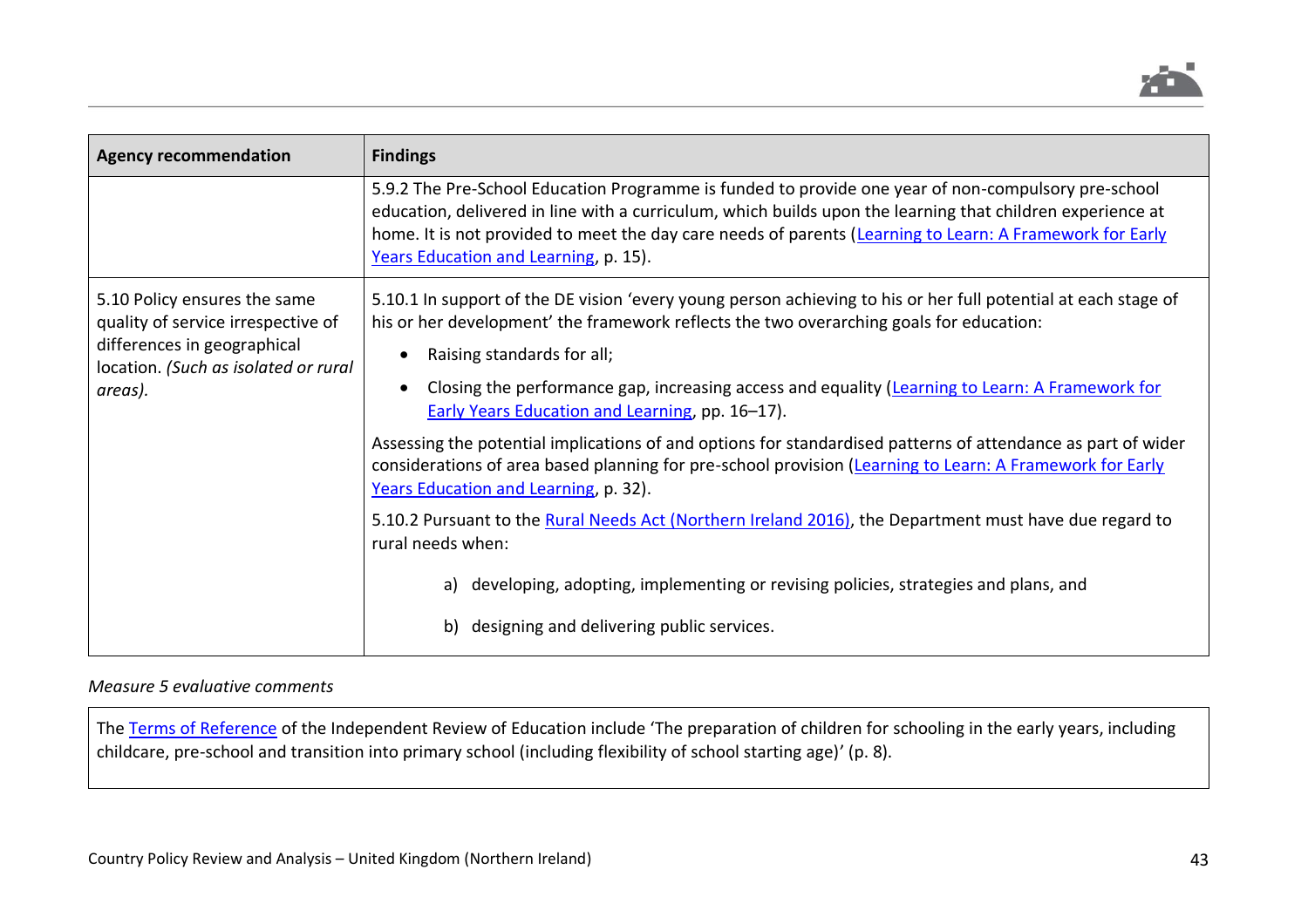

| <b>Agency recommendation</b>                                                                                                                         | <b>Findings</b>                                                                                                                                                                                                                                                                                                                                                                                                                                                                                                                                                                                                                                                                                                                                                                                                                                                                                                                                  |
|------------------------------------------------------------------------------------------------------------------------------------------------------|--------------------------------------------------------------------------------------------------------------------------------------------------------------------------------------------------------------------------------------------------------------------------------------------------------------------------------------------------------------------------------------------------------------------------------------------------------------------------------------------------------------------------------------------------------------------------------------------------------------------------------------------------------------------------------------------------------------------------------------------------------------------------------------------------------------------------------------------------------------------------------------------------------------------------------------------------|
|                                                                                                                                                      | 5.9.2 The Pre-School Education Programme is funded to provide one year of non-compulsory pre-school<br>education, delivered in line with a curriculum, which builds upon the learning that children experience at<br>home. It is not provided to meet the day care needs of parents (Learning to Learn: A Framework for Early<br>Years Education and Learning, p. 15).                                                                                                                                                                                                                                                                                                                                                                                                                                                                                                                                                                           |
| 5.10 Policy ensures the same<br>quality of service irrespective of<br>differences in geographical<br>location. (Such as isolated or rural<br>areas). | 5.10.1 In support of the DE vision 'every young person achieving to his or her full potential at each stage of<br>his or her development' the framework reflects the two overarching goals for education:<br>Raising standards for all;<br>Closing the performance gap, increasing access and equality (Learning to Learn: A Framework for<br>Early Years Education and Learning, pp. 16-17).<br>Assessing the potential implications of and options for standardised patterns of attendance as part of wider<br>considerations of area based planning for pre-school provision (Learning to Learn: A Framework for Early<br>Years Education and Learning, p. 32).<br>5.10.2 Pursuant to the Rural Needs Act (Northern Ireland 2016), the Department must have due regard to<br>rural needs when:<br>developing, adopting, implementing or revising policies, strategies and plans, and<br>a)<br>designing and delivering public services.<br>b) |

## *Measure 5 evaluative comments*

The [Terms of Reference](https://www.education-ni.gov.uk/sites/default/files/publications/education/INDEPENDENT%20REVIEW%20OF%20EDUCATION%20-%20REVISED%20DRAFT%20TERMS%20OF%20REFERENCE%20-%20FEBRUARY%202021.pdf) of the Independent Review of Education include 'The preparation of children for schooling in the early years, including childcare, pre-school and transition into primary school (including flexibility of school starting age)' (p. 8).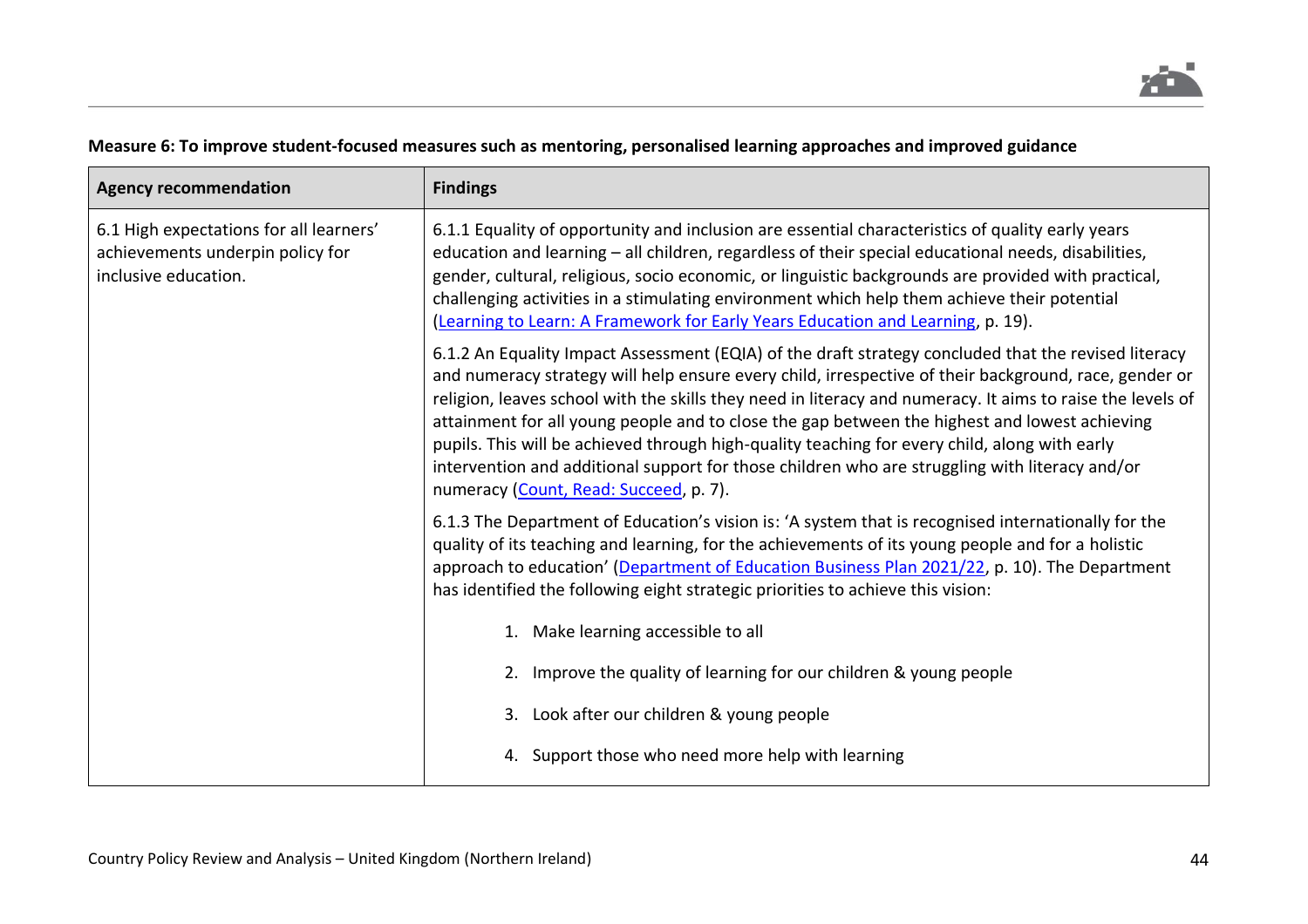

## **Measure 6: To improve student-focused measures such as mentoring, personalised learning approaches and improved guidance**

| <b>Agency recommendation</b>                                                                        | <b>Findings</b>                                                                                                                                                                                                                                                                                                                                                                                                                                                                                                                                                                                                                                                           |
|-----------------------------------------------------------------------------------------------------|---------------------------------------------------------------------------------------------------------------------------------------------------------------------------------------------------------------------------------------------------------------------------------------------------------------------------------------------------------------------------------------------------------------------------------------------------------------------------------------------------------------------------------------------------------------------------------------------------------------------------------------------------------------------------|
| 6.1 High expectations for all learners'<br>achievements underpin policy for<br>inclusive education. | 6.1.1 Equality of opportunity and inclusion are essential characteristics of quality early years<br>education and learning - all children, regardless of their special educational needs, disabilities,<br>gender, cultural, religious, socio economic, or linguistic backgrounds are provided with practical,<br>challenging activities in a stimulating environment which help them achieve their potential<br>(Learning to Learn: A Framework for Early Years Education and Learning, p. 19).                                                                                                                                                                          |
|                                                                                                     | 6.1.2 An Equality Impact Assessment (EQIA) of the draft strategy concluded that the revised literacy<br>and numeracy strategy will help ensure every child, irrespective of their background, race, gender or<br>religion, leaves school with the skills they need in literacy and numeracy. It aims to raise the levels of<br>attainment for all young people and to close the gap between the highest and lowest achieving<br>pupils. This will be achieved through high-quality teaching for every child, along with early<br>intervention and additional support for those children who are struggling with literacy and/or<br>numeracy (Count, Read: Succeed, p. 7). |
|                                                                                                     | 6.1.3 The Department of Education's vision is: 'A system that is recognised internationally for the<br>quality of its teaching and learning, for the achievements of its young people and for a holistic<br>approach to education' (Department of Education Business Plan 2021/22, p. 10). The Department<br>has identified the following eight strategic priorities to achieve this vision:                                                                                                                                                                                                                                                                              |
|                                                                                                     | 1. Make learning accessible to all                                                                                                                                                                                                                                                                                                                                                                                                                                                                                                                                                                                                                                        |
|                                                                                                     | 2. Improve the quality of learning for our children & young people                                                                                                                                                                                                                                                                                                                                                                                                                                                                                                                                                                                                        |
|                                                                                                     | 3. Look after our children & young people                                                                                                                                                                                                                                                                                                                                                                                                                                                                                                                                                                                                                                 |
|                                                                                                     | 4. Support those who need more help with learning                                                                                                                                                                                                                                                                                                                                                                                                                                                                                                                                                                                                                         |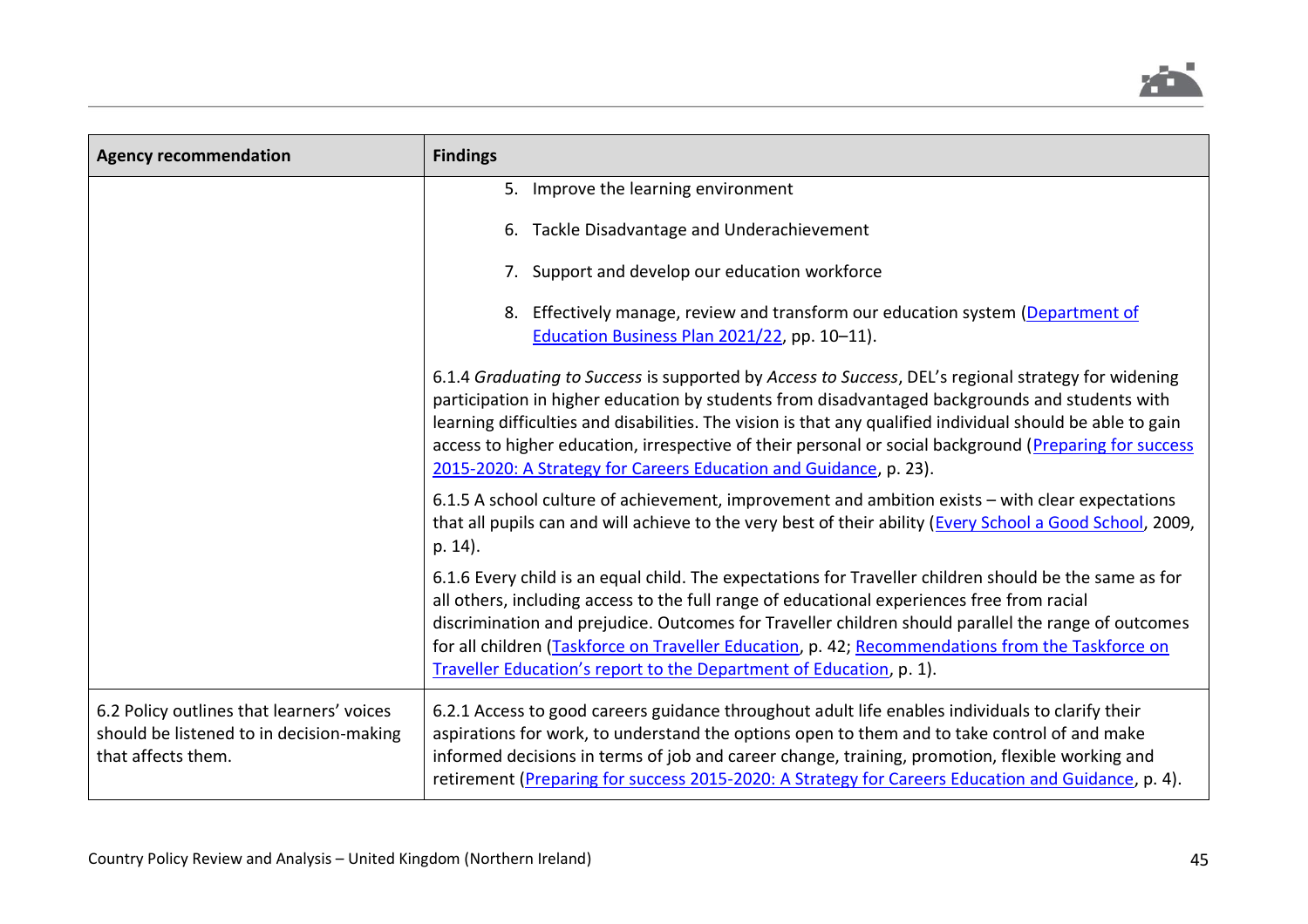

| <b>Agency recommendation</b>                                                                                | <b>Findings</b>                                                                                                                                                                                                                                                                                                                                                                                                                                                                                    |
|-------------------------------------------------------------------------------------------------------------|----------------------------------------------------------------------------------------------------------------------------------------------------------------------------------------------------------------------------------------------------------------------------------------------------------------------------------------------------------------------------------------------------------------------------------------------------------------------------------------------------|
|                                                                                                             | 5. Improve the learning environment                                                                                                                                                                                                                                                                                                                                                                                                                                                                |
|                                                                                                             | Tackle Disadvantage and Underachievement<br>6.                                                                                                                                                                                                                                                                                                                                                                                                                                                     |
|                                                                                                             | 7. Support and develop our education workforce                                                                                                                                                                                                                                                                                                                                                                                                                                                     |
|                                                                                                             | 8. Effectively manage, review and transform our education system (Department of<br>Education Business Plan 2021/22, pp. 10-11).                                                                                                                                                                                                                                                                                                                                                                    |
|                                                                                                             | 6.1.4 Graduating to Success is supported by Access to Success, DEL's regional strategy for widening<br>participation in higher education by students from disadvantaged backgrounds and students with<br>learning difficulties and disabilities. The vision is that any qualified individual should be able to gain<br>access to higher education, irrespective of their personal or social background (Preparing for success<br>2015-2020: A Strategy for Careers Education and Guidance, p. 23). |
|                                                                                                             | 6.1.5 A school culture of achievement, improvement and ambition exists – with clear expectations<br>that all pupils can and will achieve to the very best of their ability (Every School a Good School, 2009,<br>p. 14).                                                                                                                                                                                                                                                                           |
|                                                                                                             | 6.1.6 Every child is an equal child. The expectations for Traveller children should be the same as for<br>all others, including access to the full range of educational experiences free from racial<br>discrimination and prejudice. Outcomes for Traveller children should parallel the range of outcomes<br>for all children (Taskforce on Traveller Education, p. 42; Recommendations from the Taskforce on<br>Traveller Education's report to the Department of Education, p. 1).             |
| 6.2 Policy outlines that learners' voices<br>should be listened to in decision-making<br>that affects them. | 6.2.1 Access to good careers guidance throughout adult life enables individuals to clarify their<br>aspirations for work, to understand the options open to them and to take control of and make<br>informed decisions in terms of job and career change, training, promotion, flexible working and<br>retirement (Preparing for success 2015-2020: A Strategy for Careers Education and Guidance, p. 4).                                                                                          |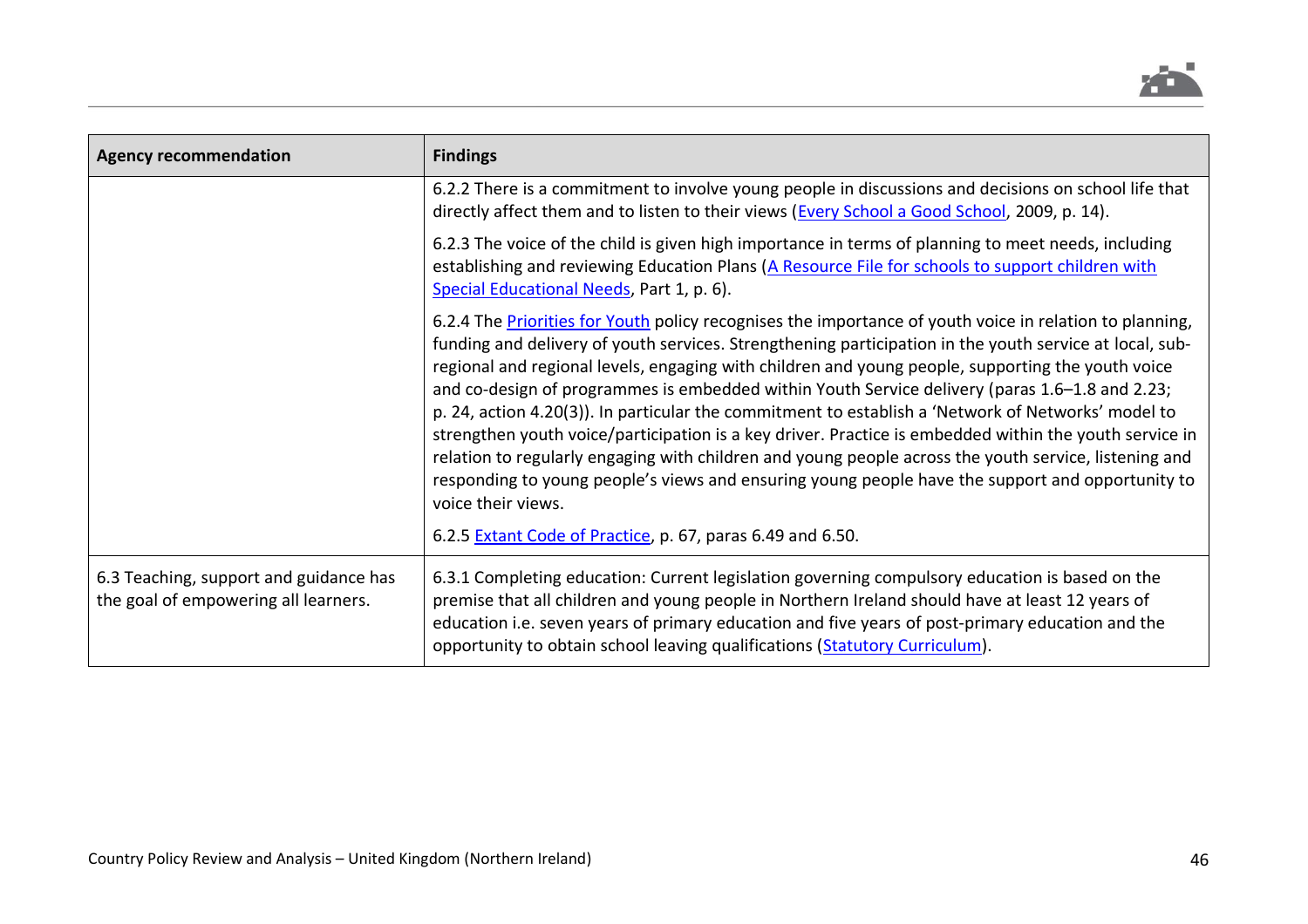

| <b>Agency recommendation</b>                                                   | <b>Findings</b>                                                                                                                                                                                                                                                                                                                                                                                                                                                                                                                                                                                                                                                                                                                                                                                                                                                                                                                            |
|--------------------------------------------------------------------------------|--------------------------------------------------------------------------------------------------------------------------------------------------------------------------------------------------------------------------------------------------------------------------------------------------------------------------------------------------------------------------------------------------------------------------------------------------------------------------------------------------------------------------------------------------------------------------------------------------------------------------------------------------------------------------------------------------------------------------------------------------------------------------------------------------------------------------------------------------------------------------------------------------------------------------------------------|
|                                                                                | 6.2.2 There is a commitment to involve young people in discussions and decisions on school life that<br>directly affect them and to listen to their views (Every School a Good School, 2009, p. 14).                                                                                                                                                                                                                                                                                                                                                                                                                                                                                                                                                                                                                                                                                                                                       |
|                                                                                | 6.2.3 The voice of the child is given high importance in terms of planning to meet needs, including<br>establishing and reviewing Education Plans (A Resource File for schools to support children with<br>Special Educational Needs, Part 1, p. 6).                                                                                                                                                                                                                                                                                                                                                                                                                                                                                                                                                                                                                                                                                       |
|                                                                                | 6.2.4 The Priorities for Youth policy recognises the importance of youth voice in relation to planning,<br>funding and delivery of youth services. Strengthening participation in the youth service at local, sub-<br>regional and regional levels, engaging with children and young people, supporting the youth voice<br>and co-design of programmes is embedded within Youth Service delivery (paras 1.6–1.8 and 2.23;<br>p. 24, action 4.20(3)). In particular the commitment to establish a 'Network of Networks' model to<br>strengthen youth voice/participation is a key driver. Practice is embedded within the youth service in<br>relation to regularly engaging with children and young people across the youth service, listening and<br>responding to young people's views and ensuring young people have the support and opportunity to<br>voice their views.<br>6.2.5 Extant Code of Practice, p. 67, paras 6.49 and 6.50. |
| 6.3 Teaching, support and guidance has<br>the goal of empowering all learners. | 6.3.1 Completing education: Current legislation governing compulsory education is based on the<br>premise that all children and young people in Northern Ireland should have at least 12 years of<br>education i.e. seven years of primary education and five years of post-primary education and the<br>opportunity to obtain school leaving qualifications (Statutory Curriculum).                                                                                                                                                                                                                                                                                                                                                                                                                                                                                                                                                       |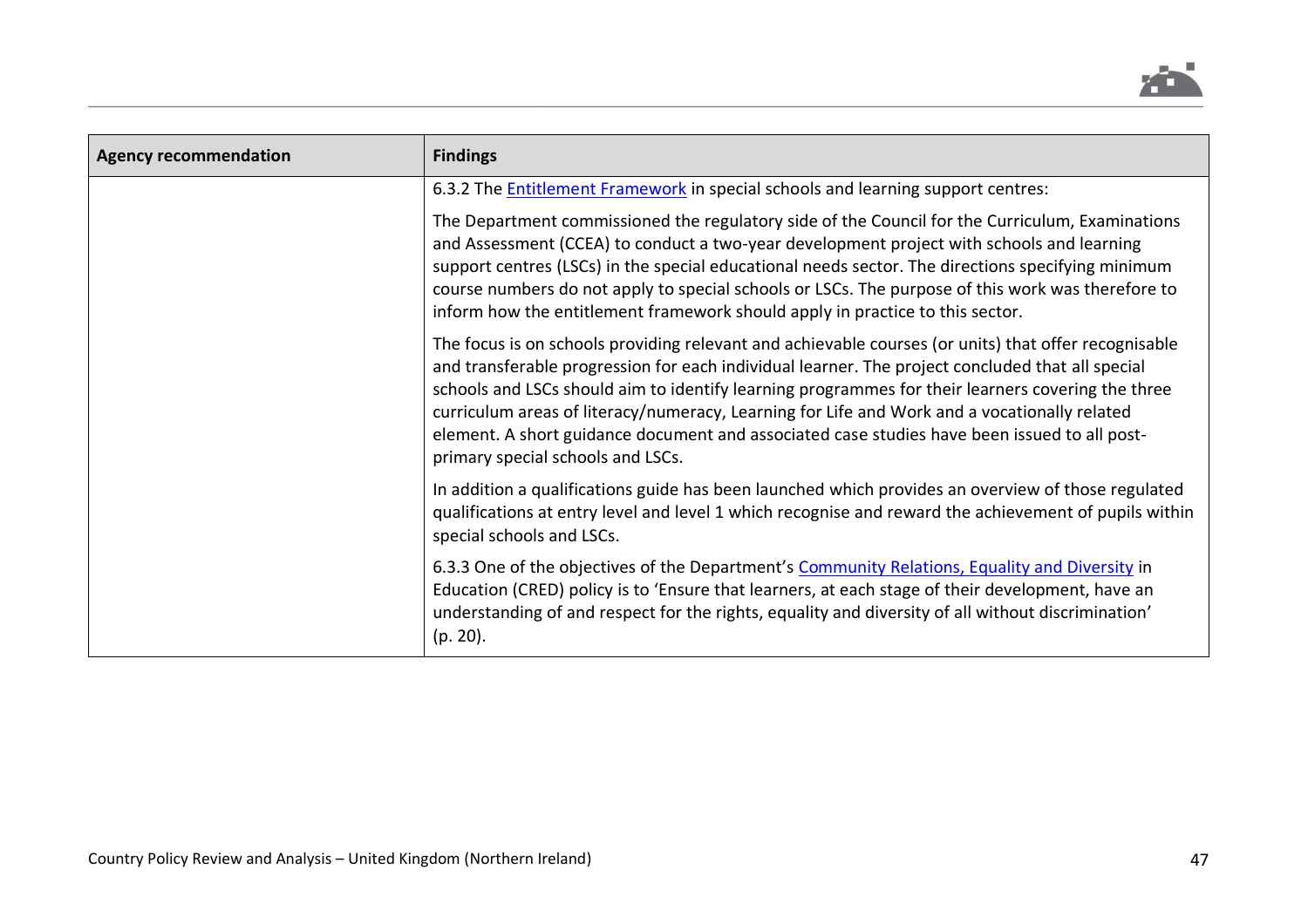

| <b>Agency recommendation</b> | <b>Findings</b>                                                                                                                                                                                                                                                                                                                                                                                                                                                                                                                                    |
|------------------------------|----------------------------------------------------------------------------------------------------------------------------------------------------------------------------------------------------------------------------------------------------------------------------------------------------------------------------------------------------------------------------------------------------------------------------------------------------------------------------------------------------------------------------------------------------|
|                              | 6.3.2 The <b>Entitlement Framework</b> in special schools and learning support centres:                                                                                                                                                                                                                                                                                                                                                                                                                                                            |
|                              | The Department commissioned the regulatory side of the Council for the Curriculum, Examinations<br>and Assessment (CCEA) to conduct a two-year development project with schools and learning<br>support centres (LSCs) in the special educational needs sector. The directions specifying minimum<br>course numbers do not apply to special schools or LSCs. The purpose of this work was therefore to<br>inform how the entitlement framework should apply in practice to this sector.                                                            |
|                              | The focus is on schools providing relevant and achievable courses (or units) that offer recognisable<br>and transferable progression for each individual learner. The project concluded that all special<br>schools and LSCs should aim to identify learning programmes for their learners covering the three<br>curriculum areas of literacy/numeracy, Learning for Life and Work and a vocationally related<br>element. A short guidance document and associated case studies have been issued to all post-<br>primary special schools and LSCs. |
|                              | In addition a qualifications guide has been launched which provides an overview of those regulated<br>qualifications at entry level and level 1 which recognise and reward the achievement of pupils within<br>special schools and LSCs.                                                                                                                                                                                                                                                                                                           |
|                              | 6.3.3 One of the objectives of the Department's Community Relations, Equality and Diversity in<br>Education (CRED) policy is to 'Ensure that learners, at each stage of their development, have an<br>understanding of and respect for the rights, equality and diversity of all without discrimination'<br>$(p. 20)$ .                                                                                                                                                                                                                            |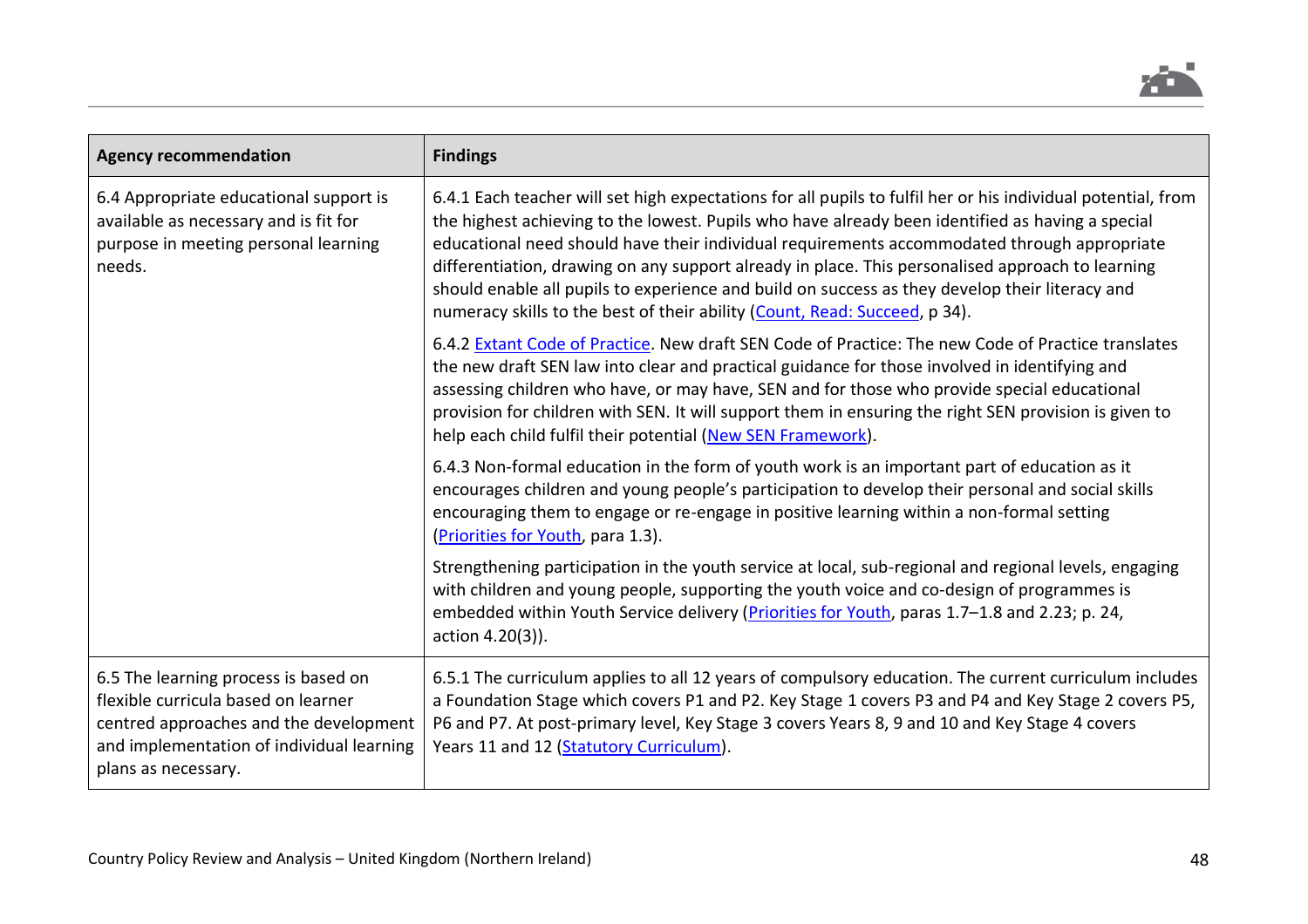

| <b>Agency recommendation</b>                                                                                                                                                              | <b>Findings</b>                                                                                                                                                                                                                                                                                                                                                                                                                                                                                                                                                                                     |
|-------------------------------------------------------------------------------------------------------------------------------------------------------------------------------------------|-----------------------------------------------------------------------------------------------------------------------------------------------------------------------------------------------------------------------------------------------------------------------------------------------------------------------------------------------------------------------------------------------------------------------------------------------------------------------------------------------------------------------------------------------------------------------------------------------------|
| 6.4 Appropriate educational support is<br>available as necessary and is fit for<br>purpose in meeting personal learning<br>needs.                                                         | 6.4.1 Each teacher will set high expectations for all pupils to fulfil her or his individual potential, from<br>the highest achieving to the lowest. Pupils who have already been identified as having a special<br>educational need should have their individual requirements accommodated through appropriate<br>differentiation, drawing on any support already in place. This personalised approach to learning<br>should enable all pupils to experience and build on success as they develop their literacy and<br>numeracy skills to the best of their ability (Count, Read: Succeed, p 34). |
|                                                                                                                                                                                           | 6.4.2 Extant Code of Practice. New draft SEN Code of Practice: The new Code of Practice translates<br>the new draft SEN law into clear and practical guidance for those involved in identifying and<br>assessing children who have, or may have, SEN and for those who provide special educational<br>provision for children with SEN. It will support them in ensuring the right SEN provision is given to<br>help each child fulfil their potential (New SEN Framework).                                                                                                                          |
|                                                                                                                                                                                           | 6.4.3 Non-formal education in the form of youth work is an important part of education as it<br>encourages children and young people's participation to develop their personal and social skills<br>encouraging them to engage or re-engage in positive learning within a non-formal setting<br>(Priorities for Youth, para 1.3).                                                                                                                                                                                                                                                                   |
|                                                                                                                                                                                           | Strengthening participation in the youth service at local, sub-regional and regional levels, engaging<br>with children and young people, supporting the youth voice and co-design of programmes is<br>embedded within Youth Service delivery ( <i>Priorities for Youth</i> , paras 1.7-1.8 and 2.23; p. 24,<br>action 4.20(3)).                                                                                                                                                                                                                                                                     |
| 6.5 The learning process is based on<br>flexible curricula based on learner<br>centred approaches and the development<br>and implementation of individual learning<br>plans as necessary. | 6.5.1 The curriculum applies to all 12 years of compulsory education. The current curriculum includes<br>a Foundation Stage which covers P1 and P2. Key Stage 1 covers P3 and P4 and Key Stage 2 covers P5,<br>P6 and P7. At post-primary level, Key Stage 3 covers Years 8, 9 and 10 and Key Stage 4 covers<br>Years 11 and 12 (Statutory Curriculum).                                                                                                                                                                                                                                             |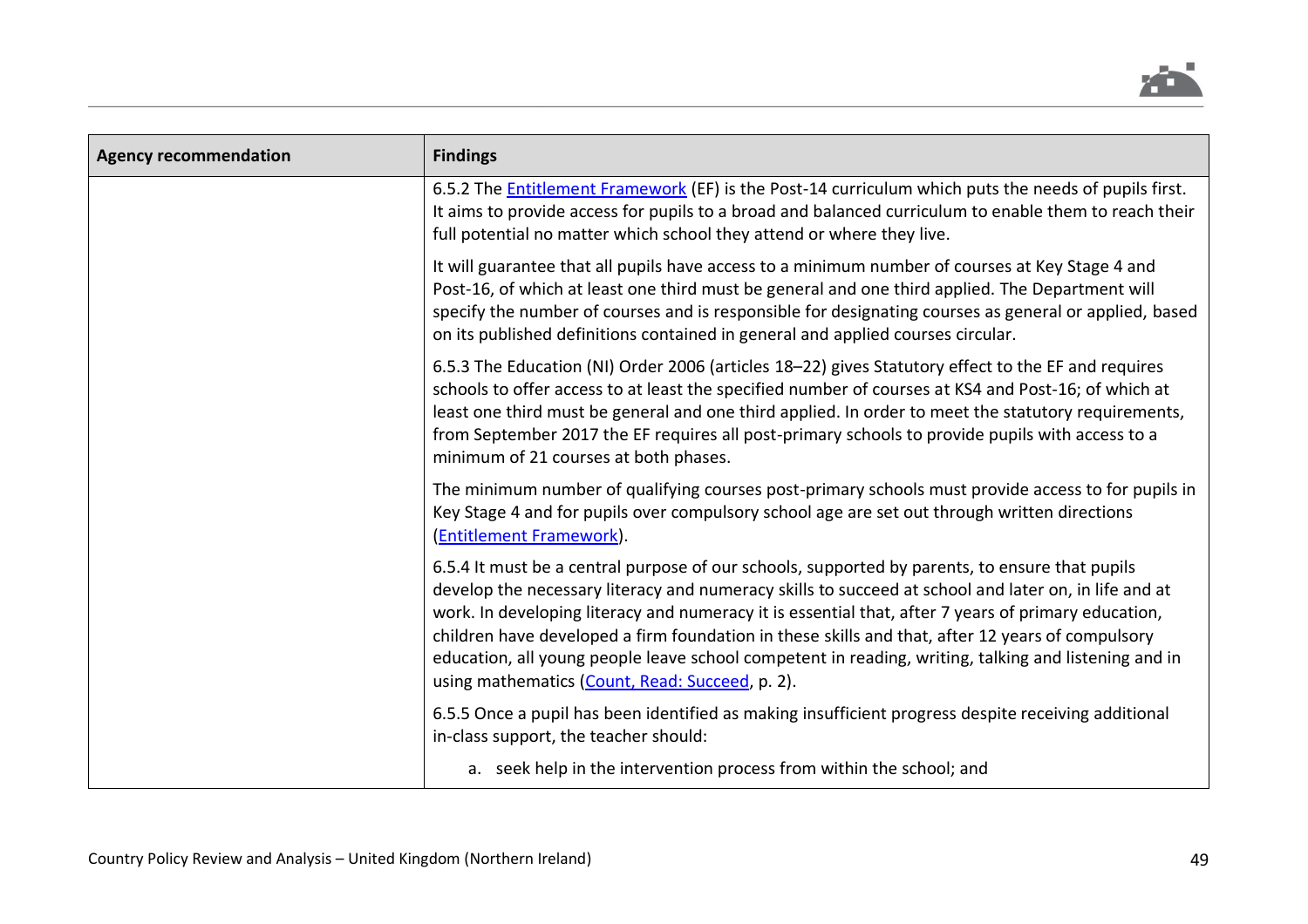

| <b>Agency recommendation</b> | <b>Findings</b>                                                                                                                                                                                                                                                                                                                                                                                                                                                                                                                                                              |
|------------------------------|------------------------------------------------------------------------------------------------------------------------------------------------------------------------------------------------------------------------------------------------------------------------------------------------------------------------------------------------------------------------------------------------------------------------------------------------------------------------------------------------------------------------------------------------------------------------------|
|                              | 6.5.2 The <b>Entitlement Framework</b> (EF) is the Post-14 curriculum which puts the needs of pupils first.<br>It aims to provide access for pupils to a broad and balanced curriculum to enable them to reach their<br>full potential no matter which school they attend or where they live.                                                                                                                                                                                                                                                                                |
|                              | It will guarantee that all pupils have access to a minimum number of courses at Key Stage 4 and<br>Post-16, of which at least one third must be general and one third applied. The Department will<br>specify the number of courses and is responsible for designating courses as general or applied, based<br>on its published definitions contained in general and applied courses circular.                                                                                                                                                                               |
|                              | 6.5.3 The Education (NI) Order 2006 (articles 18-22) gives Statutory effect to the EF and requires<br>schools to offer access to at least the specified number of courses at KS4 and Post-16; of which at<br>least one third must be general and one third applied. In order to meet the statutory requirements,<br>from September 2017 the EF requires all post-primary schools to provide pupils with access to a<br>minimum of 21 courses at both phases.                                                                                                                 |
|                              | The minimum number of qualifying courses post-primary schools must provide access to for pupils in<br>Key Stage 4 and for pupils over compulsory school age are set out through written directions<br>(Entitlement Framework).                                                                                                                                                                                                                                                                                                                                               |
|                              | 6.5.4 It must be a central purpose of our schools, supported by parents, to ensure that pupils<br>develop the necessary literacy and numeracy skills to succeed at school and later on, in life and at<br>work. In developing literacy and numeracy it is essential that, after 7 years of primary education,<br>children have developed a firm foundation in these skills and that, after 12 years of compulsory<br>education, all young people leave school competent in reading, writing, talking and listening and in<br>using mathematics (Count, Read: Succeed, p. 2). |
|                              | 6.5.5 Once a pupil has been identified as making insufficient progress despite receiving additional<br>in-class support, the teacher should:                                                                                                                                                                                                                                                                                                                                                                                                                                 |
|                              | a. seek help in the intervention process from within the school; and                                                                                                                                                                                                                                                                                                                                                                                                                                                                                                         |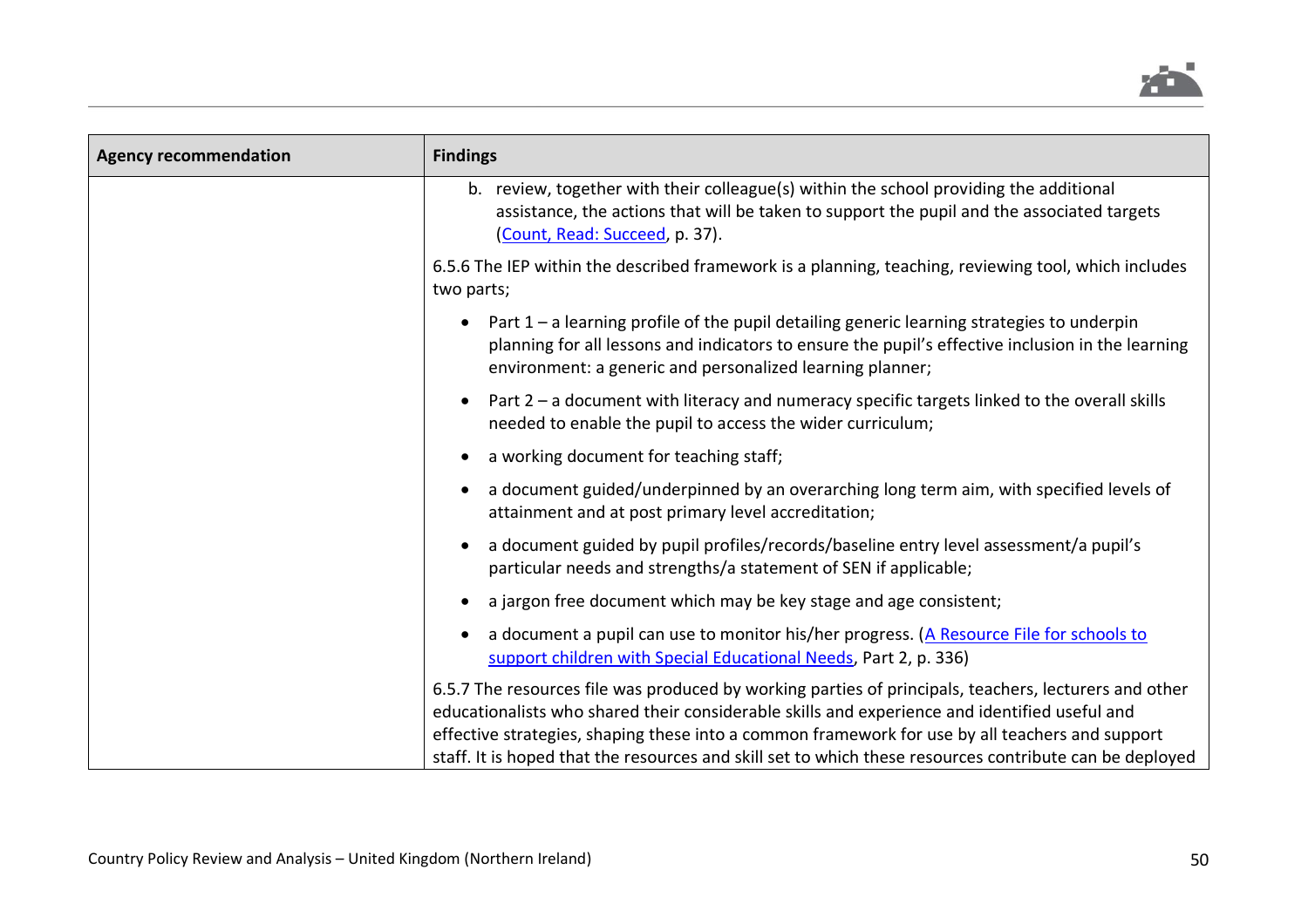

| <b>Agency recommendation</b> | <b>Findings</b>                                                                                                                                                                                                                                                                                                                                                                                                      |
|------------------------------|----------------------------------------------------------------------------------------------------------------------------------------------------------------------------------------------------------------------------------------------------------------------------------------------------------------------------------------------------------------------------------------------------------------------|
|                              | b. review, together with their colleague(s) within the school providing the additional<br>assistance, the actions that will be taken to support the pupil and the associated targets<br>(Count, Read: Succeed, p. 37).                                                                                                                                                                                               |
|                              | 6.5.6 The IEP within the described framework is a planning, teaching, reviewing tool, which includes<br>two parts;                                                                                                                                                                                                                                                                                                   |
|                              | Part $1 - a$ learning profile of the pupil detailing generic learning strategies to underpin<br>planning for all lessons and indicators to ensure the pupil's effective inclusion in the learning<br>environment: a generic and personalized learning planner;                                                                                                                                                       |
|                              | Part $2 - a$ document with literacy and numeracy specific targets linked to the overall skills<br>$\bullet$<br>needed to enable the pupil to access the wider curriculum;                                                                                                                                                                                                                                            |
|                              | a working document for teaching staff;                                                                                                                                                                                                                                                                                                                                                                               |
|                              | a document guided/underpinned by an overarching long term aim, with specified levels of<br>attainment and at post primary level accreditation;                                                                                                                                                                                                                                                                       |
|                              | a document guided by pupil profiles/records/baseline entry level assessment/a pupil's<br>particular needs and strengths/a statement of SEN if applicable;                                                                                                                                                                                                                                                            |
|                              | a jargon free document which may be key stage and age consistent;                                                                                                                                                                                                                                                                                                                                                    |
|                              | a document a pupil can use to monitor his/her progress. (A Resource File for schools to<br>support children with Special Educational Needs, Part 2, p. 336)                                                                                                                                                                                                                                                          |
|                              | 6.5.7 The resources file was produced by working parties of principals, teachers, lecturers and other<br>educationalists who shared their considerable skills and experience and identified useful and<br>effective strategies, shaping these into a common framework for use by all teachers and support<br>staff. It is hoped that the resources and skill set to which these resources contribute can be deployed |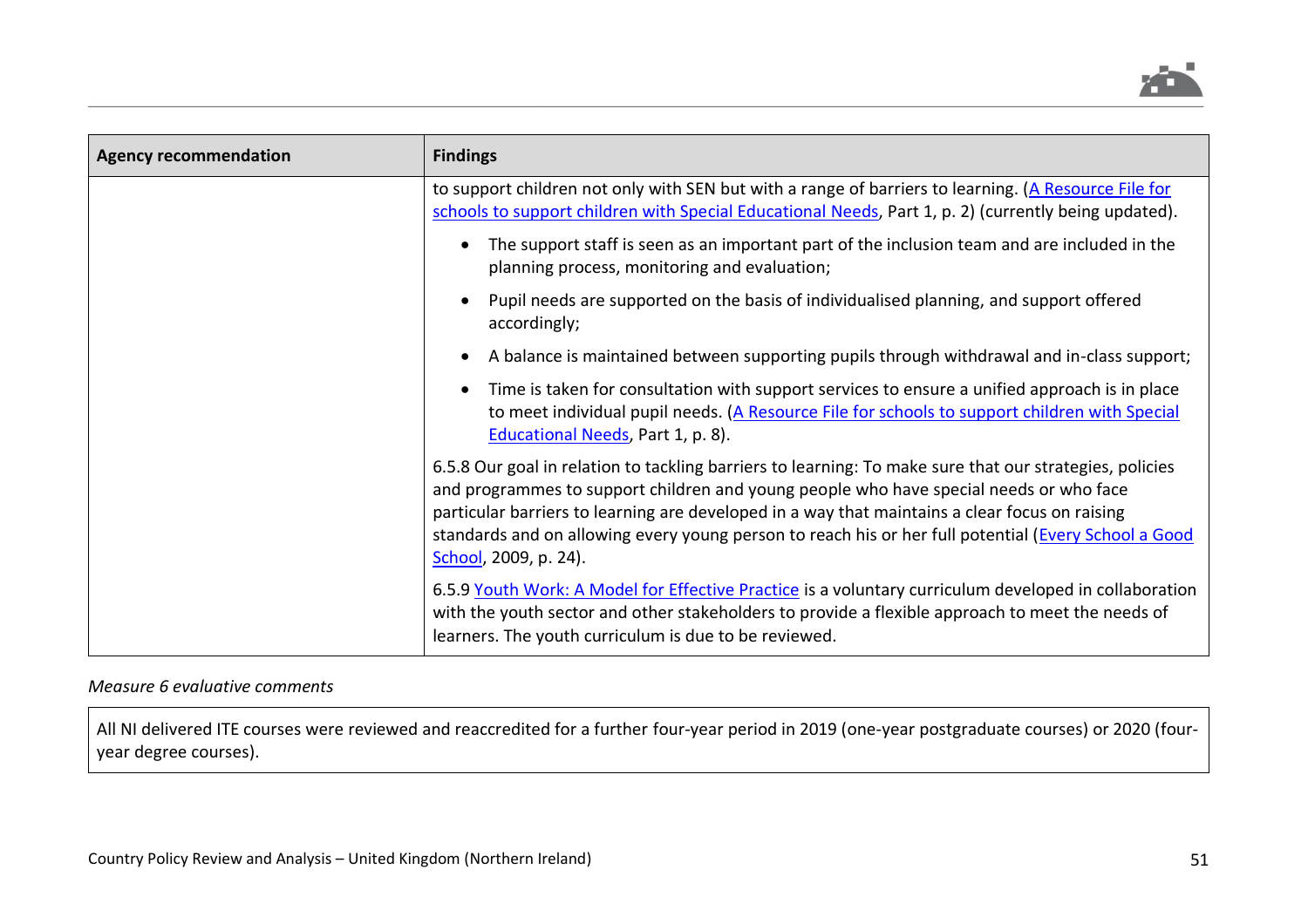

| <b>Agency recommendation</b> | <b>Findings</b>                                                                                                                                                                                                                                                                                                                                                                                                                      |
|------------------------------|--------------------------------------------------------------------------------------------------------------------------------------------------------------------------------------------------------------------------------------------------------------------------------------------------------------------------------------------------------------------------------------------------------------------------------------|
|                              | to support children not only with SEN but with a range of barriers to learning. (A Resource File for<br>schools to support children with Special Educational Needs, Part 1, p. 2) (currently being updated).                                                                                                                                                                                                                         |
|                              | The support staff is seen as an important part of the inclusion team and are included in the<br>planning process, monitoring and evaluation;                                                                                                                                                                                                                                                                                         |
|                              | Pupil needs are supported on the basis of individualised planning, and support offered<br>accordingly;                                                                                                                                                                                                                                                                                                                               |
|                              | A balance is maintained between supporting pupils through withdrawal and in-class support;                                                                                                                                                                                                                                                                                                                                           |
|                              | Time is taken for consultation with support services to ensure a unified approach is in place<br>to meet individual pupil needs. (A Resource File for schools to support children with Special<br>Educational Needs, Part 1, p. 8).                                                                                                                                                                                                  |
|                              | 6.5.8 Our goal in relation to tackling barriers to learning: To make sure that our strategies, policies<br>and programmes to support children and young people who have special needs or who face<br>particular barriers to learning are developed in a way that maintains a clear focus on raising<br>standards and on allowing every young person to reach his or her full potential (Every School a Good<br>School, 2009, p. 24). |
|                              | 6.5.9 Youth Work: A Model for Effective Practice is a voluntary curriculum developed in collaboration<br>with the youth sector and other stakeholders to provide a flexible approach to meet the needs of<br>learners. The youth curriculum is due to be reviewed.                                                                                                                                                                   |

# *Measure 6 evaluative comments*

All NI delivered ITE courses were reviewed and reaccredited for a further four-year period in 2019 (one-year postgraduate courses) or 2020 (fouryear degree courses).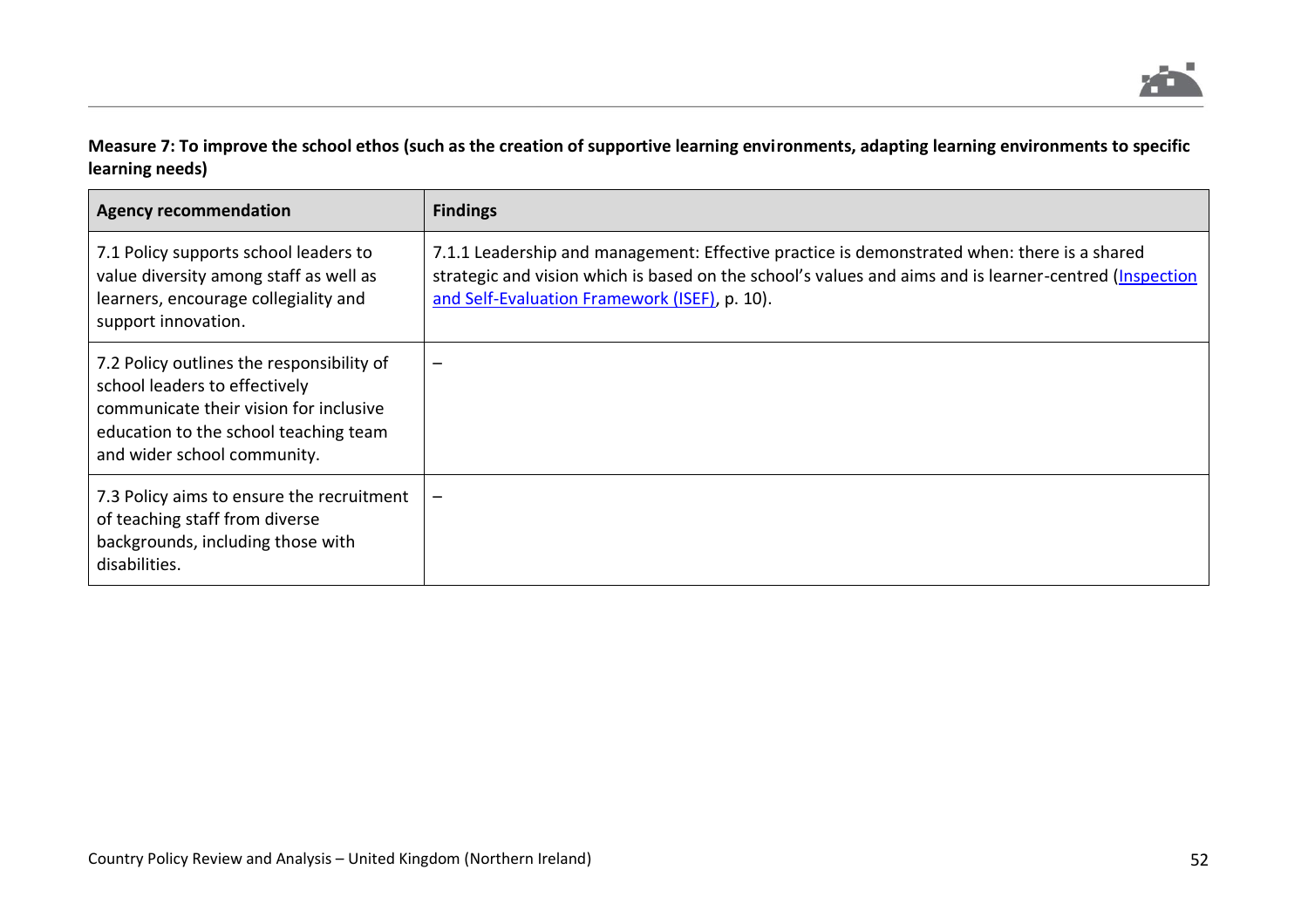

**Measure 7: To improve the school ethos (such as the creation of supportive learning environments, adapting learning environments to specific learning needs)**

| <b>Agency recommendation</b>                                                                                                                                                                 | <b>Findings</b>                                                                                                                                                                                                                                        |
|----------------------------------------------------------------------------------------------------------------------------------------------------------------------------------------------|--------------------------------------------------------------------------------------------------------------------------------------------------------------------------------------------------------------------------------------------------------|
| 7.1 Policy supports school leaders to<br>value diversity among staff as well as<br>learners, encourage collegiality and<br>support innovation.                                               | 7.1.1 Leadership and management: Effective practice is demonstrated when: there is a shared<br>strategic and vision which is based on the school's values and aims and is learner-centred (Inspection<br>and Self-Evaluation Framework (ISEF), p. 10). |
| 7.2 Policy outlines the responsibility of<br>school leaders to effectively<br>communicate their vision for inclusive<br>education to the school teaching team<br>and wider school community. | $\overline{\phantom{0}}$                                                                                                                                                                                                                               |
| 7.3 Policy aims to ensure the recruitment<br>of teaching staff from diverse<br>backgrounds, including those with<br>disabilities.                                                            | $\overline{\phantom{m}}$                                                                                                                                                                                                                               |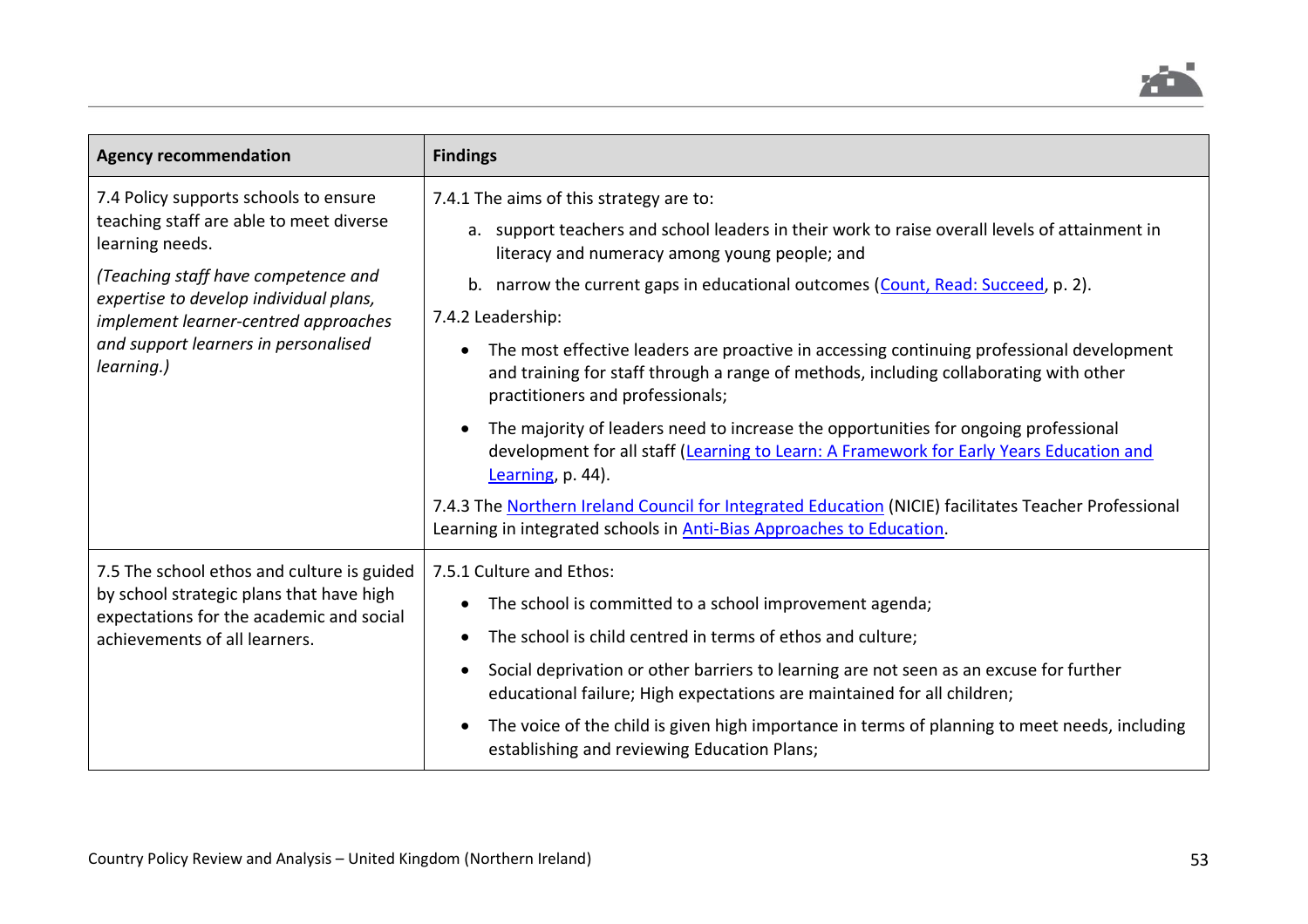

| <b>Agency recommendation</b>                                                                                                                                                | <b>Findings</b>                                                                                                                                                                                                                                                                                                                     |
|-----------------------------------------------------------------------------------------------------------------------------------------------------------------------------|-------------------------------------------------------------------------------------------------------------------------------------------------------------------------------------------------------------------------------------------------------------------------------------------------------------------------------------|
| 7.4 Policy supports schools to ensure<br>teaching staff are able to meet diverse<br>learning needs.                                                                         | 7.4.1 The aims of this strategy are to:<br>a. support teachers and school leaders in their work to raise overall levels of attainment in<br>literacy and numeracy among young people; and                                                                                                                                           |
| (Teaching staff have competence and<br>expertise to develop individual plans,<br>implement learner-centred approaches<br>and support learners in personalised<br>learning.) | b. narrow the current gaps in educational outcomes (Count, Read: Succeed, p. 2).<br>7.4.2 Leadership:                                                                                                                                                                                                                               |
|                                                                                                                                                                             | The most effective leaders are proactive in accessing continuing professional development<br>and training for staff through a range of methods, including collaborating with other<br>practitioners and professionals;                                                                                                              |
|                                                                                                                                                                             | The majority of leaders need to increase the opportunities for ongoing professional<br>development for all staff (Learning to Learn: A Framework for Early Years Education and<br>Learning, p. 44).                                                                                                                                 |
|                                                                                                                                                                             | 7.4.3 The Northern Ireland Council for Integrated Education (NICIE) facilitates Teacher Professional<br>Learning in integrated schools in Anti-Bias Approaches to Education.                                                                                                                                                        |
| 7.5 The school ethos and culture is guided<br>by school strategic plans that have high<br>expectations for the academic and social<br>achievements of all learners.         | 7.5.1 Culture and Ethos:<br>The school is committed to a school improvement agenda;<br>The school is child centred in terms of ethos and culture;<br>Social deprivation or other barriers to learning are not seen as an excuse for further<br>$\bullet$<br>educational failure; High expectations are maintained for all children; |
|                                                                                                                                                                             | The voice of the child is given high importance in terms of planning to meet needs, including<br>establishing and reviewing Education Plans;                                                                                                                                                                                        |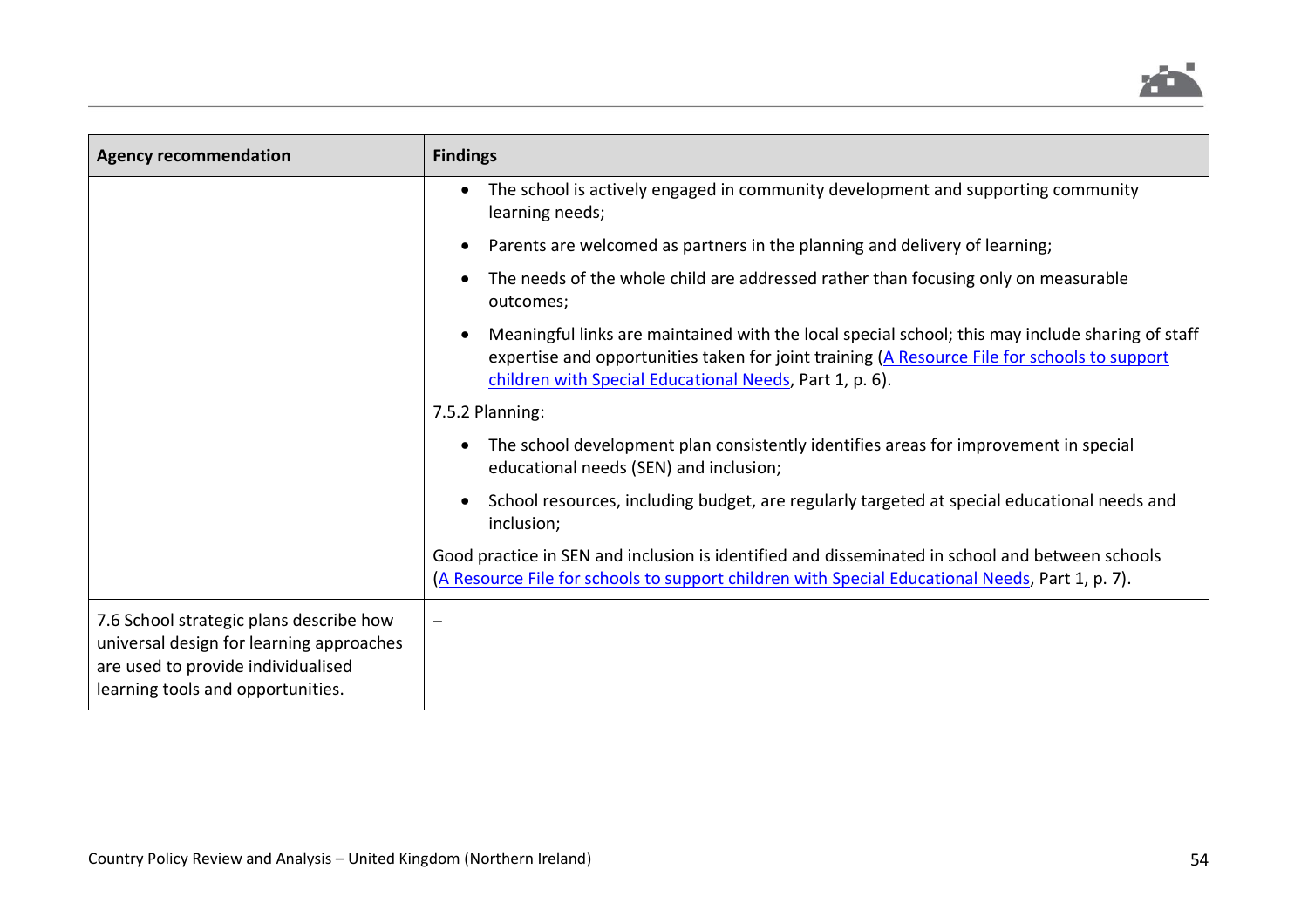

| <b>Agency recommendation</b>                                                                                                                                   | <b>Findings</b>                                                                                                                                                                                                                                             |
|----------------------------------------------------------------------------------------------------------------------------------------------------------------|-------------------------------------------------------------------------------------------------------------------------------------------------------------------------------------------------------------------------------------------------------------|
|                                                                                                                                                                | The school is actively engaged in community development and supporting community<br>learning needs;                                                                                                                                                         |
|                                                                                                                                                                | Parents are welcomed as partners in the planning and delivery of learning;                                                                                                                                                                                  |
|                                                                                                                                                                | The needs of the whole child are addressed rather than focusing only on measurable<br>outcomes;                                                                                                                                                             |
|                                                                                                                                                                | Meaningful links are maintained with the local special school; this may include sharing of staff<br>expertise and opportunities taken for joint training (A Resource File for schools to support<br>children with Special Educational Needs, Part 1, p. 6). |
|                                                                                                                                                                | 7.5.2 Planning:                                                                                                                                                                                                                                             |
|                                                                                                                                                                | The school development plan consistently identifies areas for improvement in special<br>educational needs (SEN) and inclusion;                                                                                                                              |
|                                                                                                                                                                | School resources, including budget, are regularly targeted at special educational needs and<br>inclusion;                                                                                                                                                   |
|                                                                                                                                                                | Good practice in SEN and inclusion is identified and disseminated in school and between schools<br>(A Resource File for schools to support children with Special Educational Needs, Part 1, p. 7).                                                          |
| 7.6 School strategic plans describe how<br>universal design for learning approaches<br>are used to provide individualised<br>learning tools and opportunities. |                                                                                                                                                                                                                                                             |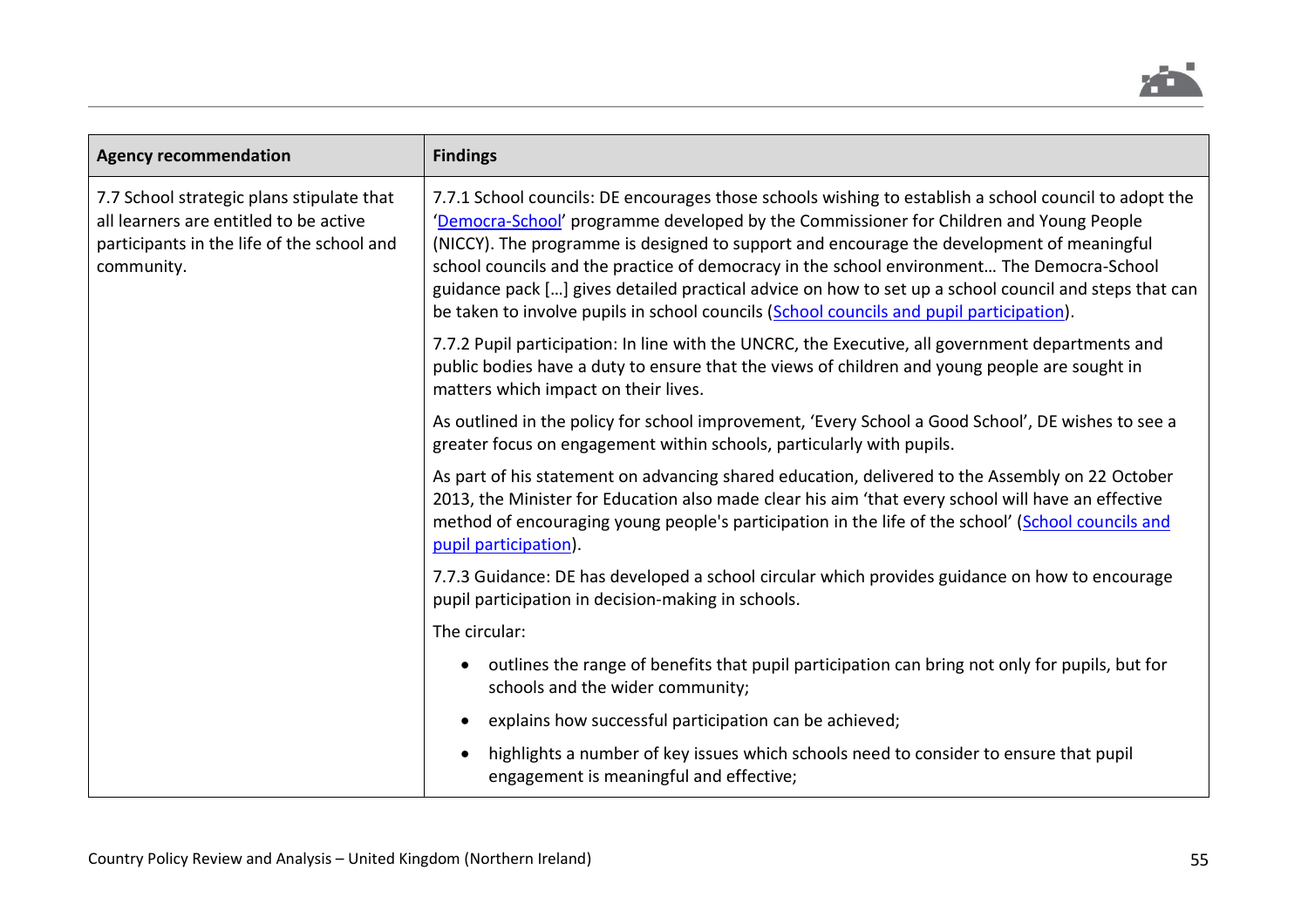

| <b>Agency recommendation</b>                                                                                                                    | <b>Findings</b>                                                                                                                                                                                                                                                                                                                                                                                                                                                                                                                                                                                 |
|-------------------------------------------------------------------------------------------------------------------------------------------------|-------------------------------------------------------------------------------------------------------------------------------------------------------------------------------------------------------------------------------------------------------------------------------------------------------------------------------------------------------------------------------------------------------------------------------------------------------------------------------------------------------------------------------------------------------------------------------------------------|
| 7.7 School strategic plans stipulate that<br>all learners are entitled to be active<br>participants in the life of the school and<br>community. | 7.7.1 School councils: DE encourages those schools wishing to establish a school council to adopt the<br>'Democra-School' programme developed by the Commissioner for Children and Young People<br>(NICCY). The programme is designed to support and encourage the development of meaningful<br>school councils and the practice of democracy in the school environment The Democra-School<br>guidance pack [] gives detailed practical advice on how to set up a school council and steps that can<br>be taken to involve pupils in school councils (School councils and pupil participation). |
|                                                                                                                                                 | 7.7.2 Pupil participation: In line with the UNCRC, the Executive, all government departments and<br>public bodies have a duty to ensure that the views of children and young people are sought in<br>matters which impact on their lives.                                                                                                                                                                                                                                                                                                                                                       |
|                                                                                                                                                 | As outlined in the policy for school improvement, 'Every School a Good School', DE wishes to see a<br>greater focus on engagement within schools, particularly with pupils.                                                                                                                                                                                                                                                                                                                                                                                                                     |
|                                                                                                                                                 | As part of his statement on advancing shared education, delivered to the Assembly on 22 October<br>2013, the Minister for Education also made clear his aim 'that every school will have an effective<br>method of encouraging young people's participation in the life of the school' (School councils and<br>pupil participation).                                                                                                                                                                                                                                                            |
|                                                                                                                                                 | 7.7.3 Guidance: DE has developed a school circular which provides guidance on how to encourage<br>pupil participation in decision-making in schools.                                                                                                                                                                                                                                                                                                                                                                                                                                            |
|                                                                                                                                                 | The circular:                                                                                                                                                                                                                                                                                                                                                                                                                                                                                                                                                                                   |
|                                                                                                                                                 | outlines the range of benefits that pupil participation can bring not only for pupils, but for<br>schools and the wider community;                                                                                                                                                                                                                                                                                                                                                                                                                                                              |
|                                                                                                                                                 | explains how successful participation can be achieved;                                                                                                                                                                                                                                                                                                                                                                                                                                                                                                                                          |
|                                                                                                                                                 | highlights a number of key issues which schools need to consider to ensure that pupil<br>engagement is meaningful and effective;                                                                                                                                                                                                                                                                                                                                                                                                                                                                |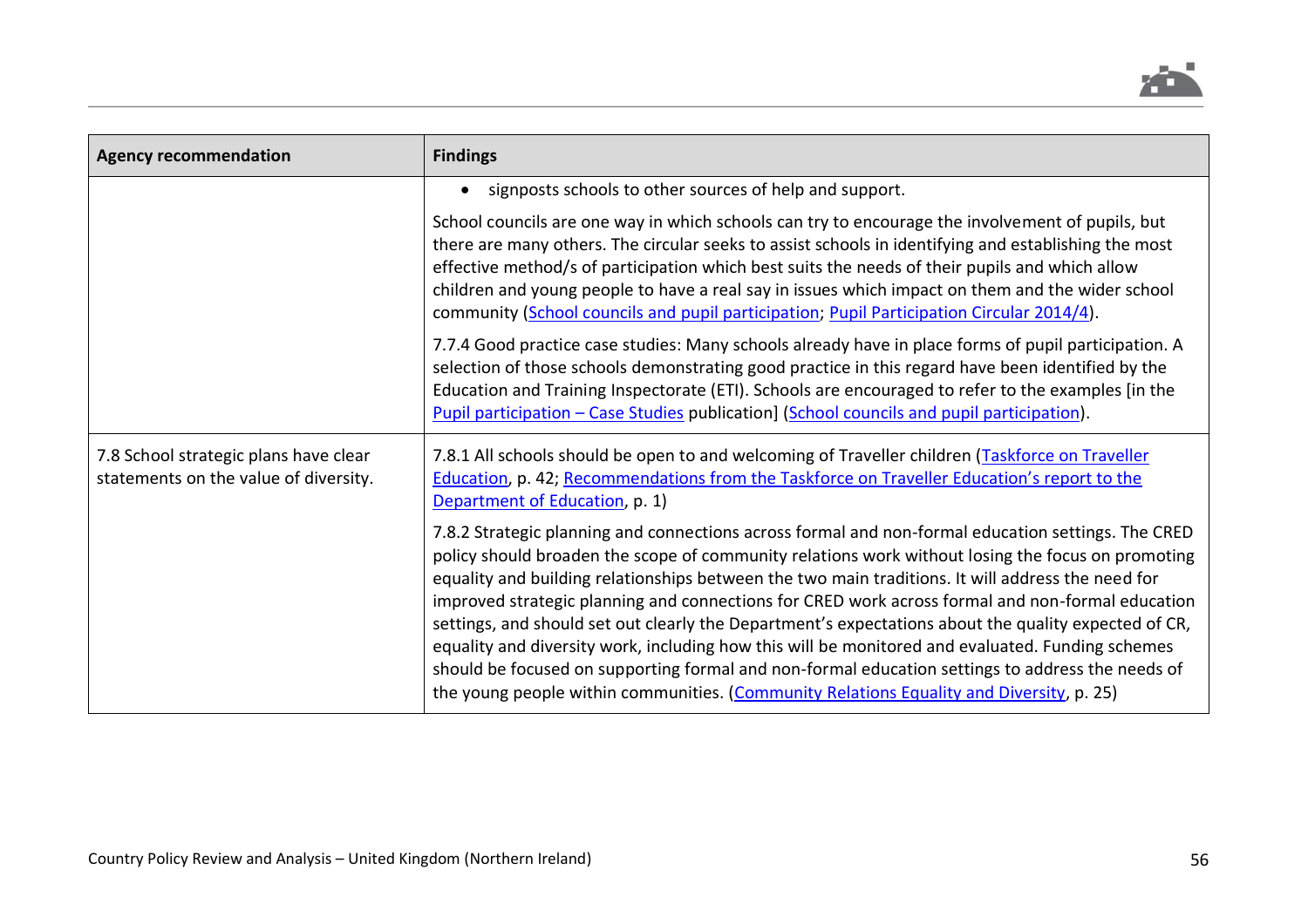

| <b>Agency recommendation</b>                                                   | <b>Findings</b>                                                                                                                                                                                                                                                                                                                                                                                                                                                                                                                                                                                                                                                                                                                                                                                                              |
|--------------------------------------------------------------------------------|------------------------------------------------------------------------------------------------------------------------------------------------------------------------------------------------------------------------------------------------------------------------------------------------------------------------------------------------------------------------------------------------------------------------------------------------------------------------------------------------------------------------------------------------------------------------------------------------------------------------------------------------------------------------------------------------------------------------------------------------------------------------------------------------------------------------------|
|                                                                                | signposts schools to other sources of help and support.                                                                                                                                                                                                                                                                                                                                                                                                                                                                                                                                                                                                                                                                                                                                                                      |
|                                                                                | School councils are one way in which schools can try to encourage the involvement of pupils, but<br>there are many others. The circular seeks to assist schools in identifying and establishing the most<br>effective method/s of participation which best suits the needs of their pupils and which allow<br>children and young people to have a real say in issues which impact on them and the wider school<br>community (School councils and pupil participation; Pupil Participation Circular 2014/4).                                                                                                                                                                                                                                                                                                                  |
|                                                                                | 7.7.4 Good practice case studies: Many schools already have in place forms of pupil participation. A<br>selection of those schools demonstrating good practice in this regard have been identified by the<br>Education and Training Inspectorate (ETI). Schools are encouraged to refer to the examples [in the<br>Pupil participation - Case Studies publication] (School councils and pupil participation).                                                                                                                                                                                                                                                                                                                                                                                                                |
| 7.8 School strategic plans have clear<br>statements on the value of diversity. | 7.8.1 All schools should be open to and welcoming of Traveller children (Taskforce on Traveller<br>Education, p. 42; Recommendations from the Taskforce on Traveller Education's report to the<br>Department of Education, p. 1)                                                                                                                                                                                                                                                                                                                                                                                                                                                                                                                                                                                             |
|                                                                                | 7.8.2 Strategic planning and connections across formal and non-formal education settings. The CRED<br>policy should broaden the scope of community relations work without losing the focus on promoting<br>equality and building relationships between the two main traditions. It will address the need for<br>improved strategic planning and connections for CRED work across formal and non-formal education<br>settings, and should set out clearly the Department's expectations about the quality expected of CR,<br>equality and diversity work, including how this will be monitored and evaluated. Funding schemes<br>should be focused on supporting formal and non-formal education settings to address the needs of<br>the young people within communities. (Community Relations Equality and Diversity, p. 25) |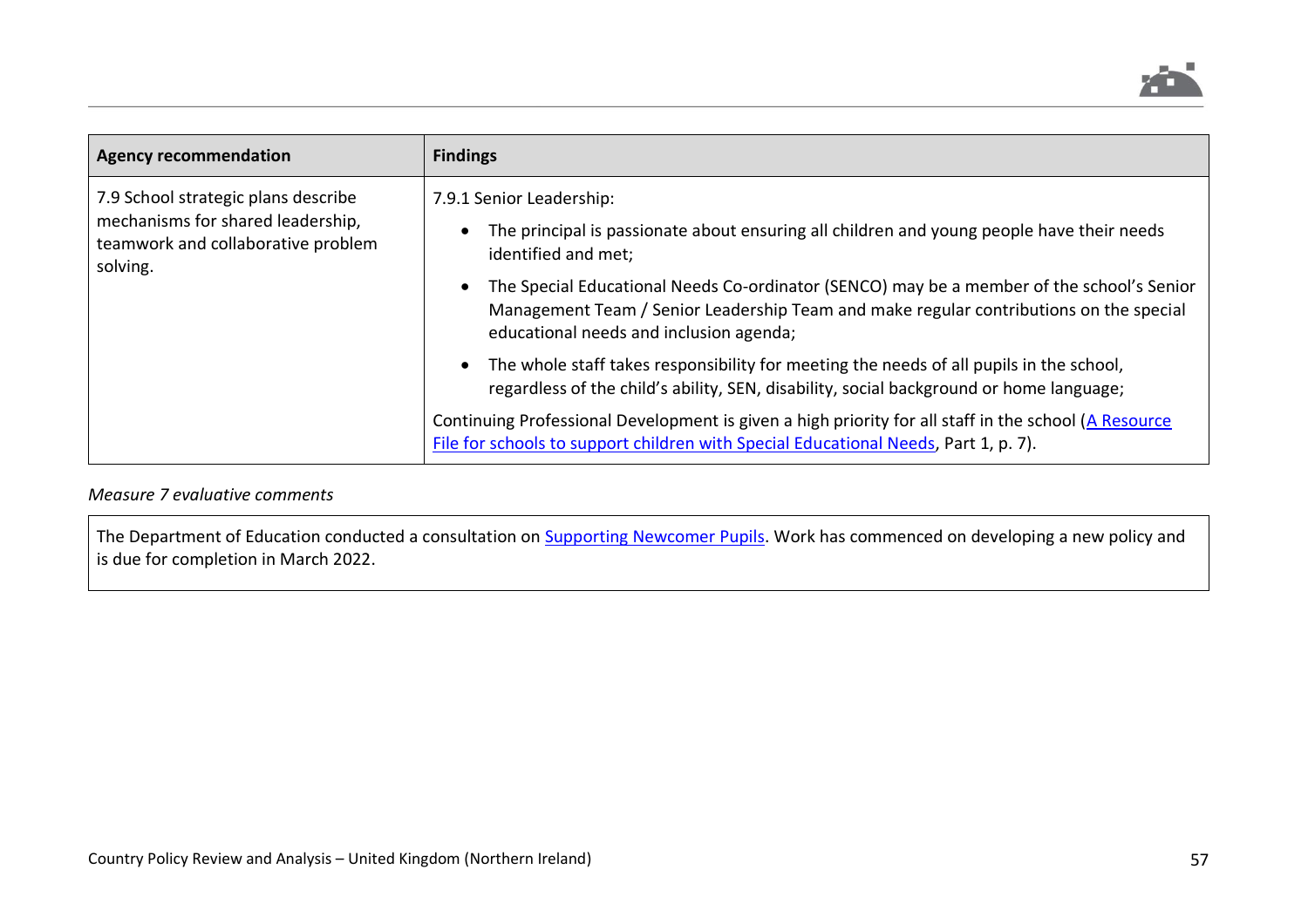

| <b>Agency recommendation</b>                                                                                               | <b>Findings</b>                                                                                                                                                                                                                |
|----------------------------------------------------------------------------------------------------------------------------|--------------------------------------------------------------------------------------------------------------------------------------------------------------------------------------------------------------------------------|
| 7.9 School strategic plans describe<br>mechanisms for shared leadership,<br>teamwork and collaborative problem<br>solving. | 7.9.1 Senior Leadership:                                                                                                                                                                                                       |
|                                                                                                                            | The principal is passionate about ensuring all children and young people have their needs<br>identified and met;                                                                                                               |
|                                                                                                                            | The Special Educational Needs Co-ordinator (SENCO) may be a member of the school's Senior<br>Management Team / Senior Leadership Team and make regular contributions on the special<br>educational needs and inclusion agenda; |
|                                                                                                                            | The whole staff takes responsibility for meeting the needs of all pupils in the school,<br>regardless of the child's ability, SEN, disability, social background or home language;                                             |
|                                                                                                                            | Continuing Professional Development is given a high priority for all staff in the school (A Resource<br>File for schools to support children with Special Educational Needs, Part 1, p. 7).                                    |

# *Measure 7 evaluative comments*

The Department of Education conducted a consultation on [Supporting Newcomer Pupils.](https://www.education-ni.gov.uk/consultations/supporting-newcomer-pupils) Work has commenced on developing a new policy and is due for completion in March 2022.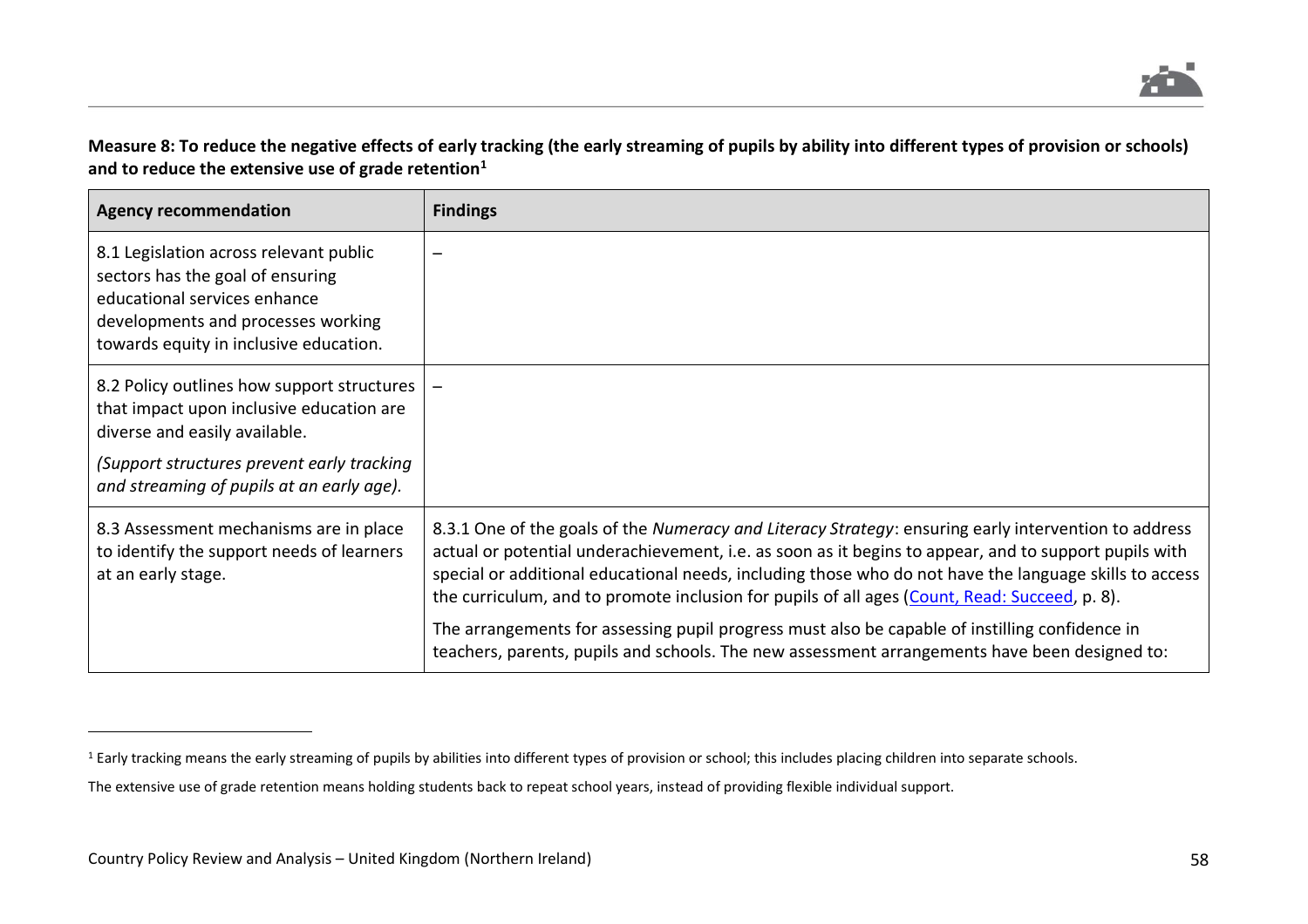

**Measure 8: To reduce the negative effects of early tracking (the early streaming of pupils by ability into different types of provision or schools) and to reduce the extensive use of grade retention<sup>1</sup>**

| <b>Agency recommendation</b>                                                                                                                                                               | <b>Findings</b>                                                                                                                                                                                                                                                                                                                                                                                                          |
|--------------------------------------------------------------------------------------------------------------------------------------------------------------------------------------------|--------------------------------------------------------------------------------------------------------------------------------------------------------------------------------------------------------------------------------------------------------------------------------------------------------------------------------------------------------------------------------------------------------------------------|
| 8.1 Legislation across relevant public<br>sectors has the goal of ensuring<br>educational services enhance<br>developments and processes working<br>towards equity in inclusive education. |                                                                                                                                                                                                                                                                                                                                                                                                                          |
| 8.2 Policy outlines how support structures<br>that impact upon inclusive education are<br>diverse and easily available.                                                                    |                                                                                                                                                                                                                                                                                                                                                                                                                          |
| (Support structures prevent early tracking<br>and streaming of pupils at an early age).                                                                                                    |                                                                                                                                                                                                                                                                                                                                                                                                                          |
| 8.3 Assessment mechanisms are in place<br>to identify the support needs of learners<br>at an early stage.                                                                                  | 8.3.1 One of the goals of the Numeracy and Literacy Strategy: ensuring early intervention to address<br>actual or potential underachievement, i.e. as soon as it begins to appear, and to support pupils with<br>special or additional educational needs, including those who do not have the language skills to access<br>the curriculum, and to promote inclusion for pupils of all ages (Count, Read: Succeed, p. 8). |
|                                                                                                                                                                                            | The arrangements for assessing pupil progress must also be capable of instilling confidence in<br>teachers, parents, pupils and schools. The new assessment arrangements have been designed to:                                                                                                                                                                                                                          |

<sup>&</sup>lt;sup>1</sup> Early tracking means the early streaming of pupils by abilities into different types of provision or school; this includes placing children into separate schools.

The extensive use of grade retention means holding students back to repeat school years, instead of providing flexible individual support.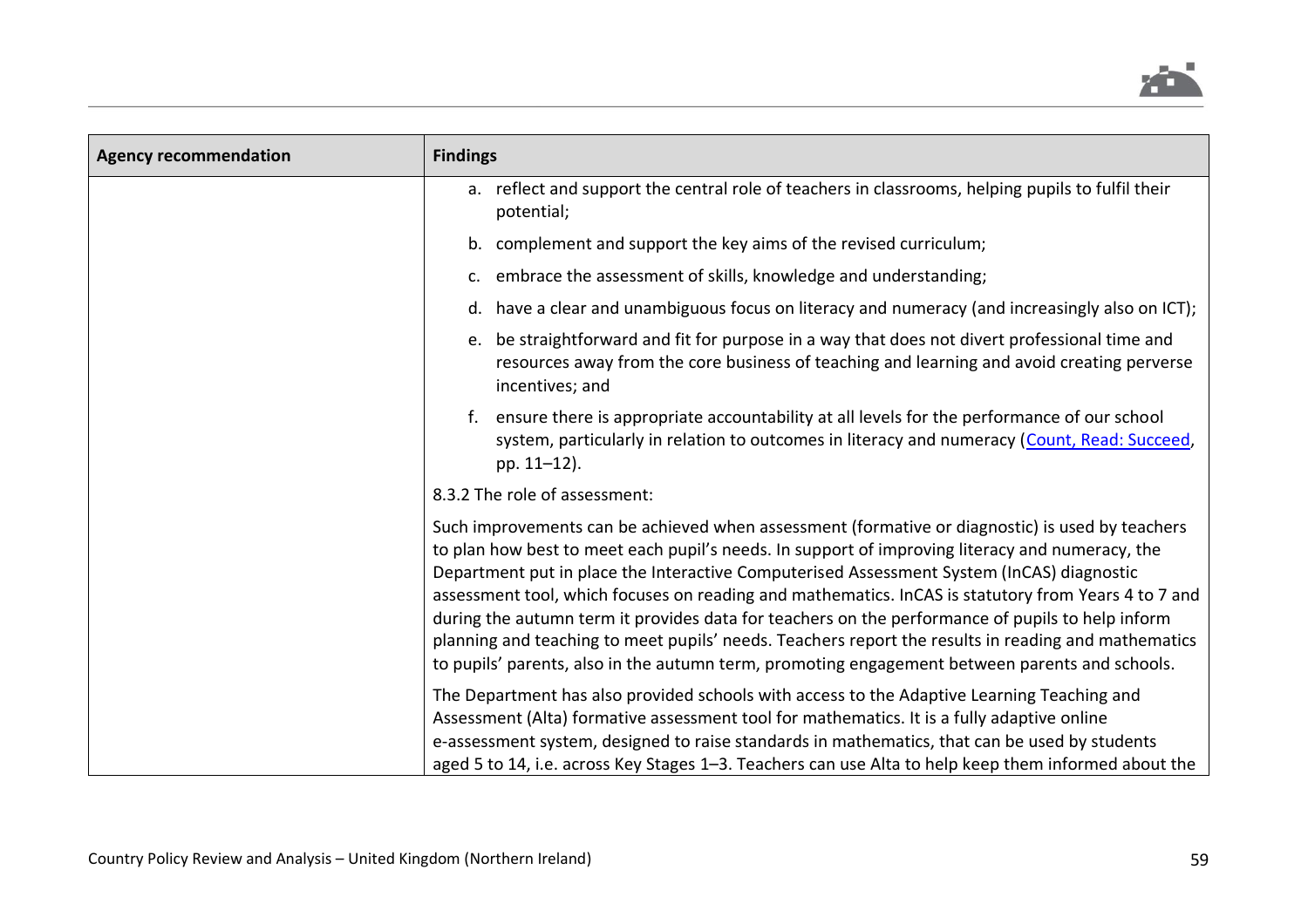

| <b>Agency recommendation</b> | <b>Findings</b>                                                                                                                                                                                                                                                                                                                                                                                                                                                                                                                                                                                                                                                                                                     |
|------------------------------|---------------------------------------------------------------------------------------------------------------------------------------------------------------------------------------------------------------------------------------------------------------------------------------------------------------------------------------------------------------------------------------------------------------------------------------------------------------------------------------------------------------------------------------------------------------------------------------------------------------------------------------------------------------------------------------------------------------------|
|                              | a. reflect and support the central role of teachers in classrooms, helping pupils to fulfil their<br>potential;                                                                                                                                                                                                                                                                                                                                                                                                                                                                                                                                                                                                     |
|                              | b. complement and support the key aims of the revised curriculum;                                                                                                                                                                                                                                                                                                                                                                                                                                                                                                                                                                                                                                                   |
|                              | c. embrace the assessment of skills, knowledge and understanding;                                                                                                                                                                                                                                                                                                                                                                                                                                                                                                                                                                                                                                                   |
|                              | d. have a clear and unambiguous focus on literacy and numeracy (and increasingly also on ICT);                                                                                                                                                                                                                                                                                                                                                                                                                                                                                                                                                                                                                      |
|                              | e. be straightforward and fit for purpose in a way that does not divert professional time and<br>resources away from the core business of teaching and learning and avoid creating perverse<br>incentives; and                                                                                                                                                                                                                                                                                                                                                                                                                                                                                                      |
|                              | f. ensure there is appropriate accountability at all levels for the performance of our school<br>system, particularly in relation to outcomes in literacy and numeracy (Count, Read: Succeed,<br>pp. 11-12).                                                                                                                                                                                                                                                                                                                                                                                                                                                                                                        |
|                              | 8.3.2 The role of assessment:                                                                                                                                                                                                                                                                                                                                                                                                                                                                                                                                                                                                                                                                                       |
|                              | Such improvements can be achieved when assessment (formative or diagnostic) is used by teachers<br>to plan how best to meet each pupil's needs. In support of improving literacy and numeracy, the<br>Department put in place the Interactive Computerised Assessment System (InCAS) diagnostic<br>assessment tool, which focuses on reading and mathematics. InCAS is statutory from Years 4 to 7 and<br>during the autumn term it provides data for teachers on the performance of pupils to help inform<br>planning and teaching to meet pupils' needs. Teachers report the results in reading and mathematics<br>to pupils' parents, also in the autumn term, promoting engagement between parents and schools. |
|                              | The Department has also provided schools with access to the Adaptive Learning Teaching and<br>Assessment (Alta) formative assessment tool for mathematics. It is a fully adaptive online<br>e-assessment system, designed to raise standards in mathematics, that can be used by students<br>aged 5 to 14, i.e. across Key Stages 1-3. Teachers can use Alta to help keep them informed about the                                                                                                                                                                                                                                                                                                                   |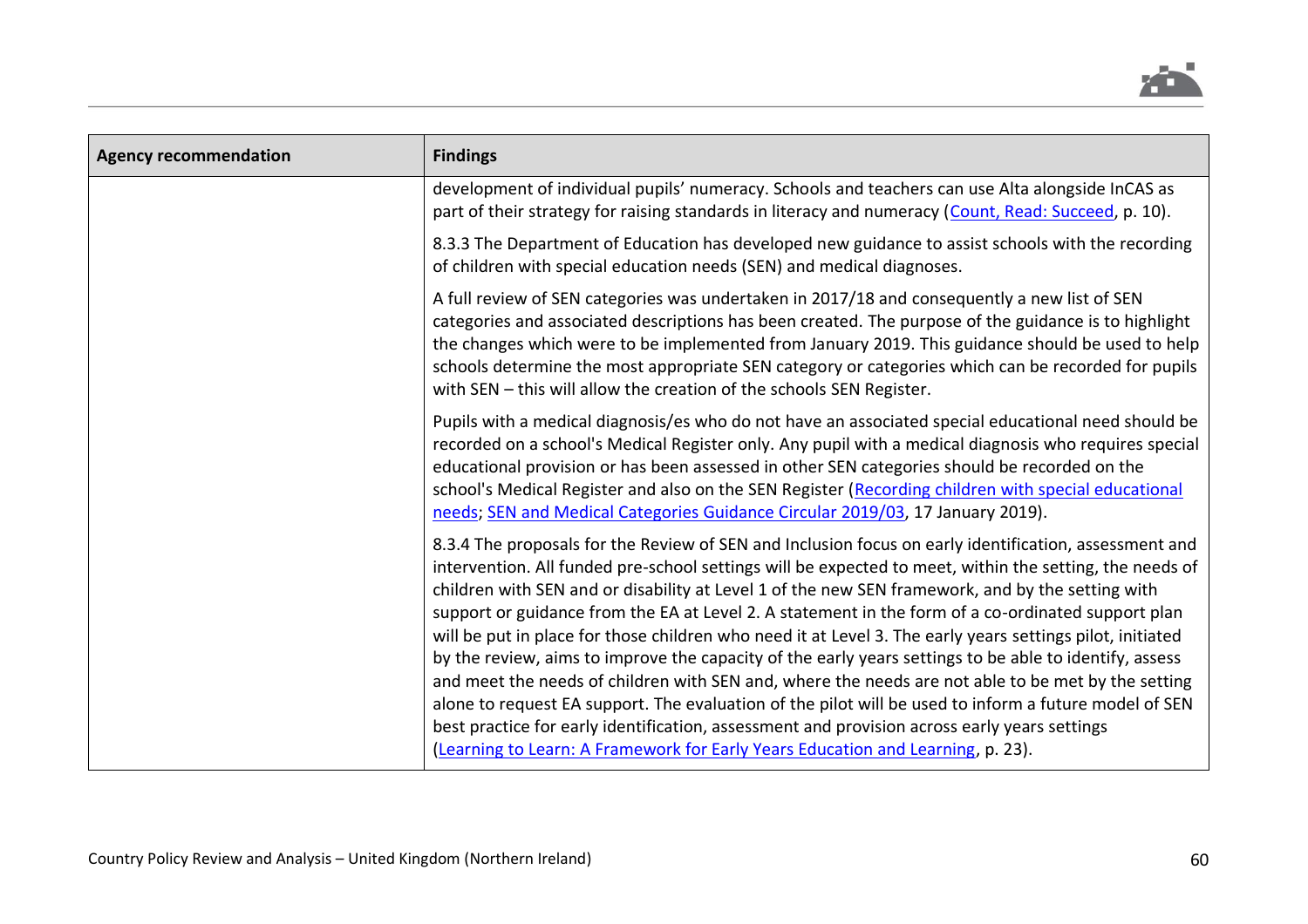

| <b>Agency recommendation</b> | <b>Findings</b>                                                                                                                                                                                                                                                                                                                                                                                                                                                                                                                                                                                                                                                                                                                                                                                                                                                                                                                                                                                                                                     |
|------------------------------|-----------------------------------------------------------------------------------------------------------------------------------------------------------------------------------------------------------------------------------------------------------------------------------------------------------------------------------------------------------------------------------------------------------------------------------------------------------------------------------------------------------------------------------------------------------------------------------------------------------------------------------------------------------------------------------------------------------------------------------------------------------------------------------------------------------------------------------------------------------------------------------------------------------------------------------------------------------------------------------------------------------------------------------------------------|
|                              | development of individual pupils' numeracy. Schools and teachers can use Alta alongside InCAS as<br>part of their strategy for raising standards in literacy and numeracy (Count, Read: Succeed, p. 10).                                                                                                                                                                                                                                                                                                                                                                                                                                                                                                                                                                                                                                                                                                                                                                                                                                            |
|                              | 8.3.3 The Department of Education has developed new guidance to assist schools with the recording<br>of children with special education needs (SEN) and medical diagnoses.                                                                                                                                                                                                                                                                                                                                                                                                                                                                                                                                                                                                                                                                                                                                                                                                                                                                          |
|                              | A full review of SEN categories was undertaken in 2017/18 and consequently a new list of SEN<br>categories and associated descriptions has been created. The purpose of the guidance is to highlight<br>the changes which were to be implemented from January 2019. This guidance should be used to help<br>schools determine the most appropriate SEN category or categories which can be recorded for pupils<br>with SEN - this will allow the creation of the schools SEN Register.                                                                                                                                                                                                                                                                                                                                                                                                                                                                                                                                                              |
|                              | Pupils with a medical diagnosis/es who do not have an associated special educational need should be<br>recorded on a school's Medical Register only. Any pupil with a medical diagnosis who requires special<br>educational provision or has been assessed in other SEN categories should be recorded on the<br>school's Medical Register and also on the SEN Register (Recording children with special educational<br>needs; SEN and Medical Categories Guidance Circular 2019/03, 17 January 2019).                                                                                                                                                                                                                                                                                                                                                                                                                                                                                                                                               |
|                              | 8.3.4 The proposals for the Review of SEN and Inclusion focus on early identification, assessment and<br>intervention. All funded pre-school settings will be expected to meet, within the setting, the needs of<br>children with SEN and or disability at Level 1 of the new SEN framework, and by the setting with<br>support or guidance from the EA at Level 2. A statement in the form of a co-ordinated support plan<br>will be put in place for those children who need it at Level 3. The early years settings pilot, initiated<br>by the review, aims to improve the capacity of the early years settings to be able to identify, assess<br>and meet the needs of children with SEN and, where the needs are not able to be met by the setting<br>alone to request EA support. The evaluation of the pilot will be used to inform a future model of SEN<br>best practice for early identification, assessment and provision across early years settings<br>(Learning to Learn: A Framework for Early Years Education and Learning, p. 23). |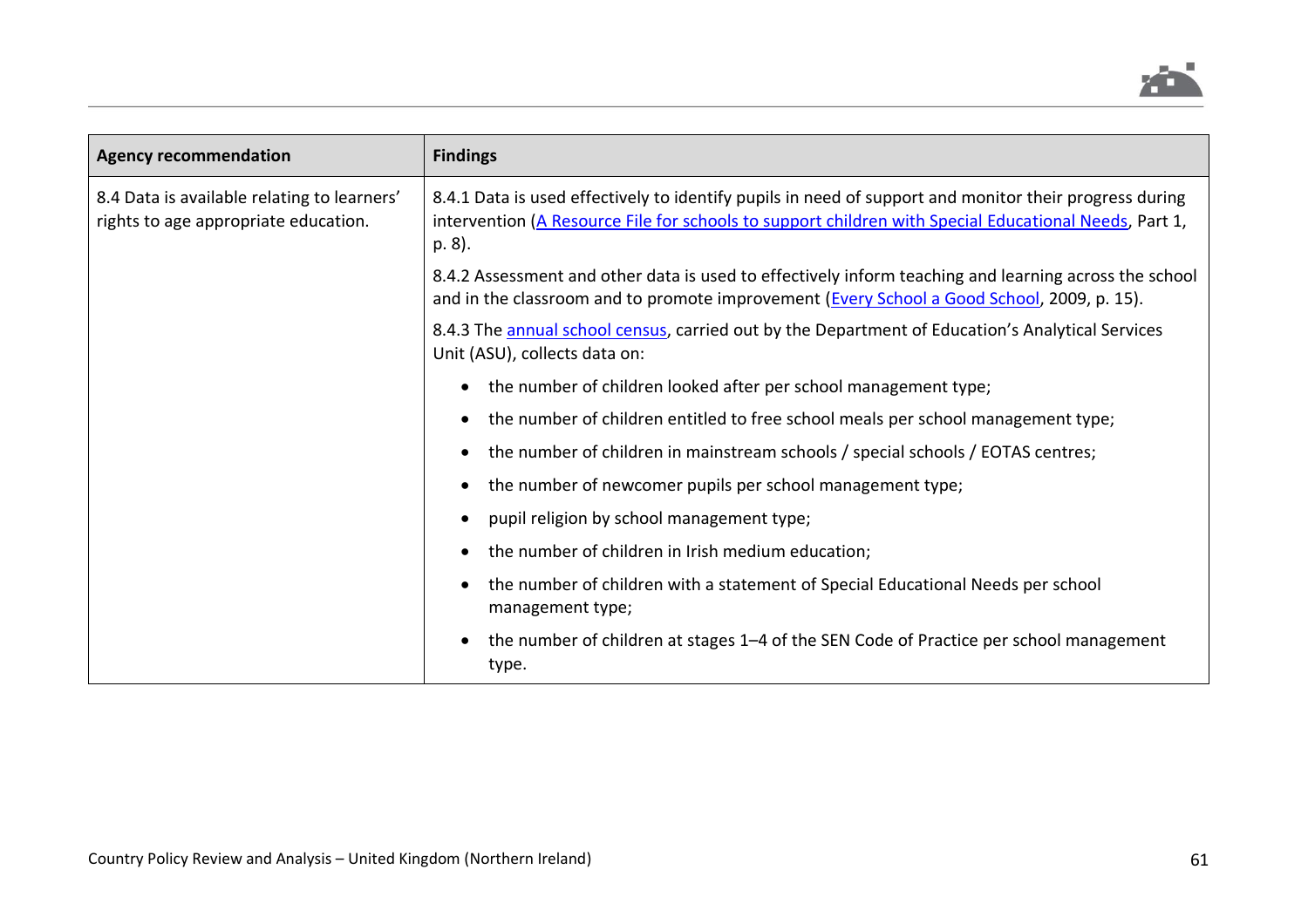

| <b>Agency recommendation</b>                                                        | <b>Findings</b>                                                                                                                                                                                                           |
|-------------------------------------------------------------------------------------|---------------------------------------------------------------------------------------------------------------------------------------------------------------------------------------------------------------------------|
| 8.4 Data is available relating to learners'<br>rights to age appropriate education. | 8.4.1 Data is used effectively to identify pupils in need of support and monitor their progress during<br>intervention (A Resource File for schools to support children with Special Educational Needs, Part 1,<br>p. 8). |
|                                                                                     | 8.4.2 Assessment and other data is used to effectively inform teaching and learning across the school<br>and in the classroom and to promote improvement (Every School a Good School, 2009, p. 15).                       |
|                                                                                     | 8.4.3 The annual school census, carried out by the Department of Education's Analytical Services<br>Unit (ASU), collects data on:                                                                                         |
|                                                                                     | the number of children looked after per school management type;                                                                                                                                                           |
|                                                                                     | the number of children entitled to free school meals per school management type;                                                                                                                                          |
|                                                                                     | the number of children in mainstream schools / special schools / EOTAS centres;                                                                                                                                           |
|                                                                                     | the number of newcomer pupils per school management type;                                                                                                                                                                 |
|                                                                                     | pupil religion by school management type;                                                                                                                                                                                 |
|                                                                                     | the number of children in Irish medium education;                                                                                                                                                                         |
|                                                                                     | the number of children with a statement of Special Educational Needs per school<br>management type;                                                                                                                       |
|                                                                                     | the number of children at stages 1–4 of the SEN Code of Practice per school management<br>type.                                                                                                                           |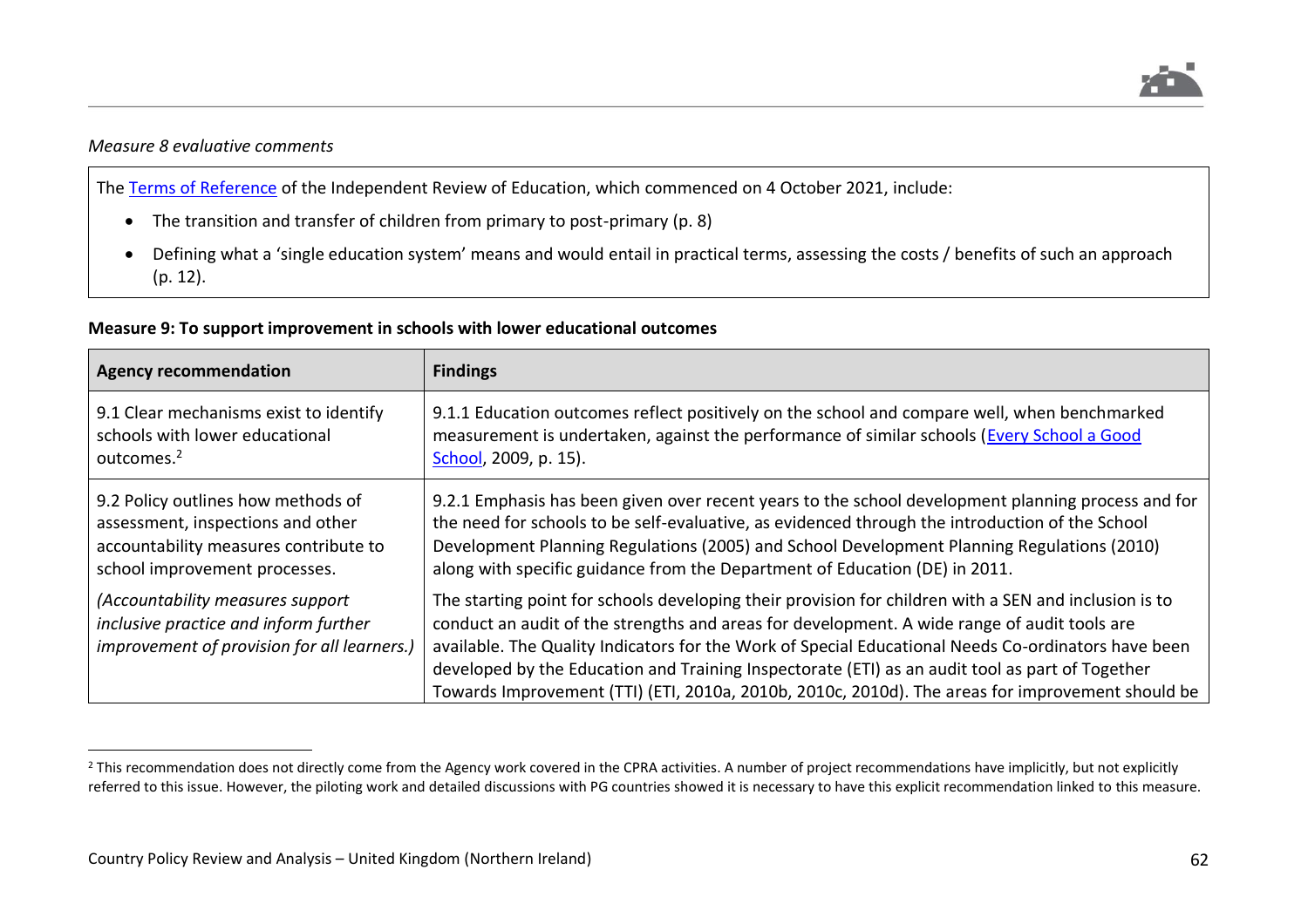

# *Measure 8 evaluative comments*

The [Terms of Reference](https://www.education-ni.gov.uk/sites/default/files/publications/education/INDEPENDENT%20REVIEW%20OF%20EDUCATION%20-%20REVISED%20DRAFT%20TERMS%20OF%20REFERENCE%20-%20FEBRUARY%202021.pdf) of the Independent Review of Education, which commenced on 4 October 2021, include:

- The transition and transfer of children from primary to post-primary (p. 8)
- Defining what a 'single education system' means and would entail in practical terms, assessing the costs / benefits of such an approach (p. 12).

#### **Measure 9: To support improvement in schools with lower educational outcomes**

| <b>Agency recommendation</b>                                                                                             | <b>Findings</b>                                                                                                                                                                                                                                                                                                                                                                                                                                                                                                     |
|--------------------------------------------------------------------------------------------------------------------------|---------------------------------------------------------------------------------------------------------------------------------------------------------------------------------------------------------------------------------------------------------------------------------------------------------------------------------------------------------------------------------------------------------------------------------------------------------------------------------------------------------------------|
| 9.1 Clear mechanisms exist to identify                                                                                   | 9.1.1 Education outcomes reflect positively on the school and compare well, when benchmarked                                                                                                                                                                                                                                                                                                                                                                                                                        |
| schools with lower educational                                                                                           | measurement is undertaken, against the performance of similar schools (Every School a Good                                                                                                                                                                                                                                                                                                                                                                                                                          |
| outcomes. <sup>2</sup>                                                                                                   | School, 2009, p. 15).                                                                                                                                                                                                                                                                                                                                                                                                                                                                                               |
| 9.2 Policy outlines how methods of                                                                                       | 9.2.1 Emphasis has been given over recent years to the school development planning process and for                                                                                                                                                                                                                                                                                                                                                                                                                  |
| assessment, inspections and other                                                                                        | the need for schools to be self-evaluative, as evidenced through the introduction of the School                                                                                                                                                                                                                                                                                                                                                                                                                     |
| accountability measures contribute to                                                                                    | Development Planning Regulations (2005) and School Development Planning Regulations (2010)                                                                                                                                                                                                                                                                                                                                                                                                                          |
| school improvement processes.                                                                                            | along with specific guidance from the Department of Education (DE) in 2011.                                                                                                                                                                                                                                                                                                                                                                                                                                         |
| (Accountability measures support<br>inclusive practice and inform further<br>improvement of provision for all learners.) | The starting point for schools developing their provision for children with a SEN and inclusion is to<br>conduct an audit of the strengths and areas for development. A wide range of audit tools are<br>available. The Quality Indicators for the Work of Special Educational Needs Co-ordinators have been<br>developed by the Education and Training Inspectorate (ETI) as an audit tool as part of Together<br>Towards Improvement (TTI) (ETI, 2010a, 2010b, 2010c, 2010d). The areas for improvement should be |

<sup>&</sup>lt;sup>2</sup> This recommendation does not directly come from the Agency work covered in the CPRA activities. A number of project recommendations have implicitly, but not explicitly referred to this issue. However, the piloting work and detailed discussions with PG countries showed it is necessary to have this explicit recommendation linked to this measure.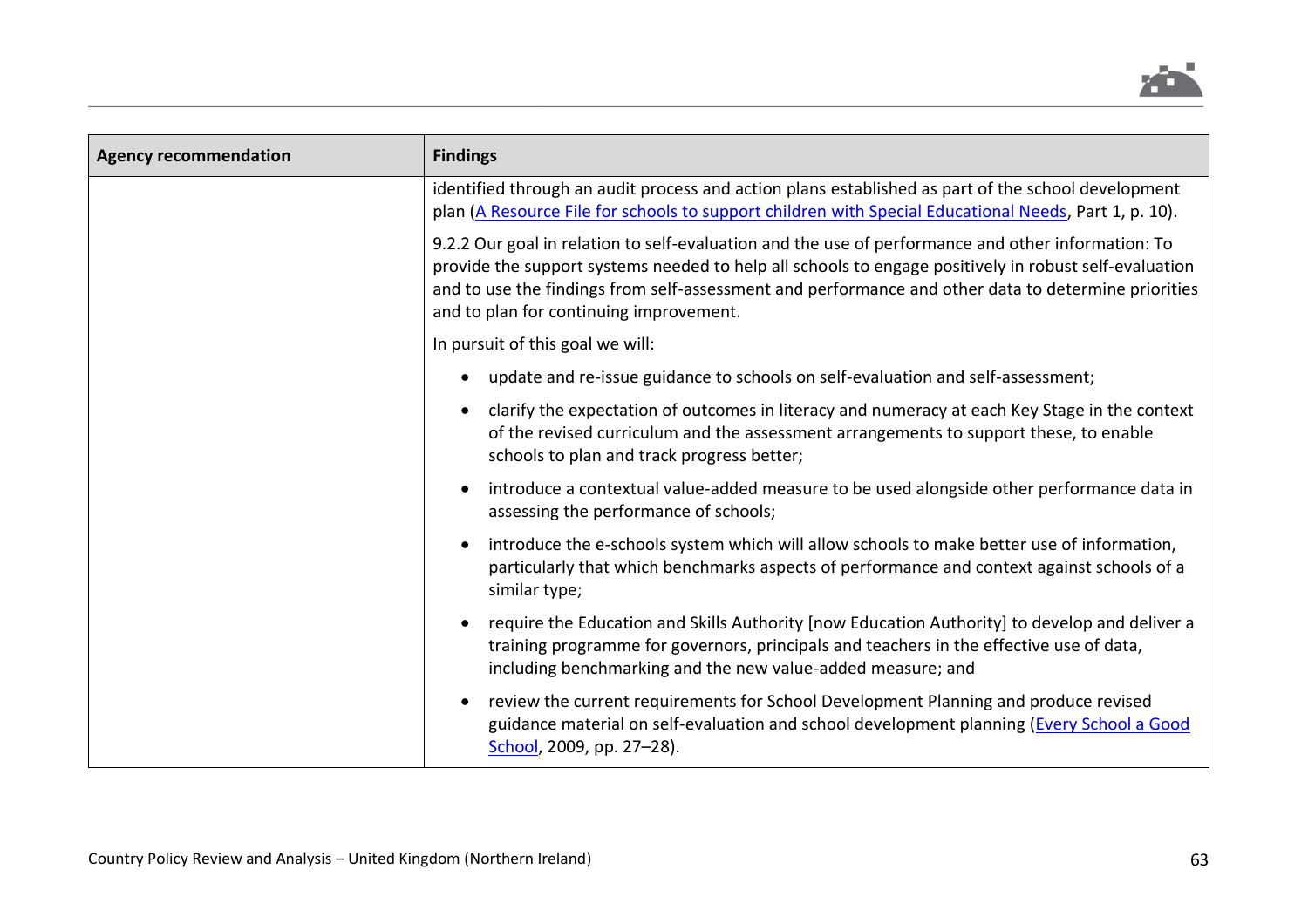

| <b>Agency recommendation</b> | <b>Findings</b>                                                                                                                                                                                                                                                                                                                                               |
|------------------------------|---------------------------------------------------------------------------------------------------------------------------------------------------------------------------------------------------------------------------------------------------------------------------------------------------------------------------------------------------------------|
|                              | identified through an audit process and action plans established as part of the school development<br>plan (A Resource File for schools to support children with Special Educational Needs, Part 1, p. 10).                                                                                                                                                   |
|                              | 9.2.2 Our goal in relation to self-evaluation and the use of performance and other information: To<br>provide the support systems needed to help all schools to engage positively in robust self-evaluation<br>and to use the findings from self-assessment and performance and other data to determine priorities<br>and to plan for continuing improvement. |
|                              | In pursuit of this goal we will:                                                                                                                                                                                                                                                                                                                              |
|                              | update and re-issue guidance to schools on self-evaluation and self-assessment;                                                                                                                                                                                                                                                                               |
|                              | clarify the expectation of outcomes in literacy and numeracy at each Key Stage in the context<br>of the revised curriculum and the assessment arrangements to support these, to enable<br>schools to plan and track progress better;                                                                                                                          |
|                              | introduce a contextual value-added measure to be used alongside other performance data in<br>assessing the performance of schools;                                                                                                                                                                                                                            |
|                              | introduce the e-schools system which will allow schools to make better use of information,<br>$\bullet$<br>particularly that which benchmarks aspects of performance and context against schools of a<br>similar type;                                                                                                                                        |
|                              | require the Education and Skills Authority [now Education Authority] to develop and deliver a<br>training programme for governors, principals and teachers in the effective use of data,<br>including benchmarking and the new value-added measure; and                                                                                                       |
|                              | review the current requirements for School Development Planning and produce revised<br>guidance material on self-evaluation and school development planning (Every School a Good<br>School, 2009, pp. 27-28).                                                                                                                                                 |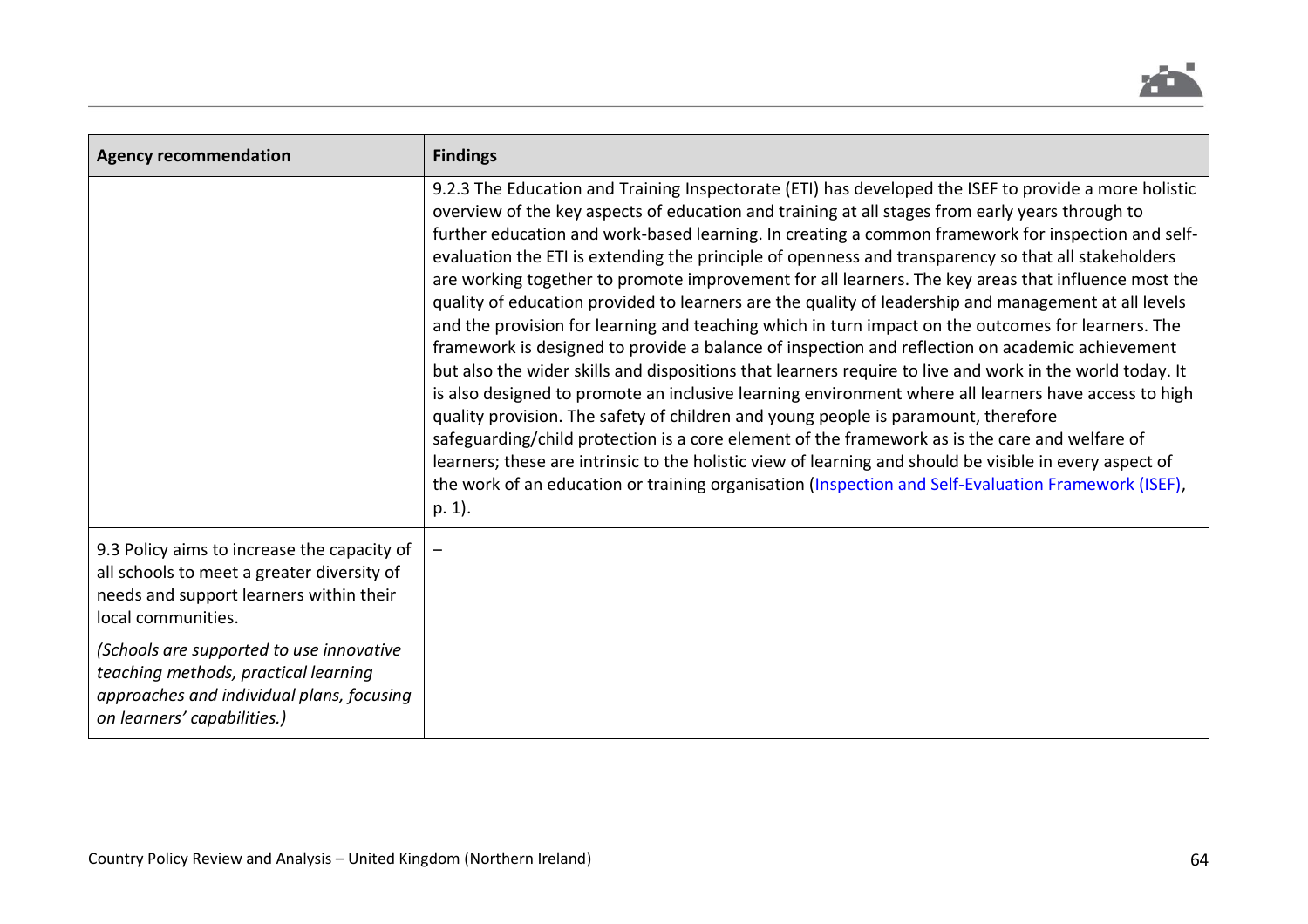

| <b>Agency recommendation</b>                                                                                                                                 | <b>Findings</b>                                                                                                                                                                                                                                                                                                                                                                                                                                                                                                                                                                                                                                                                                                                                                                                                                                                                                                                                                                                                                                                                                                                                                                                                                                                                                                                                                                                                                                                                       |
|--------------------------------------------------------------------------------------------------------------------------------------------------------------|---------------------------------------------------------------------------------------------------------------------------------------------------------------------------------------------------------------------------------------------------------------------------------------------------------------------------------------------------------------------------------------------------------------------------------------------------------------------------------------------------------------------------------------------------------------------------------------------------------------------------------------------------------------------------------------------------------------------------------------------------------------------------------------------------------------------------------------------------------------------------------------------------------------------------------------------------------------------------------------------------------------------------------------------------------------------------------------------------------------------------------------------------------------------------------------------------------------------------------------------------------------------------------------------------------------------------------------------------------------------------------------------------------------------------------------------------------------------------------------|
|                                                                                                                                                              | 9.2.3 The Education and Training Inspectorate (ETI) has developed the ISEF to provide a more holistic<br>overview of the key aspects of education and training at all stages from early years through to<br>further education and work-based learning. In creating a common framework for inspection and self-<br>evaluation the ETI is extending the principle of openness and transparency so that all stakeholders<br>are working together to promote improvement for all learners. The key areas that influence most the<br>quality of education provided to learners are the quality of leadership and management at all levels<br>and the provision for learning and teaching which in turn impact on the outcomes for learners. The<br>framework is designed to provide a balance of inspection and reflection on academic achievement<br>but also the wider skills and dispositions that learners require to live and work in the world today. It<br>is also designed to promote an inclusive learning environment where all learners have access to high<br>quality provision. The safety of children and young people is paramount, therefore<br>safeguarding/child protection is a core element of the framework as is the care and welfare of<br>learners; these are intrinsic to the holistic view of learning and should be visible in every aspect of<br>the work of an education or training organisation (Inspection and Self-Evaluation Framework (ISEF),<br>p. 1). |
| 9.3 Policy aims to increase the capacity of<br>all schools to meet a greater diversity of<br>needs and support learners within their<br>local communities.   |                                                                                                                                                                                                                                                                                                                                                                                                                                                                                                                                                                                                                                                                                                                                                                                                                                                                                                                                                                                                                                                                                                                                                                                                                                                                                                                                                                                                                                                                                       |
| (Schools are supported to use innovative<br>teaching methods, practical learning<br>approaches and individual plans, focusing<br>on learners' capabilities.) |                                                                                                                                                                                                                                                                                                                                                                                                                                                                                                                                                                                                                                                                                                                                                                                                                                                                                                                                                                                                                                                                                                                                                                                                                                                                                                                                                                                                                                                                                       |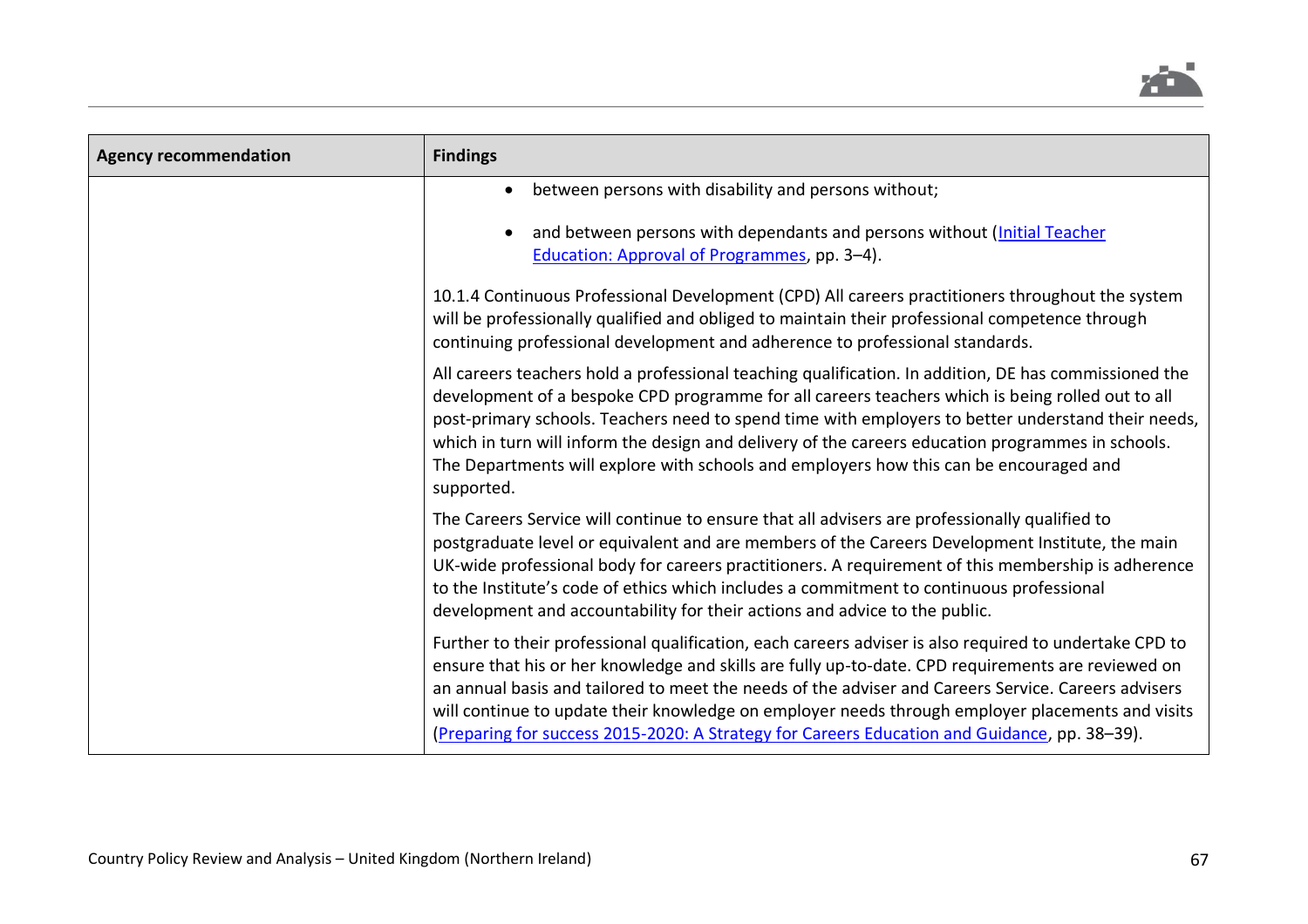

| <b>Agency recommendation</b> | <b>Findings</b>                                                                                                                                                                                                                                                                                                                                                                                                                                                                                                              |
|------------------------------|------------------------------------------------------------------------------------------------------------------------------------------------------------------------------------------------------------------------------------------------------------------------------------------------------------------------------------------------------------------------------------------------------------------------------------------------------------------------------------------------------------------------------|
|                              | between persons with disability and persons without;<br>and between persons with dependants and persons without (Initial Teacher<br>Education: Approval of Programmes, pp. 3-4).                                                                                                                                                                                                                                                                                                                                             |
|                              | 10.1.4 Continuous Professional Development (CPD) All careers practitioners throughout the system<br>will be professionally qualified and obliged to maintain their professional competence through<br>continuing professional development and adherence to professional standards.                                                                                                                                                                                                                                           |
|                              | All careers teachers hold a professional teaching qualification. In addition, DE has commissioned the<br>development of a bespoke CPD programme for all careers teachers which is being rolled out to all<br>post-primary schools. Teachers need to spend time with employers to better understand their needs,<br>which in turn will inform the design and delivery of the careers education programmes in schools.<br>The Departments will explore with schools and employers how this can be encouraged and<br>supported. |
|                              | The Careers Service will continue to ensure that all advisers are professionally qualified to<br>postgraduate level or equivalent and are members of the Careers Development Institute, the main<br>UK-wide professional body for careers practitioners. A requirement of this membership is adherence<br>to the Institute's code of ethics which includes a commitment to continuous professional<br>development and accountability for their actions and advice to the public.                                             |
|                              | Further to their professional qualification, each careers adviser is also required to undertake CPD to<br>ensure that his or her knowledge and skills are fully up-to-date. CPD requirements are reviewed on<br>an annual basis and tailored to meet the needs of the adviser and Careers Service. Careers advisers<br>will continue to update their knowledge on employer needs through employer placements and visits<br>(Preparing for success 2015-2020: A Strategy for Careers Education and Guidance, pp. 38-39).      |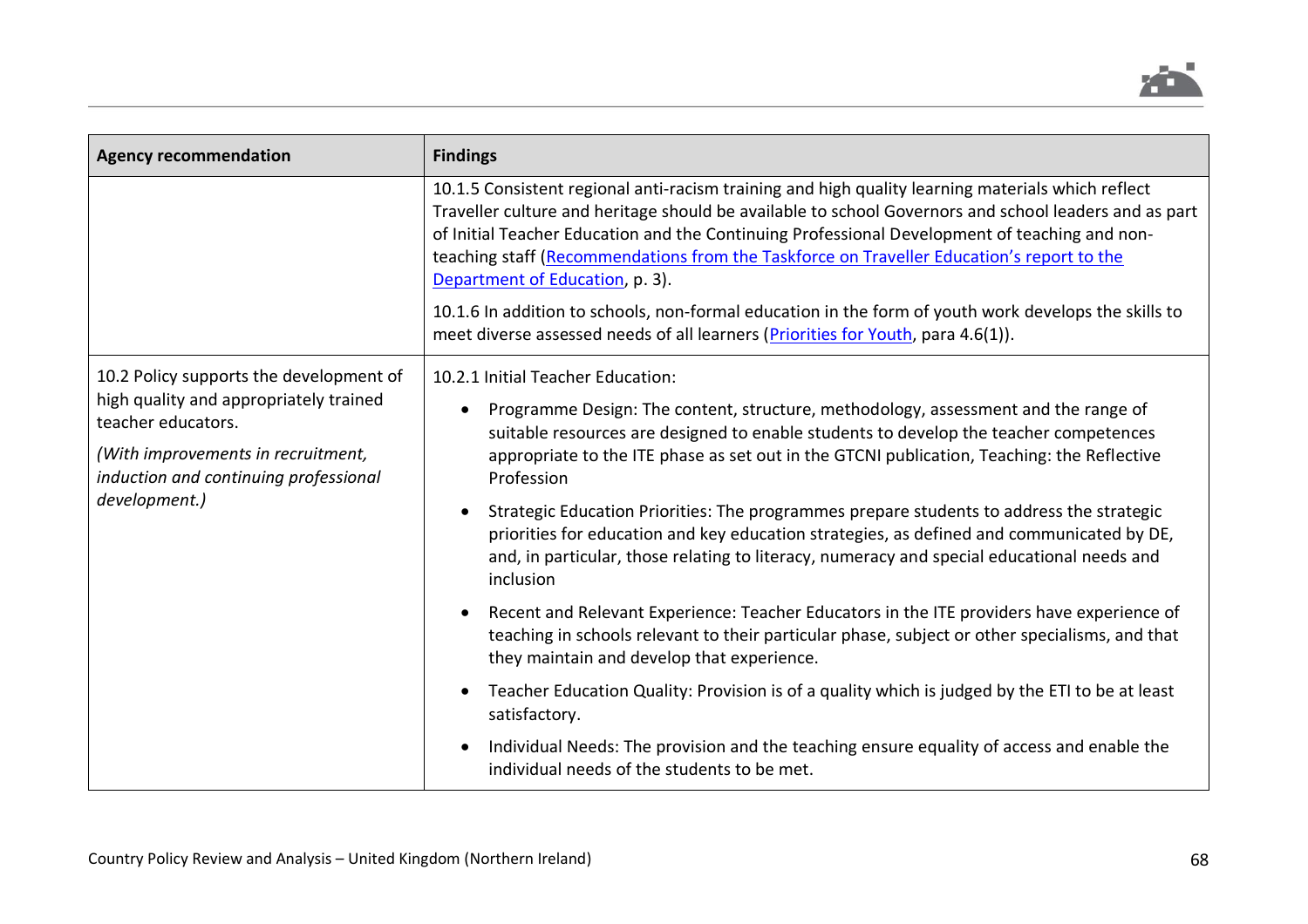

| <b>Agency recommendation</b>                                                                                                                                                                            | <b>Findings</b>                                                                                                                                                                                                                                                                                                                                                                                                                                                                                                                                                                                                                         |
|---------------------------------------------------------------------------------------------------------------------------------------------------------------------------------------------------------|-----------------------------------------------------------------------------------------------------------------------------------------------------------------------------------------------------------------------------------------------------------------------------------------------------------------------------------------------------------------------------------------------------------------------------------------------------------------------------------------------------------------------------------------------------------------------------------------------------------------------------------------|
|                                                                                                                                                                                                         | 10.1.5 Consistent regional anti-racism training and high quality learning materials which reflect<br>Traveller culture and heritage should be available to school Governors and school leaders and as part<br>of Initial Teacher Education and the Continuing Professional Development of teaching and non-<br>teaching staff (Recommendations from the Taskforce on Traveller Education's report to the<br>Department of Education, p. 3).<br>10.1.6 In addition to schools, non-formal education in the form of youth work develops the skills to<br>meet diverse assessed needs of all learners (Priorities for Youth, para 4.6(1)). |
| 10.2 Policy supports the development of<br>high quality and appropriately trained<br>teacher educators.<br>(With improvements in recruitment,<br>induction and continuing professional<br>development.) | 10.2.1 Initial Teacher Education:                                                                                                                                                                                                                                                                                                                                                                                                                                                                                                                                                                                                       |
|                                                                                                                                                                                                         | Programme Design: The content, structure, methodology, assessment and the range of<br>$\bullet$<br>suitable resources are designed to enable students to develop the teacher competences                                                                                                                                                                                                                                                                                                                                                                                                                                                |
|                                                                                                                                                                                                         | appropriate to the ITE phase as set out in the GTCNI publication, Teaching: the Reflective<br>Profession                                                                                                                                                                                                                                                                                                                                                                                                                                                                                                                                |
|                                                                                                                                                                                                         | Strategic Education Priorities: The programmes prepare students to address the strategic<br>priorities for education and key education strategies, as defined and communicated by DE,<br>and, in particular, those relating to literacy, numeracy and special educational needs and<br>inclusion                                                                                                                                                                                                                                                                                                                                        |
|                                                                                                                                                                                                         | Recent and Relevant Experience: Teacher Educators in the ITE providers have experience of<br>teaching in schools relevant to their particular phase, subject or other specialisms, and that<br>they maintain and develop that experience.                                                                                                                                                                                                                                                                                                                                                                                               |
|                                                                                                                                                                                                         | Teacher Education Quality: Provision is of a quality which is judged by the ETI to be at least<br>satisfactory.                                                                                                                                                                                                                                                                                                                                                                                                                                                                                                                         |
|                                                                                                                                                                                                         | Individual Needs: The provision and the teaching ensure equality of access and enable the<br>individual needs of the students to be met.                                                                                                                                                                                                                                                                                                                                                                                                                                                                                                |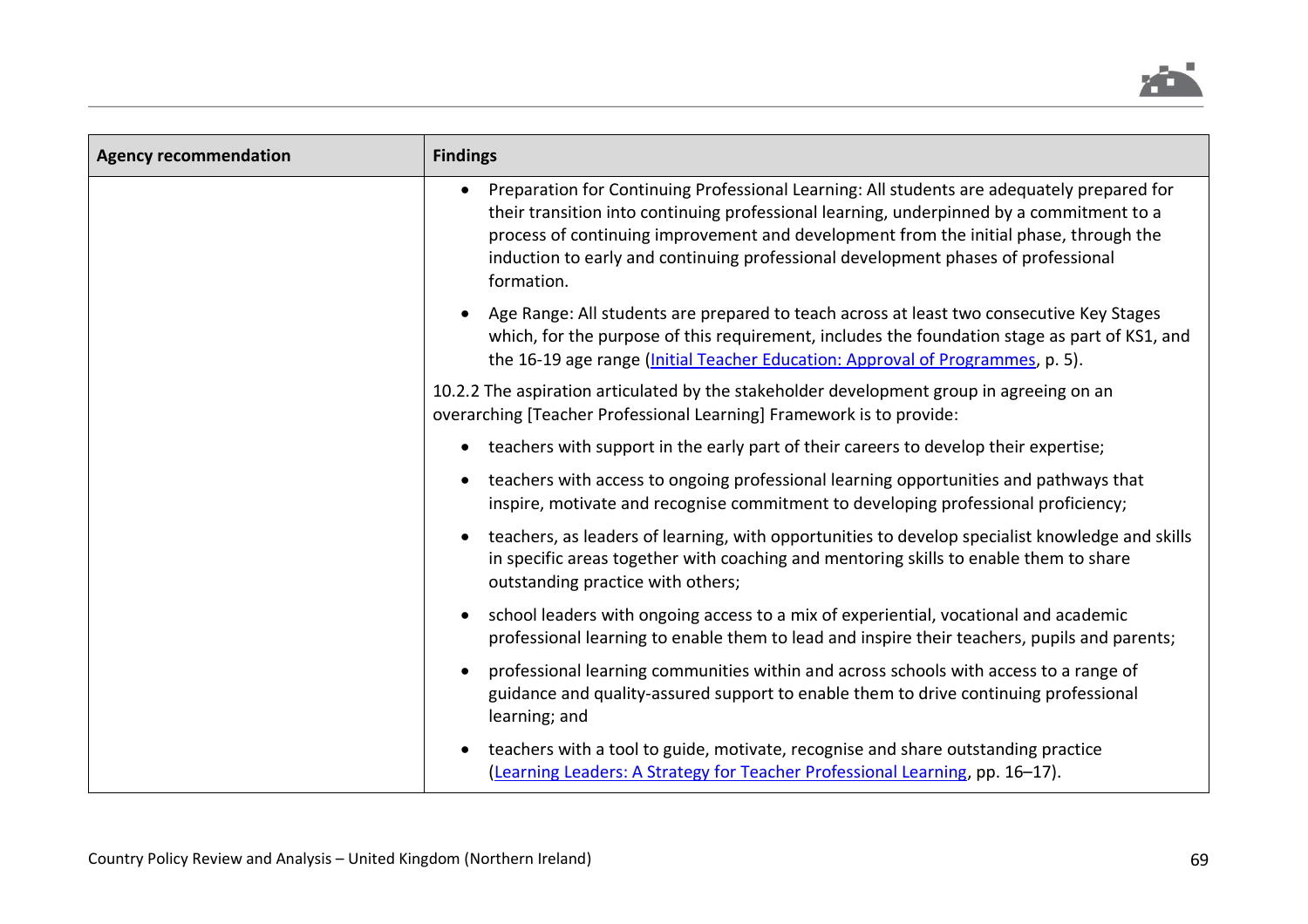

| <b>Agency recommendation</b> | <b>Findings</b>                                                                                                                                                                                                                                                                                                                                                                    |
|------------------------------|------------------------------------------------------------------------------------------------------------------------------------------------------------------------------------------------------------------------------------------------------------------------------------------------------------------------------------------------------------------------------------|
|                              | Preparation for Continuing Professional Learning: All students are adequately prepared for<br>their transition into continuing professional learning, underpinned by a commitment to a<br>process of continuing improvement and development from the initial phase, through the<br>induction to early and continuing professional development phases of professional<br>formation. |
|                              | Age Range: All students are prepared to teach across at least two consecutive Key Stages<br>which, for the purpose of this requirement, includes the foundation stage as part of KS1, and<br>the 16-19 age range (Initial Teacher Education: Approval of Programmes, p. 5).                                                                                                        |
|                              | 10.2.2 The aspiration articulated by the stakeholder development group in agreeing on an<br>overarching [Teacher Professional Learning] Framework is to provide:                                                                                                                                                                                                                   |
|                              | teachers with support in the early part of their careers to develop their expertise;<br>$\bullet$                                                                                                                                                                                                                                                                                  |
|                              | teachers with access to ongoing professional learning opportunities and pathways that<br>inspire, motivate and recognise commitment to developing professional proficiency;                                                                                                                                                                                                        |
|                              | teachers, as leaders of learning, with opportunities to develop specialist knowledge and skills<br>in specific areas together with coaching and mentoring skills to enable them to share<br>outstanding practice with others;                                                                                                                                                      |
|                              | school leaders with ongoing access to a mix of experiential, vocational and academic<br>professional learning to enable them to lead and inspire their teachers, pupils and parents;                                                                                                                                                                                               |
|                              | professional learning communities within and across schools with access to a range of<br>guidance and quality-assured support to enable them to drive continuing professional<br>learning; and                                                                                                                                                                                     |
|                              | teachers with a tool to guide, motivate, recognise and share outstanding practice<br>(Learning Leaders: A Strategy for Teacher Professional Learning, pp. 16-17).                                                                                                                                                                                                                  |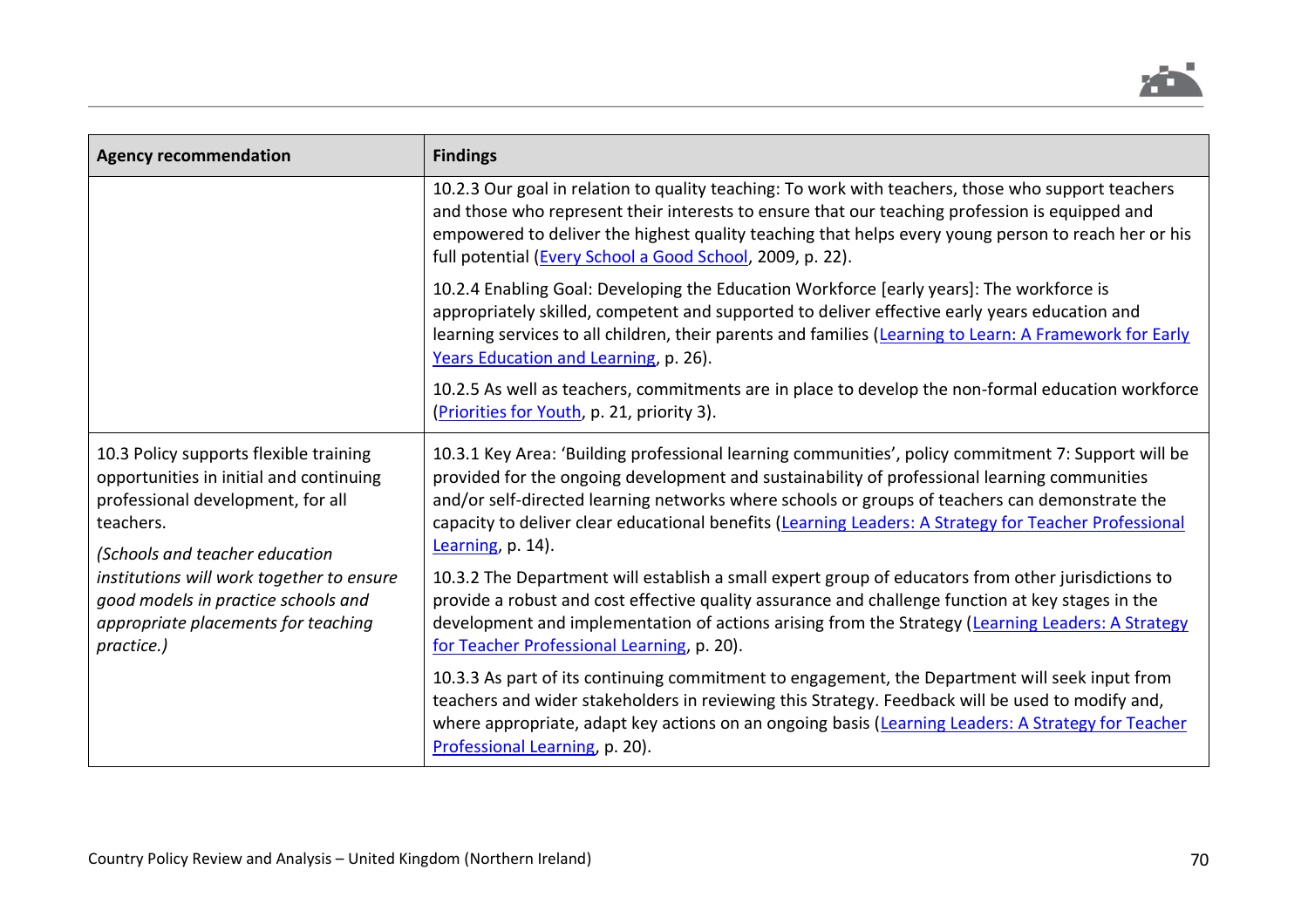

| <b>Agency recommendation</b>                                                                                                                                            | <b>Findings</b>                                                                                                                                                                                                                                                                                                                                                                                                |
|-------------------------------------------------------------------------------------------------------------------------------------------------------------------------|----------------------------------------------------------------------------------------------------------------------------------------------------------------------------------------------------------------------------------------------------------------------------------------------------------------------------------------------------------------------------------------------------------------|
|                                                                                                                                                                         | 10.2.3 Our goal in relation to quality teaching: To work with teachers, those who support teachers<br>and those who represent their interests to ensure that our teaching profession is equipped and<br>empowered to deliver the highest quality teaching that helps every young person to reach her or his<br>full potential (Every School a Good School, 2009, p. 22).                                       |
|                                                                                                                                                                         | 10.2.4 Enabling Goal: Developing the Education Workforce [early years]: The workforce is<br>appropriately skilled, competent and supported to deliver effective early years education and<br>learning services to all children, their parents and families (Learning to Learn: A Framework for Early<br>Years Education and Learning, p. 26).                                                                  |
|                                                                                                                                                                         | 10.2.5 As well as teachers, commitments are in place to develop the non-formal education workforce<br>(Priorities for Youth, p. 21, priority 3).                                                                                                                                                                                                                                                               |
| 10.3 Policy supports flexible training<br>opportunities in initial and continuing<br>professional development, for all<br>teachers.                                     | 10.3.1 Key Area: 'Building professional learning communities', policy commitment 7: Support will be<br>provided for the ongoing development and sustainability of professional learning communities<br>and/or self-directed learning networks where schools or groups of teachers can demonstrate the<br>capacity to deliver clear educational benefits (Learning Leaders: A Strategy for Teacher Professional |
| (Schools and teacher education<br>institutions will work together to ensure<br>good models in practice schools and<br>appropriate placements for teaching<br>practice.) | Learning, p. 14).<br>10.3.2 The Department will establish a small expert group of educators from other jurisdictions to<br>provide a robust and cost effective quality assurance and challenge function at key stages in the<br>development and implementation of actions arising from the Strategy (Learning Leaders: A Strategy<br>for Teacher Professional Learning, p. 20).                                |
|                                                                                                                                                                         | 10.3.3 As part of its continuing commitment to engagement, the Department will seek input from<br>teachers and wider stakeholders in reviewing this Strategy. Feedback will be used to modify and,<br>where appropriate, adapt key actions on an ongoing basis (Learning Leaders: A Strategy for Teacher<br>Professional Learning, p. 20).                                                                     |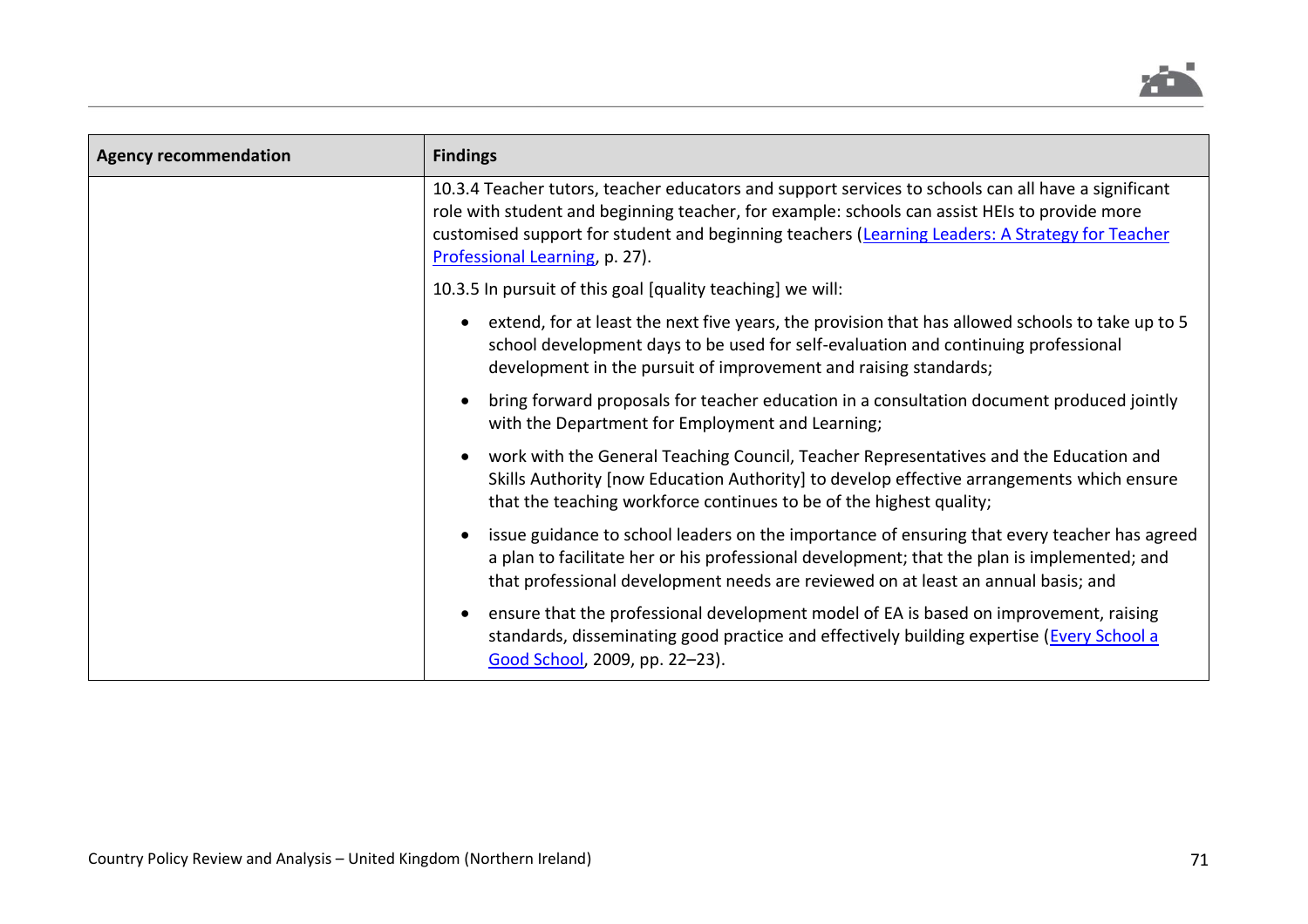

| <b>Agency recommendation</b> | <b>Findings</b>                                                                                                                                                                                                                                                                                                                           |
|------------------------------|-------------------------------------------------------------------------------------------------------------------------------------------------------------------------------------------------------------------------------------------------------------------------------------------------------------------------------------------|
|                              | 10.3.4 Teacher tutors, teacher educators and support services to schools can all have a significant<br>role with student and beginning teacher, for example: schools can assist HEIs to provide more<br>customised support for student and beginning teachers (Learning Leaders: A Strategy for Teacher<br>Professional Learning, p. 27). |
|                              | 10.3.5 In pursuit of this goal [quality teaching] we will:                                                                                                                                                                                                                                                                                |
|                              | extend, for at least the next five years, the provision that has allowed schools to take up to 5<br>school development days to be used for self-evaluation and continuing professional<br>development in the pursuit of improvement and raising standards;                                                                                |
|                              | bring forward proposals for teacher education in a consultation document produced jointly<br>with the Department for Employment and Learning;                                                                                                                                                                                             |
|                              | work with the General Teaching Council, Teacher Representatives and the Education and<br>Skills Authority [now Education Authority] to develop effective arrangements which ensure<br>that the teaching workforce continues to be of the highest quality;                                                                                 |
|                              | issue guidance to school leaders on the importance of ensuring that every teacher has agreed<br>a plan to facilitate her or his professional development; that the plan is implemented; and<br>that professional development needs are reviewed on at least an annual basis; and                                                          |
|                              | ensure that the professional development model of EA is based on improvement, raising<br>standards, disseminating good practice and effectively building expertise ( <i>Every School a</i><br>Good School, 2009, pp. 22-23).                                                                                                              |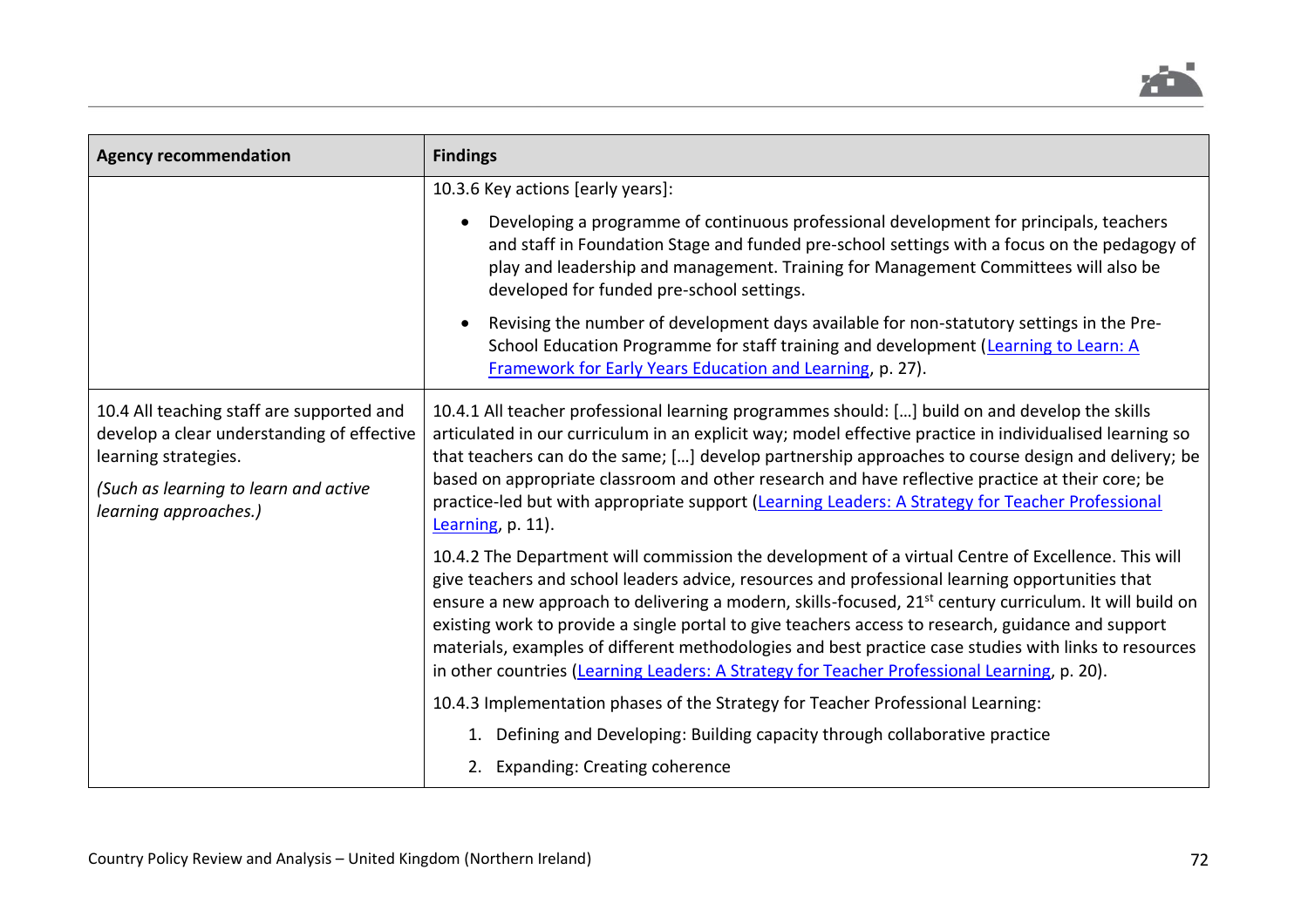

| <b>Agency recommendation</b>                                                                                                                                                      | <b>Findings</b>                                                                                                                                                                                                                                                                                                                                                                                                                                                                                                                                                                                                                            |
|-----------------------------------------------------------------------------------------------------------------------------------------------------------------------------------|--------------------------------------------------------------------------------------------------------------------------------------------------------------------------------------------------------------------------------------------------------------------------------------------------------------------------------------------------------------------------------------------------------------------------------------------------------------------------------------------------------------------------------------------------------------------------------------------------------------------------------------------|
|                                                                                                                                                                                   | 10.3.6 Key actions [early years]:                                                                                                                                                                                                                                                                                                                                                                                                                                                                                                                                                                                                          |
|                                                                                                                                                                                   | Developing a programme of continuous professional development for principals, teachers<br>and staff in Foundation Stage and funded pre-school settings with a focus on the pedagogy of<br>play and leadership and management. Training for Management Committees will also be<br>developed for funded pre-school settings.                                                                                                                                                                                                                                                                                                                 |
|                                                                                                                                                                                   | Revising the number of development days available for non-statutory settings in the Pre-<br>School Education Programme for staff training and development (Learning to Learn: A<br>Framework for Early Years Education and Learning, p. 27).                                                                                                                                                                                                                                                                                                                                                                                               |
| 10.4 All teaching staff are supported and<br>develop a clear understanding of effective<br>learning strategies.<br>(Such as learning to learn and active<br>learning approaches.) | 10.4.1 All teacher professional learning programmes should: [] build on and develop the skills<br>articulated in our curriculum in an explicit way; model effective practice in individualised learning so<br>that teachers can do the same; [] develop partnership approaches to course design and delivery; be<br>based on appropriate classroom and other research and have reflective practice at their core; be<br>practice-led but with appropriate support (Learning Leaders: A Strategy for Teacher Professional<br>Learning, p. 11).                                                                                              |
|                                                                                                                                                                                   | 10.4.2 The Department will commission the development of a virtual Centre of Excellence. This will<br>give teachers and school leaders advice, resources and professional learning opportunities that<br>ensure a new approach to delivering a modern, skills-focused, 21 <sup>st</sup> century curriculum. It will build on<br>existing work to provide a single portal to give teachers access to research, guidance and support<br>materials, examples of different methodologies and best practice case studies with links to resources<br>in other countries (Learning Leaders: A Strategy for Teacher Professional Learning, p. 20). |
|                                                                                                                                                                                   | 10.4.3 Implementation phases of the Strategy for Teacher Professional Learning:                                                                                                                                                                                                                                                                                                                                                                                                                                                                                                                                                            |
|                                                                                                                                                                                   | 1. Defining and Developing: Building capacity through collaborative practice                                                                                                                                                                                                                                                                                                                                                                                                                                                                                                                                                               |
|                                                                                                                                                                                   | 2. Expanding: Creating coherence                                                                                                                                                                                                                                                                                                                                                                                                                                                                                                                                                                                                           |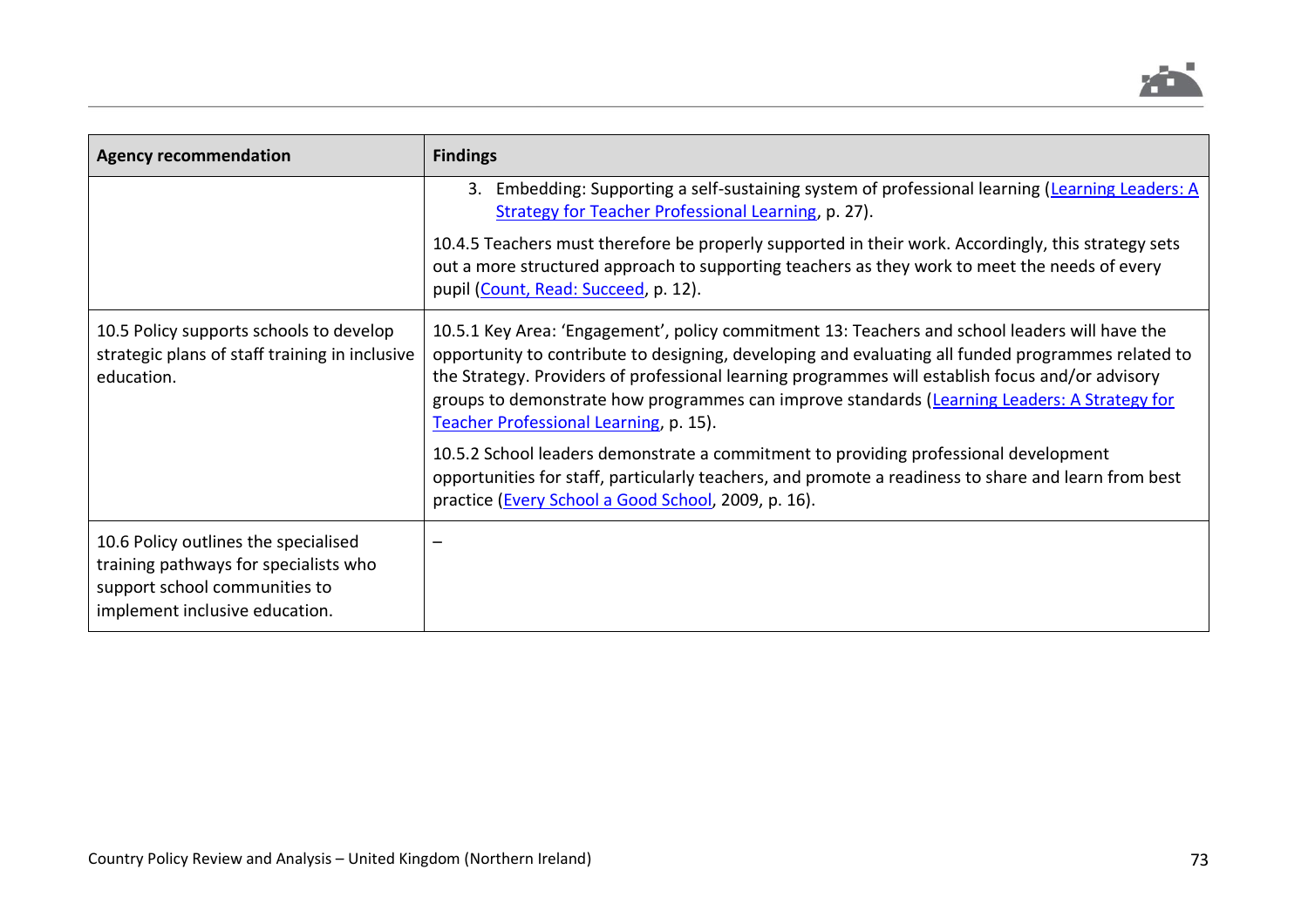

| <b>Agency recommendation</b>                                                                                                                     | <b>Findings</b>                                                                                                                                                                                                                                                                                                                                                                                                                                    |
|--------------------------------------------------------------------------------------------------------------------------------------------------|----------------------------------------------------------------------------------------------------------------------------------------------------------------------------------------------------------------------------------------------------------------------------------------------------------------------------------------------------------------------------------------------------------------------------------------------------|
|                                                                                                                                                  | 3. Embedding: Supporting a self-sustaining system of professional learning (Learning Leaders: A<br>Strategy for Teacher Professional Learning, p. 27).                                                                                                                                                                                                                                                                                             |
|                                                                                                                                                  | 10.4.5 Teachers must therefore be properly supported in their work. Accordingly, this strategy sets<br>out a more structured approach to supporting teachers as they work to meet the needs of every<br>pupil (Count, Read: Succeed, p. 12).                                                                                                                                                                                                       |
| 10.5 Policy supports schools to develop<br>strategic plans of staff training in inclusive<br>education.                                          | 10.5.1 Key Area: 'Engagement', policy commitment 13: Teachers and school leaders will have the<br>opportunity to contribute to designing, developing and evaluating all funded programmes related to<br>the Strategy. Providers of professional learning programmes will establish focus and/or advisory<br>groups to demonstrate how programmes can improve standards (Learning Leaders: A Strategy for<br>Teacher Professional Learning, p. 15). |
|                                                                                                                                                  | 10.5.2 School leaders demonstrate a commitment to providing professional development<br>opportunities for staff, particularly teachers, and promote a readiness to share and learn from best<br>practice (Every School a Good School, 2009, p. 16).                                                                                                                                                                                                |
| 10.6 Policy outlines the specialised<br>training pathways for specialists who<br>support school communities to<br>implement inclusive education. |                                                                                                                                                                                                                                                                                                                                                                                                                                                    |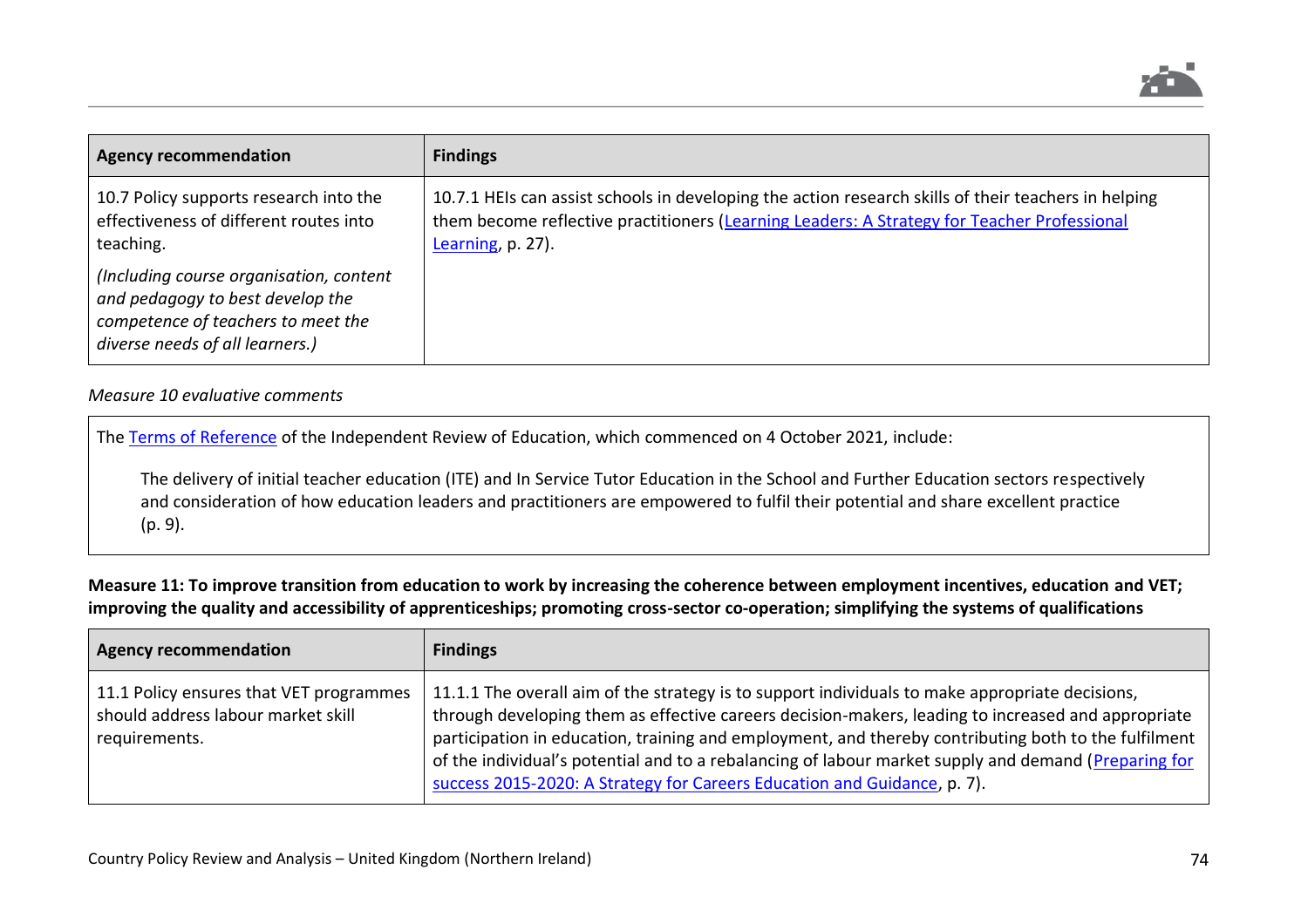

| <b>Agency recommendation</b>                                                                                                                         | <b>Findings</b>                                                                                                                                                                                                          |
|------------------------------------------------------------------------------------------------------------------------------------------------------|--------------------------------------------------------------------------------------------------------------------------------------------------------------------------------------------------------------------------|
| 10.7 Policy supports research into the<br>effectiveness of different routes into<br>teaching.                                                        | 10.7.1 HEIs can assist schools in developing the action research skills of their teachers in helping<br>them become reflective practitioners (Learning Leaders: A Strategy for Teacher Professional<br>Learning, p. 27). |
| (Including course organisation, content<br>and pedagogy to best develop the<br>competence of teachers to meet the<br>diverse needs of all learners.) |                                                                                                                                                                                                                          |

## *Measure 10 evaluative comments*

|  |  |  |  |  | The Terms of Reference of the Independent Review of Education, which commenced on 4 October 2021, include: |
|--|--|--|--|--|------------------------------------------------------------------------------------------------------------|
|--|--|--|--|--|------------------------------------------------------------------------------------------------------------|

The delivery of initial teacher education (ITE) and In Service Tutor Education in the School and Further Education sectors respectively and consideration of how education leaders and practitioners are empowered to fulfil their potential and share excellent practice (p. 9).

**Measure 11: To improve transition from education to work by increasing the coherence between employment incentives, education and VET; improving the quality and accessibility of apprenticeships; promoting cross-sector co-operation; simplifying the systems of qualifications**

| <b>Agency recommendation</b>                                                                   | <b>Findings</b>                                                                                                                                                                                                                                                                                                                                                                                                                                                                                   |
|------------------------------------------------------------------------------------------------|---------------------------------------------------------------------------------------------------------------------------------------------------------------------------------------------------------------------------------------------------------------------------------------------------------------------------------------------------------------------------------------------------------------------------------------------------------------------------------------------------|
| 11.1 Policy ensures that VET programmes<br>should address labour market skill<br>requirements. | 11.1.1 The overall aim of the strategy is to support individuals to make appropriate decisions,<br>through developing them as effective careers decision-makers, leading to increased and appropriate<br>participation in education, training and employment, and thereby contributing both to the fulfilment<br>of the individual's potential and to a rebalancing of labour market supply and demand (Preparing for<br>success 2015-2020: A Strategy for Careers Education and Guidance, p. 7). |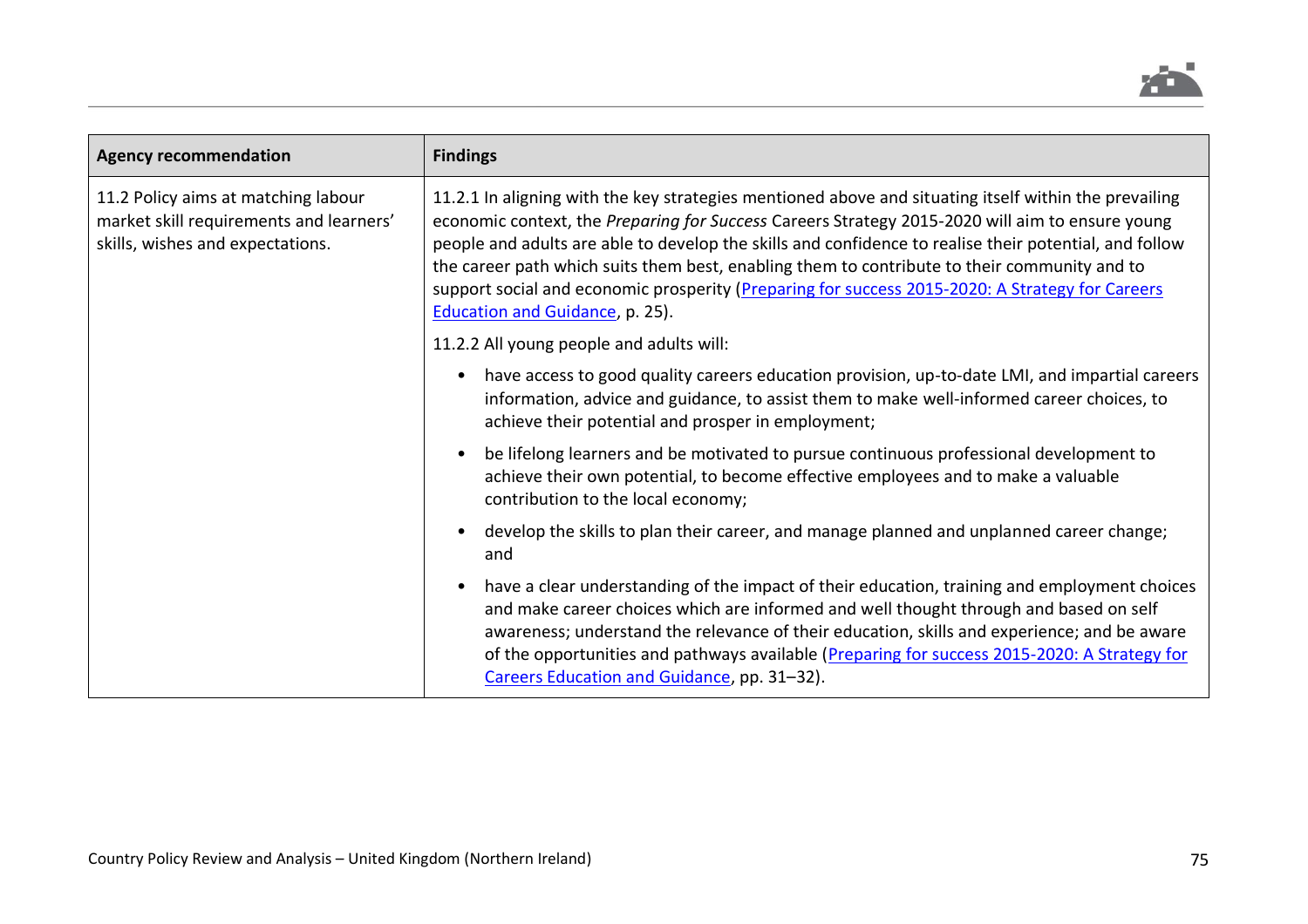

| <b>Agency recommendation</b>                                                                                       | <b>Findings</b>                                                                                                                                                                                                                                                                                                                                                                                                                                                                                                                                                 |
|--------------------------------------------------------------------------------------------------------------------|-----------------------------------------------------------------------------------------------------------------------------------------------------------------------------------------------------------------------------------------------------------------------------------------------------------------------------------------------------------------------------------------------------------------------------------------------------------------------------------------------------------------------------------------------------------------|
| 11.2 Policy aims at matching labour<br>market skill requirements and learners'<br>skills, wishes and expectations. | 11.2.1 In aligning with the key strategies mentioned above and situating itself within the prevailing<br>economic context, the Preparing for Success Careers Strategy 2015-2020 will aim to ensure young<br>people and adults are able to develop the skills and confidence to realise their potential, and follow<br>the career path which suits them best, enabling them to contribute to their community and to<br>support social and economic prosperity (Preparing for success 2015-2020: A Strategy for Careers<br><b>Education and Guidance, p. 25).</b> |
|                                                                                                                    | 11.2.2 All young people and adults will:                                                                                                                                                                                                                                                                                                                                                                                                                                                                                                                        |
|                                                                                                                    | have access to good quality careers education provision, up-to-date LMI, and impartial careers<br>information, advice and guidance, to assist them to make well-informed career choices, to<br>achieve their potential and prosper in employment;                                                                                                                                                                                                                                                                                                               |
|                                                                                                                    | be lifelong learners and be motivated to pursue continuous professional development to<br>achieve their own potential, to become effective employees and to make a valuable<br>contribution to the local economy;                                                                                                                                                                                                                                                                                                                                               |
|                                                                                                                    | develop the skills to plan their career, and manage planned and unplanned career change;<br>and                                                                                                                                                                                                                                                                                                                                                                                                                                                                 |
|                                                                                                                    | have a clear understanding of the impact of their education, training and employment choices<br>and make career choices which are informed and well thought through and based on self<br>awareness; understand the relevance of their education, skills and experience; and be aware<br>of the opportunities and pathways available (Preparing for success 2015-2020: A Strategy for<br>Careers Education and Guidance, pp. 31-32).                                                                                                                             |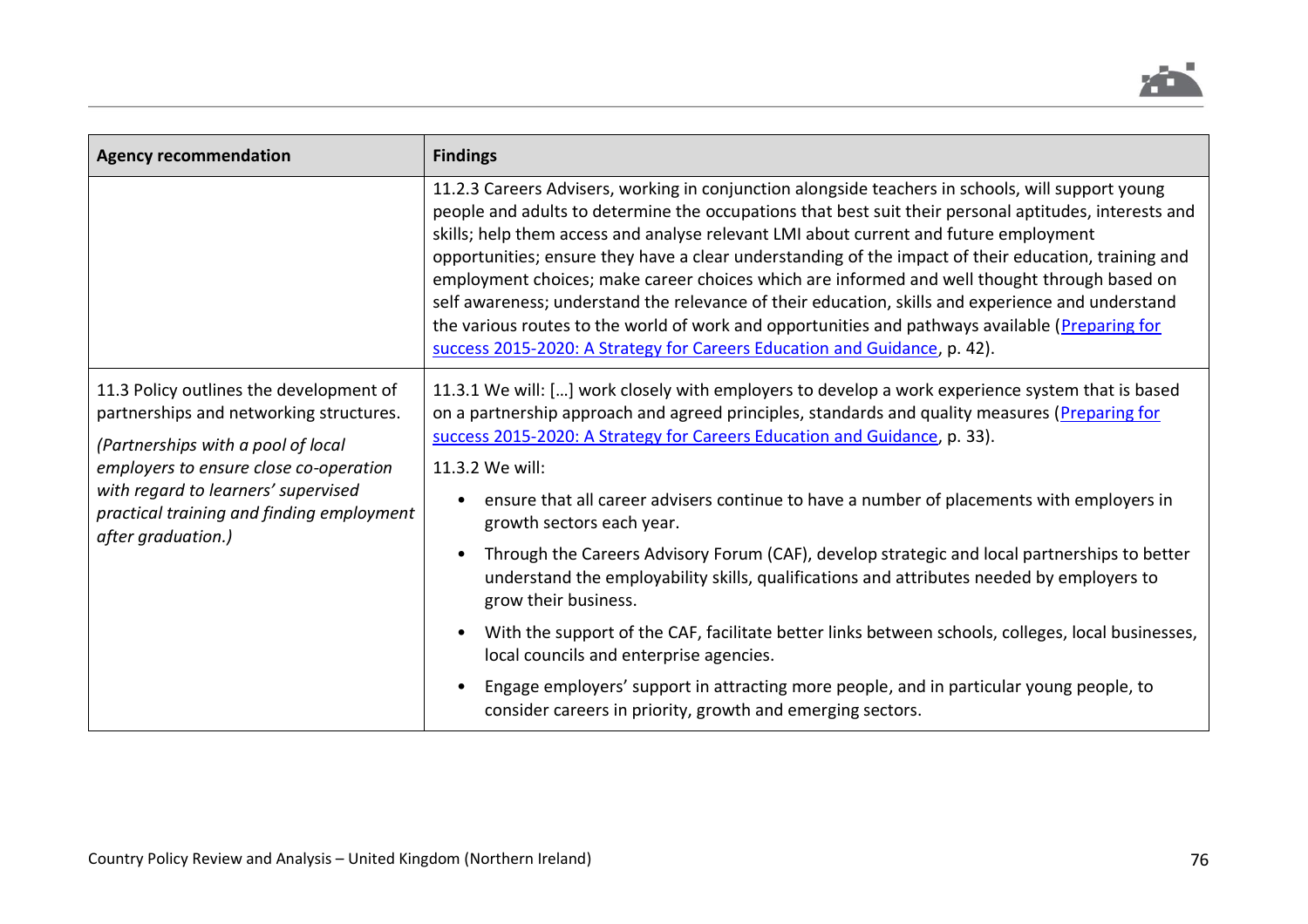

| <b>Agency recommendation</b>                                                                                             | <b>Findings</b>                                                                                                                                                                                                                                                                                                                                                                                                                                                                                                                                                                                                                                                                                                                                                                                  |
|--------------------------------------------------------------------------------------------------------------------------|--------------------------------------------------------------------------------------------------------------------------------------------------------------------------------------------------------------------------------------------------------------------------------------------------------------------------------------------------------------------------------------------------------------------------------------------------------------------------------------------------------------------------------------------------------------------------------------------------------------------------------------------------------------------------------------------------------------------------------------------------------------------------------------------------|
|                                                                                                                          | 11.2.3 Careers Advisers, working in conjunction alongside teachers in schools, will support young<br>people and adults to determine the occupations that best suit their personal aptitudes, interests and<br>skills; help them access and analyse relevant LMI about current and future employment<br>opportunities; ensure they have a clear understanding of the impact of their education, training and<br>employment choices; make career choices which are informed and well thought through based on<br>self awareness; understand the relevance of their education, skills and experience and understand<br>the various routes to the world of work and opportunities and pathways available (Preparing for<br>success 2015-2020: A Strategy for Careers Education and Guidance, p. 42). |
| 11.3 Policy outlines the development of<br>partnerships and networking structures.<br>(Partnerships with a pool of local | 11.3.1 We will: [] work closely with employers to develop a work experience system that is based<br>on a partnership approach and agreed principles, standards and quality measures (Preparing for<br>success 2015-2020: A Strategy for Careers Education and Guidance, p. 33).                                                                                                                                                                                                                                                                                                                                                                                                                                                                                                                  |
| employers to ensure close co-operation                                                                                   | 11.3.2 We will:                                                                                                                                                                                                                                                                                                                                                                                                                                                                                                                                                                                                                                                                                                                                                                                  |
| with regard to learners' supervised<br>practical training and finding employment<br>after graduation.)                   | ensure that all career advisers continue to have a number of placements with employers in<br>growth sectors each year.                                                                                                                                                                                                                                                                                                                                                                                                                                                                                                                                                                                                                                                                           |
|                                                                                                                          | Through the Careers Advisory Forum (CAF), develop strategic and local partnerships to better<br>understand the employability skills, qualifications and attributes needed by employers to<br>grow their business.                                                                                                                                                                                                                                                                                                                                                                                                                                                                                                                                                                                |
|                                                                                                                          | With the support of the CAF, facilitate better links between schools, colleges, local businesses,<br>local councils and enterprise agencies.                                                                                                                                                                                                                                                                                                                                                                                                                                                                                                                                                                                                                                                     |
|                                                                                                                          | Engage employers' support in attracting more people, and in particular young people, to<br>consider careers in priority, growth and emerging sectors.                                                                                                                                                                                                                                                                                                                                                                                                                                                                                                                                                                                                                                            |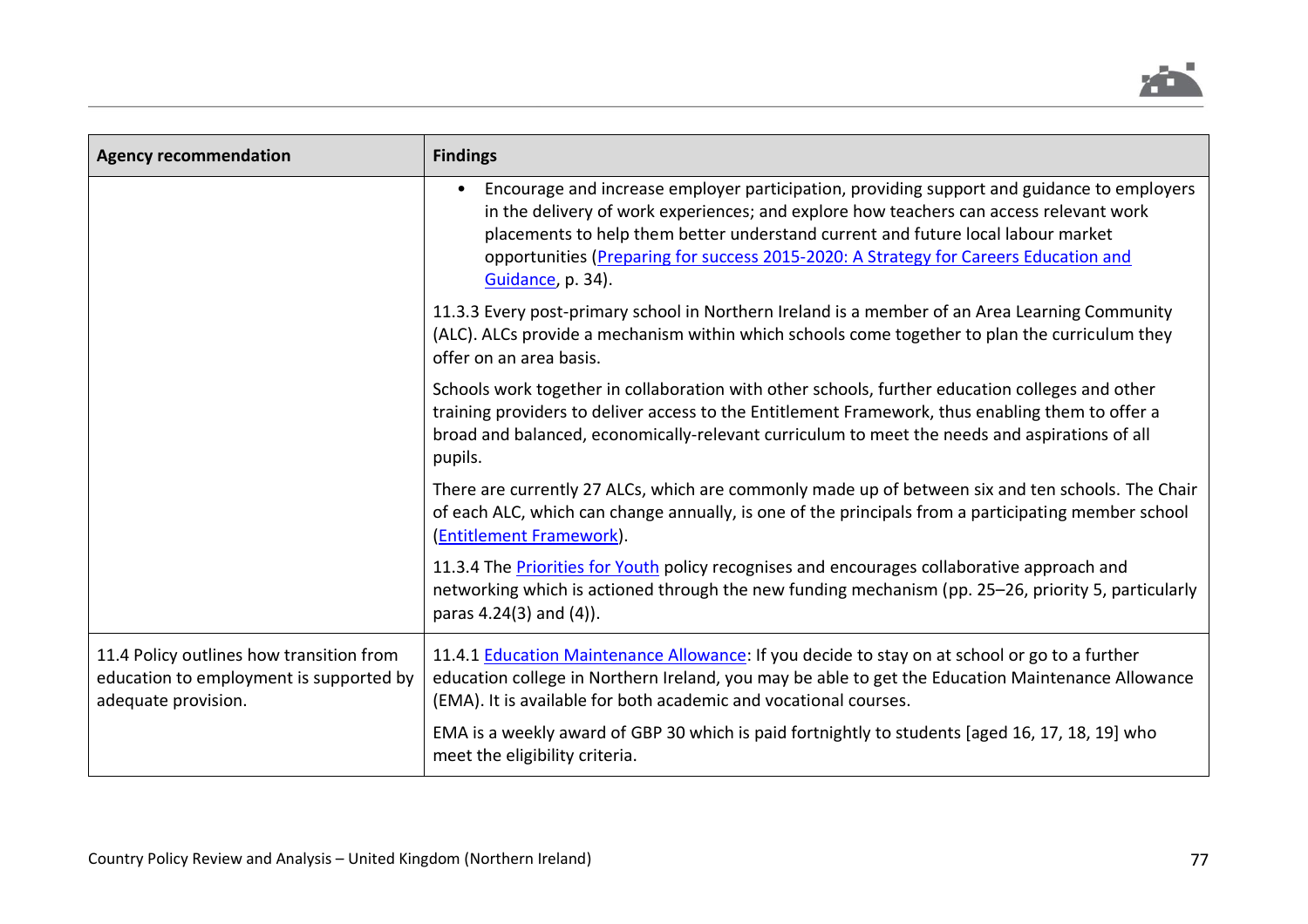

| <b>Agency recommendation</b>                                                                               | <b>Findings</b>                                                                                                                                                                                                                                                                                                                                                                       |  |
|------------------------------------------------------------------------------------------------------------|---------------------------------------------------------------------------------------------------------------------------------------------------------------------------------------------------------------------------------------------------------------------------------------------------------------------------------------------------------------------------------------|--|
|                                                                                                            | Encourage and increase employer participation, providing support and guidance to employers<br>in the delivery of work experiences; and explore how teachers can access relevant work<br>placements to help them better understand current and future local labour market<br>opportunities (Preparing for success 2015-2020: A Strategy for Careers Education and<br>Guidance, p. 34). |  |
|                                                                                                            | 11.3.3 Every post-primary school in Northern Ireland is a member of an Area Learning Community<br>(ALC). ALCs provide a mechanism within which schools come together to plan the curriculum they<br>offer on an area basis.                                                                                                                                                           |  |
|                                                                                                            | Schools work together in collaboration with other schools, further education colleges and other<br>training providers to deliver access to the Entitlement Framework, thus enabling them to offer a<br>broad and balanced, economically-relevant curriculum to meet the needs and aspirations of all<br>pupils.                                                                       |  |
|                                                                                                            | There are currently 27 ALCs, which are commonly made up of between six and ten schools. The Chair<br>of each ALC, which can change annually, is one of the principals from a participating member school<br>(Entitlement Framework).                                                                                                                                                  |  |
|                                                                                                            | 11.3.4 The Priorities for Youth policy recognises and encourages collaborative approach and<br>networking which is actioned through the new funding mechanism (pp. 25-26, priority 5, particularly<br>paras 4.24(3) and (4)).                                                                                                                                                         |  |
| 11.4 Policy outlines how transition from<br>education to employment is supported by<br>adequate provision. | 11.4.1 Education Maintenance Allowance: If you decide to stay on at school or go to a further<br>education college in Northern Ireland, you may be able to get the Education Maintenance Allowance<br>(EMA). It is available for both academic and vocational courses.                                                                                                                |  |
|                                                                                                            | EMA is a weekly award of GBP 30 which is paid fortnightly to students [aged 16, 17, 18, 19] who<br>meet the eligibility criteria.                                                                                                                                                                                                                                                     |  |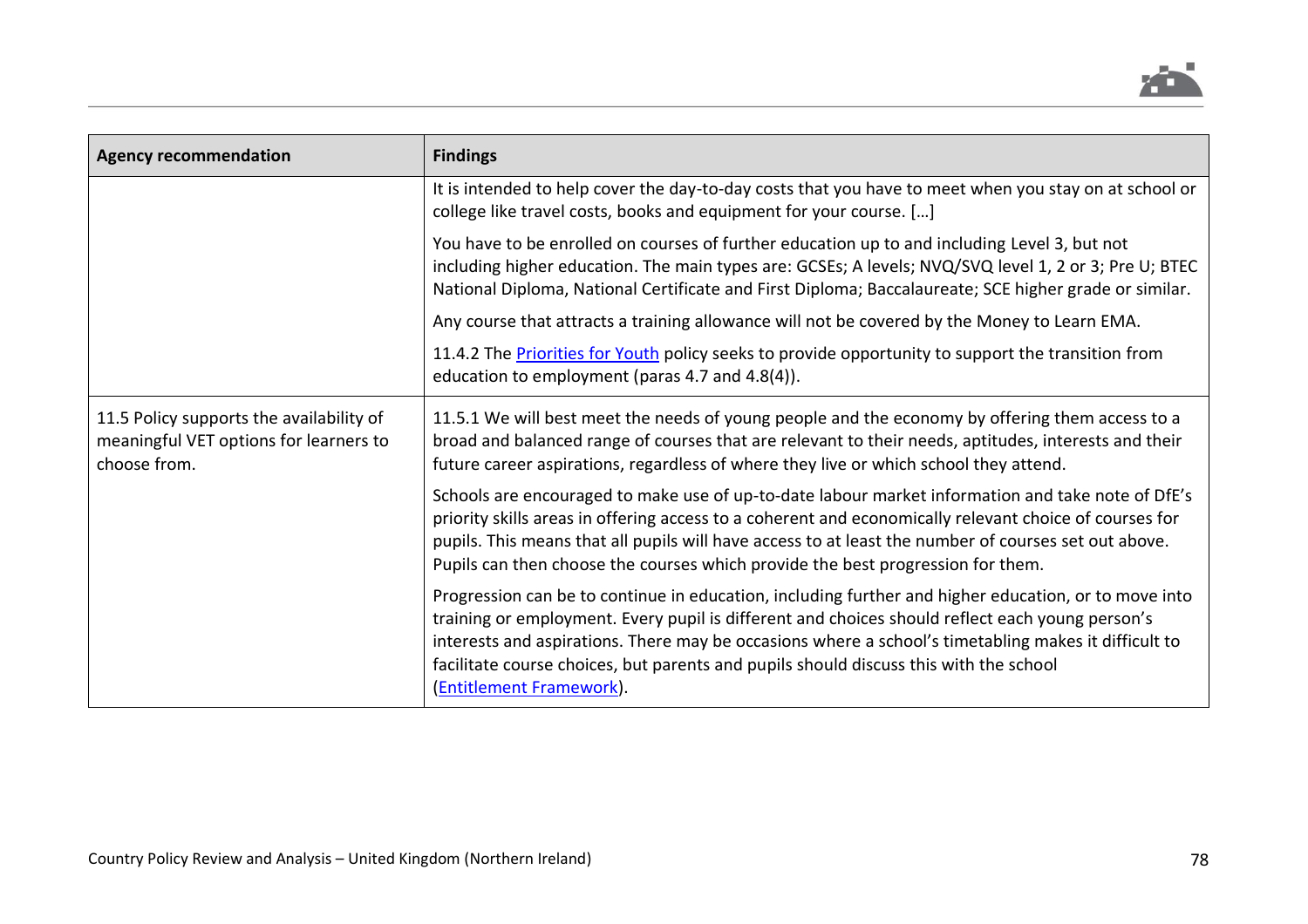

| <b>Agency recommendation</b>                                                                       | <b>Findings</b>                                                                                                                                                                                                                                                                                                                                                                                                                      |
|----------------------------------------------------------------------------------------------------|--------------------------------------------------------------------------------------------------------------------------------------------------------------------------------------------------------------------------------------------------------------------------------------------------------------------------------------------------------------------------------------------------------------------------------------|
|                                                                                                    | It is intended to help cover the day-to-day costs that you have to meet when you stay on at school or<br>college like travel costs, books and equipment for your course. []                                                                                                                                                                                                                                                          |
|                                                                                                    | You have to be enrolled on courses of further education up to and including Level 3, but not<br>including higher education. The main types are: GCSEs; A levels; NVQ/SVQ level 1, 2 or 3; Pre U; BTEC<br>National Diploma, National Certificate and First Diploma; Baccalaureate; SCE higher grade or similar.                                                                                                                       |
|                                                                                                    | Any course that attracts a training allowance will not be covered by the Money to Learn EMA.                                                                                                                                                                                                                                                                                                                                         |
|                                                                                                    | 11.4.2 The Priorities for Youth policy seeks to provide opportunity to support the transition from<br>education to employment (paras 4.7 and 4.8(4)).                                                                                                                                                                                                                                                                                |
| 11.5 Policy supports the availability of<br>meaningful VET options for learners to<br>choose from. | 11.5.1 We will best meet the needs of young people and the economy by offering them access to a<br>broad and balanced range of courses that are relevant to their needs, aptitudes, interests and their<br>future career aspirations, regardless of where they live or which school they attend.                                                                                                                                     |
|                                                                                                    | Schools are encouraged to make use of up-to-date labour market information and take note of DfE's<br>priority skills areas in offering access to a coherent and economically relevant choice of courses for<br>pupils. This means that all pupils will have access to at least the number of courses set out above.<br>Pupils can then choose the courses which provide the best progression for them.                               |
|                                                                                                    | Progression can be to continue in education, including further and higher education, or to move into<br>training or employment. Every pupil is different and choices should reflect each young person's<br>interests and aspirations. There may be occasions where a school's timetabling makes it difficult to<br>facilitate course choices, but parents and pupils should discuss this with the school<br>(Entitlement Framework). |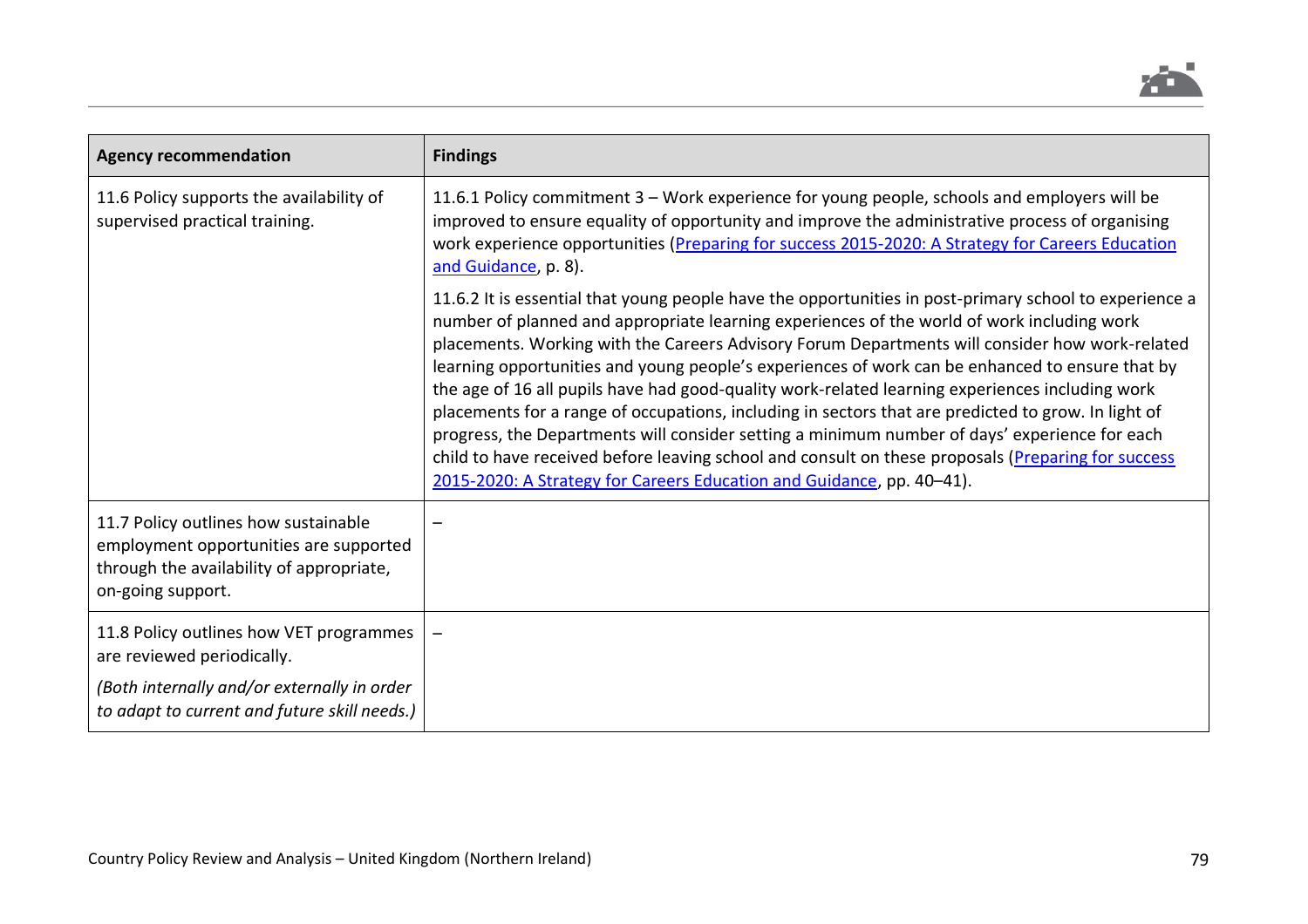

| <b>Agency recommendation</b>                                                                                                                    | <b>Findings</b>                                                                                                                                                                                                                                                                                                                                                                                                                                                                                                                                                                                                                                                                                                                                                                                                                                                                                     |
|-------------------------------------------------------------------------------------------------------------------------------------------------|-----------------------------------------------------------------------------------------------------------------------------------------------------------------------------------------------------------------------------------------------------------------------------------------------------------------------------------------------------------------------------------------------------------------------------------------------------------------------------------------------------------------------------------------------------------------------------------------------------------------------------------------------------------------------------------------------------------------------------------------------------------------------------------------------------------------------------------------------------------------------------------------------------|
| 11.6 Policy supports the availability of<br>supervised practical training.                                                                      | 11.6.1 Policy commitment 3 – Work experience for young people, schools and employers will be<br>improved to ensure equality of opportunity and improve the administrative process of organising<br>work experience opportunities (Preparing for success 2015-2020: A Strategy for Careers Education<br>and Guidance, p. 8).                                                                                                                                                                                                                                                                                                                                                                                                                                                                                                                                                                         |
|                                                                                                                                                 | 11.6.2 It is essential that young people have the opportunities in post-primary school to experience a<br>number of planned and appropriate learning experiences of the world of work including work<br>placements. Working with the Careers Advisory Forum Departments will consider how work-related<br>learning opportunities and young people's experiences of work can be enhanced to ensure that by<br>the age of 16 all pupils have had good-quality work-related learning experiences including work<br>placements for a range of occupations, including in sectors that are predicted to grow. In light of<br>progress, the Departments will consider setting a minimum number of days' experience for each<br>child to have received before leaving school and consult on these proposals (Preparing for success<br>2015-2020: A Strategy for Careers Education and Guidance, pp. 40-41). |
| 11.7 Policy outlines how sustainable<br>employment opportunities are supported<br>through the availability of appropriate,<br>on-going support. |                                                                                                                                                                                                                                                                                                                                                                                                                                                                                                                                                                                                                                                                                                                                                                                                                                                                                                     |
| 11.8 Policy outlines how VET programmes<br>are reviewed periodically.                                                                           |                                                                                                                                                                                                                                                                                                                                                                                                                                                                                                                                                                                                                                                                                                                                                                                                                                                                                                     |
| (Both internally and/or externally in order<br>to adapt to current and future skill needs.)                                                     |                                                                                                                                                                                                                                                                                                                                                                                                                                                                                                                                                                                                                                                                                                                                                                                                                                                                                                     |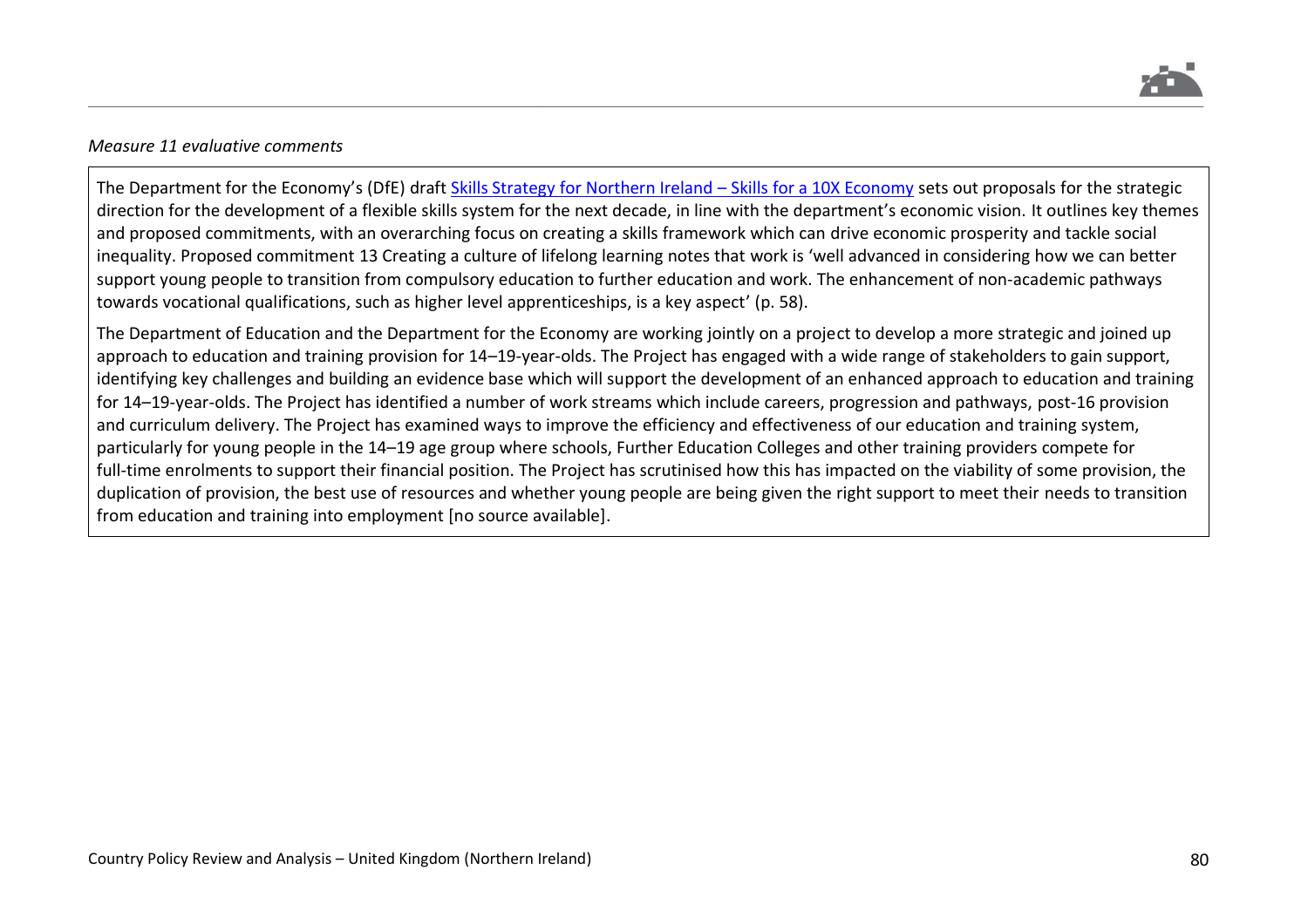

## *Measure 11 evaluative comments*

The Department for the Economy's (DfE) draft [Skills Strategy for Northern Ireland](https://www.economy-ni.gov.uk/sites/default/files/consultations/economy/skills-strategy-10x-economy-consultation.pdf) – Skills for a 10X Economy sets out proposals for the strategic direction for the development of a flexible skills system for the next decade, in line with the department's economic vision. It outlines key themes and proposed commitments, with an overarching focus on creating a skills framework which can drive economic prosperity and tackle social inequality. Proposed commitment 13 Creating a culture of lifelong learning notes that work is 'well advanced in considering how we can better support young people to transition from compulsory education to further education and work. The enhancement of non-academic pathways towards vocational qualifications, such as higher level apprenticeships, is a key aspect' (p. 58).

The Department of Education and the Department for the Economy are working jointly on a project to develop a more strategic and joined up approach to education and training provision for 14–19-year-olds. The Project has engaged with a wide range of stakeholders to gain support, identifying key challenges and building an evidence base which will support the development of an enhanced approach to education and training for 14–19-year-olds. The Project has identified a number of work streams which include careers, progression and pathways, post-16 provision and curriculum delivery. The Project has examined ways to improve the efficiency and effectiveness of our education and training system, particularly for young people in the 14–19 age group where schools, Further Education Colleges and other training providers compete for full-time enrolments to support their financial position. The Project has scrutinised how this has impacted on the viability of some provision, the duplication of provision, the best use of resources and whether young people are being given the right support to meet their needs to transition from education and training into employment [no source available].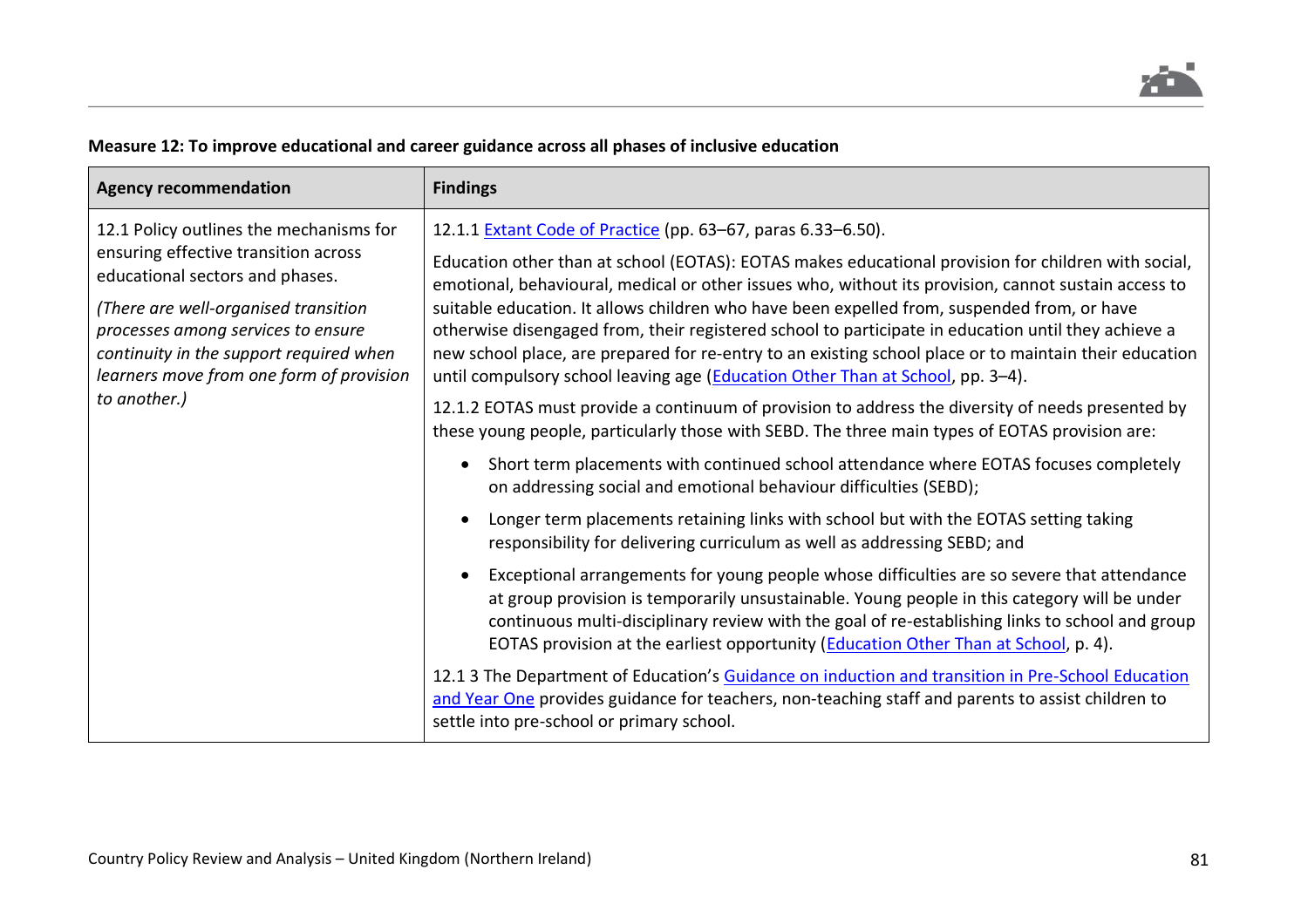## **Measure 12: To improve educational and career guidance across all phases of inclusive education**

| <b>Agency recommendation</b>                                                                                                                                                                                                                                                                            | <b>Findings</b>                                                                                                                                                                                                                                                                                                                                                                                                                                                                                                                                                                                                                                                               |
|---------------------------------------------------------------------------------------------------------------------------------------------------------------------------------------------------------------------------------------------------------------------------------------------------------|-------------------------------------------------------------------------------------------------------------------------------------------------------------------------------------------------------------------------------------------------------------------------------------------------------------------------------------------------------------------------------------------------------------------------------------------------------------------------------------------------------------------------------------------------------------------------------------------------------------------------------------------------------------------------------|
| 12.1 Policy outlines the mechanisms for<br>ensuring effective transition across<br>educational sectors and phases.<br>(There are well-organised transition<br>processes among services to ensure<br>continuity in the support required when<br>learners move from one form of provision<br>to another.) | 12.1.1 Extant Code of Practice (pp. 63-67, paras 6.33-6.50).<br>Education other than at school (EOTAS): EOTAS makes educational provision for children with social,<br>emotional, behavioural, medical or other issues who, without its provision, cannot sustain access to<br>suitable education. It allows children who have been expelled from, suspended from, or have<br>otherwise disengaged from, their registered school to participate in education until they achieve a<br>new school place, are prepared for re-entry to an existing school place or to maintain their education<br>until compulsory school leaving age (Education Other Than at School, pp. 3-4). |
|                                                                                                                                                                                                                                                                                                         | 12.1.2 EOTAS must provide a continuum of provision to address the diversity of needs presented by<br>these young people, particularly those with SEBD. The three main types of EOTAS provision are:                                                                                                                                                                                                                                                                                                                                                                                                                                                                           |
|                                                                                                                                                                                                                                                                                                         | Short term placements with continued school attendance where EOTAS focuses completely<br>on addressing social and emotional behaviour difficulties (SEBD);                                                                                                                                                                                                                                                                                                                                                                                                                                                                                                                    |
|                                                                                                                                                                                                                                                                                                         | Longer term placements retaining links with school but with the EOTAS setting taking<br>responsibility for delivering curriculum as well as addressing SEBD; and                                                                                                                                                                                                                                                                                                                                                                                                                                                                                                              |
|                                                                                                                                                                                                                                                                                                         | Exceptional arrangements for young people whose difficulties are so severe that attendance<br>at group provision is temporarily unsustainable. Young people in this category will be under<br>continuous multi-disciplinary review with the goal of re-establishing links to school and group<br>EOTAS provision at the earliest opportunity (Education Other Than at School, p. 4).                                                                                                                                                                                                                                                                                          |
|                                                                                                                                                                                                                                                                                                         | 12.1 3 The Department of Education's Guidance on induction and transition in Pre-School Education<br>and Year One provides guidance for teachers, non-teaching staff and parents to assist children to<br>settle into pre-school or primary school.                                                                                                                                                                                                                                                                                                                                                                                                                           |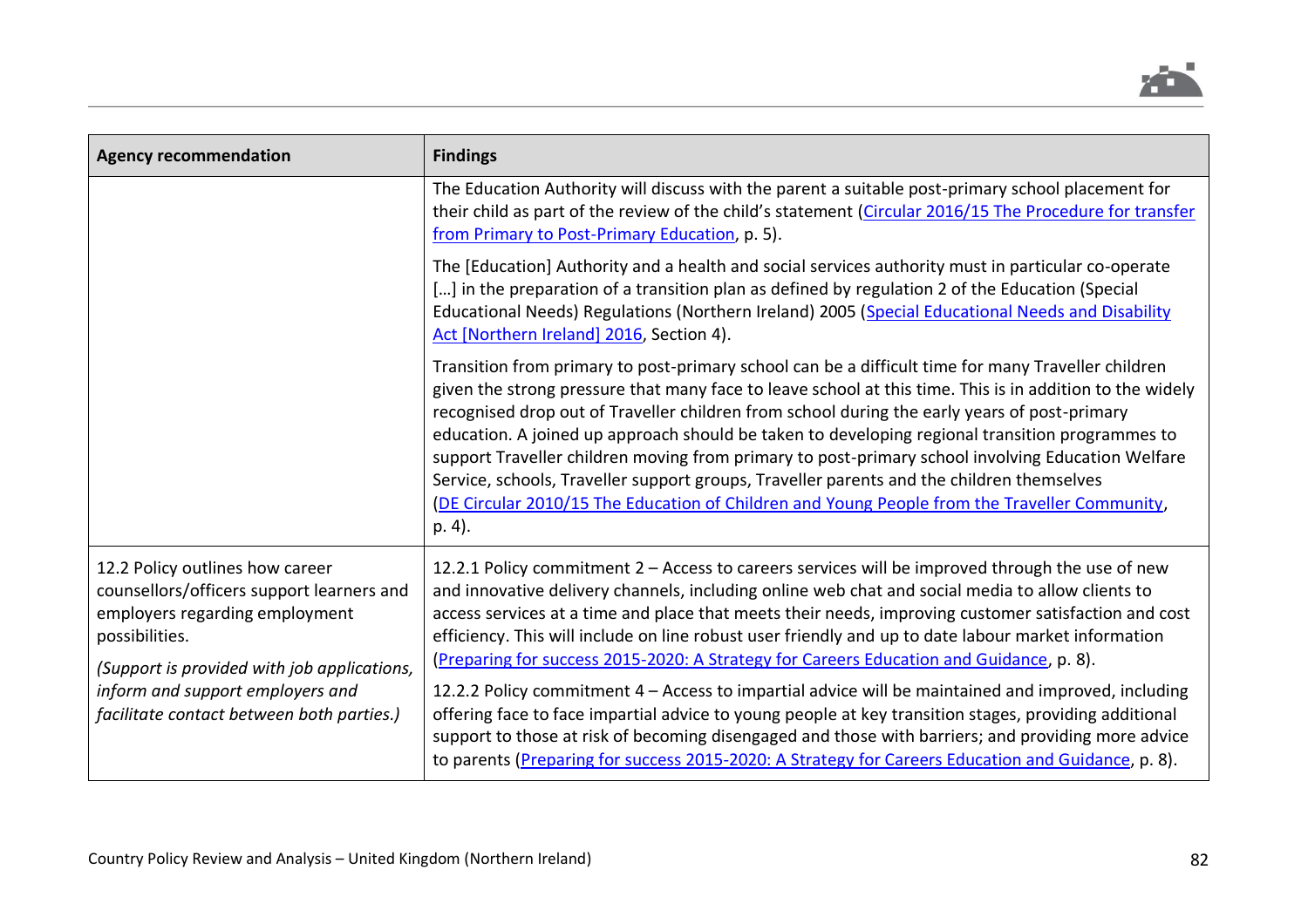

| <b>Agency recommendation</b>                                                                                                                                                                                                                                     | <b>Findings</b>                                                                                                                                                                                                                                                                                                                                                                                                                                                                                                                                                                                                                                                                                                                                                                                                                    |
|------------------------------------------------------------------------------------------------------------------------------------------------------------------------------------------------------------------------------------------------------------------|------------------------------------------------------------------------------------------------------------------------------------------------------------------------------------------------------------------------------------------------------------------------------------------------------------------------------------------------------------------------------------------------------------------------------------------------------------------------------------------------------------------------------------------------------------------------------------------------------------------------------------------------------------------------------------------------------------------------------------------------------------------------------------------------------------------------------------|
|                                                                                                                                                                                                                                                                  | The Education Authority will discuss with the parent a suitable post-primary school placement for<br>their child as part of the review of the child's statement (Circular 2016/15 The Procedure for transfer<br>from Primary to Post-Primary Education, p. 5).                                                                                                                                                                                                                                                                                                                                                                                                                                                                                                                                                                     |
|                                                                                                                                                                                                                                                                  | The [Education] Authority and a health and social services authority must in particular co-operate<br>[] in the preparation of a transition plan as defined by regulation 2 of the Education (Special<br>Educational Needs) Regulations (Northern Ireland) 2005 (Special Educational Needs and Disability<br>Act [Northern Ireland] 2016, Section 4).                                                                                                                                                                                                                                                                                                                                                                                                                                                                              |
|                                                                                                                                                                                                                                                                  | Transition from primary to post-primary school can be a difficult time for many Traveller children<br>given the strong pressure that many face to leave school at this time. This is in addition to the widely<br>recognised drop out of Traveller children from school during the early years of post-primary<br>education. A joined up approach should be taken to developing regional transition programmes to<br>support Traveller children moving from primary to post-primary school involving Education Welfare<br>Service, schools, Traveller support groups, Traveller parents and the children themselves<br>(DE Circular 2010/15 The Education of Children and Young People from the Traveller Community,<br>p. 4).                                                                                                     |
| 12.2 Policy outlines how career<br>counsellors/officers support learners and<br>employers regarding employment<br>possibilities.<br>(Support is provided with job applications,<br>inform and support employers and<br>facilitate contact between both parties.) | 12.2.1 Policy commitment 2 – Access to careers services will be improved through the use of new<br>and innovative delivery channels, including online web chat and social media to allow clients to<br>access services at a time and place that meets their needs, improving customer satisfaction and cost<br>efficiency. This will include on line robust user friendly and up to date labour market information<br>(Preparing for success 2015-2020: A Strategy for Careers Education and Guidance, p. 8).<br>12.2.2 Policy commitment 4 – Access to impartial advice will be maintained and improved, including<br>offering face to face impartial advice to young people at key transition stages, providing additional<br>support to those at risk of becoming disengaged and those with barriers; and providing more advice |
|                                                                                                                                                                                                                                                                  | to parents (Preparing for success 2015-2020: A Strategy for Careers Education and Guidance, p. 8).                                                                                                                                                                                                                                                                                                                                                                                                                                                                                                                                                                                                                                                                                                                                 |